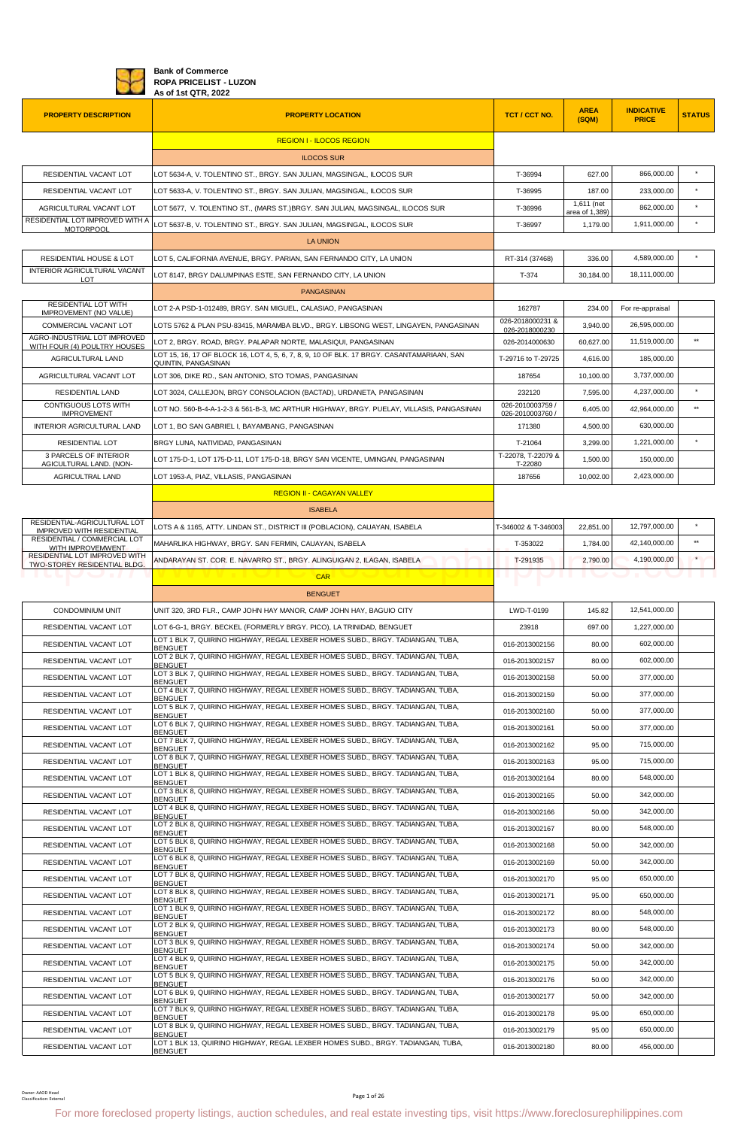

**Bank of Commerce ROPA PRICELIST - LUZON As of 1st QTR, 2022**

| <b>PROPERTY DESCRIPTION</b>                                          | <b>PROPERTY LOCATION</b>                                                                                                                               | TCT / CCT NO.                        | <b>AREA</b><br>(SQM)         | <b>INDICATIVE</b><br><b>PRICE</b> | <b>STATUS</b>   |
|----------------------------------------------------------------------|--------------------------------------------------------------------------------------------------------------------------------------------------------|--------------------------------------|------------------------------|-----------------------------------|-----------------|
|                                                                      | <b>REGION I - ILOCOS REGION</b>                                                                                                                        |                                      |                              |                                   |                 |
|                                                                      | <b>ILOCOS SUR</b>                                                                                                                                      |                                      |                              |                                   |                 |
| RESIDENTIAL VACANT LOT                                               | LOT 5634-A, V. TOLENTINO ST., BRGY, SAN JULIAN, MAGSINGAL, ILOCOS SUR                                                                                  | T-36994                              | 627.00                       | 866,000.00                        |                 |
| RESIDENTIAL VACANT LOT                                               | LOT 5633-A, V. TOLENTINO ST., BRGY. SAN JULIAN, MAGSINGAL, ILOCOS SUR                                                                                  | T-36995                              | 187.00                       | 233,000.00                        | $\star$         |
| AGRICULTURAL VACANT LOT                                              | LOT 5677, V. TOLENTINO ST., (MARS ST.)BRGY. SAN JULIAN, MAGSINGAL, ILOCOS SUR                                                                          | T-36996                              | 1,611 (net<br>area of 1,389) | 862,000.00                        |                 |
| RESIDENTIAL LOT IMPROVED WITH A<br><b>MOTORPOOL</b>                  | LOT 5637-B, V. TOLENTINO ST., BRGY. SAN JULIAN, MAGSINGAL, ILOCOS SUR                                                                                  | T-36997                              | 1,179.00                     | 1,911,000.00                      | $\star$         |
|                                                                      | <b>LA UNION</b>                                                                                                                                        |                                      |                              |                                   |                 |
| RESIDENTIAL HOUSE & LOT                                              | LOT 5. CALIFORNIA AVENUE. BRGY. PARIAN. SAN FERNANDO CITY. LA UNION                                                                                    | RT-314 (37468)                       | 336.00                       | 4,589,000.00                      |                 |
| INTERIOR AGRICULTURAL VACANT<br>LOT.                                 | LOT 8147, BRGY DALUMPINAS ESTE, SAN FERNANDO CITY, LA UNION                                                                                            | T-374                                | 30,184.00                    | 18,111,000.00                     |                 |
|                                                                      | <b>PANGASINAN</b>                                                                                                                                      |                                      |                              |                                   |                 |
| RESIDENTIAL LOT WITH<br><b>IMPROVEMENT (NO VALUE)</b>                | LOT 2-A PSD-1-012489, BRGY. SAN MIGUEL, CALASIAO, PANGASINAN                                                                                           | 162787                               | 234.00                       | For re-appraisal                  |                 |
| COMMERCIAL VACANT LOT                                                | LOTS 5762 & PLAN PSU-83415, MARAMBA BLVD., BRGY. LIBSONG WEST, LINGAYEN, PANGASINAN                                                                    | 026-2018000231 &<br>026-2018000230   | 3,940.00                     | 26,595,000.00                     |                 |
| AGRO-INDUSTRIAL LOT IMPROVED<br>WITH FOUR (4) POULTRY HOUSES         | LOT 2, BRGY. ROAD, BRGY. PALAPAR NORTE, MALASIQUI, PANGASINAN                                                                                          | 026-2014000630                       | 60,627.00                    | 11,519,000.00                     | $\star\star$    |
| <b>AGRICULTURAL LAND</b>                                             | LOT 15, 16, 17 OF BLOCK 16, LOT 4, 5, 6, 7, 8, 9, 10 OF BLK, 17 BRGY, CASANTAMARIAAN, SAN<br>QUINTIN, PANGASINAN                                       | T-29716 to T-29725                   | 4,616.00                     | 185.000.00                        |                 |
| AGRICULTURAL VACANT LOT                                              | LOT 306, DIKE RD., SAN ANTONIO, STO TOMAS, PANGASINAN                                                                                                  | 187654                               | 10,100.00                    | 3,737,000.00                      |                 |
| <b>RESIDENTIAL LAND</b>                                              | LOT 3024, CALLEJON, BRGY CONSOLACION (BACTAD), URDANETA, PANGASINAN                                                                                    | 232120                               | 7,595.00                     | 4,237,000.00                      | $\star$         |
| CONTIGUOUS LOTS WITH<br><b>IMPROVEMENT</b>                           | LOT NO. 560-B-4-A-1-2-3 & 561-B-3, MC ARTHUR HIGHWAY, BRGY. PUELAY, VILLASIS, PANGASINAN                                                               | 026-2010003759 /<br>026-2010003760 / | 6,405.00                     | 42,964,000.00                     | $***$           |
| INTERIOR AGRICULTURAL LAND                                           | LOT 1, BO SAN GABRIEL I, BAYAMBANG, PANGASINAN                                                                                                         | 171380                               | 4,500.00                     | 630.000.00                        |                 |
| <b>RESIDENTIAL LOT</b>                                               | BRGY LUNA, NATIVIDAD, PANGASINAN                                                                                                                       | T-21064                              | 3,299.00                     | 1,221,000.00                      | $\star$         |
| 3 PARCELS OF INTERIOR<br>AGICULTURAL LAND. (NON-                     | LOT 175-D-1, LOT 175-D-11, LOT 175-D-18, BRGY SAN VICENTE, UMINGAN, PANGASINAN                                                                         | T-22078, T-22079 &<br>T-22080        | 1,500.00                     | 150,000.00                        |                 |
| AGRICULTRAL LAND                                                     | LOT 1953-A, PIAZ, VILLASIS, PANGASINAN                                                                                                                 | 187656                               | 10,002.00                    | 2,423,000.00                      |                 |
|                                                                      | <b>REGION II - CAGAYAN VALLEY</b>                                                                                                                      |                                      |                              |                                   |                 |
|                                                                      | <b>ISABELA</b>                                                                                                                                         |                                      |                              |                                   |                 |
| RESIDENTIAL-AGRICULTURAL LOT<br><b>IMPROVED WITH RESIDENTIAL</b>     | LOTS A & 1165, ATTY. LINDAN ST., DISTRICT III (POBLACION), CAUAYAN, ISABELA                                                                            | T-346002 & T-346003                  | 22,851.00                    | 12,797,000.00                     |                 |
| RESIDENTIAL / COMMERCIAL LOT<br>WITH IMPROVEMWENT                    | MAHARLIKA HIGHWAY, BRGY. SAN FERMIN, CAUAYAN, ISABELA                                                                                                  | T-353022                             | 1,784.00                     | 42,140,000.00                     | $^{\star\star}$ |
| RESIDENTIAL LOT IMPROVED WITH<br><b>TWO-STOREY RESIDENTIAL BLDG.</b> | ANDARAYAN ST. COR. E. NAVARRO ST., BRGY. ALINGUIGAN 2, ILAGAN, ISABELA                                                                                 | T-291935                             | 2,790.00                     | 4,190,000.00                      | $\star$         |
|                                                                      | <b>CAR</b>                                                                                                                                             |                                      |                              |                                   |                 |
|                                                                      | <b>BENGUET</b>                                                                                                                                         |                                      |                              |                                   |                 |
| CONDOMINIUM UNIT                                                     | UNIT 320, 3RD FLR., CAMP JOHN HAY MANOR, CAMP JOHN HAY, BAGUIO CITY                                                                                    | LWD-T-0199                           | 145.82                       | 12,541,000.00                     |                 |
| RESIDENTIAL VACANT LOT                                               | LOT 6-G-1, BRGY. BECKEL (FORMERLY BRGY. PICO), LA TRINIDAD, BENGUET                                                                                    | 23918                                | 697.00                       | 1,227,000.00                      |                 |
| RESIDENTIAL VACANT LOT                                               | LOT 1 BLK 7, QUIRINO HIGHWAY, REGAL LEXBER HOMES SUBD., BRGY. TADIANGAN, TUBA,<br><b>BENGUET</b>                                                       | 016-2013002156                       | 80.00                        | 602,000.00                        |                 |
| RESIDENTIAL VACANT LOT                                               | LOT 2 BLK 7, QUIRINO HIGHWAY, REGAL LEXBER HOMES SUBD., BRGY. TADIANGAN, TUBA,<br><b>BENGUET</b>                                                       | 016-2013002157                       | 80.00                        | 602,000.00                        |                 |
| RESIDENTIAL VACANT LOT                                               | LOT 3 BLK 7, QUIRINO HIGHWAY, REGAL LEXBER HOMES SUBD., BRGY, TADIANGAN, TUBA.<br><b>BENGUET</b>                                                       | 016-2013002158                       | 50.00                        | 377,000.00                        |                 |
| RESIDENTIAL VACANT LOT                                               | LOT 4 BLK 7, QUIRINO HIGHWAY, REGAL LEXBER HOMES SUBD., BRGY. TADIANGAN, TUBA,<br><b>BENGUET</b>                                                       | 016-2013002159                       | 50.00                        | 377,000.00                        |                 |
| RESIDENTIAL VACANT LOT                                               | LOT 5 BLK 7, QUIRINO HIGHWAY, REGAL LEXBER HOMES SUBD., BRGY. TADIANGAN, TUBA,<br><b>BENGUET</b>                                                       | 016-2013002160                       | 50.00                        | 377,000.00                        |                 |
| RESIDENTIAL VACANT LOT                                               | LOT 6 BLK 7, QUIRINO HIGHWAY, REGAL LEXBER HOMES SUBD., BRGY. TADIANGAN, TUBA,<br><b>BENGUET</b>                                                       | 016-2013002161                       | 50.00                        | 377,000.00                        |                 |
| RESIDENTIAL VACANT LOT                                               | LOT 7 BLK 7, QUIRINO HIGHWAY, REGAL LEXBER HOMES SUBD., BRGY. TADIANGAN, TUBA,<br><b>BENGUET</b>                                                       | 016-2013002162                       | 95.00                        | 715,000.00                        |                 |
| RESIDENTIAL VACANT LOT                                               | LOT 8 BLK 7, QUIRINO HIGHWAY, REGAL LEXBER HOMES SUBD., BRGY. TADIANGAN, TUBA,<br><b>BENGUET</b>                                                       | 016-2013002163                       | 95.00                        | 715,000.00                        |                 |
| RESIDENTIAL VACANT LOT                                               | LOT 1 BLK 8, QUIRINO HIGHWAY, REGAL LEXBER HOMES SUBD., BRGY. TADIANGAN, TUBA,                                                                         | 016-2013002164                       | 80.00                        | 548,000.00                        |                 |
| RESIDENTIAL VACANT LOT                                               | <b>BENGUET</b><br>LOT 3 BLK 8, QUIRINO HIGHWAY, REGAL LEXBER HOMES SUBD., BRGY, TADIANGAN, TUBA,                                                       | 016-2013002165                       | 50.00                        | 342,000.00                        |                 |
| RESIDENTIAL VACANT LOT                                               | <b>BENGUET</b><br>LOT 4 BLK 8, QUIRINO HIGHWAY, REGAL LEXBER HOMES SUBD., BRGY. TADIANGAN, TUBA,                                                       | 016-2013002166                       | 50.00                        | 342,000.00                        |                 |
| RESIDENTIAL VACANT LOT                                               | <b>BENGUET</b><br>LOT 2 BLK 8, QUIRINO HIGHWAY, REGAL LEXBER HOMES SUBD., BRGY. TADIANGAN, TUBA,                                                       | 016-2013002167                       | 80.00                        | 548,000.00                        |                 |
| RESIDENTIAL VACANT LOT                                               | <b>BENGUET</b><br>LOT 5 BLK 8, QUIRINO HIGHWAY, REGAL LEXBER HOMES SUBD., BRGY. TADIANGAN, TUBA,                                                       | 016-2013002168                       | 50.00                        | 342,000.00                        |                 |
| RESIDENTIAL VACANT LOT                                               | <b>BENGUET</b><br>LOT 6 BLK 8, QUIRINO HIGHWAY, REGAL LEXBER HOMES SUBD., BRGY. TADIANGAN, TUBA,                                                       | 016-2013002169                       | 50.00                        | 342,000.00                        |                 |
| RESIDENTIAL VACANT LOT                                               | <b>BENGUET</b><br>LOT 7 BLK 8, QUIRINO HIGHWAY, REGAL LEXBER HOMES SUBD., BRGY. TADIANGAN, TUBA,                                                       | 016-2013002170                       | 95.00                        | 650,000.00                        |                 |
| RESIDENTIAL VACANT LOT                                               | <b>BENGUET</b><br>LOT 8 BLK 8, QUIRINO HIGHWAY, REGAL LEXBER HOMES SUBD., BRGY. TADIANGAN, TUBA,                                                       | 016-2013002171                       | 95.00                        | 650,000.00                        |                 |
| RESIDENTIAL VACANT LOT                                               | <b>BENGUET</b><br>LOT 1 BLK 9, QUIRINO HIGHWAY, REGAL LEXBER HOMES SUBD., BRGY. TADIANGAN, TUBA,                                                       | 016-2013002172                       | 80.00                        | 548,000.00                        |                 |
| RESIDENTIAL VACANT LOT                                               | <b>BENGUET</b><br>LOT 2 BLK 9, QUIRINO HIGHWAY, REGAL LEXBER HOMES SUBD., BRGY. TADIANGAN, TUBA,                                                       | 016-2013002173                       | 80.00                        | 548,000.00                        |                 |
| RESIDENTIAL VACANT LOT                                               | <b>BENGUET</b><br>LOT 3 BLK 9, QUIRINO HIGHWAY, REGAL LEXBER HOMES SUBD., BRGY. TADIANGAN, TUBA,                                                       | 016-2013002174                       | 50.00                        | 342,000.00                        |                 |
| RESIDENTIAL VACANT LOT                                               | <b>BENGUET</b><br>LOT 4 BLK 9, QUIRINO HIGHWAY, REGAL LEXBER HOMES SUBD., BRGY. TADIANGAN, TUBA,                                                       | 016-2013002175                       | 50.00                        | 342,000.00                        |                 |
| RESIDENTIAL VACANT LOT                                               | <b>BENGUET</b><br>LOT 5 BLK 9, QUIRINO HIGHWAY, REGAL LEXBER HOMES SUBD., BRGY. TADIANGAN, TUBA,                                                       | 016-2013002176                       | 50.00                        | 342,000.00                        |                 |
| RESIDENTIAL VACANT LOT                                               | <b>BENGUET</b><br>LOT 6 BLK 9, QUIRINO HIGHWAY, REGAL LEXBER HOMES SUBD., BRGY. TADIANGAN, TUBA,                                                       | 016-2013002177                       | 50.00                        | 342,000.00                        |                 |
| RESIDENTIAL VACANT LOT                                               | <b>BENGUET</b><br>LOT 7 BLK 9, QUIRINO HIGHWAY, REGAL LEXBER HOMES SUBD., BRGY. TADIANGAN, TUBA,                                                       | 016-2013002178                       | 95.00                        | 650,000.00                        |                 |
| RESIDENTIAL VACANT LOT                                               | <b>BENGUET</b><br>LOT 8 BLK 9, QUIRINO HIGHWAY, REGAL LEXBER HOMES SUBD., BRGY. TADIANGAN, TUBA,                                                       | 016-2013002179                       | 95.00                        | 650,000.00                        |                 |
| RESIDENTIAL VACANT LOT                                               | <b>BENGUET</b><br>LOT 1 BLK 13, QUIRINO HIGHWAY, REGAL LEXBER HOMES SUBD., BRGY. TADIANGAN, TUBA,                                                      | 016-2013002180                       | 80.00                        | 456,000.00                        |                 |
|                                                                      | <b>BENGUET</b>                                                                                                                                         |                                      |                              |                                   |                 |
| Owner: AAOD Head<br>Classification: External                         | Page 1 of 26<br>For more foreclosed property listings, auction schedules, and real estate investing tips, visit https://www.foreclosurephilippines.com |                                      |                              |                                   |                 |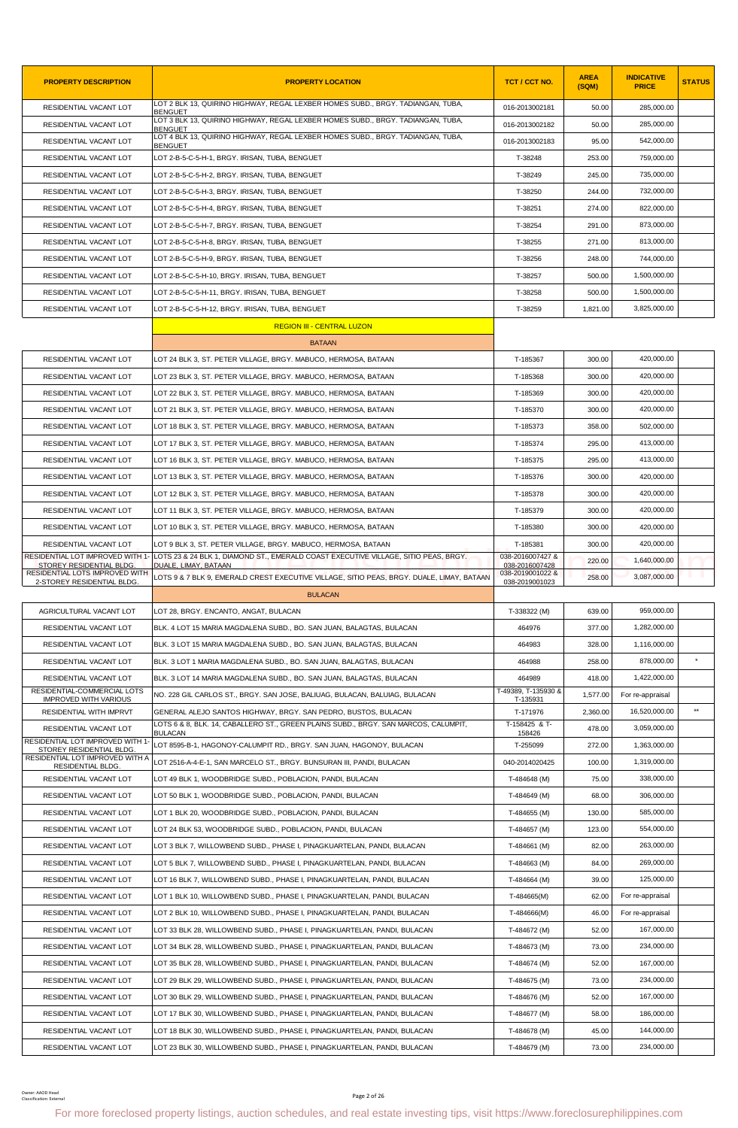| <b>PROPERTY DESCRIPTION</b>                                  | <b>PROPERTY LOCATION</b>                                                                                                                               | TCT / CCT NO.                      | <b>AREA</b><br>(SQM) | <b>INDICATIVE</b><br><b>PRICE</b> | <b>STATUS</b> |
|--------------------------------------------------------------|--------------------------------------------------------------------------------------------------------------------------------------------------------|------------------------------------|----------------------|-----------------------------------|---------------|
| RESIDENTIAL VACANT LOT                                       | LOT 2 BLK 13. QUIRINO HIGHWAY, REGAL LEXBER HOMES SUBD., BRGY, TADIANGAN, TUBA,<br><b>BENGUET</b>                                                      | 016-2013002181                     | 50.00                | 285,000.00                        |               |
| RESIDENTIAL VACANT LOT                                       | LOT 3 BLK 13, QUIRINO HIGHWAY, REGAL LEXBER HOMES SUBD., BRGY. TADIANGAN, TUBA,<br><b>BENGUET</b>                                                      | 016-2013002182                     | 50.00                | 285,000.00                        |               |
| RESIDENTIAL VACANT LOT                                       | LOT 4 BLK 13, QUIRINO HIGHWAY, REGAL LEXBER HOMES SUBD., BRGY. TADIANGAN, TUBA,<br><b>BENGUET</b>                                                      | 016-2013002183                     | 95.00                | 542,000.00                        |               |
| RESIDENTIAL VACANT LOT                                       | LOT 2-B-5-C-5-H-1, BRGY. IRISAN, TUBA, BENGUET                                                                                                         | T-38248                            | 253.00               | 759,000.00                        |               |
| RESIDENTIAL VACANT LOT                                       | LOT 2-B-5-C-5-H-2, BRGY. IRISAN, TUBA, BENGUET                                                                                                         | T-38249                            | 245.00               | 735,000.00                        |               |
| RESIDENTIAL VACANT LOT                                       | LOT 2-B-5-C-5-H-3, BRGY. IRISAN, TUBA, BENGUET                                                                                                         | T-38250                            | 244.00               | 732,000.00                        |               |
| RESIDENTIAL VACANT LOT                                       | LOT 2-B-5-C-5-H-4, BRGY. IRISAN, TUBA, BENGUET                                                                                                         | T-38251                            | 274.00               | 822,000.00                        |               |
| RESIDENTIAL VACANT LOT                                       | LOT 2-B-5-C-5-H-7, BRGY, IRISAN, TUBA, BENGUET                                                                                                         | T-38254                            | 291.00               | 873,000.00                        |               |
| RESIDENTIAL VACANT LOT                                       | LOT 2-B-5-C-5-H-8, BRGY. IRISAN, TUBA, BENGUET                                                                                                         | T-38255                            | 271.00               | 813,000.00                        |               |
| RESIDENTIAL VACANT LOT                                       | LOT 2-B-5-C-5-H-9, BRGY. IRISAN, TUBA, BENGUET                                                                                                         | T-38256                            | 248.00               | 744,000.00                        |               |
| RESIDENTIAL VACANT LOT                                       | LOT 2-B-5-C-5-H-10, BRGY. IRISAN, TUBA, BENGUET                                                                                                        | T-38257                            | 500.00               | 1,500,000.00                      |               |
| RESIDENTIAL VACANT LOT                                       | LOT 2-B-5-C-5-H-11, BRGY. IRISAN, TUBA, BENGUET                                                                                                        | T-38258                            | 500.00               | 1,500,000.00                      |               |
| RESIDENTIAL VACANT LOT                                       | LOT 2-B-5-C-5-H-12, BRGY. IRISAN, TUBA, BENGUET                                                                                                        | T-38259                            | 1,821.00             | 3,825,000.00                      |               |
|                                                              | <b>REGION III - CENTRAL LUZON</b>                                                                                                                      |                                    |                      |                                   |               |
|                                                              | <b>BATAAN</b>                                                                                                                                          |                                    |                      |                                   |               |
| RESIDENTIAL VACANT LOT                                       | LOT 24 BLK 3, ST. PETER VILLAGE, BRGY. MABUCO, HERMOSA, BATAAN                                                                                         | T-185367                           | 300.00               | 420,000.00                        |               |
| RESIDENTIAL VACANT LOT                                       | LOT 23 BLK 3, ST. PETER VILLAGE, BRGY. MABUCO, HERMOSA, BATAAN                                                                                         | T-185368                           | 300.00               | 420,000.00                        |               |
| RESIDENTIAL VACANT LOT                                       | LOT 22 BLK 3, ST. PETER VILLAGE, BRGY. MABUCO, HERMOSA, BATAAN                                                                                         | T-185369                           | 300.00               | 420.000.00                        |               |
| RESIDENTIAL VACANT LOT                                       | LOT 21 BLK 3, ST. PETER VILLAGE, BRGY. MABUCO, HERMOSA, BATAAN                                                                                         | T-185370                           | 300.00               | 420,000.00                        |               |
| RESIDENTIAL VACANT LOT                                       | LOT 18 BLK 3, ST. PETER VILLAGE, BRGY. MABUCO, HERMOSA, BATAAN                                                                                         | T-185373                           | 358.00               | 502,000.00                        |               |
| RESIDENTIAL VACANT LOT                                       | LOT 17 BLK 3, ST. PETER VILLAGE, BRGY. MABUCO, HERMOSA, BATAAN                                                                                         | T-185374                           | 295.00               | 413,000.00                        |               |
| RESIDENTIAL VACANT LOT                                       | LOT 16 BLK 3, ST. PETER VILLAGE, BRGY. MABUCO, HERMOSA, BATAAN                                                                                         | T-185375                           | 295.00               | 413,000.00                        |               |
| RESIDENTIAL VACANT LOT                                       | LOT 13 BLK 3, ST. PETER VILLAGE, BRGY. MABUCO, HERMOSA, BATAAN                                                                                         | T-185376                           | 300.00               | 420,000.00                        |               |
| RESIDENTIAL VACANT LOT                                       | LOT 12 BLK 3, ST. PETER VILLAGE, BRGY. MABUCO, HERMOSA, BATAAN                                                                                         | T-185378                           | 300.00               | 420,000.00                        |               |
| RESIDENTIAL VACANT LOT                                       | LOT 11 BLK 3, ST. PETER VILLAGE, BRGY. MABUCO, HERMOSA, BATAAN                                                                                         | T-185379                           | 300.00               | 420,000.00                        |               |
| RESIDENTIAL VACANT LOT                                       | LOT 10 BLK 3, ST. PETER VILLAGE, BRGY. MABUCO, HERMOSA, BATAAN                                                                                         | T-185380                           | 300.00               | 420,000.00                        |               |
| RESIDENTIAL VACANT LOT                                       | LOT 9 BLK 3, ST. PETER VILLAGE, BRGY. MABUCO, HERMOSA, BATAAN                                                                                          | T-185381                           | 300.00               | 420,000.00                        |               |
| RESIDENTIAL LOT IMPROVED WITH 1-<br>STOREY RESIDENTIAL BLDG  | LOTS 23 & 24 BLK 1, DIAMOND ST., EMERALD COAST EXECUTIVE VILLAGE, SITIO PEAS, BRGY.<br>DUALE, LIMAY, BATAAN                                            | 038-2016007427 &<br>038-2016007428 | 220.00               | 1,640,000.00                      |               |
| RESIDENTIAL LOTS IMPROVED WITH<br>2-STOREY RESIDENTIAL BLDG. | LOTS 9 & 7 BLK 9, EMERALD CREST EXECUTIVE VILLAGE, SITIO PEAS, BRGY. DUALE, LIMAY, BATAAN                                                              | 038-2019001022 &<br>038-2019001023 | 258.00               | 3,087,000.00                      |               |
|                                                              | <b>BULACAN</b>                                                                                                                                         |                                    |                      |                                   |               |
| AGRICULTURAL VACANT LOT                                      | LOT 28, BRGY. ENCANTO, ANGAT, BULACAN                                                                                                                  | T-338322 (M)                       | 639.00               | 959,000.00                        |               |
| RESIDENTIAL VACANT LOT                                       | BLK, 4 LOT 15 MARIA MAGDALENA SUBD., BO, SAN JUAN, BALAGTAS, BULACAN                                                                                   | 464976                             | 377.00               | 1,282,000.00                      |               |
| RESIDENTIAL VACANT LOT                                       | BLK. 3 LOT 15 MARIA MAGDALENA SUBD., BO. SAN JUAN, BALAGTAS, BULACAN                                                                                   | 464983                             | 328.00               | 1,116,000.00                      |               |
| RESIDENTIAL VACANT LOT                                       | BLK. 3 LOT 1 MARIA MAGDALENA SUBD., BO. SAN JUAN, BALAGTAS, BULACAN                                                                                    | 464988                             | 258.00               | 878,000.00                        | $\star$       |
| RESIDENTIAL VACANT LOT                                       | BLK. 3 LOT 14 MARIA MAGDALENA SUBD., BO. SAN JUAN, BALAGTAS, BULACAN                                                                                   | 464989                             | 418.00               | 1,422,000.00                      |               |
| RESIDENTIAL-COMMERCIAL LOTS<br><b>IMPROVED WITH VARIOUS</b>  | NO. 228 GIL CARLOS ST., BRGY. SAN JOSE, BALIUAG, BULACAN, BALUIAG, BULACAN                                                                             | T-49389, T-135930 &<br>T-135931    | 1,577.00             | For re-appraisal                  |               |
| RESIDENTIAL WITH IMPRVT                                      | GENERAL ALEJO SANTOS HIGHWAY, BRGY. SAN PEDRO, BUSTOS, BULACAN                                                                                         | T-171976                           | 2,360.00             | 16,520,000.00                     | $**$          |
| RESIDENTIAL VACANT LOT                                       | LOTS 6 & 8, BLK. 14, CABALLERO ST., GREEN PLAINS SUBD., BRGY. SAN MARCOS, CALUMPIT,<br><b>BULACAN</b>                                                  | T-158425 & T-<br>158426            | 478.00               | 3,059,000.00                      |               |
| RESIDENTIAL LOT IMPROVED WITH 1-<br>STOREY RESIDENTIAL BLDG. | LOT 8595-B-1, HAGONOY-CALUMPIT RD., BRGY. SAN JUAN, HAGONOY, BULACAN                                                                                   | T-255099                           | 272.00               | 1,363,000.00                      |               |
| RESIDENTIAL LOT IMPROVED WITH A<br>RESIDENTIAL BLDG.         | LOT 2516-A-4-E-1, SAN MARCELO ST., BRGY. BUNSURAN III, PANDI, BULACAN                                                                                  | 040-2014020425                     | 100.00               | 1,319,000.00                      |               |
| RESIDENTIAL VACANT LOT                                       | LOT 49 BLK 1, WOODBRIDGE SUBD., POBLACION, PANDI, BULACAN                                                                                              | T-484648 (M)                       | 75.00                | 338,000.00                        |               |
| RESIDENTIAL VACANT LOT                                       | LOT 50 BLK 1, WOODBRIDGE SUBD., POBLACION, PANDI, BULACAN                                                                                              | T-484649 (M)                       | 68.00                | 306,000.00                        |               |
| RESIDENTIAL VACANT LOT                                       | LOT 1 BLK 20, WOODBRIDGE SUBD., POBLACION, PANDI, BULACAN                                                                                              | T-484655 (M)                       | 130.00               | 585,000.00                        |               |
| RESIDENTIAL VACANT LOT                                       | LOT 24 BLK 53, WOODBRIDGE SUBD., POBLACION, PANDI, BULACAN                                                                                             | T-484657 (M)                       | 123.00               | 554,000.00                        |               |
| RESIDENTIAL VACANT LOT                                       | LOT 3 BLK 7, WILLOWBEND SUBD., PHASE I, PINAGKUARTELAN, PANDI, BULACAN                                                                                 | T-484661 (M)                       | 82.00                | 263,000.00                        |               |
| RESIDENTIAL VACANT LOT                                       | LOT 5 BLK 7, WILLOWBEND SUBD., PHASE I, PINAGKUARTELAN, PANDI, BULACAN                                                                                 | T-484663 (M)                       | 84.00                | 269,000.00                        |               |
| RESIDENTIAL VACANT LOT                                       | LOT 16 BLK 7, WILLOWBEND SUBD., PHASE I, PINAGKUARTELAN, PANDI, BULACAN                                                                                | T-484664 (M)                       | 39.00                | 125,000.00                        |               |
| RESIDENTIAL VACANT LOT                                       | LOT 1 BLK 10, WILLOWBEND SUBD., PHASE I, PINAGKUARTELAN, PANDI, BULACAN                                                                                | T-484665(M)                        | 62.00                | For re-appraisal                  |               |
| RESIDENTIAL VACANT LOT                                       | LOT 2 BLK 10, WILLOWBEND SUBD., PHASE I, PINAGKUARTELAN, PANDI, BULACAN                                                                                | T-484666(M)                        | 46.00                | For re-appraisal                  |               |
| RESIDENTIAL VACANT LOT                                       | LOT 33 BLK 28, WILLOWBEND SUBD., PHASE I, PINAGKUARTELAN, PANDI, BULACAN                                                                               | T-484672 (M)                       | 52.00                | 167,000.00                        |               |
| RESIDENTIAL VACANT LOT                                       | LOT 34 BLK 28, WILLOWBEND SUBD., PHASE I, PINAGKUARTELAN, PANDI, BULACAN                                                                               | T-484673 (M)                       | 73.00                | 234,000.00                        |               |
| RESIDENTIAL VACANT LOT                                       | LOT 35 BLK 28, WILLOWBEND SUBD., PHASE I, PINAGKUARTELAN, PANDI, BULACAN                                                                               | T-484674 (M)                       | 52.00                | 167,000.00                        |               |
| RESIDENTIAL VACANT LOT                                       | LOT 29 BLK 29, WILLOWBEND SUBD., PHASE I, PINAGKUARTELAN, PANDI, BULACAN                                                                               | T-484675 (M)                       | 73.00                | 234,000.00                        |               |
| RESIDENTIAL VACANT LOT                                       | LOT 30 BLK 29, WILLOWBEND SUBD., PHASE I, PINAGKUARTELAN, PANDI, BULACAN                                                                               | T-484676 (M)                       | 52.00                | 167,000.00                        |               |
| RESIDENTIAL VACANT LOT                                       | LOT 17 BLK 30, WILLOWBEND SUBD., PHASE I, PINAGKUARTELAN, PANDI, BULACAN                                                                               | T-484677 (M)                       | 58.00                | 186,000.00                        |               |
| RESIDENTIAL VACANT LOT                                       | LOT 18 BLK 30. WILLOWBEND SUBD PHASE I. PINAGKUARTELAN. PANDI. BULACAN                                                                                 | T-484678 (M)                       | 45.00                | 144,000.00                        |               |
| RESIDENTIAL VACANT LOT                                       | LOT 23 BLK 30, WILLOWBEND SUBD., PHASE I, PINAGKUARTELAN, PANDI, BULACAN                                                                               | T-484679 (M)                       | 73.00                | 234,000.00                        |               |
|                                                              |                                                                                                                                                        |                                    |                      |                                   |               |
| Owner: AAOD Head<br>Classification: External                 | Page 2 of 26<br>For more foreclosed property listings, auction schedules, and real estate investing tips, visit https://www.foreclosurephilippines.com |                                    |                      |                                   |               |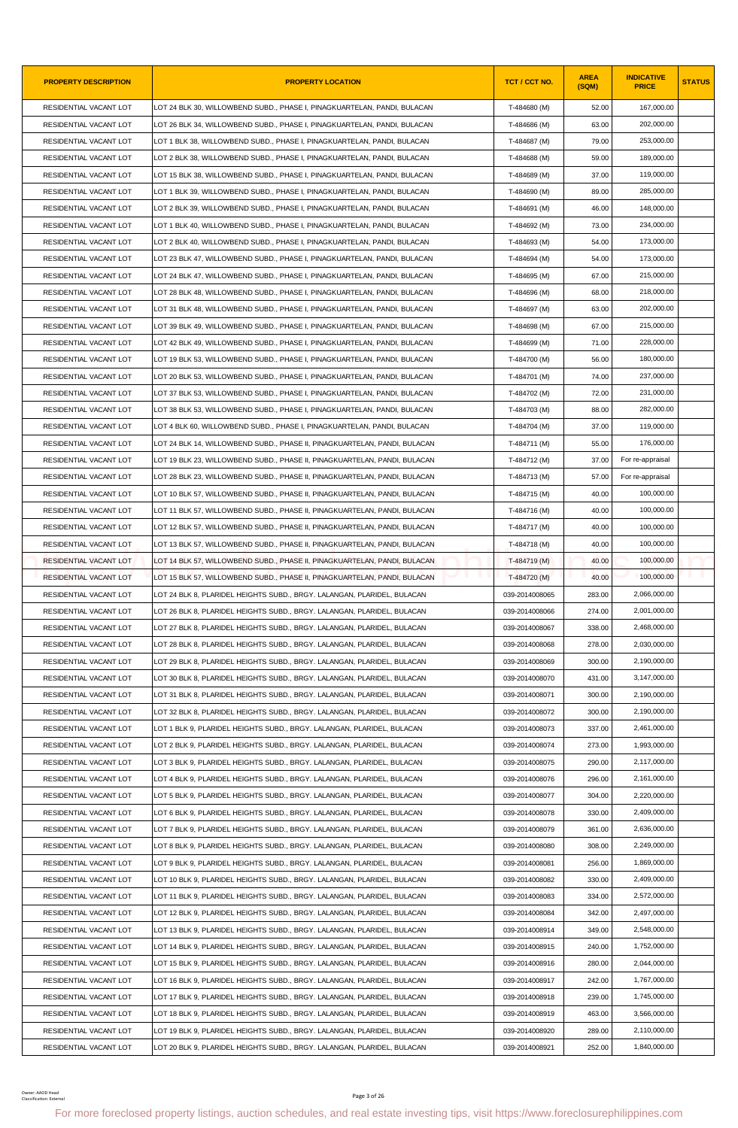| <b>PROPERTY DESCRIPTION</b>                 | <b>PROPERTY LOCATION</b>                                                                                                                               | <b>TCT / CCT NO.</b> | <b>AREA</b><br>(SQM) | <b>INDICATIVE</b><br><b>PRICE</b> | <b>STATUS</b> |
|---------------------------------------------|--------------------------------------------------------------------------------------------------------------------------------------------------------|----------------------|----------------------|-----------------------------------|---------------|
| RESIDENTIAL VACANT LOT                      | LOT 24 BLK 30, WILLOWBEND SUBD., PHASE I, PINAGKUARTELAN, PANDI, BULACAN                                                                               | T-484680 (M)         | 52.00                | 167,000.00                        |               |
| RESIDENTIAL VACANT LOT                      | LOT 26 BLK 34, WILLOWBEND SUBD., PHASE I, PINAGKUARTELAN, PANDI, BULACAN                                                                               | T-484686 (M)         | 63.00                | 202,000.00                        |               |
| RESIDENTIAL VACANT LOT                      | LOT 1 BLK 38, WILLOWBEND SUBD., PHASE I, PINAGKUARTELAN, PANDI, BULACAN                                                                                | T-484687 (M)         | 79.00                | 253,000.00                        |               |
| RESIDENTIAL VACANT LOT                      | LOT 2 BLK 38, WILLOWBEND SUBD., PHASE I, PINAGKUARTELAN, PANDI, BULACAN                                                                                | T-484688 (M)         | 59.00                | 189,000.00                        |               |
| RESIDENTIAL VACANT LOT                      | LOT 15 BLK 38, WILLOWBEND SUBD., PHASE I, PINAGKUARTELAN, PANDI, BULACAN                                                                               | T-484689 (M)         | 37.00                | 119,000.00                        |               |
| RESIDENTIAL VACANT LOT                      | LOT 1 BLK 39, WILLOWBEND SUBD., PHASE I, PINAGKUARTELAN, PANDI, BULACAN                                                                                | T-484690 (M)         | 89.00                | 285,000.00                        |               |
| RESIDENTIAL VACANT LOT                      | LOT 2 BLK 39, WILLOWBEND SUBD., PHASE I, PINAGKUARTELAN, PANDI, BULACAN                                                                                | T-484691 (M)         | 46.00                | 148,000.00                        |               |
| RESIDENTIAL VACANT LOT                      | LOT 1 BLK 40, WILLOWBEND SUBD., PHASE I, PINAGKUARTELAN, PANDI, BULACAN                                                                                | T-484692 (M)         | 73.00                | 234,000.00                        |               |
| RESIDENTIAL VACANT LOT                      | LOT 2 BLK 40, WILLOWBEND SUBD., PHASE I, PINAGKUARTELAN, PANDI, BULACAN                                                                                | T-484693 (M)         | 54.00                | 173,000.00                        |               |
| RESIDENTIAL VACANT LOT                      | LOT 23 BLK 47, WILLOWBEND SUBD., PHASE I, PINAGKUARTELAN, PANDI, BULACAN                                                                               | T-484694 (M)         | 54.00                | 173,000.00                        |               |
| RESIDENTIAL VACANT LOT                      | LOT 24 BLK 47, WILLOWBEND SUBD., PHASE I, PINAGKUARTELAN, PANDI, BULACAN                                                                               | T-484695 (M)         | 67.00                | 215,000.00                        |               |
| RESIDENTIAL VACANT LOT                      | LOT 28 BLK 48, WILLOWBEND SUBD., PHASE I, PINAGKUARTELAN, PANDI, BULACAN                                                                               | T-484696 (M)         | 68.00                | 218,000.00                        |               |
| RESIDENTIAL VACANT LOT                      | LOT 31 BLK 48, WILLOWBEND SUBD., PHASE I, PINAGKUARTELAN, PANDI, BULACAN                                                                               | T-484697 (M)         | 63.00                | 202,000.00                        |               |
| RESIDENTIAL VACANT LOT                      | LOT 39 BLK 49, WILLOWBEND SUBD., PHASE I, PINAGKUARTELAN, PANDI, BULACAN                                                                               | T-484698 (M)         | 67.00                | 215,000.00                        |               |
| RESIDENTIAL VACANT LOT                      | LOT 42 BLK 49, WILLOWBEND SUBD., PHASE I, PINAGKUARTELAN, PANDI, BULACAN                                                                               | T-484699 (M)         | 71.00                | 228,000.00                        |               |
| RESIDENTIAL VACANT LOT                      | LOT 19 BLK 53, WILLOWBEND SUBD., PHASE I, PINAGKUARTELAN, PANDI, BULACAN                                                                               | T-484700 (M)         | 56.00                | 180,000.00                        |               |
| RESIDENTIAL VACANT LOT                      | LOT 20 BLK 53, WILLOWBEND SUBD., PHASE I, PINAGKUARTELAN, PANDI, BULACAN                                                                               | T-484701 (M)         | 74.00                | 237,000.00                        |               |
| RESIDENTIAL VACANT LOT                      | LOT 37 BLK 53, WILLOWBEND SUBD., PHASE I, PINAGKUARTELAN, PANDI, BULACAN                                                                               | T-484702 (M)         | 72.00                | 231,000.00                        |               |
| RESIDENTIAL VACANT LOT                      | LOT 38 BLK 53, WILLOWBEND SUBD., PHASE I, PINAGKUARTELAN, PANDI, BULACAN                                                                               | T-484703 (M)         | 88.00                | 282,000.00                        |               |
| RESIDENTIAL VACANT LOT                      | LOT 4 BLK 60, WILLOWBEND SUBD., PHASE I, PINAGKUARTELAN, PANDI, BULACAN                                                                                | T-484704 (M)         | 37.00                | 119,000.00                        |               |
| RESIDENTIAL VACANT LOT                      | LOT 24 BLK 14, WILLOWBEND SUBD., PHASE II, PINAGKUARTELAN, PANDI, BULACAN                                                                              | T-484711 (M)         | 55.00                | 176,000.00                        |               |
| RESIDENTIAL VACANT LOT                      | LOT 19 BLK 23, WILLOWBEND SUBD., PHASE II, PINAGKUARTELAN, PANDI, BULACAN                                                                              | T-484712 (M)         | 37.00                | For re-appraisal                  |               |
| RESIDENTIAL VACANT LOT                      | LOT 28 BLK 23, WILLOWBEND SUBD., PHASE II, PINAGKUARTELAN, PANDI, BULACAN                                                                              | T-484713 (M)         | 57.00                | For re-appraisal                  |               |
| RESIDENTIAL VACANT LOT                      | LOT 10 BLK 57, WILLOWBEND SUBD., PHASE II, PINAGKUARTELAN, PANDI, BULACAN                                                                              | T-484715 (M)         | 40.00                | 100,000.00                        |               |
| RESIDENTIAL VACANT LOT                      | LOT 11 BLK 57, WILLOWBEND SUBD., PHASE II, PINAGKUARTELAN, PANDI, BULACAN                                                                              | T-484716 (M)         | 40.00                | 100,000.00                        |               |
| RESIDENTIAL VACANT LOT                      | LOT 12 BLK 57, WILLOWBEND SUBD., PHASE II, PINAGKUARTELAN, PANDI, BULACAN                                                                              | T-484717 (M)         | 40.00                | 100,000.00                        |               |
| RESIDENTIAL VACANT LOT                      | LOT 13 BLK 57, WILLOWBEND SUBD., PHASE II, PINAGKUARTELAN, PANDI, BULACAN                                                                              | T-484718 (M)         | 40.00                | 100,000.00                        |               |
| RESIDENTIAL VACANT LOT                      | LOT 14 BLK 57, WILLOWBEND SUBD., PHASE II, PINAGKUARTELAN, PANDI, BULACAN                                                                              | T-484719 (M)         | 40.00                | 100,000.00                        |               |
| RESIDENTIAL VACANT LOT                      | LOT 15 BLK 57. WILLOWBEND SUBD PHASE II. PINAGKUARTELAN. PANDI. BULACAN                                                                                | T-484720 (M)         | 40.00                | 100,000.00                        |               |
| RESIDENTIAL VACANT LOT                      | LOT 24 BLK 8, PLARIDEL HEIGHTS SUBD., BRGY. LALANGAN, PLARIDEL, BULACAN                                                                                | 039-2014008065       | 283.00               | 2,066,000.00                      |               |
| RESIDENTIAL VACANT LOT                      | LOT 26 BLK 8, PLARIDEL HEIGHTS SUBD., BRGY. LALANGAN, PLARIDEL, BULACAN                                                                                | 039-2014008066       | 274.00               | 2,001,000.00                      |               |
| RESIDENTIAL VACANT LOT                      | LOT 27 BLK 8. PLARIDEL HEIGHTS SUBD BRGY. LALANGAN. PLARIDEL. BULACAN                                                                                  | 039-2014008067       | 338.00               | 2,468,000.00                      |               |
| RESIDENTIAL VACANT LOT                      | LOT 28 BLK 8, PLARIDEL HEIGHTS SUBD., BRGY. LALANGAN, PLARIDEL, BULACAN                                                                                | 039-2014008068       | 278.00               | 2,030,000.00                      |               |
| RESIDENTIAL VACANT LOT                      | LOT 29 BLK 8, PLARIDEL HEIGHTS SUBD., BRGY. LALANGAN, PLARIDEL, BULACAN                                                                                | 039-2014008069       | 300.00               | 2,190,000.00                      |               |
| RESIDENTIAL VACANT LOT                      | LOT 30 BLK 8, PLARIDEL HEIGHTS SUBD., BRGY. LALANGAN, PLARIDEL, BULACAN                                                                                | 039-2014008070       | 431.00               | 3,147,000.00                      |               |
| RESIDENTIAL VACANT LOT                      | LOT 31 BLK 8, PLARIDEL HEIGHTS SUBD., BRGY. LALANGAN, PLARIDEL, BULACAN                                                                                | 039-2014008071       | 300.00               | 2,190,000.00                      |               |
| RESIDENTIAL VACANT LOT                      | LOT 32 BLK 8, PLARIDEL HEIGHTS SUBD., BRGY. LALANGAN, PLARIDEL, BULACAN                                                                                | 039-2014008072       | 300.00               | 2,190,000.00                      |               |
| RESIDENTIAL VACANT LOT                      | LOT 1 BLK 9, PLARIDEL HEIGHTS SUBD., BRGY. LALANGAN, PLARIDEL, BULACAN                                                                                 | 039-2014008073       | 337.00               | 2.461.000.00                      |               |
| RESIDENTIAL VACANT LOT                      | LOT 2 BLK 9, PLARIDEL HEIGHTS SUBD., BRGY. LALANGAN, PLARIDEL, BULACAN                                                                                 | 039-2014008074       | 273.00               | 1,993,000.00                      |               |
| RESIDENTIAL VACANT LOT                      | LOT 3 BLK 9, PLARIDEL HEIGHTS SUBD., BRGY. LALANGAN, PLARIDEL, BULACAN                                                                                 | 039-2014008075       | 290.00               | 2,117,000.00                      |               |
|                                             |                                                                                                                                                        | 039-2014008076       | 296.00               | 2,161,000.00                      |               |
| RESIDENTIAL VACANT LOT                      | LOT 4 BLK 9, PLARIDEL HEIGHTS SUBD., BRGY. LALANGAN, PLARIDEL, BULACAN                                                                                 |                      |                      |                                   |               |
| RESIDENTIAL VACANT LOT                      | LOT 5 BLK 9, PLARIDEL HEIGHTS SUBD., BRGY. LALANGAN, PLARIDEL, BULACAN                                                                                 | 039-2014008077       | 304.00               | 2,220,000.00<br>2,409,000.00      |               |
| RESIDENTIAL VACANT LOT                      | LOT 6 BLK 9, PLARIDEL HEIGHTS SUBD., BRGY. LALANGAN, PLARIDEL, BULACAN                                                                                 | 039-2014008078       | 330.00               |                                   |               |
| RESIDENTIAL VACANT LOT                      | LOT 7 BLK 9, PLARIDEL HEIGHTS SUBD., BRGY. LALANGAN, PLARIDEL, BULACAN                                                                                 | 039-2014008079       | 361.00               | 2,636,000.00                      |               |
| RESIDENTIAL VACANT LOT                      | LOT 8 BLK 9, PLARIDEL HEIGHTS SUBD., BRGY. LALANGAN, PLARIDEL, BULACAN                                                                                 | 039-2014008080       | 308.00               | 2,249,000.00                      |               |
| RESIDENTIAL VACANT LOT                      | LOT 9 BLK 9, PLARIDEL HEIGHTS SUBD., BRGY. LALANGAN, PLARIDEL, BULACAN                                                                                 | 039-2014008081       | 256.00               | 1,869,000.00                      |               |
| RESIDENTIAL VACANT LOT                      | LOT 10 BLK 9, PLARIDEL HEIGHTS SUBD., BRGY. LALANGAN, PLARIDEL, BULACAN                                                                                | 039-2014008082       | 330.00               | 2,409,000.00                      |               |
| RESIDENTIAL VACANT LOT                      | LOT 11 BLK 9, PLARIDEL HEIGHTS SUBD., BRGY. LALANGAN, PLARIDEL, BULACAN                                                                                | 039-2014008083       | 334.00               | 2,572,000.00                      |               |
| RESIDENTIAL VACANT LOT                      | LOT 12 BLK 9, PLARIDEL HEIGHTS SUBD., BRGY. LALANGAN, PLARIDEL, BULACAN                                                                                | 039-2014008084       | 342.00               | 2,497,000.00                      |               |
| RESIDENTIAL VACANT LOT                      | LOT 13 BLK 9, PLARIDEL HEIGHTS SUBD., BRGY. LALANGAN, PLARIDEL, BULACAN                                                                                | 039-2014008914       | 349.00               | 2,548,000.00                      |               |
| RESIDENTIAL VACANT LOT                      | LOT 14 BLK 9, PLARIDEL HEIGHTS SUBD., BRGY. LALANGAN, PLARIDEL, BULACAN                                                                                | 039-2014008915       | 240.00               | 1,752,000.00                      |               |
| RESIDENTIAL VACANT LOT                      | LOT 15 BLK 9, PLARIDEL HEIGHTS SUBD., BRGY. LALANGAN, PLARIDEL, BULACAN                                                                                | 039-2014008916       | 280.00               | 2,044,000.00                      |               |
| RESIDENTIAL VACANT LOT                      | LOT 16 BLK 9, PLARIDEL HEIGHTS SUBD., BRGY. LALANGAN, PLARIDEL, BULACAN                                                                                | 039-2014008917       | 242.00               | 1,767,000.00                      |               |
| RESIDENTIAL VACANT LOT                      | LOT 17 BLK 9, PLARIDEL HEIGHTS SUBD., BRGY. LALANGAN, PLARIDEL, BULACAN                                                                                | 039-2014008918       | 239.00               | 1,745,000.00                      |               |
| RESIDENTIAL VACANT LOT                      | LOT 18 BLK 9, PLARIDEL HEIGHTS SUBD., BRGY. LALANGAN, PLARIDEL, BULACAN                                                                                | 039-2014008919       | 463.00               | 3,566,000.00                      |               |
| RESIDENTIAL VACANT LOT                      | LOT 19 BLK 9, PLARIDEL HEIGHTS SUBD., BRGY. LALANGAN, PLARIDEL, BULACAN                                                                                | 039-2014008920       | 289.00               | 2,110,000.00                      |               |
| RESIDENTIAL VACANT LOT                      | LOT 20 BLK 9, PLARIDEL HEIGHTS SUBD., BRGY. LALANGAN, PLARIDEL, BULACAN                                                                                | 039-2014008921       | 252.00               | 1,840,000.00                      |               |
| Owner: AAOD Head<br>Classification: Externa | Page 3 of 26<br>For more foreclosed property listings, auction schedules, and real estate investing tips, visit https://www.foreclosurephilippines.com |                      |                      |                                   |               |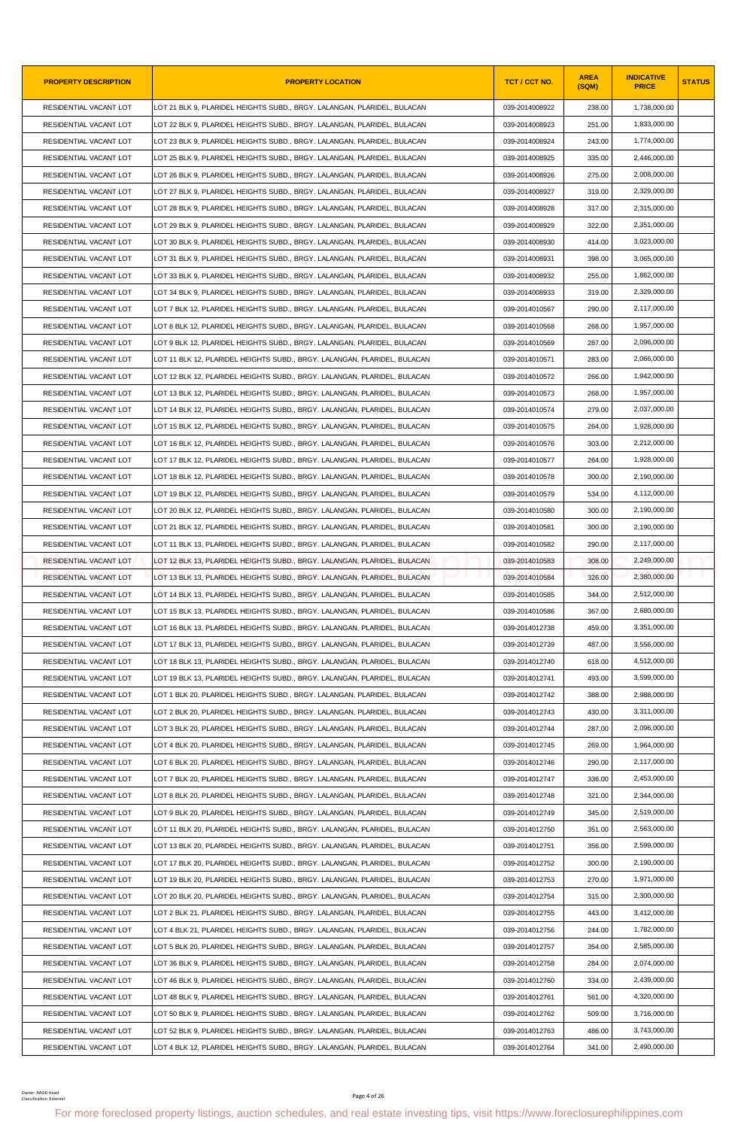| <b>PROPERTY DESCRIPTION</b>                  | <b>PROPERTY LOCATION</b>                                                                                                                               | TCT / CCT NO.  | <b>AREA</b><br>(SQM) | <b>INDICATIVE</b><br><b>PRICE</b> | <b>STATUS</b> |
|----------------------------------------------|--------------------------------------------------------------------------------------------------------------------------------------------------------|----------------|----------------------|-----------------------------------|---------------|
| RESIDENTIAL VACANT LOT                       | LOT 21 BLK 9, PLARIDEL HEIGHTS SUBD., BRGY. LALANGAN, PLARIDEL, BULACAN                                                                                | 039-2014008922 | 238.00               | 1,738,000.00                      |               |
| RESIDENTIAL VACANT LOT                       | LOT 22 BLK 9. PLARIDEL HEIGHTS SUBD BRGY. LALANGAN. PLARIDEL. BULACAN                                                                                  | 039-2014008923 | 251.00               | 1,833,000.00                      |               |
| RESIDENTIAL VACANT LOT                       | LOT 23 BLK 9, PLARIDEL HEIGHTS SUBD., BRGY. LALANGAN, PLARIDEL, BULACAN                                                                                | 039-2014008924 | 243.00               | 1,774,000.00                      |               |
| RESIDENTIAL VACANT LOT                       | LOT 25 BLK 9, PLARIDEL HEIGHTS SUBD., BRGY. LALANGAN, PLARIDEL, BULACAN                                                                                | 039-2014008925 | 335.00               | 2,446,000.00                      |               |
| RESIDENTIAL VACANT LOT                       | LOT 26 BLK 9, PLARIDEL HEIGHTS SUBD., BRGY. LALANGAN, PLARIDEL, BULACAN                                                                                | 039-2014008926 | 275.00               | 2,008,000.00                      |               |
| RESIDENTIAL VACANT LOT                       | LOT 27 BLK 9. PLARIDEL HEIGHTS SUBD BRGY. LALANGAN. PLARIDEL. BULACAN                                                                                  | 039-2014008927 | 319.00               | 2,329,000.00                      |               |
| RESIDENTIAL VACANT LOT                       | LOT 28 BLK 9, PLARIDEL HEIGHTS SUBD., BRGY. LALANGAN, PLARIDEL, BULACAN                                                                                | 039-2014008928 | 317.00               | 2,315,000.00                      |               |
| RESIDENTIAL VACANT LOT                       | LOT 29 BLK 9, PLARIDEL HEIGHTS SUBD., BRGY. LALANGAN, PLARIDEL, BULACAN                                                                                | 039-2014008929 | 322.00               | 2,351,000.00                      |               |
| RESIDENTIAL VACANT LOT                       | LOT 30 BLK 9, PLARIDEL HEIGHTS SUBD., BRGY. LALANGAN, PLARIDEL, BULACAN                                                                                | 039-2014008930 | 414.00               | 3,023,000.00                      |               |
| RESIDENTIAL VACANT LOT                       | LOT 31 BLK 9, PLARIDEL HEIGHTS SUBD., BRGY. LALANGAN, PLARIDEL, BULACAN                                                                                | 039-2014008931 | 398.00               | 3,065,000.00                      |               |
| RESIDENTIAL VACANT LOT                       | LOT 33 BLK 9, PLARIDEL HEIGHTS SUBD., BRGY. LALANGAN, PLARIDEL, BULACAN                                                                                | 039-2014008932 | 255.00               | 1,862,000.00                      |               |
| RESIDENTIAL VACANT LOT                       | LOT 34 BLK 9, PLARIDEL HEIGHTS SUBD., BRGY. LALANGAN, PLARIDEL, BULACAN                                                                                | 039-2014008933 | 319.00               | 2,329,000.00                      |               |
| RESIDENTIAL VACANT LOT                       | LOT 7 BLK 12, PLARIDEL HEIGHTS SUBD., BRGY. LALANGAN, PLARIDEL, BULACAN                                                                                | 039-2014010567 | 290.00               | 2,117,000.00                      |               |
| RESIDENTIAL VACANT LOT                       | LOT 8 BLK 12, PLARIDEL HEIGHTS SUBD., BRGY. LALANGAN, PLARIDEL, BULACAN                                                                                | 039-2014010568 | 268.00               | 1,957,000.00                      |               |
| RESIDENTIAL VACANT LOT                       | LOT 9 BLK 12, PLARIDEL HEIGHTS SUBD., BRGY. LALANGAN, PLARIDEL, BULACAN                                                                                | 039-2014010569 | 287.00               | 2,096,000.00                      |               |
| RESIDENTIAL VACANT LOT                       | LOT 11 BLK 12. PLARIDEL HEIGHTS SUBD BRGY. LALANGAN, PLARIDEL, BULACAN                                                                                 | 039-2014010571 | 283.00               | 2,066,000.00                      |               |
| RESIDENTIAL VACANT LOT                       | LOT 12 BLK 12. PLARIDEL HEIGHTS SUBD BRGY. LALANGAN, PLARIDEL, BULACAN                                                                                 | 039-2014010572 | 266.00               | 1,942,000.00                      |               |
| RESIDENTIAL VACANT LOT                       | LOT 13 BLK 12, PLARIDEL HEIGHTS SUBD., BRGY. LALANGAN, PLARIDEL, BULACAN                                                                               | 039-2014010573 | 268.00               | 1,957,000.00                      |               |
| RESIDENTIAL VACANT LOT                       | LOT 14 BLK 12, PLARIDEL HEIGHTS SUBD., BRGY. LALANGAN, PLARIDEL, BULACAN                                                                               | 039-2014010574 | 279.00               | 2,037,000.00                      |               |
| RESIDENTIAL VACANT LOT                       | LOT 15 BLK 12, PLARIDEL HEIGHTS SUBD., BRGY. LALANGAN, PLARIDEL, BULACAN                                                                               | 039-2014010575 | 264.00               | 1,928,000.00                      |               |
| RESIDENTIAL VACANT LOT                       | LOT 16 BLK 12, PLARIDEL HEIGHTS SUBD., BRGY. LALANGAN, PLARIDEL, BULACAN                                                                               | 039-2014010576 | 303.00               | 2,212,000.00                      |               |
| RESIDENTIAL VACANT LOT                       | LOT 17 BLK 12, PLARIDEL HEIGHTS SUBD., BRGY. LALANGAN, PLARIDEL, BULACAN                                                                               | 039-2014010577 | 264.00               | 1,928,000.00                      |               |
| RESIDENTIAL VACANT LOT                       | LOT 18 BLK 12, PLARIDEL HEIGHTS SUBD., BRGY. LALANGAN, PLARIDEL, BULACAN                                                                               | 039-2014010578 | 300.00               | 2,190,000.00                      |               |
| RESIDENTIAL VACANT LOT                       | LOT 19 BLK 12, PLARIDEL HEIGHTS SUBD., BRGY. LALANGAN, PLARIDEL, BULACAN                                                                               | 039-2014010579 | 534.00               | 4,112,000.00                      |               |
| RESIDENTIAL VACANT LOT                       | LOT 20 BLK 12, PLARIDEL HEIGHTS SUBD., BRGY. LALANGAN, PLARIDEL, BULACAN                                                                               | 039-2014010580 | 300.00               | 2,190,000.00                      |               |
| RESIDENTIAL VACANT LOT                       | LOT 21 BLK 12, PLARIDEL HEIGHTS SUBD., BRGY. LALANGAN, PLARIDEL, BULACAN                                                                               | 039-2014010581 | 300.00               | 2,190,000.00                      |               |
| RESIDENTIAL VACANT LOT                       | LOT 11 BLK 13, PLARIDEL HEIGHTS SUBD., BRGY. LALANGAN, PLARIDEL, BULACAN                                                                               | 039-2014010582 | 290.00               | 2,117,000.00                      |               |
| RESIDENTIAL VACANT LOT                       | LOT 12 BLK 13, PLARIDEL HEIGHTS SUBD., BRGY. LALANGAN, PLARIDEL, BULACAN                                                                               | 039-2014010583 | 308.00               | 2,249,000.00                      |               |
| RESIDENTIAL VACANT LOT                       | LOT 13 BLK 13. PLARIDEL HEIGHTS SUBD BRGY. LALANGAN. PLARIDEL. BULACAN                                                                                 | 039-2014010584 | 326.00               | 2,380,000.00                      |               |
| RESIDENTIAL VACANT LOT                       | LOT 14 BLK 13, PLARIDEL HEIGHTS SUBD., BRGY. LALANGAN, PLARIDEL, BULACAN                                                                               | 039-2014010585 | 344.00               | 2,512,000.00                      |               |
| RESIDENTIAL VACANT LOT                       | LOT 15 BLK 13, PLARIDEL HEIGHTS SUBD., BRGY. LALANGAN, PLARIDEL, BULACAN                                                                               | 039-2014010586 | 367.00               | 2,680,000.00                      |               |
| RESIDENTIAL VACANT LOT                       | LOT 16 BLK 13, PLARIDEL HEIGHTS SUBD., BRGY. LALANGAN, PLARIDEL, BULACAN                                                                               | 039-2014012738 | 459.00               | 3,351,000.00                      |               |
| RESIDENTIAL VACANT LOT                       | LOT 17 BLK 13, PLARIDEL HEIGHTS SUBD., BRGY. LALANGAN, PLARIDEL, BULACAN                                                                               | 039-2014012739 | 487.00               | 3,556,000.00                      |               |
| RESIDENTIAL VACANT LOT                       | LOT 18 BLK 13, PLARIDEL HEIGHTS SUBD., BRGY. LALANGAN, PLARIDEL, BULACAN                                                                               | 039-2014012740 | 618.00               | 4,512,000.00                      |               |
| RESIDENTIAL VACANT LOT                       | LOT 19 BLK 13, PLARIDEL HEIGHTS SUBD., BRGY. LALANGAN, PLARIDEL, BULACAN                                                                               | 039-2014012741 | 493.00               | 3,599,000.00                      |               |
| RESIDENTIAL VACANT LOT                       | LOT 1 BLK 20, PLARIDEL HEIGHTS SUBD., BRGY. LALANGAN, PLARIDEL, BULACAN                                                                                | 039-2014012742 | 388.00               | 2,988,000.00                      |               |
| RESIDENTIAL VACANT LOT                       | LOT 2 BLK 20, PLARIDEL HEIGHTS SUBD., BRGY. LALANGAN, PLARIDEL, BULACAN                                                                                | 039-2014012743 | 430.00               | 3,311,000.00                      |               |
| RESIDENTIAL VACANT LOT                       | LOT 3 BLK 20, PLARIDEL HEIGHTS SUBD., BRGY. LALANGAN, PLARIDEL, BULACAN                                                                                | 039-2014012744 | 287.00               | 2,096,000.00                      |               |
| RESIDENTIAL VACANT LOT                       | LOT 4 BLK 20, PLARIDEL HEIGHTS SUBD., BRGY. LALANGAN, PLARIDEL, BULACAN                                                                                | 039-2014012745 | 269.00               | 1,964,000.00                      |               |
| RESIDENTIAL VACANT LOT                       | LOT 6 BLK 20, PLARIDEL HEIGHTS SUBD., BRGY. LALANGAN, PLARIDEL, BULACAN                                                                                | 039-2014012746 | 290.00               | 2,117,000.00                      |               |
| RESIDENTIAL VACANT LOT                       | LOT 7 BLK 20, PLARIDEL HEIGHTS SUBD., BRGY. LALANGAN, PLARIDEL, BULACAN                                                                                | 039-2014012747 | 336.00               | 2,453,000.00                      |               |
| RESIDENTIAL VACANT LOT                       | LOT 8 BLK 20, PLARIDEL HEIGHTS SUBD., BRGY. LALANGAN, PLARIDEL, BULACAN                                                                                | 039-2014012748 | 321.00               | 2,344,000.00                      |               |
| RESIDENTIAL VACANT LOT                       | LOT 9 BLK 20, PLARIDEL HEIGHTS SUBD., BRGY. LALANGAN, PLARIDEL, BULACAN                                                                                | 039-2014012749 | 345.00               | 2,519,000.00                      |               |
| RESIDENTIAL VACANT LOT                       | LOT 11 BLK 20, PLARIDEL HEIGHTS SUBD., BRGY. LALANGAN, PLARIDEL, BULACAN                                                                               | 039-2014012750 | 351.00               | 2,563,000.00                      |               |
| RESIDENTIAL VACANT LOT                       | LOT 13 BLK 20, PLARIDEL HEIGHTS SUBD., BRGY. LALANGAN, PLARIDEL, BULACAN                                                                               | 039-2014012751 | 356.00               | 2,599,000.00                      |               |
| RESIDENTIAL VACANT LOT                       | LOT 17 BLK 20, PLARIDEL HEIGHTS SUBD., BRGY. LALANGAN, PLARIDEL, BULACAN                                                                               | 039-2014012752 | 300.00               | 2,190,000.00                      |               |
| RESIDENTIAL VACANT LOT                       | LOT 19 BLK 20, PLARIDEL HEIGHTS SUBD., BRGY. LALANGAN, PLARIDEL, BULACAN                                                                               | 039-2014012753 | 270.00               | 1,971,000.00                      |               |
| RESIDENTIAL VACANT LOT                       | LOT 20 BLK 20, PLARIDEL HEIGHTS SUBD., BRGY. LALANGAN, PLARIDEL, BULACAN                                                                               | 039-2014012754 | 315.00               | 2,300,000.00                      |               |
| RESIDENTIAL VACANT LOT                       | LOT 2 BLK 21, PLARIDEL HEIGHTS SUBD., BRGY. LALANGAN, PLARIDEL, BULACAN                                                                                | 039-2014012755 | 443.00               | 3,412,000.00                      |               |
| RESIDENTIAL VACANT LOT                       | LOT 4 BLK 21, PLARIDEL HEIGHTS SUBD., BRGY. LALANGAN, PLARIDEL, BULACAN                                                                                | 039-2014012756 | 244.00               | 1,782,000.00                      |               |
| RESIDENTIAL VACANT LOT                       | LOT 5 BLK 20, PLARIDEL HEIGHTS SUBD., BRGY. LALANGAN, PLARIDEL, BULACAN                                                                                | 039-2014012757 | 354.00               | 2,585,000.00                      |               |
| RESIDENTIAL VACANT LOT                       | LOT 36 BLK 9, PLARIDEL HEIGHTS SUBD., BRGY. LALANGAN, PLARIDEL, BULACAN                                                                                | 039-2014012758 | 284.00               | 2,074,000.00                      |               |
| RESIDENTIAL VACANT LOT                       | LOT 46 BLK 9, PLARIDEL HEIGHTS SUBD., BRGY. LALANGAN, PLARIDEL, BULACAN                                                                                | 039-2014012760 | 334.00               | 2,439,000.00                      |               |
| RESIDENTIAL VACANT LOT                       | LOT 48 BLK 9, PLARIDEL HEIGHTS SUBD., BRGY. LALANGAN, PLARIDEL, BULACAN                                                                                | 039-2014012761 | 561.00               | 4,320,000.00                      |               |
| RESIDENTIAL VACANT LOT                       | LOT 50 BLK 9, PLARIDEL HEIGHTS SUBD., BRGY. LALANGAN, PLARIDEL, BULACAN                                                                                | 039-2014012762 | 509.00               | 3,716,000.00                      |               |
| RESIDENTIAL VACANT LOT                       | LOT 52 BLK 9, PLARIDEL HEIGHTS SUBD., BRGY. LALANGAN, PLARIDEL, BULACAN                                                                                | 039-2014012763 | 486.00               | 3,743,000.00                      |               |
| RESIDENTIAL VACANT LOT                       | LOT 4 BLK 12, PLARIDEL HEIGHTS SUBD., BRGY. LALANGAN, PLARIDEL, BULACAN                                                                                | 039-2014012764 | 341.00               | 2,490,000.00                      |               |
| Owner: AAOD Head<br>Classification: External | Page 4 of 26<br>For more foreclosed property listings, auction schedules, and real estate investing tips, visit https://www.foreclosurephilippines.com |                |                      |                                   |               |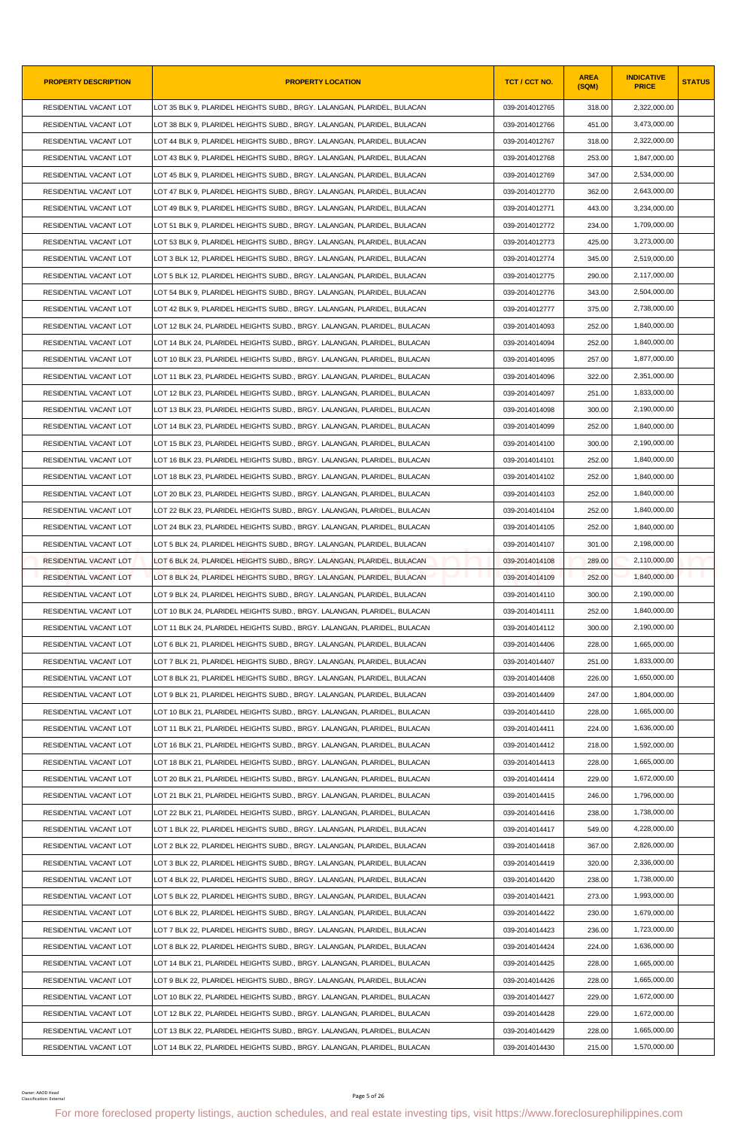| <b>PROPERTY DESCRIPTION</b>                  | <b>PROPERTY LOCATION</b>                                                                                                                               | TCT / CCT NO.  | <b>AREA</b><br>(SQM) | <b>INDICATIVE</b><br><b>PRICE</b> | <b>STATUS</b> |
|----------------------------------------------|--------------------------------------------------------------------------------------------------------------------------------------------------------|----------------|----------------------|-----------------------------------|---------------|
| RESIDENTIAL VACANT LOT                       | LOT 35 BLK 9, PLARIDEL HEIGHTS SUBD., BRGY. LALANGAN, PLARIDEL, BULACAN                                                                                | 039-2014012765 | 318.00               | 2,322,000.00                      |               |
| RESIDENTIAL VACANT LOT                       | LOT 38 BLK 9, PLARIDEL HEIGHTS SUBD., BRGY. LALANGAN, PLARIDEL, BULACAN                                                                                | 039-2014012766 | 451.00               | 3,473,000.00                      |               |
| RESIDENTIAL VACANT LOT                       | LOT 44 BLK 9, PLARIDEL HEIGHTS SUBD., BRGY. LALANGAN, PLARIDEL, BULACAN                                                                                | 039-2014012767 | 318.00               | 2,322,000.00                      |               |
| RESIDENTIAL VACANT LOT                       | LOT 43 BLK 9, PLARIDEL HEIGHTS SUBD., BRGY. LALANGAN, PLARIDEL, BULACAN                                                                                | 039-2014012768 | 253.00               | 1,847,000.00                      |               |
| RESIDENTIAL VACANT LOT                       | LOT 45 BLK 9, PLARIDEL HEIGHTS SUBD., BRGY. LALANGAN, PLARIDEL, BULACAN                                                                                | 039-2014012769 | 347.00               | 2,534,000.00                      |               |
| RESIDENTIAL VACANT LOT                       | LOT 47 BLK 9. PLARIDEL HEIGHTS SUBD BRGY. LALANGAN. PLARIDEL. BULACAN                                                                                  | 039-2014012770 | 362.00               | 2,643,000.00                      |               |
| RESIDENTIAL VACANT LOT                       | LOT 49 BLK 9, PLARIDEL HEIGHTS SUBD., BRGY. LALANGAN, PLARIDEL, BULACAN                                                                                | 039-2014012771 | 443.00               | 3,234,000.00                      |               |
| RESIDENTIAL VACANT LOT                       | LOT 51 BLK 9, PLARIDEL HEIGHTS SUBD., BRGY. LALANGAN, PLARIDEL, BULACAN                                                                                | 039-2014012772 | 234.00               | 1,709,000.00                      |               |
| RESIDENTIAL VACANT LOT                       | LOT 53 BLK 9, PLARIDEL HEIGHTS SUBD., BRGY. LALANGAN, PLARIDEL, BULACAN                                                                                | 039-2014012773 | 425.00               | 3,273,000.00                      |               |
| RESIDENTIAL VACANT LOT                       | LOT 3 BLK 12, PLARIDEL HEIGHTS SUBD., BRGY. LALANGAN, PLARIDEL, BULACAN                                                                                | 039-2014012774 | 345.00               | 2,519,000.00                      |               |
| RESIDENTIAL VACANT LOT                       | LOT 5 BLK 12, PLARIDEL HEIGHTS SUBD., BRGY. LALANGAN, PLARIDEL, BULACAN                                                                                | 039-2014012775 | 290.00               | 2,117,000.00                      |               |
| RESIDENTIAL VACANT LOT                       | LOT 54 BLK 9, PLARIDEL HEIGHTS SUBD., BRGY. LALANGAN, PLARIDEL, BULACAN                                                                                | 039-2014012776 | 343.00               | 2,504,000.00                      |               |
| RESIDENTIAL VACANT LOT                       | LOT 42 BLK 9, PLARIDEL HEIGHTS SUBD., BRGY. LALANGAN, PLARIDEL, BULACAN                                                                                | 039-2014012777 | 375.00               | 2,738,000.00                      |               |
| RESIDENTIAL VACANT LOT                       | LOT 12 BLK 24, PLARIDEL HEIGHTS SUBD., BRGY. LALANGAN, PLARIDEL, BULACAN                                                                               | 039-2014014093 | 252.00               | 1,840,000.00                      |               |
| RESIDENTIAL VACANT LOT                       | LOT 14 BLK 24, PLARIDEL HEIGHTS SUBD., BRGY. LALANGAN, PLARIDEL, BULACAN                                                                               | 039-2014014094 | 252.00               | 1,840,000.00                      |               |
| RESIDENTIAL VACANT LOT                       | LOT 10 BLK 23, PLARIDEL HEIGHTS SUBD., BRGY. LALANGAN, PLARIDEL, BULACAN                                                                               | 039-2014014095 | 257.00               | 1,877,000.00                      |               |
| RESIDENTIAL VACANT LOT                       | LOT 11 BLK 23, PLARIDEL HEIGHTS SUBD., BRGY. LALANGAN, PLARIDEL, BULACAN                                                                               | 039-2014014096 | 322.00               | 2.351.000.00                      |               |
| RESIDENTIAL VACANT LOT                       | LOT 12 BLK 23, PLARIDEL HEIGHTS SUBD., BRGY. LALANGAN, PLARIDEL, BULACAN                                                                               | 039-2014014097 | 251.00               | 1,833,000.00                      |               |
| RESIDENTIAL VACANT LOT                       | LOT 13 BLK 23, PLARIDEL HEIGHTS SUBD., BRGY. LALANGAN, PLARIDEL, BULACAN                                                                               | 039-2014014098 | 300.00               | 2,190,000.00                      |               |
| RESIDENTIAL VACANT LOT                       | LOT 14 BLK 23, PLARIDEL HEIGHTS SUBD., BRGY. LALANGAN, PLARIDEL, BULACAN                                                                               | 039-2014014099 | 252.00               | 1,840,000.00                      |               |
| RESIDENTIAL VACANT LOT                       | LOT 15 BLK 23, PLARIDEL HEIGHTS SUBD., BRGY. LALANGAN, PLARIDEL, BULACAN                                                                               | 039-2014014100 | 300.00               | 2,190,000.00                      |               |
| RESIDENTIAL VACANT LOT                       | LOT 16 BLK 23, PLARIDEL HEIGHTS SUBD., BRGY. LALANGAN, PLARIDEL, BULACAN                                                                               | 039-2014014101 | 252.00               | 1,840,000.00                      |               |
| RESIDENTIAL VACANT LOT                       | LOT 18 BLK 23, PLARIDEL HEIGHTS SUBD., BRGY. LALANGAN, PLARIDEL, BULACAN                                                                               | 039-2014014102 | 252.00               | 1,840,000.00                      |               |
| RESIDENTIAL VACANT LOT                       | LOT 20 BLK 23, PLARIDEL HEIGHTS SUBD., BRGY. LALANGAN, PLARIDEL, BULACAN                                                                               | 039-2014014103 | 252.00               | 1,840,000.00                      |               |
| RESIDENTIAL VACANT LOT                       | LOT 22 BLK 23, PLARIDEL HEIGHTS SUBD., BRGY. LALANGAN, PLARIDEL, BULACAN                                                                               | 039-2014014104 | 252.00               | 1,840,000.00                      |               |
| RESIDENTIAL VACANT LOT                       | LOT 24 BLK 23, PLARIDEL HEIGHTS SUBD., BRGY. LALANGAN, PLARIDEL, BULACAN                                                                               | 039-2014014105 | 252.00               | 1,840,000.00                      |               |
| RESIDENTIAL VACANT LOT                       | LOT 5 BLK 24. PLARIDEL HEIGHTS SUBD BRGY. LALANGAN. PLARIDEL. BULACAN                                                                                  | 039-2014014107 | 301.00               | 2,198,000.00                      |               |
| RESIDENTIAL VACANT LOT                       | LOT 6 BLK 24, PLARIDEL HEIGHTS SUBD., BRGY. LALANGAN, PLARIDEL, BULACAN                                                                                | 039-2014014108 | 289.00               | 2,110,000.00                      |               |
| RESIDENTIAL VACANT LOT                       | LOT 8 BLK 24, PLARIDEL HEIGHTS SUBD., BRGY. LALANGAN, PLARIDEL, BULACAN                                                                                | 039-2014014109 | 252.00               | 1,840,000.00                      |               |
| RESIDENTIAL VACANT LOT                       | LOT 9 BLK 24, PLARIDEL HEIGHTS SUBD., BRGY. LALANGAN, PLARIDEL, BULACAN                                                                                | 039-2014014110 | 300.00               | 2,190,000.00                      |               |
| RESIDENTIAL VACANT LOT                       | LOT 10 BLK 24, PLARIDEL HEIGHTS SUBD., BRGY. LALANGAN, PLARIDEL, BULACAN                                                                               | 039-2014014111 | 252.00               | 1,840,000.00                      |               |
| RESIDENTIAL VACANT LOT                       | LOT 11 BLK 24, PLARIDEL HEIGHTS SUBD., BRGY. LALANGAN, PLARIDEL, BULACAN                                                                               | 039-2014014112 | 300.00               | 2,190,000.00                      |               |
| RESIDENTIAL VACANT LOT                       | LOT 6 BLK 21, PLARIDEL HEIGHTS SUBD., BRGY. LALANGAN, PLARIDEL, BULACAN                                                                                | 039-2014014406 | 228.00               | 1,665,000.00                      |               |
| RESIDENTIAL VACANT LOT                       | LOT 7 BLK 21, PLARIDEL HEIGHTS SUBD., BRGY. LALANGAN, PLARIDEL, BULACAN                                                                                | 039-2014014407 | 251.00               | 1,833,000.00                      |               |
| RESIDENTIAL VACANT LOT                       | LOT 8 BLK 21, PLARIDEL HEIGHTS SUBD., BRGY. LALANGAN, PLARIDEL, BULACAN                                                                                | 039-2014014408 | 226.00               | 1,650,000.00                      |               |
| RESIDENTIAL VACANT LOT                       | LOT 9 BLK 21, PLARIDEL HEIGHTS SUBD., BRGY. LALANGAN, PLARIDEL, BULACAN                                                                                | 039-2014014409 | 247.00               | 1,804,000.00                      |               |
| RESIDENTIAL VACANT LOT                       | LOT 10 BLK 21, PLARIDEL HEIGHTS SUBD., BRGY. LALANGAN, PLARIDEL, BULACAN                                                                               | 039-2014014410 | 228.00               | 1,665,000.00                      |               |
| RESIDENTIAL VACANT LOT                       | LOT 11 BLK 21, PLARIDEL HEIGHTS SUBD., BRGY. LALANGAN, PLARIDEL, BULACAN                                                                               | 039-2014014411 | 224.00               | 1,636,000.00                      |               |
| RESIDENTIAL VACANT LOT                       | LOT 16 BLK 21, PLARIDEL HEIGHTS SUBD., BRGY. LALANGAN, PLARIDEL, BULACAN                                                                               | 039-2014014412 | 218.00               | 1,592,000.00                      |               |
| RESIDENTIAL VACANT LOT                       | LOT 18 BLK 21, PLARIDEL HEIGHTS SUBD., BRGY. LALANGAN, PLARIDEL, BULACAN                                                                               | 039-2014014413 | 228.00               | 1,665,000.00                      |               |
| RESIDENTIAL VACANT LOT                       | LOT 20 BLK 21, PLARIDEL HEIGHTS SUBD., BRGY. LALANGAN, PLARIDEL, BULACAN                                                                               | 039-2014014414 | 229.00               | 1,672,000.00                      |               |
| RESIDENTIAL VACANT LOT                       | LOT 21 BLK 21, PLARIDEL HEIGHTS SUBD., BRGY. LALANGAN, PLARIDEL, BULACAN                                                                               | 039-2014014415 | 246.00               | 1,796,000.00                      |               |
| RESIDENTIAL VACANT LOT                       | LOT 22 BLK 21, PLARIDEL HEIGHTS SUBD., BRGY. LALANGAN, PLARIDEL, BULACAN                                                                               | 039-2014014416 | 238.00               | 1,738,000.00                      |               |
| RESIDENTIAL VACANT LOT                       | LOT 1 BLK 22, PLARIDEL HEIGHTS SUBD., BRGY. LALANGAN, PLARIDEL, BULACAN                                                                                | 039-2014014417 | 549.00               | 4,228,000.00                      |               |
| RESIDENTIAL VACANT LOT                       | LOT 2 BLK 22, PLARIDEL HEIGHTS SUBD., BRGY. LALANGAN, PLARIDEL, BULACAN                                                                                | 039-2014014418 | 367.00               | 2,826,000.00                      |               |
| RESIDENTIAL VACANT LOT                       | LOT 3 BLK 22, PLARIDEL HEIGHTS SUBD., BRGY. LALANGAN, PLARIDEL, BULACAN                                                                                | 039-2014014419 | 320.00               | 2,336,000.00                      |               |
| RESIDENTIAL VACANT LOT                       | LOT 4 BLK 22, PLARIDEL HEIGHTS SUBD., BRGY. LALANGAN, PLARIDEL, BULACAN                                                                                | 039-2014014420 | 238.00               | 1,738,000.00                      |               |
| RESIDENTIAL VACANT LOT                       | LOT 5 BLK 22, PLARIDEL HEIGHTS SUBD., BRGY. LALANGAN, PLARIDEL, BULACAN                                                                                | 039-2014014421 | 273.00               | 1,993,000.00                      |               |
| RESIDENTIAL VACANT LOT                       | LOT 6 BLK 22, PLARIDEL HEIGHTS SUBD., BRGY. LALANGAN, PLARIDEL, BULACAN                                                                                | 039-2014014422 | 230.00               | 1,679,000.00                      |               |
| RESIDENTIAL VACANT LOT                       |                                                                                                                                                        | 039-2014014423 | 236.00               | 1,723,000.00                      |               |
|                                              | LOT 7 BLK 22, PLARIDEL HEIGHTS SUBD., BRGY. LALANGAN, PLARIDEL, BULACAN                                                                                |                |                      |                                   |               |
| RESIDENTIAL VACANT LOT                       | LOT 8 BLK 22, PLARIDEL HEIGHTS SUBD., BRGY. LALANGAN, PLARIDEL, BULACAN                                                                                | 039-2014014424 | 224.00               | 1,636,000.00                      |               |
| RESIDENTIAL VACANT LOT                       | LOT 14 BLK 21, PLARIDEL HEIGHTS SUBD., BRGY. LALANGAN, PLARIDEL, BULACAN                                                                               | 039-2014014425 | 228.00               | 1,665,000.00                      |               |
| RESIDENTIAL VACANT LOT                       | LOT 9 BLK 22, PLARIDEL HEIGHTS SUBD., BRGY. LALANGAN, PLARIDEL, BULACAN                                                                                | 039-2014014426 | 228.00               | 1,665,000.00                      |               |
| RESIDENTIAL VACANT LOT                       | LOT 10 BLK 22, PLARIDEL HEIGHTS SUBD., BRGY. LALANGAN, PLARIDEL, BULACAN                                                                               | 039-2014014427 | 229.00               | 1,672,000.00                      |               |
| RESIDENTIAL VACANT LOT                       | LOT 12 BLK 22, PLARIDEL HEIGHTS SUBD., BRGY. LALANGAN, PLARIDEL, BULACAN                                                                               | 039-2014014428 | 229.00               | 1,672,000.00                      |               |
| RESIDENTIAL VACANT LOT                       | LOT 13 BLK 22, PLARIDEL HEIGHTS SUBD., BRGY. LALANGAN, PLARIDEL, BULACAN                                                                               | 039-2014014429 | 228.00               | 1,665,000.00                      |               |
| RESIDENTIAL VACANT LOT                       | LOT 14 BLK 22, PLARIDEL HEIGHTS SUBD., BRGY. LALANGAN, PLARIDEL, BULACAN                                                                               | 039-2014014430 | 215.00               | 1,570,000.00                      |               |
| Owner: AAOD Head<br>Classification: External | Page 5 of 26<br>For more foreclosed property listings, auction schedules, and real estate investing tips, visit https://www.foreclosurephilippines.com |                |                      |                                   |               |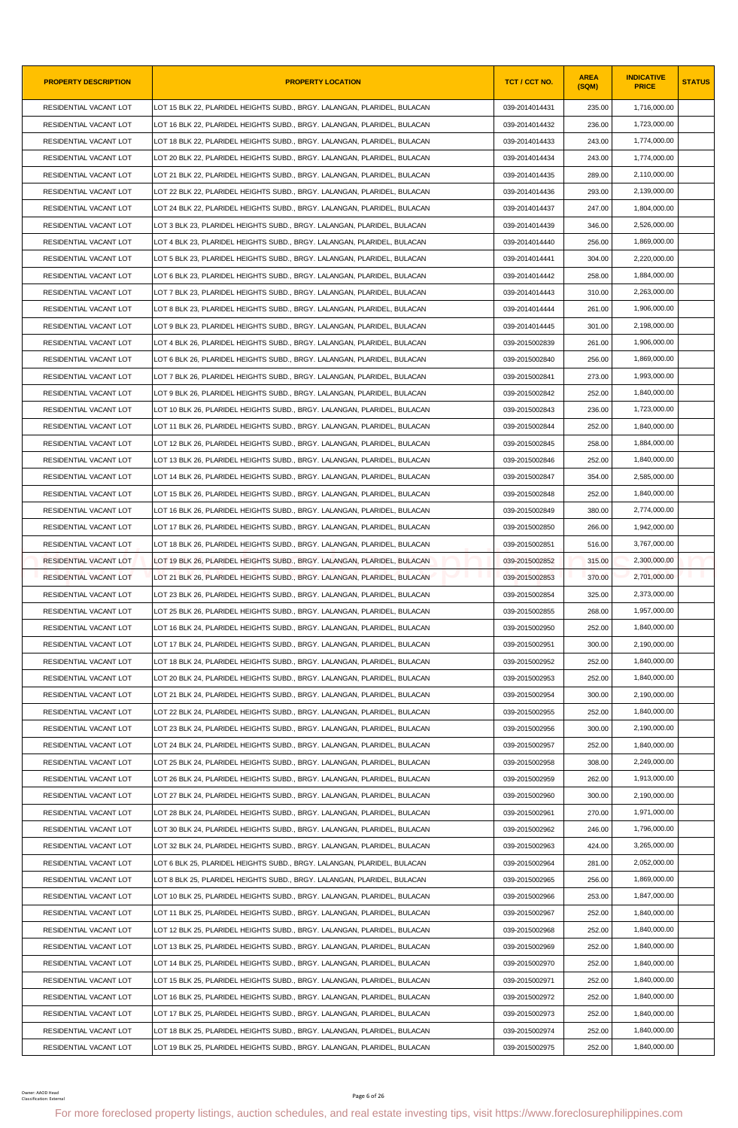| <b>PROPERTY DESCRIPTION</b>                  | <b>PROPERTY LOCATION</b>                                                                                                                               | TCT / CCT NO.  | <b>AREA</b><br>(SQM) | <b>INDICATIVE</b><br><b>PRICE</b> | <b>STATUS</b> |
|----------------------------------------------|--------------------------------------------------------------------------------------------------------------------------------------------------------|----------------|----------------------|-----------------------------------|---------------|
| RESIDENTIAL VACANT LOT                       | LOT 15 BLK 22, PLARIDEL HEIGHTS SUBD., BRGY. LALANGAN, PLARIDEL, BULACAN                                                                               | 039-2014014431 | 235.00               | 1,716,000.00                      |               |
| RESIDENTIAL VACANT LOT                       | LOT 16 BLK 22. PLARIDEL HEIGHTS SUBD BRGY. LALANGAN. PLARIDEL. BULACAN                                                                                 | 039-2014014432 | 236.00               | 1,723,000.00                      |               |
| RESIDENTIAL VACANT LOT                       | LOT 18 BLK 22, PLARIDEL HEIGHTS SUBD., BRGY. LALANGAN, PLARIDEL, BULACAN                                                                               | 039-2014014433 | 243.00               | 1,774,000.00                      |               |
| RESIDENTIAL VACANT LOT                       | LOT 20 BLK 22, PLARIDEL HEIGHTS SUBD., BRGY. LALANGAN, PLARIDEL, BULACAN                                                                               | 039-2014014434 | 243.00               | 1,774,000.00                      |               |
| RESIDENTIAL VACANT LOT                       | LOT 21 BLK 22, PLARIDEL HEIGHTS SUBD., BRGY. LALANGAN, PLARIDEL, BULACAN                                                                               | 039-2014014435 | 289.00               | 2,110,000.00                      |               |
| RESIDENTIAL VACANT LOT                       | LOT 22 BLK 22, PLARIDEL HEIGHTS SUBD., BRGY. LALANGAN, PLARIDEL, BULACAN                                                                               | 039-2014014436 | 293.00               | 2,139,000.00                      |               |
| RESIDENTIAL VACANT LOT                       | LOT 24 BLK 22, PLARIDEL HEIGHTS SUBD., BRGY. LALANGAN, PLARIDEL, BULACAN                                                                               | 039-2014014437 | 247.00               | 1,804,000.00                      |               |
| RESIDENTIAL VACANT LOT                       | LOT 3 BLK 23, PLARIDEL HEIGHTS SUBD., BRGY. LALANGAN, PLARIDEL, BULACAN                                                                                | 039-2014014439 | 346.00               | 2,526,000.00                      |               |
| RESIDENTIAL VACANT LOT                       | LOT 4 BLK 23, PLARIDEL HEIGHTS SUBD., BRGY. LALANGAN, PLARIDEL, BULACAN                                                                                | 039-2014014440 | 256.00               | 1,869,000.00                      |               |
| RESIDENTIAL VACANT LOT                       | LOT 5 BLK 23, PLARIDEL HEIGHTS SUBD., BRGY. LALANGAN, PLARIDEL, BULACAN                                                                                | 039-2014014441 | 304.00               | 2,220,000.00                      |               |
| RESIDENTIAL VACANT LOT                       | LOT 6 BLK 23, PLARIDEL HEIGHTS SUBD., BRGY. LALANGAN, PLARIDEL, BULACAN                                                                                | 039-2014014442 | 258.00               | 1,884,000.00                      |               |
| RESIDENTIAL VACANT LOT                       | LOT 7 BLK 23, PLARIDEL HEIGHTS SUBD., BRGY. LALANGAN, PLARIDEL, BULACAN                                                                                | 039-2014014443 | 310.00               | 2,263,000.00                      |               |
| RESIDENTIAL VACANT LOT                       | LOT 8 BLK 23, PLARIDEL HEIGHTS SUBD., BRGY. LALANGAN, PLARIDEL, BULACAN                                                                                | 039-2014014444 | 261.00               | 1,906,000.00                      |               |
| RESIDENTIAL VACANT LOT                       | LOT 9 BLK 23, PLARIDEL HEIGHTS SUBD., BRGY. LALANGAN, PLARIDEL, BULACAN                                                                                | 039-2014014445 | 301.00               | 2,198,000.00                      |               |
| RESIDENTIAL VACANT LOT                       | LOT 4 BLK 26, PLARIDEL HEIGHTS SUBD., BRGY. LALANGAN, PLARIDEL, BULACAN                                                                                | 039-2015002839 | 261.00               | 1,906,000.00                      |               |
| RESIDENTIAL VACANT LOT                       | LOT 6 BLK 26. PLARIDEL HEIGHTS SUBD BRGY. LALANGAN. PLARIDEL. BULACAN                                                                                  | 039-2015002840 | 256.00               | 1,869,000.00                      |               |
| RESIDENTIAL VACANT LOT                       | LOT 7 BLK 26. PLARIDEL HEIGHTS SUBD BRGY. LALANGAN. PLARIDEL. BULACAN                                                                                  | 039-2015002841 | 273.00               | 1,993,000.00                      |               |
| RESIDENTIAL VACANT LOT                       | LOT 9 BLK 26, PLARIDEL HEIGHTS SUBD., BRGY. LALANGAN, PLARIDEL, BULACAN                                                                                | 039-2015002842 | 252.00               | 1,840,000.00                      |               |
| RESIDENTIAL VACANT LOT                       | LOT 10 BLK 26, PLARIDEL HEIGHTS SUBD., BRGY. LALANGAN, PLARIDEL, BULACAN                                                                               | 039-2015002843 | 236.00               | 1,723,000.00                      |               |
| RESIDENTIAL VACANT LOT                       | LOT 11 BLK 26, PLARIDEL HEIGHTS SUBD., BRGY. LALANGAN, PLARIDEL, BULACAN                                                                               | 039-2015002844 | 252.00               | 1,840,000.00                      |               |
| RESIDENTIAL VACANT LOT                       | LOT 12 BLK 26, PLARIDEL HEIGHTS SUBD., BRGY. LALANGAN, PLARIDEL, BULACAN                                                                               | 039-2015002845 | 258.00               | 1,884,000.00                      |               |
| RESIDENTIAL VACANT LOT                       | LOT 13 BLK 26, PLARIDEL HEIGHTS SUBD., BRGY. LALANGAN, PLARIDEL, BULACAN                                                                               | 039-2015002846 | 252.00               | 1,840,000.00                      |               |
| RESIDENTIAL VACANT LOT                       | LOT 14 BLK 26, PLARIDEL HEIGHTS SUBD., BRGY. LALANGAN, PLARIDEL, BULACAN                                                                               | 039-2015002847 | 354.00               | 2,585,000.00                      |               |
| RESIDENTIAL VACANT LOT                       | LOT 15 BLK 26, PLARIDEL HEIGHTS SUBD., BRGY. LALANGAN, PLARIDEL, BULACAN                                                                               | 039-2015002848 | 252.00               | 1,840,000.00                      |               |
| RESIDENTIAL VACANT LOT                       | LOT 16 BLK 26, PLARIDEL HEIGHTS SUBD., BRGY. LALANGAN, PLARIDEL, BULACAN                                                                               | 039-2015002849 | 380.00               | 2,774,000.00                      |               |
| RESIDENTIAL VACANT LOT                       | LOT 17 BLK 26, PLARIDEL HEIGHTS SUBD., BRGY. LALANGAN, PLARIDEL, BULACAN                                                                               | 039-2015002850 | 266.00               | 1,942,000.00                      |               |
| RESIDENTIAL VACANT LOT                       | LOT 18 BLK 26. PLARIDEL HEIGHTS SUBD BRGY. LALANGAN. PLARIDEL. BULACAN                                                                                 | 039-2015002851 | 516.00               | 3,767,000.00                      |               |
| RESIDENTIAL VACANT LOT                       | LOT 19 BLK 26, PLARIDEL HEIGHTS SUBD., BRGY. LALANGAN, PLARIDEL, BULACAN                                                                               | 039-2015002852 | 315.00               | 2,300,000.00                      |               |
| RESIDENTIAL VACANT LOT                       | LOT 21 BLK 26. PLARIDEL HEIGHTS SUBD., BRGY, LALANGAN, PLARIDEL, BULACAN                                                                               | 039-2015002853 | 370.00               | 2,701,000.00                      |               |
| RESIDENTIAL VACANT LOT                       | LOT 23 BLK 26, PLARIDEL HEIGHTS SUBD., BRGY. LALANGAN, PLARIDEL, BULACAN                                                                               | 039-2015002854 | 325.00               | 2,373,000.00                      |               |
| RESIDENTIAL VACANT LOT                       | LOT 25 BLK 26, PLARIDEL HEIGHTS SUBD., BRGY. LALANGAN, PLARIDEL, BULACAN                                                                               | 039-2015002855 | 268.00               | 1,957,000.00                      |               |
| RESIDENTIAL VACANT LOT                       | LOT 16 BLK 24, PLARIDEL HEIGHTS SUBD., BRGY. LALANGAN, PLARIDEL, BULACAN                                                                               | 039-2015002950 | 252.00               | 1,840,000.00                      |               |
| RESIDENTIAL VACANT LOT                       | LOT 17 BLK 24, PLARIDEL HEIGHTS SUBD., BRGY. LALANGAN, PLARIDEL, BULACAN                                                                               | 039-2015002951 | 300.00               | 2,190,000.00                      |               |
| RESIDENTIAL VACANT LOT                       | LOT 18 BLK 24. PLARIDEL HEIGHTS SUBD BRGY. LALANGAN. PLARIDEL. BULACAN                                                                                 | 039-2015002952 | 252.00               | 1,840,000.00                      |               |
| RESIDENTIAL VACANT LOT                       | LOT 20 BLK 24, PLARIDEL HEIGHTS SUBD., BRGY. LALANGAN, PLARIDEL, BULACAN                                                                               | 039-2015002953 | 252.00               | 1,840,000.00                      |               |
| RESIDENTIAL VACANT LOT                       | LOT 21 BLK 24, PLARIDEL HEIGHTS SUBD., BRGY. LALANGAN, PLARIDEL, BULACAN                                                                               | 039-2015002954 | 300.00               | 2,190,000.00                      |               |
| RESIDENTIAL VACANT LOT                       | LOT 22 BLK 24, PLARIDEL HEIGHTS SUBD., BRGY. LALANGAN, PLARIDEL, BULACAN                                                                               | 039-2015002955 | 252.00               | 1,840,000.00                      |               |
| RESIDENTIAL VACANT LOT                       | LOT 23 BLK 24, PLARIDEL HEIGHTS SUBD., BRGY. LALANGAN, PLARIDEL, BULACAN                                                                               | 039-2015002956 | 300.00               | 2,190,000.00                      |               |
| RESIDENTIAL VACANT LOT                       | LOT 24 BLK 24, PLARIDEL HEIGHTS SUBD., BRGY, LALANGAN, PLARIDEL, BULACAN                                                                               | 039-2015002957 | 252.00               | 1.840.000.00                      |               |
| RESIDENTIAL VACANT LOT                       | LOT 25 BLK 24, PLARIDEL HEIGHTS SUBD., BRGY. LALANGAN, PLARIDEL, BULACAN                                                                               | 039-2015002958 | 308.00               | 2,249,000.00                      |               |
| RESIDENTIAL VACANT LOT                       | LOT 26 BLK 24, PLARIDEL HEIGHTS SUBD., BRGY. LALANGAN, PLARIDEL, BULACAN                                                                               | 039-2015002959 | 262.00               | 1,913,000.00                      |               |
| RESIDENTIAL VACANT LOT                       | LOT 27 BLK 24, PLARIDEL HEIGHTS SUBD., BRGY. LALANGAN, PLARIDEL, BULACAN                                                                               | 039-2015002960 | 300.00               | 2,190,000.00                      |               |
| RESIDENTIAL VACANT LOT                       | LOT 28 BLK 24, PLARIDEL HEIGHTS SUBD., BRGY. LALANGAN, PLARIDEL, BULACAN                                                                               | 039-2015002961 | 270.00               | 1,971,000.00                      |               |
| RESIDENTIAL VACANT LOT                       | LOT 30 BLK 24, PLARIDEL HEIGHTS SUBD., BRGY. LALANGAN, PLARIDEL, BULACAN                                                                               | 039-2015002962 | 246.00               | 1,796,000.00                      |               |
| RESIDENTIAL VACANT LOT                       | LOT 32 BLK 24, PLARIDEL HEIGHTS SUBD., BRGY. LALANGAN, PLARIDEL, BULACAN                                                                               | 039-2015002963 | 424.00               | 3,265,000.00                      |               |
| RESIDENTIAL VACANT LOT                       | LOT 6 BLK 25, PLARIDEL HEIGHTS SUBD., BRGY. LALANGAN, PLARIDEL, BULACAN                                                                                | 039-2015002964 | 281.00               | 2,052,000.00                      |               |
| RESIDENTIAL VACANT LOT                       | LOT 8 BLK 25, PLARIDEL HEIGHTS SUBD., BRGY. LALANGAN, PLARIDEL, BULACAN                                                                                | 039-2015002965 | 256.00               | 1,869,000.00                      |               |
| RESIDENTIAL VACANT LOT                       | LOT 10 BLK 25, PLARIDEL HEIGHTS SUBD., BRGY. LALANGAN, PLARIDEL, BULACAN                                                                               | 039-2015002966 | 253.00               | 1,847,000.00                      |               |
| RESIDENTIAL VACANT LOT                       | LOT 11 BLK 25, PLARIDEL HEIGHTS SUBD., BRGY. LALANGAN, PLARIDEL, BULACAN                                                                               | 039-2015002967 | 252.00               | 1,840,000.00                      |               |
| RESIDENTIAL VACANT LOT                       | LOT 12 BLK 25, PLARIDEL HEIGHTS SUBD., BRGY. LALANGAN, PLARIDEL, BULACAN                                                                               | 039-2015002968 | 252.00               | 1,840,000.00                      |               |
| RESIDENTIAL VACANT LOT                       | LOT 13 BLK 25, PLARIDEL HEIGHTS SUBD., BRGY. LALANGAN, PLARIDEL, BULACAN                                                                               | 039-2015002969 | 252.00               | 1,840,000.00                      |               |
| RESIDENTIAL VACANT LOT                       | LOT 14 BLK 25, PLARIDEL HEIGHTS SUBD., BRGY. LALANGAN, PLARIDEL, BULACAN                                                                               | 039-2015002970 | 252.00               | 1,840,000.00                      |               |
| RESIDENTIAL VACANT LOT                       | LOT 15 BLK 25, PLARIDEL HEIGHTS SUBD., BRGY. LALANGAN, PLARIDEL, BULACAN                                                                               | 039-2015002971 | 252.00               | 1,840,000.00                      |               |
| RESIDENTIAL VACANT LOT                       | LOT 16 BLK 25, PLARIDEL HEIGHTS SUBD., BRGY. LALANGAN, PLARIDEL, BULACAN                                                                               | 039-2015002972 | 252.00               | 1,840,000.00                      |               |
| RESIDENTIAL VACANT LOT                       |                                                                                                                                                        | 039-2015002973 | 252.00               | 1,840,000.00                      |               |
| RESIDENTIAL VACANT LOT                       | LOT 17 BLK 25, PLARIDEL HEIGHTS SUBD., BRGY. LALANGAN, PLARIDEL, BULACAN<br>LOT 18 BLK 25, PLARIDEL HEIGHTS SUBD., BRGY. LALANGAN, PLARIDEL, BULACAN   | 039-2015002974 | 252.00               | 1,840,000.00                      |               |
| RESIDENTIAL VACANT LOT                       | LOT 19 BLK 25, PLARIDEL HEIGHTS SUBD., BRGY. LALANGAN, PLARIDEL, BULACAN                                                                               | 039-2015002975 | 252.00               | 1,840,000.00                      |               |
|                                              |                                                                                                                                                        |                |                      |                                   |               |
| Owner: AAOD Head<br>Classification: External | Page 6 of 26<br>For more foreclosed property listings, auction schedules, and real estate investing tips, visit https://www.foreclosurephilippines.com |                |                      |                                   |               |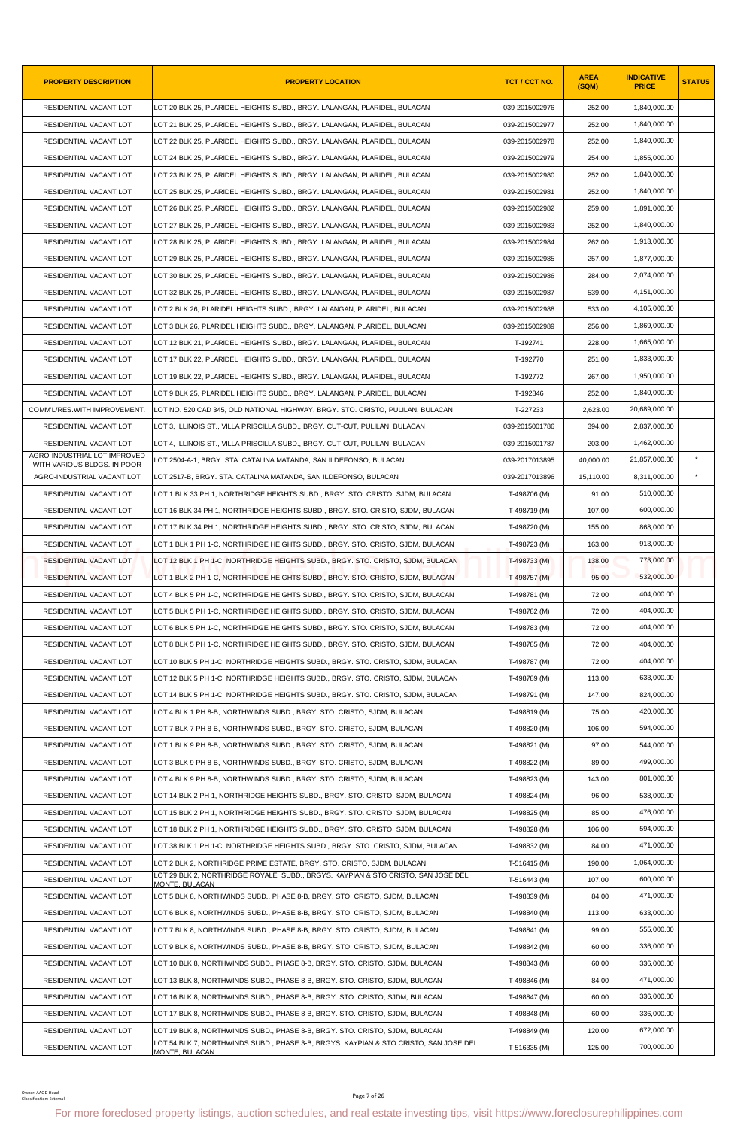| <b>PROPERTY DESCRIPTION</b>                                 | <b>PROPERTY LOCATION</b>                                                                                                                               | TCT / CCT NO.  | <b>AREA</b><br>(SQM) | <b>INDICATIVE</b><br><b>PRICE</b> | <b>STATUS</b> |
|-------------------------------------------------------------|--------------------------------------------------------------------------------------------------------------------------------------------------------|----------------|----------------------|-----------------------------------|---------------|
| RESIDENTIAL VACANT LOT                                      | LOT 20 BLK 25, PLARIDEL HEIGHTS SUBD., BRGY. LALANGAN, PLARIDEL, BULACAN                                                                               | 039-2015002976 | 252.00               | 1,840,000.00                      |               |
| RESIDENTIAL VACANT LOT                                      | LOT 21 BLK 25. PLARIDEL HEIGHTS SUBD BRGY. LALANGAN. PLARIDEL. BULACAN                                                                                 | 039-2015002977 | 252.00               | 1,840,000.00                      |               |
| RESIDENTIAL VACANT LOT                                      | LOT 22 BLK 25, PLARIDEL HEIGHTS SUBD., BRGY. LALANGAN, PLARIDEL, BULACAN                                                                               | 039-2015002978 | 252.00               | 1,840,000.00                      |               |
| RESIDENTIAL VACANT LOT                                      | LOT 24 BLK 25, PLARIDEL HEIGHTS SUBD., BRGY. LALANGAN, PLARIDEL, BULACAN                                                                               | 039-2015002979 | 254.00               | 1,855,000.00                      |               |
| RESIDENTIAL VACANT LOT                                      | LOT 23 BLK 25, PLARIDEL HEIGHTS SUBD., BRGY. LALANGAN, PLARIDEL, BULACAN                                                                               | 039-2015002980 | 252.00               | 1,840,000.00                      |               |
| RESIDENTIAL VACANT LOT                                      | LOT 25 BLK 25, PLARIDEL HEIGHTS SUBD., BRGY. LALANGAN, PLARIDEL, BULACAN                                                                               | 039-2015002981 | 252.00               | 1,840,000.00                      |               |
| RESIDENTIAL VACANT LOT                                      | LOT 26 BLK 25, PLARIDEL HEIGHTS SUBD., BRGY. LALANGAN, PLARIDEL, BULACAN                                                                               | 039-2015002982 | 259.00               | 1,891,000.00                      |               |
| RESIDENTIAL VACANT LOT                                      | LOT 27 BLK 25, PLARIDEL HEIGHTS SUBD., BRGY. LALANGAN, PLARIDEL, BULACAN                                                                               | 039-2015002983 | 252.00               | 1,840,000.00                      |               |
| RESIDENTIAL VACANT LOT                                      | LOT 28 BLK 25, PLARIDEL HEIGHTS SUBD., BRGY. LALANGAN, PLARIDEL, BULACAN                                                                               | 039-2015002984 | 262.00               | 1,913,000.00                      |               |
| RESIDENTIAL VACANT LOT                                      | LOT 29 BLK 25, PLARIDEL HEIGHTS SUBD., BRGY. LALANGAN, PLARIDEL, BULACAN                                                                               | 039-2015002985 | 257.00               | 1,877,000.00                      |               |
| RESIDENTIAL VACANT LOT                                      | LOT 30 BLK 25, PLARIDEL HEIGHTS SUBD., BRGY. LALANGAN, PLARIDEL, BULACAN                                                                               | 039-2015002986 | 284.00               | 2,074,000.00                      |               |
| RESIDENTIAL VACANT LOT                                      | LOT 32 BLK 25, PLARIDEL HEIGHTS SUBD., BRGY. LALANGAN, PLARIDEL, BULACAN                                                                               | 039-2015002987 | 539.00               | 4,151,000.00                      |               |
| RESIDENTIAL VACANT LOT                                      | LOT 2 BLK 26. PLARIDEL HEIGHTS SUBD BRGY. LALANGAN. PLARIDEL. BULACAN                                                                                  | 039-2015002988 | 533.00               | 4,105,000.00                      |               |
| RESIDENTIAL VACANT LOT                                      | LOT 3 BLK 26, PLARIDEL HEIGHTS SUBD., BRGY. LALANGAN, PLARIDEL, BULACAN                                                                                | 039-2015002989 | 256.00               | 1,869,000.00                      |               |
| RESIDENTIAL VACANT LOT                                      | LOT 12 BLK 21, PLARIDEL HEIGHTS SUBD., BRGY. LALANGAN, PLARIDEL, BULACAN                                                                               | T-192741       | 228.00               | 1,665,000.00                      |               |
| RESIDENTIAL VACANT LOT                                      | LOT 17 BLK 22, PLARIDEL HEIGHTS SUBD., BRGY. LALANGAN, PLARIDEL, BULACAN                                                                               | T-192770       | 251.00               | 1,833,000.00                      |               |
| RESIDENTIAL VACANT LOT                                      | LOT 19 BLK 22, PLARIDEL HEIGHTS SUBD., BRGY. LALANGAN, PLARIDEL, BULACAN                                                                               | T-192772       | 267.00               | 1,950,000.00                      |               |
| RESIDENTIAL VACANT LOT                                      | LOT 9 BLK 25, PLARIDEL HEIGHTS SUBD., BRGY. LALANGAN, PLARIDEL, BULACAN                                                                                | T-192846       | 252.00               | 1,840,000.00                      |               |
| COMM'L/RES.WITH IMPROVEMENT.                                | LOT NO. 520 CAD 345, OLD NATIONAL HIGHWAY, BRGY. STO. CRISTO, PULILAN, BULACAN                                                                         | T-227233       | 2,623.00             | 20,689,000.00                     |               |
| RESIDENTIAL VACANT LOT                                      | LOT 3, ILLINOIS ST., VILLA PRISCILLA SUBD., BRGY. CUT-CUT, PULILAN, BULACAN                                                                            | 039-2015001786 | 394.00               | 2,837,000.00                      |               |
| RESIDENTIAL VACANT LOT                                      | LOT 4, ILLINOIS ST., VILLA PRISCILLA SUBD., BRGY. CUT-CUT, PULILAN, BULACAN                                                                            | 039-2015001787 | 203.00               | 1,462,000.00                      |               |
| AGRO-INDUSTRIAL LOT IMPROVED<br>WITH VARIOUS BLDGS. IN POOR | LOT 2504-A-1, BRGY. STA. CATALINA MATANDA, SAN ILDEFONSO, BULACAN                                                                                      | 039-2017013895 | 40,000.00            | 21,857,000.00                     | $\star$       |
| AGRO-INDUSTRIAL VACANT LOT                                  | LOT 2517-B, BRGY. STA. CATALINA MATANDA, SAN ILDEFONSO, BULACAN                                                                                        | 039-2017013896 | 15,110.00            | 8,311,000.00                      |               |
| RESIDENTIAL VACANT LOT                                      | LOT 1 BLK 33 PH 1, NORTHRIDGE HEIGHTS SUBD., BRGY. STO. CRISTO, SJDM, BULACAN                                                                          | T-498706 (M)   | 91.00                | 510,000.00                        |               |
| RESIDENTIAL VACANT LOT                                      | LOT 16 BLK 34 PH 1, NORTHRIDGE HEIGHTS SUBD., BRGY. STO. CRISTO, SJDM, BULACAN                                                                         | T-498719 (M)   | 107.00               | 600,000.00                        |               |
| RESIDENTIAL VACANT LOT                                      | LOT 17 BLK 34 PH 1, NORTHRIDGE HEIGHTS SUBD., BRGY. STO. CRISTO, SJDM, BULACAN                                                                         | T-498720 (M)   | 155.00               | 868,000.00                        |               |
| RESIDENTIAL VACANT LOT                                      | LOT 1 BLK 1 PH 1-C, NORTHRIDGE HEIGHTS SUBD., BRGY. STO. CRISTO, SJDM, BULACAN                                                                         | T-498723 (M)   | 163.00               | 913,000.00                        |               |
| RESIDENTIAL VACANT LOT                                      | LOT 12 BLK 1 PH 1-C, NORTHRIDGE HEIGHTS SUBD., BRGY. STO. CRISTO, SJDM, BULACAN                                                                        | T-498733 (M)   | 138.00               | 773,000.00                        |               |
| RESIDENTIAL VACANT LOT                                      | LOT 1 BLK 2 PH 1-C, NORTHRIDGE HEIGHTS SUBD., BRGY. STO. CRISTO, SJDM, BULACAN                                                                         | T-498757 (M)   | 95.00                | 532,000.00                        |               |
| RESIDENTIAL VACANT LOT                                      | LOT 4 BLK 5 PH 1-C, NORTHRIDGE HEIGHTS SUBD., BRGY. STO. CRISTO, SJDM, BULACAN                                                                         | T-498781 (M)   | 72.00                | 404,000.00                        |               |
| RESIDENTIAL VACANT LOT                                      | LOT 5 BLK 5 PH 1-C, NORTHRIDGE HEIGHTS SUBD., BRGY. STO. CRISTO, SJDM, BULACAN                                                                         | T-498782 (M)   | 72.00                | 404,000.00                        |               |
| RESIDENTIAL VACANT LOT                                      | LOT 6 BLK 5 PH 1-C, NORTHRIDGE HEIGHTS SUBD., BRGY. STO. CRISTO, SJDM, BULACAN                                                                         | T-498783 (M)   | 72.00                | 404,000.00                        |               |
| RESIDENTIAL VACANT LOT                                      | LOT 8 BLK 5 PH 1-C, NORTHRIDGE HEIGHTS SUBD., BRGY. STO. CRISTO, SJDM, BULACAN                                                                         | T-498785 (M)   | 72.00                | 404,000.00                        |               |
| RESIDENTIAL VACANT LOT                                      | LOT 10 BLK 5 PH 1-C, NORTHRIDGE HEIGHTS SUBD., BRGY. STO. CRISTO, SJDM, BULACAN                                                                        | T-498787 (M)   | 72.00                | 404,000.00                        |               |
| RESIDENTIAL VACANT LOT                                      | LOT 12 BLK 5 PH 1-C, NORTHRIDGE HEIGHTS SUBD., BRGY. STO. CRISTO, SJDM, BULACAN                                                                        | T-498789 (M)   | 113.00               | 633,000.00                        |               |
| RESIDENTIAL VACANT LOT                                      | LOT 14 BLK 5 PH 1-C, NORTHRIDGE HEIGHTS SUBD., BRGY. STO. CRISTO, SJDM, BULACAN                                                                        | T-498791 (M)   | 147.00               | 824,000.00                        |               |
| RESIDENTIAL VACANT LOT                                      | LOT 4 BLK 1 PH 8-B, NORTHWINDS SUBD., BRGY. STO. CRISTO, SJDM, BULACAN                                                                                 | T-498819 (M)   | 75.00                | 420,000.00                        |               |
| RESIDENTIAL VACANT LOT                                      | LOT 7 BLK 7 PH 8-B, NORTHWINDS SUBD., BRGY. STO. CRISTO, SJDM, BULACAN                                                                                 | T-498820 (M)   | 106.00               | 594,000.00                        |               |
| RESIDENTIAL VACANT LOT                                      | LOT 1 BLK 9 PH 8-B, NORTHWINDS SUBD., BRGY. STO. CRISTO, SJDM, BULACAN                                                                                 | T-498821 (M)   | 97.00                | 544,000.00                        |               |
| RESIDENTIAL VACANT LOT                                      | LOT 3 BLK 9 PH 8-B, NORTHWINDS SUBD., BRGY. STO. CRISTO, SJDM, BULACAN                                                                                 | T-498822 (M)   | 89.00                | 499,000.00                        |               |
| RESIDENTIAL VACANT LOT                                      | LOT 4 BLK 9 PH 8-B, NORTHWINDS SUBD., BRGY. STO. CRISTO, SJDM, BULACAN                                                                                 | T-498823 (M)   | 143.00               | 801,000.00                        |               |
| RESIDENTIAL VACANT LOT                                      | LOT 14 BLK 2 PH 1, NORTHRIDGE HEIGHTS SUBD., BRGY. STO. CRISTO, SJDM, BULACAN                                                                          | T-498824 (M)   | 96.00                | 538,000.00                        |               |
| RESIDENTIAL VACANT LOT                                      | LOT 15 BLK 2 PH 1, NORTHRIDGE HEIGHTS SUBD., BRGY. STO. CRISTO, SJDM, BULACAN                                                                          | T-498825 (M)   | 85.00                | 476,000.00                        |               |
| RESIDENTIAL VACANT LOT                                      | LOT 18 BLK 2 PH 1, NORTHRIDGE HEIGHTS SUBD., BRGY. STO. CRISTO, SJDM, BULACAN                                                                          | T-498828 (M)   | 106.00               | 594,000.00                        |               |
| RESIDENTIAL VACANT LOT                                      | LOT 38 BLK 1 PH 1-C, NORTHRIDGE HEIGHTS SUBD., BRGY. STO. CRISTO, SJDM, BULACAN                                                                        | T-498832 (M)   | 84.00                | 471,000.00                        |               |
| RESIDENTIAL VACANT LOT                                      | LOT 2 BLK 2, NORTHRIDGE PRIME ESTATE, BRGY. STO. CRISTO, SJDM, BULACAN                                                                                 | T-516415 (M)   | 190.00               | 1,064,000.00                      |               |
| RESIDENTIAL VACANT LOT                                      | LOT 29 BLK 2, NORTHRIDGE ROYALE SUBD., BRGYS. KAYPIAN & STO CRISTO, SAN JOSE DEL<br>MONTE, BULACAN                                                     | T-516443 (M)   | 107.00               | 600,000.00                        |               |
| RESIDENTIAL VACANT LOT                                      | LOT 5 BLK 8, NORTHWINDS SUBD., PHASE 8-B, BRGY. STO. CRISTO, SJDM, BULACAN                                                                             | T-498839 (M)   | 84.00                | 471,000.00                        |               |
| RESIDENTIAL VACANT LOT                                      | LOT 6 BLK 8, NORTHWINDS SUBD., PHASE 8-B, BRGY. STO. CRISTO, SJDM, BULACAN                                                                             | T-498840 (M)   | 113.00               | 633,000.00                        |               |
| RESIDENTIAL VACANT LOT                                      | LOT 7 BLK 8, NORTHWINDS SUBD., PHASE 8-B, BRGY. STO. CRISTO, SJDM, BULACAN                                                                             | T-498841 (M)   | 99.00                | 555,000.00                        |               |
| RESIDENTIAL VACANT LOT                                      | LOT 9 BLK 8, NORTHWINDS SUBD., PHASE 8-B, BRGY. STO. CRISTO, SJDM, BULACAN                                                                             | T-498842 (M)   | 60.00                | 336,000.00                        |               |
| RESIDENTIAL VACANT LOT                                      | LOT 10 BLK 8, NORTHWINDS SUBD., PHASE 8-B, BRGY. STO. CRISTO, SJDM, BULACAN                                                                            | T-498843 (M)   | 60.00                | 336,000.00                        |               |
| RESIDENTIAL VACANT LOT                                      | LOT 13 BLK 8, NORTHWINDS SUBD., PHASE 8-B, BRGY. STO. CRISTO, SJDM, BULACAN                                                                            | T-498846 (M)   | 84.00                | 471,000.00                        |               |
| RESIDENTIAL VACANT LOT                                      | LOT 16 BLK 8, NORTHWINDS SUBD., PHASE 8-B, BRGY. STO. CRISTO, SJDM, BULACAN                                                                            | T-498847 (M)   | 60.00                | 336,000.00                        |               |
| RESIDENTIAL VACANT LOT                                      | LOT 17 BLK 8, NORTHWINDS SUBD., PHASE 8-B, BRGY. STO. CRISTO, SJDM, BULACAN                                                                            | T-498848 (M)   | 60.00                | 336,000.00                        |               |
| RESIDENTIAL VACANT LOT                                      | LOT 19 BLK 8, NORTHWINDS SUBD., PHASE 8-B, BRGY. STO. CRISTO, SJDM, BULACAN                                                                            | T-498849 (M)   | 120.00               | 672,000.00                        |               |
| RESIDENTIAL VACANT LOT                                      | LOT 54 BLK 7, NORTHWINDS SUBD., PHASE 3-B, BRGYS. KAYPIAN & STO CRISTO, SAN JOSE DEL<br>MONTE, BULACAN                                                 | T-516335 (M)   | 125.00               | 700,000.00                        |               |
|                                                             |                                                                                                                                                        |                |                      |                                   |               |
| Owner: AAOD Head<br>Classification: Externa                 | Page 7 of 26<br>For more foreclosed property listings, auction schedules, and real estate investing tips, visit https://www.foreclosurephilippines.com |                |                      |                                   |               |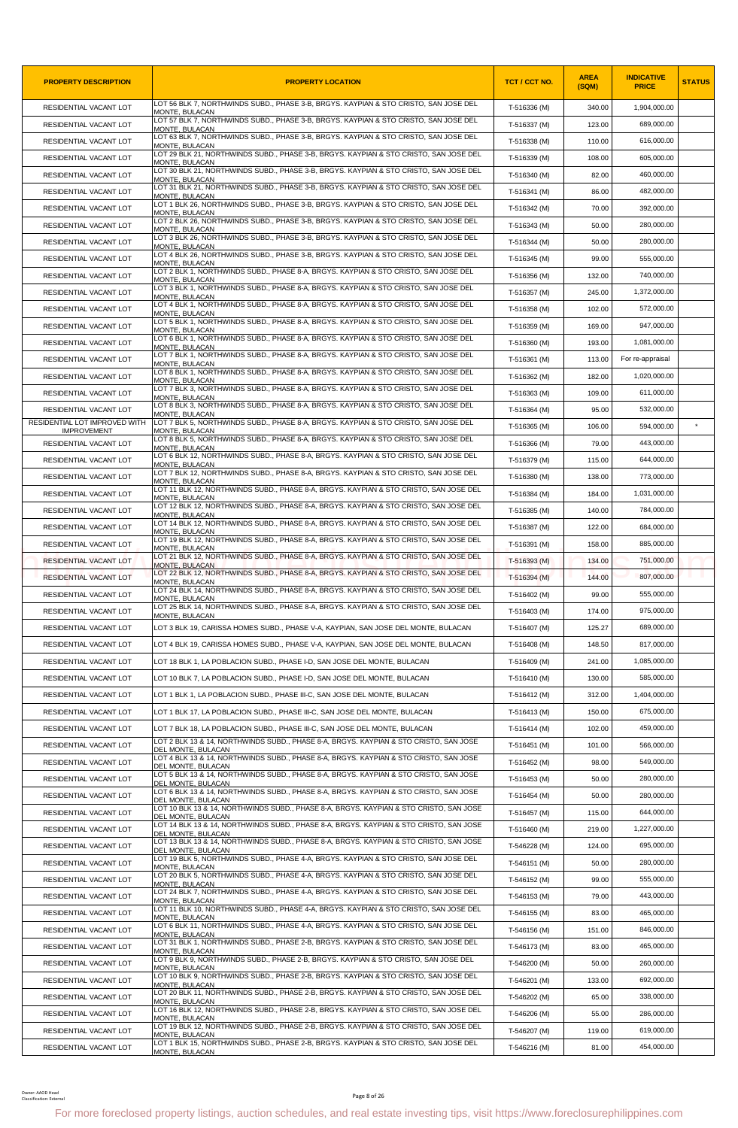| <b>PROPERTY DESCRIPTION</b>                         | <b>PROPERTY LOCATION</b>                                                                                                                               | TCT / CCT NO. | <b>AREA</b><br>(SQM) | <b>INDICATIVE</b><br><b>PRICE</b> | <b>STATUS</b> |
|-----------------------------------------------------|--------------------------------------------------------------------------------------------------------------------------------------------------------|---------------|----------------------|-----------------------------------|---------------|
| RESIDENTIAL VACANT LOT                              | LOT 56 BLK 7, NORTHWINDS SUBD., PHASE 3-B, BRGYS. KAYPIAN & STO CRISTO, SAN JOSE DEL<br>MONTE, BULACAN                                                 | T-516336 (M)  | 340.00               | 1,904,000.00                      |               |
| RESIDENTIAL VACANT LOT                              | LOT 57 BLK 7, NORTHWINDS SUBD., PHASE 3-B, BRGYS. KAYPIAN & STO CRISTO, SAN JOSE DEL<br>MONTE, BULACAN                                                 | T-516337 (M)  | 123.00               | 689,000.00                        |               |
| RESIDENTIAL VACANT LOT                              | LOT 63 BLK 7, NORTHWINDS SUBD., PHASE 3-B, BRGYS. KAYPIAN & STO CRISTO, SAN JOSE DEL<br>MONTE, BULACAN                                                 | T-516338 (M)  | 110.00               | 616,000.00                        |               |
| RESIDENTIAL VACANT LOT                              | LOT 29 BLK 21, NORTHWINDS SUBD., PHASE 3-B, BRGYS. KAYPIAN & STO CRISTO, SAN JOSE DEL<br>MONTE, BULACAN                                                | T-516339 (M)  | 108.00               | 605,000.00                        |               |
| RESIDENTIAL VACANT LOT                              | LOT 30 BLK 21, NORTHWINDS SUBD., PHASE 3-B, BRGYS. KAYPIAN & STO CRISTO, SAN JOSE DEL<br>MONTE, BULACAN                                                | T-516340 (M)  | 82.00                | 460,000.00                        |               |
| RESIDENTIAL VACANT LOT                              | LOT 31 BLK 21, NORTHWINDS SUBD., PHASE 3-B, BRGYS. KAYPIAN & STO CRISTO, SAN JOSE DEL<br>MONTE, BULACAN                                                | T-516341 (M)  | 86.00                | 482,000.00                        |               |
| RESIDENTIAL VACANT LOT                              | LOT 1 BLK 26, NORTHWINDS SUBD., PHASE 3-B, BRGYS. KAYPIAN & STO CRISTO, SAN JOSE DEL<br>MONTE, BULACAN                                                 | T-516342 (M)  | 70.00                | 392.000.00                        |               |
| RESIDENTIAL VACANT LOT                              | LOT 2 BLK 26, NORTHWINDS SUBD., PHASE 3-B, BRGYS. KAYPIAN & STO CRISTO, SAN JOSE DEL<br>MONTE, BULACAN                                                 | T-516343 (M)  | 50.00                | 280,000.00                        |               |
| RESIDENTIAL VACANT LOT                              | LOT 3 BLK 26, NORTHWINDS SUBD., PHASE 3-B, BRGYS. KAYPIAN & STO CRISTO, SAN JOSE DEL<br>MONTE, BULACAN                                                 | T-516344 (M)  | 50.00                | 280,000.00                        |               |
| RESIDENTIAL VACANT LOT                              | LOT 4 BLK 26, NORTHWINDS SUBD., PHASE 3-B, BRGYS. KAYPIAN & STO CRISTO, SAN JOSE DEL<br>MONTE, BULACAN                                                 | T-516345 (M)  | 99.00                | 555,000.00                        |               |
| RESIDENTIAL VACANT LOT                              | LOT 2 BLK 1, NORTHWINDS SUBD., PHASE 8-A, BRGYS. KAYPIAN & STO CRISTO, SAN JOSE DEL<br>MONTE, BULACAN                                                  | T-516356 (M)  | 132.00               | 740,000.00                        |               |
| RESIDENTIAL VACANT LOT                              | LOT 3 BLK 1, NORTHWINDS SUBD., PHASE 8-A, BRGYS. KAYPIAN & STO CRISTO, SAN JOSE DEL<br>MONTE, BULACAN                                                  | T-516357 (M)  | 245.00               | 1,372,000.00                      |               |
| RESIDENTIAL VACANT LOT                              | LOT 4 BLK 1, NORTHWINDS SUBD., PHASE 8-A, BRGYS. KAYPIAN & STO CRISTO, SAN JOSE DEL<br>MONTE, BULACAN                                                  | T-516358 (M)  | 102.00               | 572,000.00                        |               |
| RESIDENTIAL VACANT LOT                              | LOT 5 BLK 1, NORTHWINDS SUBD., PHASE 8-A, BRGYS. KAYPIAN & STO CRISTO, SAN JOSE DEL<br>MONTE, BULACAN                                                  | T-516359 (M)  | 169.00               | 947,000.00                        |               |
| RESIDENTIAL VACANT LOT                              | LOT 6 BLK 1, NORTHWINDS SUBD., PHASE 8-A, BRGYS. KAYPIAN & STO CRISTO, SAN JOSE DEL<br>MONTE, BULACAN                                                  | T-516360 (M)  | 193.00               | 1,081,000.00                      |               |
| RESIDENTIAL VACANT LOT                              | LOT 7 BLK 1, NORTHWINDS SUBD., PHASE 8-A, BRGYS. KAYPIAN & STO CRISTO, SAN JOSE DEL<br>MONTE, BULACAN                                                  | T-516361 (M)  | 113.00               | For re-appraisal                  |               |
| RESIDENTIAL VACANT LOT                              | LOT 8 BLK 1, NORTHWINDS SUBD., PHASE 8-A, BRGYS, KAYPIAN & STO CRISTO, SAN JOSE DEL<br>MONTE, BULACAN                                                  | T-516362 (M)  | 182.00               | 1,020,000.00                      |               |
| RESIDENTIAL VACANT LOT                              | LOT 7 BLK 3. NORTHWINDS SUBD., PHASE 8-A, BRGYS, KAYPIAN & STO CRISTO, SAN JOSE DEL<br>MONTE, BULACAN                                                  | T-516363 (M)  | 109.00               | 611,000.00                        |               |
| RESIDENTIAL VACANT LOT                              | LOT 8 BLK 3, NORTHWINDS SUBD., PHASE 8-A, BRGYS. KAYPIAN & STO CRISTO, SAN JOSE DEL<br>MONTE. BULACAN                                                  | T-516364 (M)  | 95.00                | 532,000.00                        |               |
| RESIDENTIAL LOT IMPROVED WITH<br><b>IMPROVEMENT</b> | LOT 7 BLK 5, NORTHWINDS SUBD., PHASE 8-A, BRGYS. KAYPIAN & STO CRISTO, SAN JOSE DEL<br>MONTE, BULACAN                                                  | T-516365 (M)  | 106.00               | 594,000.00                        |               |
| RESIDENTIAL VACANT LOT                              | LOT 8 BLK 5, NORTHWINDS SUBD., PHASE 8-A, BRGYS. KAYPIAN & STO CRISTO, SAN JOSE DEL<br>MONTE, BULACAN                                                  | T-516366 (M)  | 79.00                | 443,000.00                        |               |
| RESIDENTIAL VACANT LOT                              | LOT 6 BLK 12, NORTHWINDS SUBD., PHASE 8-A, BRGYS. KAYPIAN & STO CRISTO, SAN JOSE DEL<br>MONTE, BULACAN                                                 | T-516379 (M)  | 115.00               | 644,000.00                        |               |
| RESIDENTIAL VACANT LOT                              | LOT 7 BLK 12, NORTHWINDS SUBD., PHASE 8-A, BRGYS. KAYPIAN & STO CRISTO, SAN JOSE DEL                                                                   | T-516380 (M)  | 138.00               | 773,000.00                        |               |
| RESIDENTIAL VACANT LOT                              | MONTE, BULACAN<br>LOT 11 BLK 12, NORTHWINDS SUBD., PHASE 8-A, BRGYS. KAYPIAN & STO CRISTO, SAN JOSE DEL                                                | T-516384 (M)  | 184.00               | 1,031,000.00                      |               |
| RESIDENTIAL VACANT LOT                              | MONTE, BULACAN<br>LOT 12 BLK 12, NORTHWINDS SUBD., PHASE 8-A, BRGYS. KAYPIAN & STO CRISTO, SAN JOSE DEL                                                | T-516385 (M)  | 140.00               | 784,000.00                        |               |
| RESIDENTIAL VACANT LOT                              | MONTE, BULACAN<br>LOT 14 BLK 12, NORTHWINDS SUBD., PHASE 8-A, BRGYS. KAYPIAN & STO CRISTO, SAN JOSE DEL                                                | T-516387 (M)  | 122.00               | 684,000.00                        |               |
| RESIDENTIAL VACANT LOT                              | MONTE, BULACAN<br>LOT 19 BLK 12, NORTHWINDS SUBD., PHASE 8-A, BRGYS. KAYPIAN & STO CRISTO, SAN JOSE DEL                                                | T-516391 (M)  | 158.00               | 885,000.00                        |               |
| RESIDENTIAL VACANT LOT                              | MONTE, BULACAN<br>LOT 21 BLK 12, NORTHWINDS SUBD., PHASE 8-A, BRGYS. KAYPIAN & STO CRISTO, SAN JOSE DEL                                                | T-516393 (M)  | 134.00               | 751,000.00                        |               |
| RESIDENTIAL VACANT LOT                              | <b>MONTE, BULACAN</b><br>LOT 22 BLK 12, NORTHWINDS SUBD., PHASE 8-A, BRGYS. KAYPIAN & STO CRISTO, SAN JOSE DEL                                         | T-516394 (M)  | 144.00               | 807,000.00                        |               |
| RESIDENTIAL VACANT LOT                              | MONTE, BULACAN<br>LOT 24 BLK 14, NORTHWINDS SUBD., PHASE 8-A, BRGYS. KAYPIAN & STO CRISTO, SAN JOSE DEL                                                | T-516402 (M)  | 99.00                | 555,000.00                        |               |
| RESIDENTIAL VACANT LOT                              | MONTE, BULACAN<br>LOT 25 BLK 14, NORTHWINDS SUBD., PHASE 8-A, BRGYS. KAYPIAN & STO CRISTO, SAN JOSE DEL                                                | T-516403 (M)  | 174.00               | 975,000.00                        |               |
| RESIDENTIAL VACANT LOT                              | MONTE, BULACAN<br>LOT 3 BLK 19, CARISSA HOMES SUBD., PHASE V-A, KAYPIAN, SAN JOSE DEL MONTE, BULACAN                                                   | T-516407 (M)  | 125.27               | 689,000.00                        |               |
| RESIDENTIAL VACANT LOT                              | LOT 4 BLK 19, CARISSA HOMES SUBD., PHASE V-A, KAYPIAN, SAN JOSE DEL MONTE, BULACAN                                                                     | T-516408 (M)  | 148.50               | 817,000.00                        |               |
| RESIDENTIAL VACANT LOT                              | LOT 18 BLK 1, LA POBLACION SUBD., PHASE I-D, SAN JOSE DEL MONTE, BULACAN                                                                               | T-516409 (M)  | 241.00               | 1,085,000.00                      |               |
| RESIDENTIAL VACANT LOT                              | LOT 10 BLK 7, LA POBLACION SUBD., PHASE I-D, SAN JOSE DEL MONTE, BULACAN                                                                               | T-516410 (M)  | 130.00               | 585,000.00                        |               |
| RESIDENTIAL VACANT LOT                              | LOT 1 BLK 1, LA POBLACION SUBD., PHASE III-C, SAN JOSE DEL MONTE, BULACAN                                                                              | T-516412 (M)  | 312.00               | 1,404,000.00                      |               |
| RESIDENTIAL VACANT LOT                              | LOT 1 BLK 17, LA POBLACION SUBD., PHASE III-C, SAN JOSE DEL MONTE, BULACAN                                                                             | T-516413 (M)  | 150.00               | 675,000.00                        |               |
| RESIDENTIAL VACANT LOT                              | LOT 7 BLK 18, LA POBLACION SUBD., PHASE III-C, SAN JOSE DEL MONTE, BULACAN                                                                             | T-516414 (M)  | 102.00               | 459,000.00                        |               |
| RESIDENTIAL VACANT LOT                              | LOT 2 BLK 13 & 14, NORTHWINDS SUBD., PHASE 8-A, BRGYS. KAYPIAN & STO CRISTO, SAN JOSE                                                                  |               | 101.00               | 566,000.00                        |               |
|                                                     | DEL MONTE, BULACAN<br>LOT 4 BLK 13 & 14, NORTHWINDS SUBD., PHASE 8-A, BRGYS. KAYPIAN & STO CRISTO, SAN JOSE                                            | T-516451 (M)  |                      | 549,000.00                        |               |
| RESIDENTIAL VACANT LOT                              | DEL MONTE, BULACAN<br>LOT 5 BLK 13 & 14, NORTHWINDS SUBD., PHASE 8-A, BRGYS. KAYPIAN & STO CRISTO, SAN JOSE                                            | T-516452 (M)  | 98.00                | 280,000.00                        |               |
| RESIDENTIAL VACANT LOT                              | DEL MONTE, BULACAN<br>LOT 6 BLK 13 & 14, NORTHWINDS SUBD., PHASE 8-A, BRGYS. KAYPIAN & STO CRISTO, SAN JOSE                                            | T-516453 (M)  | 50.00                |                                   |               |
| RESIDENTIAL VACANT LOT                              | DEL MONTE, BULACAN<br>LOT 10 BLK 13 & 14, NORTHWINDS SUBD., PHASE 8-A, BRGYS. KAYPIAN & STO CRISTO, SAN JOSE                                           | T-516454 (M)  | 50.00                | 280,000.00                        |               |
| RESIDENTIAL VACANT LOT                              | DEL MONTE, BULACAN<br>LOT 14 BLK 13 & 14, NORTHWINDS SUBD., PHASE 8-A, BRGYS. KAYPIAN & STO CRISTO, SAN JOSE                                           | T-516457 (M)  | 115.00               | 644,000.00                        |               |
| RESIDENTIAL VACANT LOT                              | DEL MONTE, BULACAN<br>LOT 13 BLK 13 & 14, NORTHWINDS SUBD., PHASE 8-A, BRGYS. KAYPIAN & STO CRISTO, SAN JOSE                                           | T-516460 (M)  | 219.00               | 1,227,000.00                      |               |
| RESIDENTIAL VACANT LOT                              | DEL MONTE, BULACAN<br>LOT 19 BLK 5, NORTHWINDS SUBD., PHASE 4-A, BRGYS. KAYPIAN & STO CRISTO, SAN JOSE DEL                                             | T-546228 (M)  | 124.00               | 695,000.00                        |               |
| RESIDENTIAL VACANT LOT                              | MONTE, BULACAN<br>LOT 20 BLK 5, NORTHWINDS SUBD., PHASE 4-A, BRGYS. KAYPIAN & STO CRISTO, SAN JOSE DEL                                                 | T-546151 (M)  | 50.00                | 280,000.00                        |               |
| RESIDENTIAL VACANT LOT                              | MONTE, BULACAN<br>LOT 24 BLK 7, NORTHWINDS SUBD., PHASE 4-A, BRGYS. KAYPIAN & STO CRISTO, SAN JOSE DEL                                                 | T-546152 (M)  | 99.00                | 555,000.00                        |               |
| RESIDENTIAL VACANT LOT                              | MONTE, BULACAN<br>LOT 11 BLK 10, NORTHWINDS SUBD., PHASE 4-A, BRGYS. KAYPIAN & STO CRISTO, SAN JOSE DEL                                                | T-546153 (M)  | 79.00                | 443,000.00                        |               |
| RESIDENTIAL VACANT LOT                              | MONTE, BULACAN<br>LOT 6 BLK 11, NORTHWINDS SUBD., PHASE 4-A, BRGYS. KAYPIAN & STO CRISTO, SAN JOSE DEL                                                 | T-546155 (M)  | 83.00                | 465,000.00                        |               |
| RESIDENTIAL VACANT LOT                              | MONTE, BULACAN<br>LOT 31 BLK 1, NORTHWINDS SUBD., PHASE 2-B, BRGYS. KAYPIAN & STO CRISTO, SAN JOSE DEL                                                 | T-546156 (M)  | 151.00               | 846,000.00                        |               |
| RESIDENTIAL VACANT LOT                              | MONTE, BULACAN<br>LOT 9 BLK 9, NORTHWINDS SUBD., PHASE 2-B, BRGYS. KAYPIAN & STO CRISTO, SAN JOSE DEL                                                  | T-546173 (M)  | 83.00                | 465,000.00                        |               |
| RESIDENTIAL VACANT LOT                              | MONTE, BULACAN<br>LOT 10 BLK 9, NORTHWINDS SUBD., PHASE 2-B, BRGYS. KAYPIAN & STO CRISTO, SAN JOSE DEL                                                 | T-546200 (M)  | 50.00                | 260,000.00                        |               |
| RESIDENTIAL VACANT LOT                              | MONTE, BULACAN<br>LOT 20 BLK 11, NORTHWINDS SUBD., PHASE 2-B, BRGYS. KAYPIAN & STO CRISTO, SAN JOSE DEL                                                | T-546201 (M)  | 133.00               | 692,000.00                        |               |
| RESIDENTIAL VACANT LOT                              | MONTE, BULACAN                                                                                                                                         | T-546202 (M)  | 65.00                | 338,000.00                        |               |
| RESIDENTIAL VACANT LOT                              | LOT 16 BLK 12, NORTHWINDS SUBD., PHASE 2-B, BRGYS. KAYPIAN & STO CRISTO, SAN JOSE DEL<br>MONTE, BULACAN                                                | T-546206 (M)  | 55.00                | 286,000.00                        |               |
| RESIDENTIAL VACANT LOT                              | LOT 19 BLK 12, NORTHWINDS SUBD., PHASE 2-B, BRGYS. KAYPIAN & STO CRISTO, SAN JOSE DEL<br>MONTE, BULACAN                                                | T-546207 (M)  | 119.00               | 619,000.00                        |               |
| RESIDENTIAL VACANT LOT                              | LOT 1 BLK 15, NORTHWINDS SUBD., PHASE 2-B, BRGYS. KAYPIAN & STO CRISTO, SAN JOSE DEL<br>MONTE, BULACAN                                                 | T-546216 (M)  | 81.00                | 454,000.00                        |               |
| Owner: AAOD Head<br>Classification: External        | Page 8 of 26<br>For more foreclosed property listings, auction schedules, and real estate investing tips, visit https://www.foreclosurephilippines.com |               |                      |                                   |               |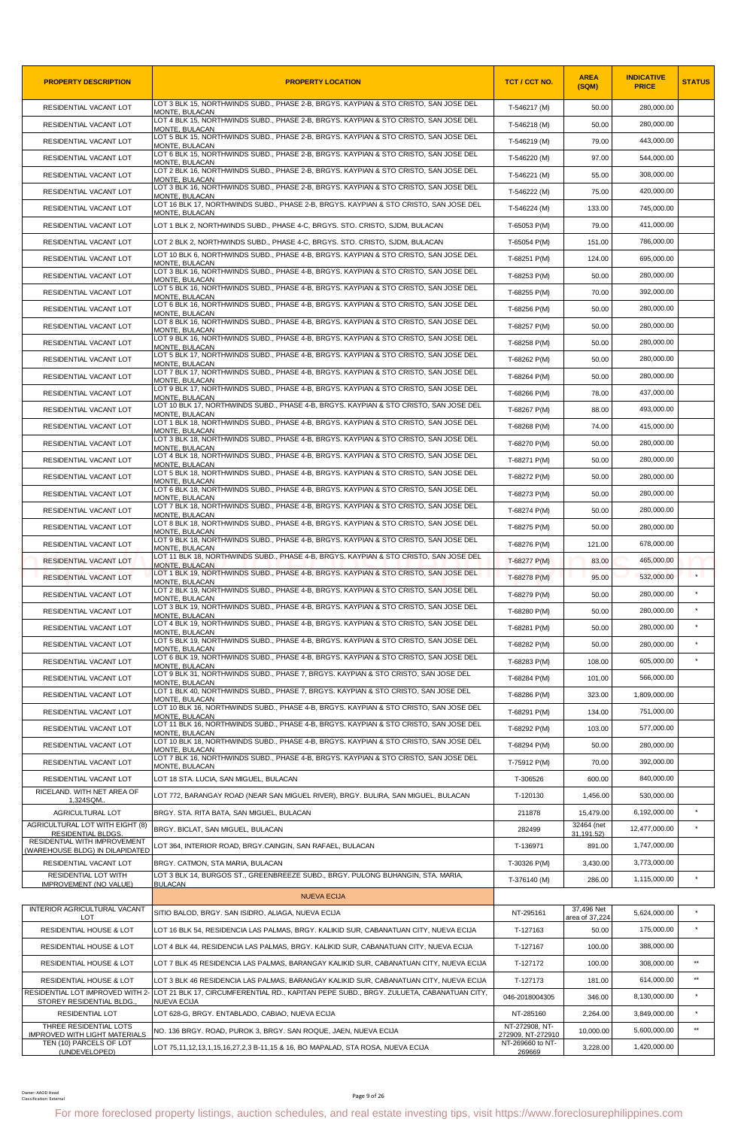| <b>PROPERTY DESCRIPTION</b>                                    | <b>PROPERTY LOCATION</b>                                                                                                               | <b>TCT / CCT NO.</b>                | <b>AREA</b><br>(SQM)         | <b>INDICATIVE</b><br><b>PRICE</b> | <b>STATUS</b> |
|----------------------------------------------------------------|----------------------------------------------------------------------------------------------------------------------------------------|-------------------------------------|------------------------------|-----------------------------------|---------------|
| RESIDENTIAL VACANT LOT                                         | LOT 3 BLK 15, NORTHWINDS SUBD., PHASE 2-B, BRGYS. KAYPIAN & STO CRISTO, SAN JOSE DEL<br>MONTE, BULACAN                                 | T-546217 (M)                        | 50.00                        | 280,000.00                        |               |
| RESIDENTIAL VACANT LOT                                         | LOT 4 BLK 15, NORTHWINDS SUBD., PHASE 2-B, BRGYS. KAYPIAN & STO CRISTO, SAN JOSE DEL<br>MONTE, BULACAN                                 | T-546218 (M)                        | 50.00                        | 280,000.00                        |               |
| RESIDENTIAL VACANT LOT                                         | LOT 5 BLK 15. NORTHWINDS SUBD., PHASE 2-B, BRGYS, KAYPIAN & STO CRISTO, SAN JOSE DEL<br>MONTE, BULACAN                                 | T-546219 (M)                        | 79.00                        | 443,000.00                        |               |
| RESIDENTIAL VACANT LOT                                         | LOT 6 BLK 15, NORTHWINDS SUBD., PHASE 2-B, BRGYS. KAYPIAN & STO CRISTO, SAN JOSE DEL<br><b>MONTE, BULACAN</b>                          | T-546220 (M)                        | 97.00                        | 544,000.00                        |               |
| RESIDENTIAL VACANT LOT                                         | LOT 2 BLK 16, NORTHWINDS SUBD., PHASE 2-B, BRGYS. KAYPIAN & STO CRISTO, SAN JOSE DEL<br>MONTE, BULACAN                                 | T-546221 (M)                        | 55.00                        | 308,000.00                        |               |
| RESIDENTIAL VACANT LOT                                         | LOT 3 BLK 16, NORTHWINDS SUBD., PHASE 2-B, BRGYS. KAYPIAN & STO CRISTO, SAN JOSE DEL<br>MONTE, BULACAN                                 | T-546222 (M)                        | 75.00                        | 420,000.00                        |               |
| RESIDENTIAL VACANT LOT                                         | LOT 16 BLK 17, NORTHWINDS SUBD., PHASE 2-B, BRGYS. KAYPIAN & STO CRISTO, SAN JOSE DEL<br>MONTE, BULACAN                                | T-546224 (M)                        | 133.00                       | 745,000.00                        |               |
| RESIDENTIAL VACANT LOT                                         | LOT 1 BLK 2. NORTHWINDS SUBD., PHASE 4-C, BRGYS, STO, CRISTO, SJDM, BULACAN                                                            | T-65053 P(M)                        | 79.00                        | 411,000.00                        |               |
| RESIDENTIAL VACANT LOT                                         | LOT 2 BLK 2, NORTHWINDS SUBD., PHASE 4-C, BRGYS. STO. CRISTO, SJDM, BULACAN                                                            | T-65054 P(M)                        | 151.00                       | 786,000.00                        |               |
| RESIDENTIAL VACANT LOT                                         | LOT 10 BLK 6, NORTHWINDS SUBD., PHASE 4-B, BRGYS. KAYPIAN & STO CRISTO, SAN JOSE DEL<br>MONTE, BULACAN                                 | T-68251 P(M)                        | 124.00                       | 695,000.00                        |               |
| RESIDENTIAL VACANT LOT                                         | LOT 3 BLK 16, NORTHWINDS SUBD., PHASE 4-B, BRGYS. KAYPIAN & STO CRISTO, SAN JOSE DEL<br>MONTE, BULACAN                                 | T-68253 P(M)                        | 50.00                        | 280,000.00                        |               |
| RESIDENTIAL VACANT LOT                                         | LOT 5 BLK 16, NORTHWINDS SUBD., PHASE 4-B, BRGYS. KAYPIAN & STO CRISTO, SAN JOSE DEL<br>MONTE, BULACAN                                 | T-68255 P(M)                        | 70.00                        | 392,000.00                        |               |
| RESIDENTIAL VACANT LOT                                         | LOT 6 BLK 16, NORTHWINDS SUBD., PHASE 4-B, BRGYS. KAYPIAN & STO CRISTO, SAN JOSE DEL<br><b>MONTE, BULACAN</b>                          | T-68256 P(M)                        | 50.00                        | 280,000.00                        |               |
| RESIDENTIAL VACANT LOT                                         | LOT 8 BLK 16, NORTHWINDS SUBD., PHASE 4-B, BRGYS. KAYPIAN & STO CRISTO, SAN JOSE DEL<br>MONTE. BULACAN                                 | T-68257 P(M)                        | 50.00                        | 280.000.00                        |               |
| RESIDENTIAL VACANT LOT                                         | LOT 9 BLK 16, NORTHWINDS SUBD., PHASE 4-B, BRGYS, KAYPIAN & STO CRISTO, SAN JOSE DEL<br>MONTE, BULACAN                                 | T-68258 P(M)                        | 50.00                        | 280,000.00                        |               |
| RESIDENTIAL VACANT LOT                                         | LOT 5 BLK 17, NORTHWINDS SUBD., PHASE 4-B, BRGYS, KAYPIAN & STO CRISTO, SAN JOSE DEL<br>MONTE, BULACAN                                 | T-68262 P(M)                        | 50.00                        | 280,000.00                        |               |
| RESIDENTIAL VACANT LOT                                         | LOT 7 BLK 17, NORTHWINDS SUBD., PHASE 4-B, BRGYS. KAYPIAN & STO CRISTO, SAN JOSE DEL<br>MONTE, BULACAN                                 | T-68264 P(M)                        | 50.00                        | 280,000.00                        |               |
| RESIDENTIAL VACANT LOT                                         | LOT 9 BLK 17. NORTHWINDS SUBD., PHASE 4-B, BRGYS, KAYPIAN & STO CRISTO, SAN JOSE DEL<br>MONTE, BULACAN                                 | T-68266 P(M)                        | 78.00                        | 437,000.00                        |               |
| RESIDENTIAL VACANT LOT                                         | LOT 10 BLK 17, NORTHWINDS SUBD., PHASE 4-B, BRGYS. KAYPIAN & STO CRISTO, SAN JOSE DEL<br><b>MONTE, BULACAN</b>                         | T-68267 P(M)                        | 88.00                        | 493,000.00                        |               |
| RESIDENTIAL VACANT LOT                                         | LOT 1 BLK 18, NORTHWINDS SUBD., PHASE 4-B, BRGYS. KAYPIAN & STO CRISTO, SAN JOSE DEL<br>MONTE, BULACAN                                 | T-68268 P(M)                        | 74.00                        | 415,000.00                        |               |
| RESIDENTIAL VACANT LOT                                         | LOT 3 BLK 18, NORTHWINDS SUBD., PHASE 4-B, BRGYS. KAYPIAN & STO CRISTO, SAN JOSE DEL<br>MONTE. BULACAN                                 | T-68270 P(M)                        | 50.00                        | 280,000.00                        |               |
| RESIDENTIAL VACANT LOT                                         | LOT 4 BLK 18, NORTHWINDS SUBD., PHASE 4-B, BRGYS. KAYPIAN & STO CRISTO, SAN JOSE DEL<br>MONTE, BULACAN                                 | T-68271 P(M)                        | 50.00                        | 280,000.00                        |               |
| RESIDENTIAL VACANT LOT                                         | LOT 5 BLK 18, NORTHWINDS SUBD., PHASE 4-B, BRGYS. KAYPIAN & STO CRISTO, SAN JOSE DEL<br>MONTE, BULACAN                                 | T-68272 P(M)                        | 50.00                        | 280,000.00                        |               |
| RESIDENTIAL VACANT LOT                                         | LOT 6 BLK 18, NORTHWINDS SUBD., PHASE 4-B, BRGYS. KAYPIAN & STO CRISTO, SAN JOSE DEL<br>MONTE, BULACAN                                 | T-68273 P(M)                        | 50.00                        | 280,000.00                        |               |
| RESIDENTIAL VACANT LOT                                         | LOT 7 BLK 18, NORTHWINDS SUBD., PHASE 4-B, BRGYS. KAYPIAN & STO CRISTO, SAN JOSE DEL<br>MONTE. BULACAN                                 | T-68274 P(M)                        | 50.00                        | 280,000.00                        |               |
| RESIDENTIAL VACANT LOT                                         | LOT 8 BLK 18, NORTHWINDS SUBD., PHASE 4-B, BRGYS. KAYPIAN & STO CRISTO, SAN JOSE DEL<br>MONTE, BULACAN                                 | T-68275 P(M)                        | 50.00                        | 280,000.00                        |               |
| RESIDENTIAL VACANT LOT                                         | LOT 9 BLK 18, NORTHWINDS SUBD., PHASE 4-B, BRGYS. KAYPIAN & STO CRISTO, SAN JOSE DEL                                                   | T-68276 P(M)                        | 121.00                       | 678,000.00                        |               |
| RESIDENTIAL VACANT LOT                                         | MONTE, BULACAN<br>LOT 11 BLK 18, NORTHWINDS SUBD., PHASE 4-B, BRGYS. KAYPIAN & STO CRISTO, SAN JOSE DEL                                | T-68277 P(M)                        | 83.00                        | 465,000.00                        |               |
| RESIDENTIAL VACANT LOT                                         | <b>MONTE, BULACAN</b><br>LOT 1 BLK 19, NORTHWINDS SUBD., PHASE 4-B, BRGYS. KAYPIAN & STO CRISTO, SAN JOSE DEL                          | T-68278 P(M)                        | 95.00                        | 532,000.00                        | $\star$       |
| RESIDENTIAL VACANT LOT                                         | MONTE. BULACAN<br>LOT 2 BLK 19, NORTHWINDS SUBD., PHASE 4-B, BRGYS. KAYPIAN & STO CRISTO, SAN JOSE DEL                                 | T-68279 P(M)                        | 50.00                        | 280,000.00                        |               |
| RESIDENTIAL VACANT LOT                                         | MONTE, BULACAN<br>LOT 3 BLK 19, NORTHWINDS SUBD., PHASE 4-B, BRGYS. KAYPIAN & STO CRISTO, SAN JOSE DEL                                 | T-68280 P(M)                        | 50.00                        | 280.000.00                        | $\star$       |
| RESIDENTIAL VACANT LOT                                         | MONTE, BULACAN<br>LOT 4 BLK 19, NORTHWINDS SUBD., PHASE 4-B, BRGYS. KAYPIAN & STO CRISTO, SAN JOSE DEL<br>MONTE, BULACAN               | T-68281 P(M)                        | 50.00                        | 280,000.00                        | $\star$       |
| RESIDENTIAL VACANT LOT                                         | LOT 5 BLK 19, NORTHWINDS SUBD., PHASE 4-B, BRGYS. KAYPIAN & STO CRISTO, SAN JOSE DEL                                                   | T-68282 P(M)                        | 50.00                        | 280,000.00                        | $\star$       |
| RESIDENTIAL VACANT LOT                                         | MONTE, BULACAN<br>LOT 6 BLK 19, NORTHWINDS SUBD., PHASE 4-B, BRGYS. KAYPIAN & STO CRISTO, SAN JOSE DEL                                 | T-68283 P(M)                        | 108.00                       | 605,000.00                        | $\star$       |
| RESIDENTIAL VACANT LOT                                         | MONTE, BULACAN<br>LOT 9 BLK 31, NORTHWINDS SUBD., PHASE 7, BRGYS, KAYPIAN & STO CRISTO, SAN JOSE DEL                                   | T-68284 P(M)                        | 101.00                       | 566,000.00                        |               |
| RESIDENTIAL VACANT LOT                                         | MONTE. BULACAN<br>LOT 1 BLK 40, NORTHWINDS SUBD., PHASE 7, BRGYS. KAYPIAN & STO CRISTO, SAN JOSE DEL                                   | T-68286 P(M)                        | 323.00                       | 1,809,000.00                      |               |
| RESIDENTIAL VACANT LOT                                         | MONTE, BULACAN<br>LOT 10 BLK 16, NORTHWINDS SUBD., PHASE 4-B, BRGYS, KAYPIAN & STO CRISTO, SAN JOSE DEL                                | T-68291 P(M)                        | 134.00                       | 751,000.00                        |               |
| RESIDENTIAL VACANT LOT                                         | MONTE, BULACAN<br>LOT 11 BLK 16, NORTHWINDS SUBD., PHASE 4-B, BRGYS, KAYPIAN & STO CRISTO, SAN JOSE DEL                                | T-68292 P(M)                        | 103.00                       | 577.000.00                        |               |
| RESIDENTIAL VACANT LOT                                         | <b>MONTE, BULACAN</b><br>LOT 10 BLK 18, NORTHWINDS SUBD., PHASE 4-B, BRGYS. KAYPIAN & STO CRISTO, SAN JOSE DEL                         | T-68294 P(M)                        | 50.00                        | 280,000.00                        |               |
| RESIDENTIAL VACANT LOT                                         | MONTE. BULACAN<br>LOT 7 BLK 16, NORTHWINDS SUBD., PHASE 4-B, BRGYS. KAYPIAN & STO CRISTO, SAN JOSE DEL                                 | T-75912 P(M)                        | 70.00                        | 392,000.00                        |               |
| RESIDENTIAL VACANT LOT                                         | MONTE, BULACAN<br>LOT 18 STA. LUCIA, SAN MIGUEL, BULACAN                                                                               | T-306526                            | 600.00                       | 840,000.00                        |               |
| RICELAND. WITH NET AREA OF                                     | LOT 772, BARANGAY ROAD (NEAR SAN MIGUEL RIVER), BRGY. BULIRA, SAN MIGUEL, BULACAN                                                      | T-120130                            | 1,456.00                     | 530,000.00                        |               |
| 1,324SQM.<br>AGRICULTURAL LOT                                  | BRGY. STA. RITA BATA, SAN MIGUEL, BULACAN                                                                                              | 211878                              | 15,479.00                    | 6,192,000.00                      | $\star$       |
| AGRICULTURAL LOT WITH EIGHT (8)                                | BRGY. BICLAT, SAN MIGUEL, BULACAN                                                                                                      | 282499                              | 32464 (net                   | 12,477,000.00                     | $\star$       |
| <b>RESIDENTIAL BLDGS</b><br>RESIDENTIAL WITH IMPROVEMENT       | LOT 364, INTERIOR ROAD, BRGY.CAINGIN, SAN RAFAEL, BULACAN                                                                              | T-136971                            | 31,191.52)<br>891.00         | 1,747,000.00                      |               |
| (WAREHOUSE BLDG) IN DILAPIDATED<br>RESIDENTIAL VACANT LOT      | BRGY. CATMON, STA MARIA, BULACAN                                                                                                       | T-30326 P(M)                        | 3,430.00                     | 3,773,000.00                      |               |
| RESIDENTIAL LOT WITH                                           | LOT 3 BLK 14, BURGOS ST., GREENBREEZE SUBD., BRGY. PULONG BUHANGIN, STA. MARIA,                                                        | T-376140 (M)                        | 286.00                       | 1,115,000.00                      | $\star$       |
| IMPROVEMENT (NO VALUE)                                         | <b>BULACAN</b><br><b>NUEVA ECIJA</b>                                                                                                   |                                     |                              |                                   |               |
| INTERIOR AGRICULTURAL VACANT<br>LOT                            | SITIO BALOD, BRGY. SAN ISIDRO, ALIAGA, NUEVA ECIJA                                                                                     | NT-295161                           | 37,496 Net<br>area of 37,224 | 5,624,000.00                      | $\star$       |
| RESIDENTIAL HOUSE & LOT                                        | LOT 16 BLK 54, RESIDENCIA LAS PALMAS, BRGY. KALIKID SUR, CABANATUAN CITY, NUEVA ECIJA                                                  | T-127163                            | 50.00                        | 175,000.00                        | $\star$       |
| RESIDENTIAL HOUSE & LOT                                        | LOT 4 BLK 44, RESIDENCIA LAS PALMAS, BRGY. KALIKID SUR, CABANATUAN CITY, NUEVA ECIJA                                                   | T-127167                            | 100.00                       | 388,000.00                        |               |
| RESIDENTIAL HOUSE & LOT                                        | LOT 7 BLK 45 RESIDENCIA LAS PALMAS, BARANGAY KALIKID SUR, CABANATUAN CITY, NUEVA ECIJA                                                 | T-127172                            | 100.00                       | 308,000.00                        | $\star\star$  |
| RESIDENTIAL HOUSE & LOT                                        | LOT 3 BLK 46 RESIDENCIA LAS PALMAS, BARANGAY KALIKID SUR, CABANATUAN CITY, NUEVA ECIJA                                                 | T-127173                            | 181.00                       | 614,000.00                        | $\star\star$  |
| RESIDENTIAL LOT IMPROVED WITH 2-<br>STOREY RESIDENTIAL BLDG    | LOT 21 BLK 17, CIRCUMFERENTIAL RD., KAPITAN PEPE SUBD., BRGY. ZULUETA, CABANATUAN CITY,<br>NUEVA ECIJA                                 | 046-2018004305                      | 346.00                       | 8,130,000.00                      |               |
| RESIDENTIAL LOT                                                | LOT 628-G, BRGY. ENTABLADO, CABIAO, NUEVA ECIJA                                                                                        | NT-285160                           | 2,264.00                     | 3,849,000.00                      | $\star$       |
| THREE RESIDENTIAL LOTS<br><b>IMPROVED WITH LIGHT MATERIALS</b> | NO. 136 BRGY. ROAD, PUROK 3, BRGY. SAN ROQUE, JAEN, NUEVA ECIJA                                                                        | NT-272908. NT-<br>272909, NT-272910 | 10.000.00                    | 5.600.000.00                      | $\star\star$  |
| TEN (10) PARCELS OF LOT<br>(UNDEVELOPED)                       | LOT 75,11,12,13,1,15,16,27,2,3 B-11,15 & 16, BO MAPALAD, STA ROSA, NUEVA ECIJA                                                         | NT-269660 to NT-<br>269669          | 3,228.00                     | 1,420,000.00                      |               |
|                                                                |                                                                                                                                        |                                     |                              |                                   |               |
| Owner: AAOD Head<br>Classification: Externa                    | Page 9 of 26                                                                                                                           |                                     |                              |                                   |               |
|                                                                | For more foreclosed property listings, auction schedules, and real estate investing tips, visit https://www.foreclosurephilippines.com |                                     |                              |                                   |               |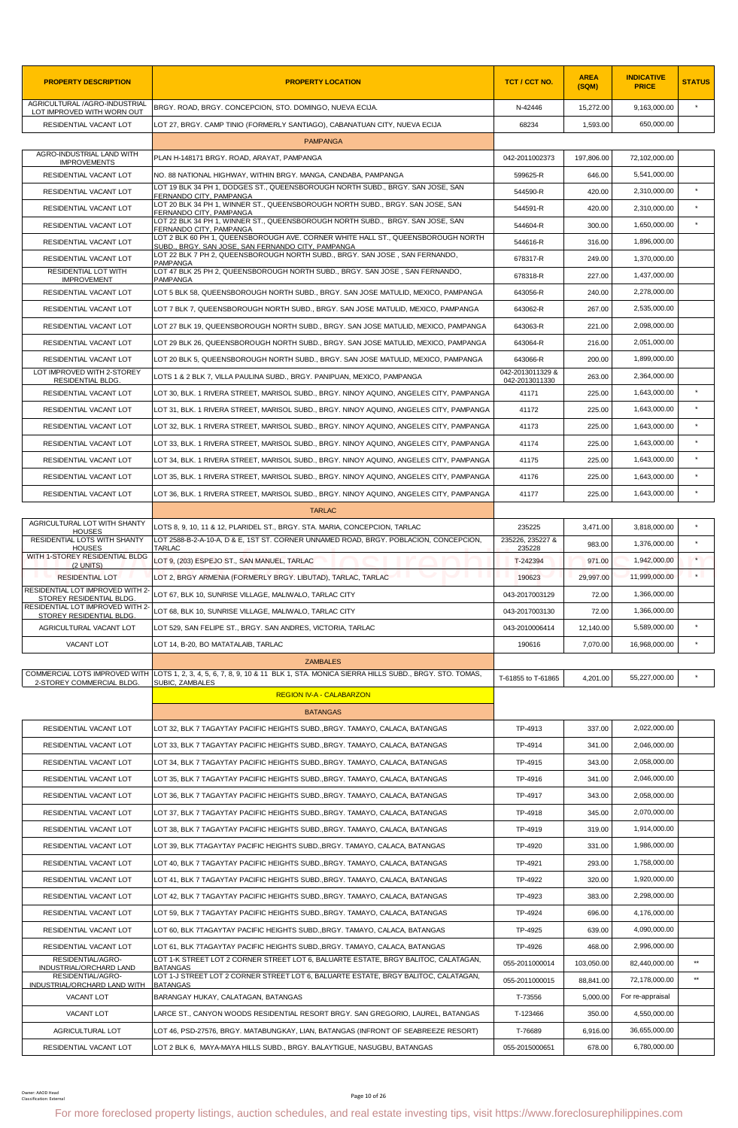| <b>PROPERTY DESCRIPTION</b>                                  | <b>PROPERTY LOCATION</b>                                                                                                                                           | TCT / CCT NO.                      | <b>AREA</b><br>(SQM) | <b>INDICATIVE</b><br><b>PRICE</b> | <b>STATUS</b> |
|--------------------------------------------------------------|--------------------------------------------------------------------------------------------------------------------------------------------------------------------|------------------------------------|----------------------|-----------------------------------|---------------|
| AGRICULTURAL /AGRO-INDUSTRIAL<br>LOT IMPROVED WITH WORN OUT  | BRGY. ROAD, BRGY. CONCEPCION, STO. DOMINGO, NUEVA ECIJA.                                                                                                           | N-42446                            | 15,272.00            | 9,163,000.00                      | $\star$       |
| RESIDENTIAL VACANT LOT                                       | LOT 27, BRGY. CAMP TINIO (FORMERLY SANTIAGO), CABANATUAN CITY, NUEVA ECIJA                                                                                         | 68234                              | 1,593.00             | 650,000.00                        |               |
|                                                              | <b>PAMPANGA</b>                                                                                                                                                    |                                    |                      |                                   |               |
| AGRO-INDUSTRIAL LAND WITH<br><b>IMPROVEMENTS</b>             | PLAN H-148171 BRGY. ROAD, ARAYAT, PAMPANGA                                                                                                                         | 042-2011002373                     | 197,806.00           | 72,102,000.00                     |               |
| RESIDENTIAL VACANT LOT                                       | NO. 88 NATIONAL HIGHWAY, WITHIN BRGY. MANGA, CANDABA, PAMPANGA                                                                                                     | 599625-R                           | 646.00               | 5,541,000.00                      |               |
| RESIDENTIAL VACANT LOT                                       | LOT 19 BLK 34 PH 1, DODGES ST., QUEENSBOROUGH NORTH SUBD., BRGY, SAN JOSE, SAN<br>FERNANDO CITY, PAMPANGA                                                          | 544590-R                           | 420.00               | 2,310,000.00                      | $\star$       |
| RESIDENTIAL VACANT LOT                                       | LOT 20 BLK 34 PH 1, WINNER ST., QUEENSBOROUGH NORTH SUBD., BRGY. SAN JOSE, SAN<br>FERNANDO CITY, PAMPANGA                                                          | 544591-R                           | 420.00               | 2,310,000.00                      |               |
| <b>RESIDENTIAL VACANT LOT</b>                                | LOT 22 BLK 34 PH 1, WINNER ST., QUEENSBOROUGH NORTH SUBD., BRGY, SAN JOSE, SAN<br>FERNANDO CITY, PAMPANGA                                                          | 544604-R                           | 300.00               | 1.650.000.00                      |               |
| RESIDENTIAL VACANT LOT                                       | LOT 2 BLK 60 PH 1. QUEENSBOROUGH AVE. CORNER WHITE HALL ST., QUEENSBOROUGH NORTH<br>SUBD., BRGY. SAN JOSE, SAN FERNANDO CITY, PAMPANGA                             | 544616-R                           | 316.00               | 1,896,000.00                      |               |
| RESIDENTIAL VACANT LOT                                       | LOT 22 BLK 7 PH 2, QUEENSBOROUGH NORTH SUBD., BRGY. SAN JOSE, SAN FERNANDO,<br><b>PAMPANGA</b>                                                                     | 678317-R                           | 249.00               | 1,370,000.00                      |               |
| RESIDENTIAL LOT WITH<br><b>IMPROVEMENT</b>                   | LOT 47 BLK 25 PH 2, QUEENSBOROUGH NORTH SUBD., BRGY. SAN JOSE, SAN FERNANDO,<br><b>PAMPANGA</b>                                                                    | 678318-R                           | 227.00               | 1,437,000.00                      |               |
| RESIDENTIAL VACANT LOT                                       | LOT 5 BLK 58, QUEENSBOROUGH NORTH SUBD., BRGY. SAN JOSE MATULID, MEXICO, PAMPANGA                                                                                  | 643056-R                           | 240.00               | 2,278,000.00                      |               |
| RESIDENTIAL VACANT LOT                                       | LOT 7 BLK 7, QUEENSBOROUGH NORTH SUBD., BRGY. SAN JOSE MATULID, MEXICO, PAMPANGA                                                                                   | 643062-R                           | 267.00               | 2,535,000.00                      |               |
| RESIDENTIAL VACANT LOT                                       | LOT 27 BLK 19, QUEENSBOROUGH NORTH SUBD., BRGY. SAN JOSE MATULID, MEXICO, PAMPANGA                                                                                 | 643063-R                           | 221.00               | 2,098,000.00                      |               |
| RESIDENTIAL VACANT LOT                                       | LOT 29 BLK 26, QUEENSBOROUGH NORTH SUBD., BRGY. SAN JOSE MATULID, MEXICO, PAMPANGA                                                                                 | 643064-R                           | 216.00               | 2.051.000.00                      |               |
| RESIDENTIAL VACANT LOT                                       | LOT 20 BLK 5, QUEENSBOROUGH NORTH SUBD., BRGY. SAN JOSE MATULID, MEXICO, PAMPANGA                                                                                  | 643066-R                           | 200.00               | 1,899,000.00                      |               |
| LOT IMPROVED WITH 2-STOREY<br>RESIDENTIAL BLDG.              | LOTS 1 & 2 BLK 7, VILLA PAULINA SUBD., BRGY. PANIPUAN, MEXICO, PAMPANGA                                                                                            | 042-2013011329 &<br>042-2013011330 | 263.00               | 2,364,000.00                      |               |
| RESIDENTIAL VACANT LOT                                       | LOT 30, BLK. 1 RIVERA STREET, MARISOL SUBD., BRGY. NINOY AQUINO, ANGELES CITY, PAMPANGA                                                                            | 41171                              | 225.00               | 1,643,000.00                      | $\star$       |
| RESIDENTIAL VACANT LOT                                       | LOT 31, BLK. 1 RIVERA STREET, MARISOL SUBD., BRGY. NINOY AQUINO, ANGELES CITY, PAMPANGA                                                                            | 41172                              | 225.00               | 1,643,000.00                      | $\star$       |
| RESIDENTIAL VACANT LOT                                       | LOT 32, BLK. 1 RIVERA STREET, MARISOL SUBD., BRGY. NINOY AQUINO, ANGELES CITY, PAMPANGA                                                                            | 41173                              | 225.00               | 1,643,000.00                      |               |
| RESIDENTIAL VACANT LOT                                       | LOT 33, BLK. 1 RIVERA STREET, MARISOL SUBD., BRGY. NINOY AQUINO, ANGELES CITY, PAMPANGA                                                                            | 41174                              | 225.00               | 1,643,000.00                      | $\star$       |
| RESIDENTIAL VACANT LOT                                       | LOT 34, BLK. 1 RIVERA STREET, MARISOL SUBD., BRGY. NINOY AQUINO, ANGELES CITY, PAMPANGA                                                                            | 41175                              | 225.00               | 1,643,000.00                      | $\star$       |
| RESIDENTIAL VACANT LOT                                       | LOT 35, BLK. 1 RIVERA STREET, MARISOL SUBD., BRGY. NINOY AQUINO, ANGELES CITY, PAMPANGA                                                                            | 41176                              | 225.00               | 1,643,000.00                      |               |
| RESIDENTIAL VACANT LOT                                       | LOT 36, BLK. 1 RIVERA STREET, MARISOL SUBD., BRGY. NINOY AQUINO, ANGELES CITY, PAMPANGA                                                                            | 41177                              | 225.00               | 1,643,000.00                      | $\star$       |
|                                                              | <b>TARLAC</b>                                                                                                                                                      |                                    |                      |                                   |               |
| AGRICULTURAL LOT WITH SHANTY                                 | LOTS 8, 9, 10, 11 & 12, PLARIDEL ST., BRGY. STA. MARIA, CONCEPCION, TARLAC                                                                                         | 235225                             | 3,471.00             | 3,818,000.00                      | $\star$       |
| <b>HOUSES</b><br>RESIDENTIAL LOTS WITH SHANTY                | LOT 2588-B-2-A-10-A, D & E, 1ST ST. CORNER UNNAMED ROAD, BRGY. POBLACION, CONCEPCION,                                                                              | 235226, 235227 &                   | 983.00               | 1,376,000.00                      | $\star$       |
| <b>HOUSES</b><br>WITH 1-STOREY RESIDENTIAL BLDG              | TARLAC<br>LOT 9. (203) ESPEJO ST., SAN MANUEL, TARLAC                                                                                                              | 235228<br>T-242394                 | 971.00               | 1,942,000.00                      | $\star$       |
| (2 UNITS)<br><b>RESIDENTIAL LOT</b>                          | LOT 2, BRGY ARMENIA (FORMERLY BRGY. LIBUTAD), TARLAC, TARLAC                                                                                                       | 190623                             | 29,997.00            | 11,999,000.00                     | $\star$       |
| RESIDENTIAL LOT IMPROVED WITH 2-                             | LOT 67, BLK 10, SUNRISE VILLAGE, MALIWALO, TARLAC CITY                                                                                                             | 043-2017003129                     | 72.00                | 1,366,000.00                      |               |
| STOREY RESIDENTIAL BLDG.<br>RESIDENTIAL LOT IMPROVED WITH 2- | LOT 68, BLK 10, SUNRISE VILLAGE, MALIWALO, TARLAC CITY                                                                                                             | 043-2017003130                     | 72.00                | 1,366,000.00                      |               |
| STOREY RESIDENTIAL BLDG.<br>AGRICULTURAL VACANT LOT          | LOT 529, SAN FELIPE ST., BRGY. SAN ANDRES, VICTORIA, TARLAC                                                                                                        | 043-2010006414                     | 12,140.00            | 5,589,000.00                      |               |
| VACANT LOT                                                   | LOT 14, B-20, BO MATATALAIB, TARLAC                                                                                                                                | 190616                             | 7,070.00             | 16,968,000.00                     | $\star$       |
|                                                              | <b>ZAMBALES</b>                                                                                                                                                    |                                    |                      |                                   |               |
|                                                              | COMMERCIAL LOTS IMPROVED WITH LOTS 1, 2, 3, 4, 5, 6, 7, 8, 9, 10 & 11 BLK 1, STA. MONICA SIERRA HILLS SUBD., BRGY. STO. TOMAS,                                     | T-61855 to T-61865                 | 4.201.00             | 55,227,000.00                     |               |
| 2-STOREY COMMERCIAL BLDG.                                    | SUBIC, ZAMBALES<br><b>REGION IV-A - CALABARZON</b>                                                                                                                 |                                    |                      |                                   |               |
|                                                              | <b>BATANGAS</b>                                                                                                                                                    |                                    |                      |                                   |               |
| RESIDENTIAL VACANT LOT                                       | LOT 32, BLK 7 TAGAYTAY PACIFIC HEIGHTS SUBD.,BRGY. TAMAYO, CALACA, BATANGAS                                                                                        | TP-4913                            | 337.00               | 2,022,000.00                      |               |
| RESIDENTIAL VACANT LOT                                       | LOT 33, BLK 7 TAGAYTAY PACIFIC HEIGHTS SUBD.,BRGY. TAMAYO, CALACA, BATANGAS                                                                                        | TP-4914                            | 341.00               | 2,046,000.00                      |               |
| RESIDENTIAL VACANT LOT                                       | LOT 34, BLK 7 TAGAYTAY PACIFIC HEIGHTS SUBD., BRGY. TAMAYO, CALACA, BATANGAS                                                                                       | TP-4915                            | 343.00               | 2,058,000.00                      |               |
| RESIDENTIAL VACANT LOT                                       |                                                                                                                                                                    | TP-4916                            | 341.00               | 2,046,000.00                      |               |
|                                                              | LOT 35, BLK 7 TAGAYTAY PACIFIC HEIGHTS SUBD.,BRGY. TAMAYO, CALACA, BATANGAS                                                                                        |                                    |                      |                                   |               |
| RESIDENTIAL VACANT LOT                                       | LOT 36, BLK 7 TAGAYTAY PACIFIC HEIGHTS SUBD.,BRGY. TAMAYO, CALACA, BATANGAS                                                                                        | TP-4917                            | 343.00               | 2,058,000.00<br>2,070,000.00      |               |
| RESIDENTIAL VACANT LOT                                       | LOT 37, BLK 7 TAGAYTAY PACIFIC HEIGHTS SUBD., BRGY. TAMAYO, CALACA, BATANGAS                                                                                       | TP-4918                            | 345.00               |                                   |               |
| RESIDENTIAL VACANT LOT                                       | LOT 38, BLK 7 TAGAYTAY PACIFIC HEIGHTS SUBD., BRGY. TAMAYO, CALACA, BATANGAS                                                                                       | TP-4919                            | 319.00               | 1,914,000.00                      |               |
| RESIDENTIAL VACANT LOT                                       | LOT 39, BLK 7TAGAYTAY PACIFIC HEIGHTS SUBD.,BRGY. TAMAYO, CALACA, BATANGAS                                                                                         | TP-4920                            | 331.00               | 1,986,000.00                      |               |
| RESIDENTIAL VACANT LOT                                       | LOT 40, BLK 7 TAGAYTAY PACIFIC HEIGHTS SUBD.,BRGY. TAMAYO, CALACA, BATANGAS                                                                                        | TP-4921                            | 293.00               | 1,758,000.00                      |               |
| RESIDENTIAL VACANT LOT                                       | LOT 41, BLK 7 TAGAYTAY PACIFIC HEIGHTS SUBD., BRGY. TAMAYO, CALACA, BATANGAS                                                                                       | TP-4922                            | 320.00               | 1,920,000.00                      |               |
| RESIDENTIAL VACANT LOT                                       | LOT 42, BLK 7 TAGAYTAY PACIFIC HEIGHTS SUBD.,BRGY. TAMAYO, CALACA, BATANGAS                                                                                        | TP-4923                            | 383.00               | 2,298,000.00                      |               |
| RESIDENTIAL VACANT LOT                                       | LOT 59, BLK 7 TAGAYTAY PACIFIC HEIGHTS SUBD., BRGY. TAMAYO, CALACA, BATANGAS                                                                                       | TP-4924                            | 696.00               | 4,176,000.00                      |               |
| RESIDENTIAL VACANT LOT                                       | LOT 60, BLK 7TAGAYTAY PACIFIC HEIGHTS SUBD., BRGY. TAMAYO, CALACA, BATANGAS                                                                                        | TP-4925                            | 639.00               | 4,090,000.00                      |               |
| RESIDENTIAL VACANT LOT<br>RESIDENTIAL/AGRO-                  | LOT 61, BLK 7TAGAYTAY PACIFIC HEIGHTS SUBD., BRGY. TAMAYO, CALACA, BATANGAS<br>LOT 1-K STREET LOT 2 CORNER STREET LOT 6, BALUARTE ESTATE, BRGY BALITOC, CALATAGAN, | TP-4926                            | 468.00               | 2,996,000.00                      |               |
| INDUSTRIAL/ORCHARD LAND<br>RESIDENTIAL/AGRO-                 | <b>BATANGAS</b><br>LOT 1-J STREET LOT 2 CORNER STREET LOT 6, BALUARTE ESTATE, BRGY BALITOC, CALATAGAN,                                                             | 055-2011000014                     | 103,050.00           | 82,440,000.00                     | $\star\star$  |
| INDUSTRIAL/ORCHARD LAND WITH                                 | <b>BATANGAS</b>                                                                                                                                                    | 055-2011000015                     | 88,841.00            | 72,178,000.00                     | $\star\star$  |
| VACANT LOT                                                   | BARANGAY HUKAY, CALATAGAN, BATANGAS                                                                                                                                | T-73556                            | 5,000.00             | For re-appraisal                  |               |
| VACANT LOT                                                   | LARCE ST., CANYON WOODS RESIDENTIAL RESORT BRGY. SAN GREGORIO, LAUREL, BATANGAS                                                                                    | T-123466                           | 350.00               | 4,550,000.00                      |               |
| AGRICULTURAL LOT                                             | LOT 46, PSD-27576, BRGY. MATABUNGKAY, LIAN, BATANGAS (INFRONT OF SEABREEZE RESORT)                                                                                 | T-76689                            | 6,916.00             | 36,655,000.00                     |               |
| RESIDENTIAL VACANT LOT                                       | LOT 2 BLK 6, MAYA-MAYA HILLS SUBD., BRGY. BALAYTIGUE, NASUGBU, BATANGAS                                                                                            | 055-2015000651                     | 678.00               | 6,780,000.00                      |               |
| Owner: AAOD Head<br>Classification: Externa                  | Page 10 of 26<br>For more foreclosed property listings, auction schedules, and real estate investing tips, visit https://www.foreclosurephilippines.com            |                                    |                      |                                   |               |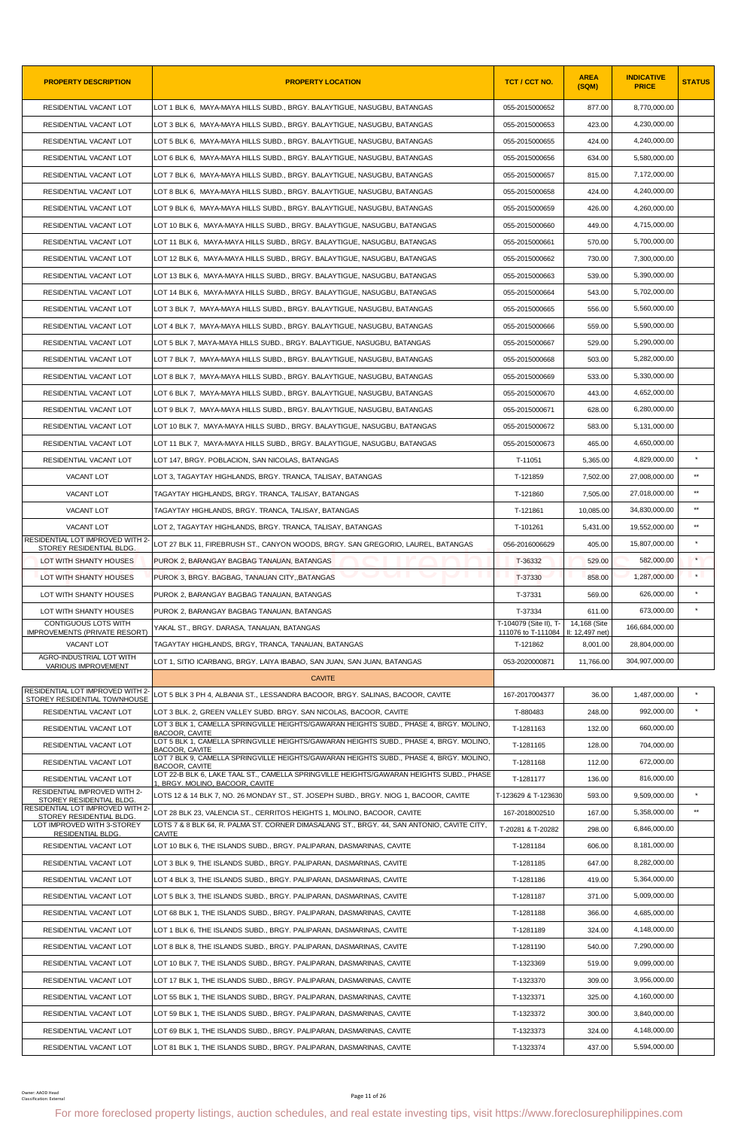| <b>PROPERTY DESCRIPTION</b>                                      | <b>PROPERTY LOCATION</b>                                                                                                                                | TCT / CCT NO.                                | <b>AREA</b><br>(SQM)            | <b>INDICATIVE</b><br><b>PRICE</b> | <b>STATUS</b> |
|------------------------------------------------------------------|---------------------------------------------------------------------------------------------------------------------------------------------------------|----------------------------------------------|---------------------------------|-----------------------------------|---------------|
| RESIDENTIAL VACANT LOT                                           | LOT 1 BLK 6, MAYA-MAYA HILLS SUBD., BRGY. BALAYTIGUE, NASUGBU, BATANGAS                                                                                 | 055-2015000652                               | 877.00                          | 8,770,000.00                      |               |
| RESIDENTIAL VACANT LOT                                           | LOT 3 BLK 6, MAYA-MAYA HILLS SUBD., BRGY. BALAYTIGUE, NASUGBU, BATANGAS                                                                                 | 055-2015000653                               | 423.00                          | 4,230,000.00                      |               |
| RESIDENTIAL VACANT LOT                                           | LOT 5 BLK 6, MAYA-MAYA HILLS SUBD., BRGY. BALAYTIGUE, NASUGBU, BATANGAS                                                                                 | 055-2015000655                               | 424.00                          | 4,240,000.00                      |               |
| RESIDENTIAL VACANT LOT                                           | LOT 6 BLK 6, MAYA-MAYA HILLS SUBD., BRGY. BALAYTIGUE, NASUGBU, BATANGAS                                                                                 | 055-2015000656                               | 634.00                          | 5,580,000.00                      |               |
| RESIDENTIAL VACANT LOT                                           | LOT 7 BLK 6, MAYA-MAYA HILLS SUBD., BRGY. BALAYTIGUE, NASUGBU, BATANGAS                                                                                 | 055-2015000657                               | 815.00                          | 7,172,000.00                      |               |
| RESIDENTIAL VACANT LOT                                           | LOT 8 BLK 6, MAYA-MAYA HILLS SUBD., BRGY. BALAYTIGUE, NASUGBU, BATANGAS                                                                                 | 055-2015000658                               | 424.00                          | 4,240,000.00                      |               |
| RESIDENTIAL VACANT LOT                                           | LOT 9 BLK 6, MAYA-MAYA HILLS SUBD., BRGY. BALAYTIGUE, NASUGBU, BATANGAS                                                                                 | 055-2015000659                               | 426.00                          | 4,260,000.00                      |               |
| RESIDENTIAL VACANT LOT                                           | LOT 10 BLK 6, MAYA-MAYA HILLS SUBD., BRGY. BALAYTIGUE, NASUGBU, BATANGAS                                                                                | 055-2015000660                               | 449.00                          | 4,715,000.00                      |               |
| RESIDENTIAL VACANT LOT                                           | LOT 11 BLK 6, MAYA-MAYA HILLS SUBD., BRGY. BALAYTIGUE, NASUGBU, BATANGAS                                                                                | 055-2015000661                               | 570.00                          | 5,700,000.00                      |               |
| RESIDENTIAL VACANT LOT                                           | LOT 12 BLK 6, MAYA-MAYA HILLS SUBD., BRGY. BALAYTIGUE, NASUGBU, BATANGAS                                                                                | 055-2015000662                               | 730.00                          | 7,300,000.00                      |               |
| RESIDENTIAL VACANT LOT                                           | LOT 13 BLK 6, MAYA-MAYA HILLS SUBD., BRGY. BALAYTIGUE, NASUGBU, BATANGAS                                                                                | 055-2015000663                               | 539.00                          | 5,390,000.00                      |               |
| RESIDENTIAL VACANT LOT                                           | LOT 14 BLK 6, MAYA-MAYA HILLS SUBD., BRGY. BALAYTIGUE, NASUGBU, BATANGAS                                                                                | 055-2015000664                               | 543.00                          | 5,702,000.00                      |               |
| RESIDENTIAL VACANT LOT                                           | LOT 3 BLK 7, MAYA-MAYA HILLS SUBD., BRGY. BALAYTIGUE, NASUGBU, BATANGAS                                                                                 | 055-2015000665                               | 556.00                          | 5,560,000.00                      |               |
| RESIDENTIAL VACANT LOT                                           | LOT 4 BLK 7, MAYA-MAYA HILLS SUBD., BRGY. BALAYTIGUE, NASUGBU, BATANGAS                                                                                 | 055-2015000666                               | 559.00                          | 5,590,000.00                      |               |
| RESIDENTIAL VACANT LOT                                           | LOT 5 BLK 7, MAYA-MAYA HILLS SUBD., BRGY. BALAYTIGUE, NASUGBU, BATANGAS                                                                                 | 055-2015000667                               | 529.00                          | 5,290,000.00                      |               |
| RESIDENTIAL VACANT LOT                                           | LOT 7 BLK 7, MAYA-MAYA HILLS SUBD., BRGY. BALAYTIGUE, NASUGBU, BATANGAS                                                                                 | 055-2015000668                               | 503.00                          | 5,282,000.00                      |               |
| RESIDENTIAL VACANT LOT                                           | LOT 8 BLK 7, MAYA-MAYA HILLS SUBD., BRGY. BALAYTIGUE, NASUGBU, BATANGAS                                                                                 | 055-2015000669                               | 533.00                          | 5,330,000.00                      |               |
| RESIDENTIAL VACANT LOT                                           | LOT 6 BLK 7, MAYA-MAYA HILLS SUBD., BRGY. BALAYTIGUE, NASUGBU, BATANGAS                                                                                 | 055-2015000670                               | 443.00                          | 4,652,000.00                      |               |
| RESIDENTIAL VACANT LOT                                           | LOT 9 BLK 7,  MAYA-MAYA HILLS SUBD., BRGY. BALAYTIGUE, NASUGBU, BATANGAS                                                                                | 055-2015000671                               | 628.00                          | 6,280,000.00                      |               |
| RESIDENTIAL VACANT LOT                                           | LOT 10 BLK 7, MAYA-MAYA HILLS SUBD., BRGY. BALAYTIGUE, NASUGBU, BATANGAS                                                                                | 055-2015000672                               | 583.00                          | 5,131,000.00                      |               |
| RESIDENTIAL VACANT LOT                                           | LOT 11 BLK 7, MAYA-MAYA HILLS SUBD., BRGY. BALAYTIGUE, NASUGBU, BATANGAS                                                                                | 055-2015000673                               | 465.00                          | 4,650,000.00                      |               |
| RESIDENTIAL VACANT LOT                                           | LOT 147, BRGY. POBLACION, SAN NICOLAS, BATANGAS                                                                                                         | T-11051                                      | 5,365.00                        | 4,829,000.00                      |               |
| VACANT LOT                                                       | LOT 3, TAGAYTAY HIGHLANDS, BRGY. TRANCA, TALISAY, BATANGAS                                                                                              | T-121859                                     | 7,502.00                        | 27,008,000.00                     | $**$          |
| VACANT LOT                                                       | TAGAYTAY HIGHLANDS, BRGY. TRANCA, TALISAY, BATANGAS                                                                                                     | T-121860                                     | 7,505.00                        | 27,018,000.00                     | $\star\star$  |
| VACANT LOT                                                       | TAGAYTAY HIGHLANDS, BRGY. TRANCA, TALISAY, BATANGAS                                                                                                     | T-121861                                     | 10,085.00                       | 34,830,000.00                     | $***$         |
| VACANT LOT                                                       | LOT 2, TAGAYTAY HIGHLANDS, BRGY. TRANCA, TALISAY, BATANGAS                                                                                              | T-101261                                     | 5,431.00                        | 19,552,000.00                     | $\star\star$  |
| RESIDENTIAL LOT IMPROVED WITH 2-<br>STOREY RESIDENTIAL BLDG.     | LOT 27 BLK 11. FIREBRUSH ST., CANYON WOODS, BRGY, SAN GREGORIO, LAUREL, BATANGAS                                                                        | 056-2016006629                               | 405.00                          | 15,807,000.00                     | $\star$       |
| LOT WITH SHANTY HOUSES                                           | PUROK 2, BARANGAY BAGBAG TANAUAN, BATANGAS                                                                                                              | T-36332                                      | 529.00                          | 582,000.00                        | $\star$       |
| LOT WITH SHANTY HOUSES                                           | PUROK 3, BRGY. BAGBAG, TANAUAN CITY, BATANGAS                                                                                                           | T-37330                                      | 858.00                          | 1,287,000.00                      | $\star$       |
| LOT WITH SHANTY HOUSES                                           | PUROK 2. BARANGAY BAGBAG TANAUAN, BATANGAS                                                                                                              | T-37331                                      | 569.00                          | 626,000.00                        | $\star$       |
| LOT WITH SHANTY HOUSES                                           | PUROK 2, BARANGAY BAGBAG TANAUAN, BATANGAS                                                                                                              | T-37334                                      | 611.00                          | 673,000.00                        |               |
| CONTIGUOUS LOTS WITH<br><b>IMPROVEMENTS (PRIVATE RESORT)</b>     | YAKAL ST., BRGY, DARASA, TANAUAN, BATANGAS                                                                                                              | T-104079 (Site II), T-<br>111076 to T-111084 | 14,168 (Site<br>II: 12,497 net) | 166.684.000.00                    |               |
| VACANT LOT                                                       | TAGAYTAY HIGHLANDS, BRGY, TRANCA, TANAUAN, BATANGAS                                                                                                     | T-121862                                     | 8,001.00                        | 28,804,000.00                     |               |
| AGRO-INDUSTRIAL LOT WITH<br>VARIOUS IMPROVEMENT                  | LOT 1, SITIO ICARBANG, BRGY. LAIYA IBABAO, SAN JUAN, SAN JUAN, BATANGAS                                                                                 | 053-2020000871                               | 11,766.00                       | 304.907.000.00                    |               |
|                                                                  | <b>CAVITE</b>                                                                                                                                           |                                              |                                 |                                   |               |
| RESIDENTIAL LOT IMPROVED WITH 2-<br>STOREY RESIDENTIAL TOWNHOUSE | LOT 5 BLK 3 PH 4, ALBANIA ST., LESSANDRA BACOOR, BRGY. SALINAS, BACOOR, CAVITE                                                                          | 167-2017004377                               | 36.00                           | 1,487,000.00                      | $\star$       |
| RESIDENTIAL VACANT LOT                                           | LOT 3 BLK. 2, GREEN VALLEY SUBD. BRGY. SAN NICOLAS, BACOOR, CAVITE                                                                                      | T-880483                                     | 248.00                          | 992,000.00                        | $\star$       |
| RESIDENTIAL VACANT LOT                                           | LOT 3 BLK 1, CAMELLA SPRINGVILLE HEIGHTS/GAWARAN HEIGHTS SUBD., PHASE 4, BRGY, MOLINO.<br><b>BACOOR, CAVITE</b>                                         | T-1281163                                    | 132.00                          | 660,000.00                        |               |
| RESIDENTIAL VACANT LOT                                           | LOT 5 BLK 1, CAMELLA SPRINGVILLE HEIGHTS/GAWARAN HEIGHTS SUBD., PHASE 4, BRGY. MOLINO,<br>BACOOR, CAVITE                                                | T-1281165                                    | 128.00                          | 704,000.00                        |               |
| RESIDENTIAL VACANT LOT                                           | LOT 7 BLK 9, CAMELLA SPRINGVILLE HEIGHTS/GAWARAN HEIGHTS SUBD., PHASE 4, BRGY. MOLINO,<br><b>BACOOR, CAVITE</b>                                         | T-1281168                                    | 112.00                          | 672,000.00                        |               |
| RESIDENTIAL VACANT LOT                                           | LOT 22-B BLK 6, LAKE TAAL ST., CAMELLA SPRINGVILLE HEIGHTS/GAWARAN HEIGHTS SUBD., PHASE<br>1, BRGY. MOLINO, BACOOR, CAVITE                              | T-1281177                                    | 136.00                          | 816,000.00                        |               |
| RESIDENTIAL IMPROVED WITH 2-<br>STOREY RESIDENTIAL BLDG.         | LOTS 12 & 14 BLK 7, NO. 26 MONDAY ST., ST. JOSEPH SUBD., BRGY. NIOG 1, BACOOR, CAVITE                                                                   | T-123629 & T-123630                          | 593.00                          | 9,509,000.00                      | $\star$       |
| RESIDENTIAL LOT IMPROVED WITH 2-<br>STOREY RESIDENTIAL BLDG      | LOT 28 BLK 23, VALENCIA ST., CERRITOS HEIGHTS 1, MOLINO, BACOOR, CAVITE                                                                                 | 167-2018002510                               | 167.00                          | 5,358,000.00                      | $\star\star$  |
| LOT IMPROVED WITH 3-STOREY<br><b>RESIDENTIAL BLDG</b>            | LOTS 7 & 8 BLK 64, R. PALMA ST. CORNER DIMASALANG ST., BRGY. 44, SAN ANTONIO, CAVITE CITY,<br><b>CAVITE</b>                                             | T-20281 & T-20282                            | 298.00                          | 6,846,000.00                      |               |
| RESIDENTIAL VACANT LOT                                           | LOT 10 BLK 6, THE ISLANDS SUBD., BRGY. PALIPARAN, DASMARINAS, CAVITE                                                                                    | T-1281184                                    | 606.00                          | 8,181,000.00                      |               |
| RESIDENTIAL VACANT LOT                                           | LOT 3 BLK 9, THE ISLANDS SUBD., BRGY. PALIPARAN, DASMARINAS, CAVITE                                                                                     | T-1281185                                    | 647.00                          | 8,282,000.00                      |               |
| RESIDENTIAL VACANT LOT                                           | LOT 4 BLK 3, THE ISLANDS SUBD., BRGY. PALIPARAN, DASMARINAS, CAVITE                                                                                     | T-1281186                                    | 419.00                          | 5,364,000.00                      |               |
| RESIDENTIAL VACANT LOT                                           | LOT 5 BLK 3, THE ISLANDS SUBD., BRGY. PALIPARAN, DASMARINAS, CAVITE                                                                                     | T-1281187                                    | 371.00                          | 5,009,000.00                      |               |
| RESIDENTIAL VACANT LOT                                           | LOT 68 BLK 1, THE ISLANDS SUBD., BRGY. PALIPARAN, DASMARINAS, CAVITE                                                                                    | T-1281188                                    | 366.00                          | 4,685,000.00                      |               |
| RESIDENTIAL VACANT LOT                                           | LOT 1 BLK 6, THE ISLANDS SUBD., BRGY. PALIPARAN, DASMARINAS, CAVITE                                                                                     | T-1281189                                    | 324.00                          | 4,148,000.00                      |               |
| RESIDENTIAL VACANT LOT                                           | LOT 8 BLK 8, THE ISLANDS SUBD., BRGY. PALIPARAN, DASMARINAS, CAVITE                                                                                     | T-1281190                                    | 540.00                          | 7,290,000.00                      |               |
| RESIDENTIAL VACANT LOT                                           | LOT 10 BLK 7, THE ISLANDS SUBD., BRGY. PALIPARAN, DASMARINAS, CAVITE                                                                                    | T-1323369                                    | 519.00                          | 9,099,000.00                      |               |
| RESIDENTIAL VACANT LOT                                           | LOT 17 BLK 1, THE ISLANDS SUBD., BRGY. PALIPARAN, DASMARINAS, CAVITE                                                                                    | T-1323370                                    | 309.00                          | 3,956,000.00                      |               |
| RESIDENTIAL VACANT LOT                                           | LOT 55 BLK 1, THE ISLANDS SUBD., BRGY. PALIPARAN, DASMARINAS, CAVITE                                                                                    | T-1323371                                    | 325.00                          | 4,160,000.00                      |               |
| RESIDENTIAL VACANT LOT                                           | LOT 59 BLK 1, THE ISLANDS SUBD., BRGY. PALIPARAN, DASMARINAS, CAVITE                                                                                    | T-1323372                                    | 300.00                          | 3,840,000.00                      |               |
| RESIDENTIAL VACANT LOT                                           | LOT 69 BLK 1, THE ISLANDS SUBD., BRGY. PALIPARAN, DASMARINAS, CAVITE                                                                                    | T-1323373                                    | 324.00                          | 4,148,000.00                      |               |
| RESIDENTIAL VACANT LOT                                           | LOT 81 BLK 1, THE ISLANDS SUBD., BRGY. PALIPARAN, DASMARINAS, CAVITE                                                                                    | T-1323374                                    | 437.00                          | 5,594,000.00                      |               |
| Owner: AAOD Head<br>Classification: External                     | Page 11 of 26<br>For more foreclosed property listings, auction schedules, and real estate investing tips, visit https://www.foreclosurephilippines.com |                                              |                                 |                                   |               |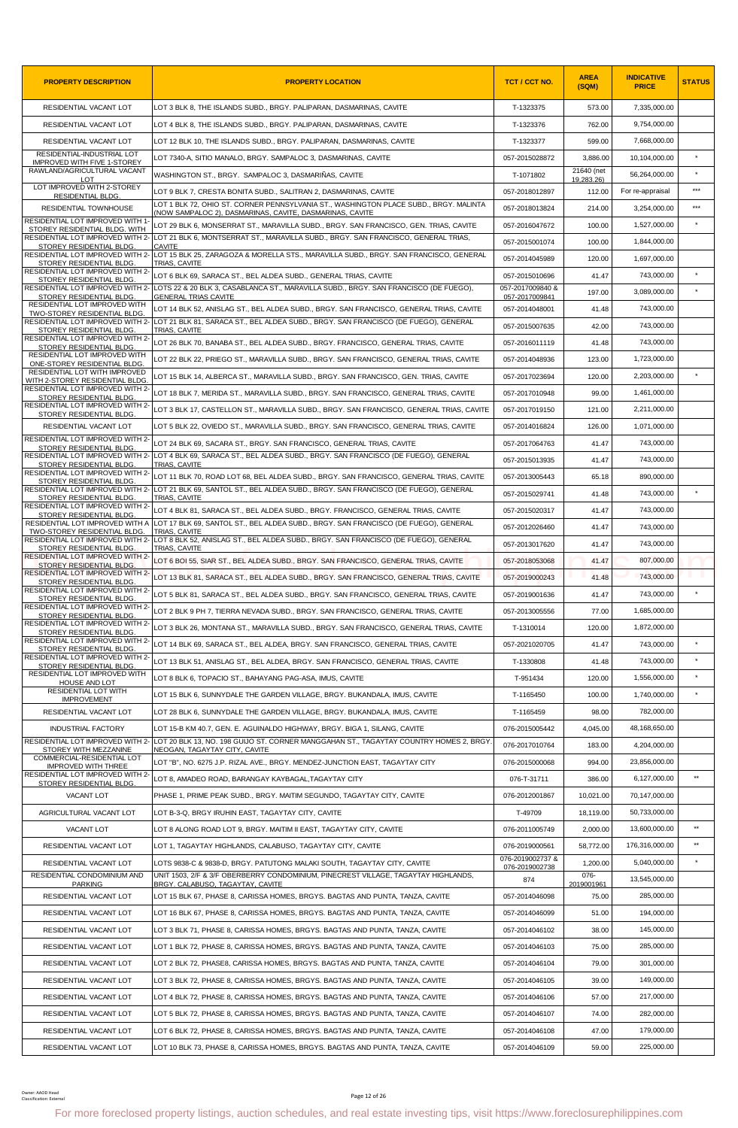| <b>PROPERTY DESCRIPTION</b>                                         | <b>PROPERTY LOCATION</b>                                                                                                                                | TCT / CCT NO.                      | <b>AREA</b><br>(SQM)     | <b>INDICATIVE</b><br><b>PRICE</b> | <b>STATUS</b> |
|---------------------------------------------------------------------|---------------------------------------------------------------------------------------------------------------------------------------------------------|------------------------------------|--------------------------|-----------------------------------|---------------|
| RESIDENTIAL VACANT LOT                                              | LOT 3 BLK 8, THE ISLANDS SUBD., BRGY. PALIPARAN, DASMARINAS, CAVITE                                                                                     | T-1323375                          | 573.00                   | 7,335,000.00                      |               |
| RESIDENTIAL VACANT LOT                                              | LOT 4 BLK 8, THE ISLANDS SUBD., BRGY. PALIPARAN, DASMARINAS, CAVITE                                                                                     | T-1323376                          | 762.00                   | 9,754,000.00                      |               |
| RESIDENTIAL VACANT LOT                                              | LOT 12 BLK 10, THE ISLANDS SUBD., BRGY. PALIPARAN, DASMARINAS, CAVITE                                                                                   | T-1323377                          | 599.00                   | 7,668,000.00                      |               |
| RESIDENTIAL-INDUSTRIAL LOT<br>IMPROVED WITH FIVE 1-STOREY           | LOT 7340-A, SITIO MANALO, BRGY. SAMPALOC 3, DASMARINAS, CAVITE                                                                                          | 057-2015028872                     | 3,886.00                 | 10,104,000.00                     | $\star$       |
| RAWLAND/AGRICULTURAL VACANT<br>LOT                                  | WASHINGTON ST., BRGY. SAMPALOC 3, DASMARIÑAS, CAVITE                                                                                                    | T-1071802                          | 21640 (net<br>19,283.26) | 56,264,000.00                     |               |
| LOT IMPROVED WITH 2-STOREY<br><b>RESIDENTIAL BLDG</b>               | LOT 9 BLK 7, CRESTA BONITA SUBD., SALITRAN 2, DASMARINAS, CAVITE                                                                                        | 057-2018012897                     | 112.00                   | For re-appraisal                  | $***$         |
| <b>RESIDENTIAL TOWNHOUSE</b>                                        | LOT 1 BLK 72, OHIO ST. CORNER PENNSYLVANIA ST., WASHINGTON PLACE SUBD., BRGY. MALINTA<br>(NOW SAMPALOC 2), DASMARINAS, CAVITE, DASMARINAS, CAVITE       | 057-2018013824                     | 214.00                   | 3,254,000.00                      | $* * *$       |
| RESIDENTIAL LOT IMPROVED WITH 1-<br>STOREY RESIDENTIAL BLDG. WITH   | LOT 29 BLK 6, MONSERRAT ST., MARAVILLA SUBD., BRGY. SAN FRANCISCO, GEN. TRIAS, CAVITE                                                                   | 057-2016047672                     | 100.00                   | 1,527,000.00                      |               |
| STOREY RESIDENTIAL BLDG.                                            | RESIDENTIAL LOT IMPROVED WITH 2- LOT 21 BLK 6. MONTSERRAT ST., MARAVILLA SUBD., BRGY, SAN FRANCISCO, GENERAL TRIAS,<br>CAVITE                           | 057-2015001074                     | 100.00                   | 1,844,000.00                      |               |
| STOREY RESIDENTIAL BLDG.                                            | RESIDENTIAL LOT IMPROVED WITH 2- LOT 15 BLK 25, ZARAGOZA & MORELLA STS., MARAVILLA SUBD., BRGY. SAN FRANCISCO, GENERAL<br>TRIAS, CAVITE                 | 057-2014045989                     | 120.00                   | 1,697,000.00                      |               |
| RESIDENTIAL LOT IMPROVED WITH 2-<br>STOREY RESIDENTIAL BLDG.        | LOT 6 BLK 69, SARACA ST., BEL ALDEA SUBD., GENERAL TRIAS, CAVITE                                                                                        | 057-2015010696                     | 41.47                    | 743,000.00                        |               |
| STOREY RESIDENTIAL BLDG.                                            | RESIDENTIAL LOT IMPROVED WITH 2- LOTS 22 & 20 BLK 3, CASABLANCA ST., MARAVILLA SUBD., BRGY. SAN FRANCISCO (DE FUEGO),<br>GENERAL TRIAS CAVITE           | 057-2017009840 &<br>057-2017009841 | 197.00                   | 3,089,000.00                      |               |
| RESIDENTIAL LOT IMPROVED WITH<br><b>TWO-STOREY RESIDENTIAL BLDG</b> | LOT 14 BLK 52, ANISLAG ST., BEL ALDEA SUBD., BRGY. SAN FRANCISCO, GENERAL TRIAS, CAVITE                                                                 | 057-2014048001                     | 41.48                    | 743,000.00                        |               |
| STOREY RESIDENTIAL BLDG.                                            | RESIDENTIAL LOT IMPROVED WITH 2- LOT 21 BLK 81, SARACA ST., BEL ALDEA SUBD., BRGY. SAN FRANCISCO (DE FUEGO), GENERAL<br>TRIAS, CAVITE                   | 057-2015007635                     | 42.00                    | 743.000.00                        |               |
| RESIDENTIAL LOT IMPROVED WITH 2-<br>STOREY RESIDENTIAL BLDG.        | LOT 26 BLK 70. BANABA ST., BEL ALDEA SUBD., BRGY, FRANCISCO, GENERAL TRIAS, CAVITE                                                                      | 057-2016011119                     | 41.48                    | 743.000.00                        |               |
| RESIDENTIAL LOT IMPROVED WITH<br>ONE-STOREY RESIDENTIAL BLDG.       | LOT 22 BLK 22, PRIEGO ST., MARAVILLA SUBD., BRGY. SAN FRANCISCO, GENERAL TRIAS, CAVITE                                                                  | 057-2014048936                     | 123.00                   | 1.723.000.00                      |               |
| RESIDENTIAL LOT WITH IMPROVED<br>WITH 2-STOREY RESIDENTIAL BLDG.    | LOT 15 BLK 14, ALBERCA ST., MARAVILLA SUBD., BRGY. SAN FRANCISCO, GEN. TRIAS, CAVITE                                                                    | 057-2017023694                     | 120.00                   | 2,203,000.00                      |               |
| RESIDENTIAL LOT IMPROVED WITH 2-<br>STOREY RESIDENTIAL BLDG.        | LOT 18 BLK 7, MERIDA ST., MARAVILLA SUBD., BRGY. SAN FRANCISCO, GENERAL TRIAS, CAVITE                                                                   | 057-2017010948                     | 99.00                    | 1,461,000.00                      |               |
| RESIDENTIAL LOT IMPROVED WITH 2-<br>STOREY RESIDENTIAL BLDG         | LOT 3 BLK 17, CASTELLON ST., MARAVILLA SUBD., BRGY. SAN FRANCISCO, GENERAL TRIAS, CAVITE                                                                | 057-2017019150                     | 121.00                   | 2,211,000.00                      |               |
| RESIDENTIAL VACANT LOT                                              | LOT 5 BLK 22, OVIEDO ST., MARAVILLA SUBD., BRGY. SAN FRANCISCO, GENERAL TRIAS, CAVITE                                                                   | 057-2014016824                     | 126.00                   | 1,071,000.00                      |               |
| RESIDENTIAL LOT IMPROVED WITH 2-<br>STOREY RESIDENTIAL BLDG         | LOT 24 BLK 69, SACARA ST., BRGY. SAN FRANCISCO, GENERAL TRIAS, CAVITE                                                                                   | 057-2017064763                     | 41.47                    | 743,000.00                        |               |
| STOREY RESIDENTIAL BLDG.                                            | RESIDENTIAL LOT IMPROVED WITH 2- LOT 4 BLK 69, SARACA ST., BEL ALDEA SUBD., BRGY. SAN FRANCISCO (DE FUEGO), GENERAL<br>TRIAS, CAVITE                    | 057-2015013935                     | 41.47                    | 743,000.00                        |               |
| RESIDENTIAL LOT IMPROVED WITH 2-<br>STOREY RESIDENTIAL BLDG.        | LOT 11 BLK 70, ROAD LOT 68, BEL ALDEA SUBD., BRGY. SAN FRANCISCO, GENERAL TRIAS, CAVITE                                                                 | 057-2013005443                     | 65.18                    | 890,000.00                        |               |
| STOREY RESIDENTIAL BLDG.                                            | RESIDENTIAL LOT IMPROVED WITH 2- LOT 21 BLK 69, SANTOL ST., BEL ALDEA SUBD., BRGY. SAN FRANCISCO (DE FUEGO), GENERAL<br>TRIAS, CAVITE                   | 057-2015029741                     | 41.48                    | 743,000.00                        |               |
| RESIDENTIAL LOT IMPROVED WITH 2-<br>STOREY RESIDENTIAL BLDG.        | LOT 4 BLK 81, SARACA ST., BEL ALDEA SUBD., BRGY. FRANCISCO, GENERAL TRIAS, CAVITE                                                                       | 057-2015020317                     | 41.47                    | 743,000.00                        |               |
| RESIDENTIAL LOT IMPROVED WITH A<br>TWO-STOREY RESIDENTIAL BLDG.     | LOT 17 BLK 69, SANTOL ST., BEL ALDEA SUBD., BRGY. SAN FRANCISCO (DE FUEGO), GENERAL<br>TRIAS, CAVITE                                                    | 057-2012026460                     | 41.47                    | 743,000.00                        |               |
|                                                                     | RESIDENTIAL LOT IMPROVED WITH 2- LOT 8 BLK 52, ANISLAG ST., BEL ALDEA SUBD., BRGY, SAN FRANCISCO (DE FUEGO), GENERAL                                    | 057-2013017620                     | 41.47                    | 743,000.00                        |               |
| STOREY RESIDENTIAL BLDG<br>RESIDENTIAL LOT IMPROVED WITH 2-         | TRIAS, CAVITE<br>LOT 6 BOI 55. SIAR ST BEL ALDEA SUBD BRGY. SAN FRANCISCO. GENERAL TRIAS. CAVITE                                                        | 057-2018053068                     | 41.47                    | 807,000.00                        |               |
| STOREY RESIDENTIAL BLDG.<br>RESIDENTIAL LOT IMPROVED WITH 2-        | LOT 13 BLK 81, SARACA ST., BEL ALDEA SUBD., BRGY, SAN FRANCISCO, GENERAL TRIAS, CAVITE                                                                  | 057-2019000243                     | 41.48                    | 743,000.00                        |               |
| STOREY RESIDENTIAL BLDG<br>RESIDENTIAL LOT IMPROVED WITH 2-         | LOT 5 BLK 81, SARACA ST., BEL ALDEA SUBD., BRGY. SAN FRANCISCO, GENERAL TRIAS, CAVITE                                                                   | 057-2019001636                     | 41.47                    | 743,000.00                        |               |
| STOREY RESIDENTIAL BLDG.<br>RESIDENTIAL LOT IMPROVED WITH 2-        | LOT 2 BLK 9 PH 7, TIERRA NEVADA SUBD., BRGY. SAN FRANCISCO, GENERAL TRIAS, CAVITE                                                                       | 057-2013005556                     | 77.00                    | 1,685,000.00                      |               |
| STOREY RESIDENTIAL BLDG.<br>RESIDENTIAL LOT IMPROVED WITH 2-        | LOT 3 BLK 26, MONTANA ST., MARAVILLA SUBD., BRGY. SAN FRANCISCO, GENERAL TRIAS, CAVITE                                                                  | T-1310014                          | 120.00                   | 1,872,000.00                      |               |
| STOREY RESIDENTIAL BLDG<br>RESIDENTIAL LOT IMPROVED WITH 2-         | LOT 14 BLK 69, SARACA ST., BEL ALDEA, BRGY. SAN FRANCISCO, GENERAL TRIAS, CAVITE                                                                        | 057-2021020705                     | 41.47                    | 743,000.00                        |               |
| STOREY RESIDENTIAL BLDG.<br>RESIDENTIAL LOT IMPROVED WITH 2-        | LOT 13 BLK 51, ANISLAG ST., BEL ALDEA, BRGY. SAN FRANCISCO, GENERAL TRIAS, CAVITE                                                                       | T-1330808                          | 41.48                    | 743,000.00                        | $\star$       |
| STOREY RESIDENTIAL BLDG.<br>RESIDENTIAL LOT IMPROVED WITH           | LOT 8 BLK 6, TOPACIO ST., BAHAYANG PAG-ASA, IMUS, CAVITE                                                                                                | T-951434                           | 120.00                   | 1,556,000.00                      | $\star$       |
| HOUSE AND LOT<br><b>RESIDENTIAL LOT WITH</b>                        | LOT 15 BLK 6, SUNNYDALE THE GARDEN VILLAGE, BRGY. BUKANDALA, IMUS, CAVITE                                                                               | T-1165450                          | 100.00                   | 1,740,000.00                      |               |
| <b>IMPROVEMENT</b><br>RESIDENTIAL VACANT LOT                        | LOT 28 BLK 6, SUNNYDALE THE GARDEN VILLAGE, BRGY. BUKANDALA, IMUS, CAVITE                                                                               | T-1165459                          | 98.00                    | 782,000.00                        |               |
| <b>INDUSTRIAL FACTORY</b>                                           | LOT 15-B KM 40.7, GEN. E. AGUINALDO HIGHWAY, BRGY. BIGA 1, SILANG, CAVITE                                                                               | 076-2015005442                     | 4,045.00                 | 48,168,650.00                     |               |
|                                                                     | RESIDENTIAL LOT IMPROVED WITH 2- LOT 20 BLK 13, NO, 198 GUIJO ST, CORNER MANGGAHAN ST., TAGAYTAY COUNTRY HOMES 2, BRGY,                                 | 076-2017010764                     | 183.00                   | 4,204,000.00                      |               |
| STOREY WITH MEZZANINE<br>COMMERCIAL-RESIDENTIAL LOT                 | NEOGAN, TAGAYTAY CITY, CAVITE<br>LOT "B", NO. 6275 J.P. RIZAL AVE., BRGY. MENDEZ-JUNCTION EAST, TAGAYTAY CITY                                           | 076-2015000068                     | 994.00                   | 23,856,000.00                     |               |
| <b>IMPROVED WITH THREE</b><br>RESIDENTIAL LOT IMPROVED WITH 2-      | LOT 8, AMADEO ROAD, BARANGAY KAYBAGAL, TAGAYTAY CITY                                                                                                    | 076-T-31711                        | 386.00                   | 6,127,000.00                      | $\star\star$  |
| STOREY RESIDENTIAL BLDG.<br>VACANT LOT                              | PHASE 1, PRIME PEAK SUBD., BRGY. MAITIM SEGUNDO, TAGAYTAY CITY, CAVITE                                                                                  | 076-2012001867                     | 10,021.00                | 70,147,000.00                     |               |
| AGRICULTURAL VACANT LOT                                             | LOT B-3-Q, BRGY IRUHIN EAST, TAGAYTAY CITY, CAVITE                                                                                                      | T-49709                            | 18,119.00                | 50,733,000.00                     |               |
| VACANT LOT                                                          | LOT 8 ALONG ROAD LOT 9, BRGY. MAITIM II EAST, TAGAYTAY CITY, CAVITE                                                                                     | 076-2011005749                     | 2,000.00                 | 13,600,000.00                     | $\star\star$  |
| RESIDENTIAL VACANT LOT                                              | LOT 1, TAGAYTAY HIGHLANDS, CALABUSO, TAGAYTAY CITY, CAVITE                                                                                              | 076-2019000561                     | 58,772.00                | 176,316,000.00                    | $***$         |
| RESIDENTIAL VACANT LOT                                              | LOTS 9838-C & 9838-D, BRGY. PATUTONG MALAKI SOUTH, TAGAYTAY CITY, CAVITE                                                                                | 076-2019002737 &                   | 1,200.00                 | 5,040,000.00                      |               |
| RESIDENTIAL CONDOMINIUM AND                                         | UNIT 1503, 2/F & 3/F OBERBERRY CONDOMINIUM, PINECREST VILLAGE, TAGAYTAY HIGHLANDS,                                                                      | 076-2019002738<br>874              | 076-                     | 13,545,000.00                     |               |
| <b>PARKING</b>                                                      | BRGY. CALABUSO, TAGAYTAY, CAVITE                                                                                                                        |                                    | 2019001961               | 285,000.00                        |               |
| RESIDENTIAL VACANT LOT                                              | LOT 15 BLK 67, PHASE 8, CARISSA HOMES, BRGYS. BAGTAS AND PUNTA, TANZA, CAVITE                                                                           | 057-2014046098                     | 75.00                    | 194,000.00                        |               |
| RESIDENTIAL VACANT LOT                                              | LOT 16 BLK 67, PHASE 8, CARISSA HOMES, BRGYS. BAGTAS AND PUNTA, TANZA, CAVITE                                                                           | 057-2014046099                     | 51.00                    |                                   |               |
| RESIDENTIAL VACANT LOT                                              | LOT 3 BLK 71, PHASE 8, CARISSA HOMES, BRGYS. BAGTAS AND PUNTA, TANZA, CAVITE                                                                            | 057-2014046102                     | 38.00                    | 145,000.00                        |               |
| RESIDENTIAL VACANT LOT                                              | LOT 1 BLK 72, PHASE 8, CARISSA HOMES, BRGYS. BAGTAS AND PUNTA, TANZA, CAVITE                                                                            | 057-2014046103                     | 75.00                    | 285,000.00                        |               |
| RESIDENTIAL VACANT LOT                                              | LOT 2 BLK 72, PHASE8, CARISSA HOMES, BRGYS. BAGTAS AND PUNTA, TANZA, CAVITE                                                                             | 057-2014046104                     | 79.00                    | 301,000.00                        |               |
| RESIDENTIAL VACANT LOT                                              | LOT 3 BLK 72, PHASE 8, CARISSA HOMES, BRGYS. BAGTAS AND PUNTA, TANZA, CAVITE                                                                            | 057-2014046105                     | 39.00                    | 149,000.00                        |               |
| RESIDENTIAL VACANT LOT                                              | LOT 4 BLK 72, PHASE 8, CARISSA HOMES, BRGYS. BAGTAS AND PUNTA, TANZA, CAVITE                                                                            | 057-2014046106                     | 57.00                    | 217,000.00                        |               |
| RESIDENTIAL VACANT LOT                                              | LOT 5 BLK 72, PHASE 8, CARISSA HOMES, BRGYS. BAGTAS AND PUNTA, TANZA, CAVITE                                                                            | 057-2014046107                     | 74.00                    | 282,000.00                        |               |
| RESIDENTIAL VACANT LOT                                              | LOT 6 BLK 72. PHASE 8. CARISSA HOMES. BRGYS. BAGTAS AND PUNTA. TANZA. CAVITE                                                                            | 057-2014046108                     | 47.00                    | 179,000.00                        |               |
| RESIDENTIAL VACANT LOT                                              | LOT 10 BLK 73, PHASE 8, CARISSA HOMES, BRGYS. BAGTAS AND PUNTA, TANZA, CAVITE                                                                           | 057-2014046109                     | 59.00                    | 225.000.00                        |               |
| Owner: AAOD Head<br>Classification: External                        | Page 12 of 26<br>For more foreclosed property listings, auction schedules, and real estate investing tips, visit https://www.foreclosurephilippines.com |                                    |                          |                                   |               |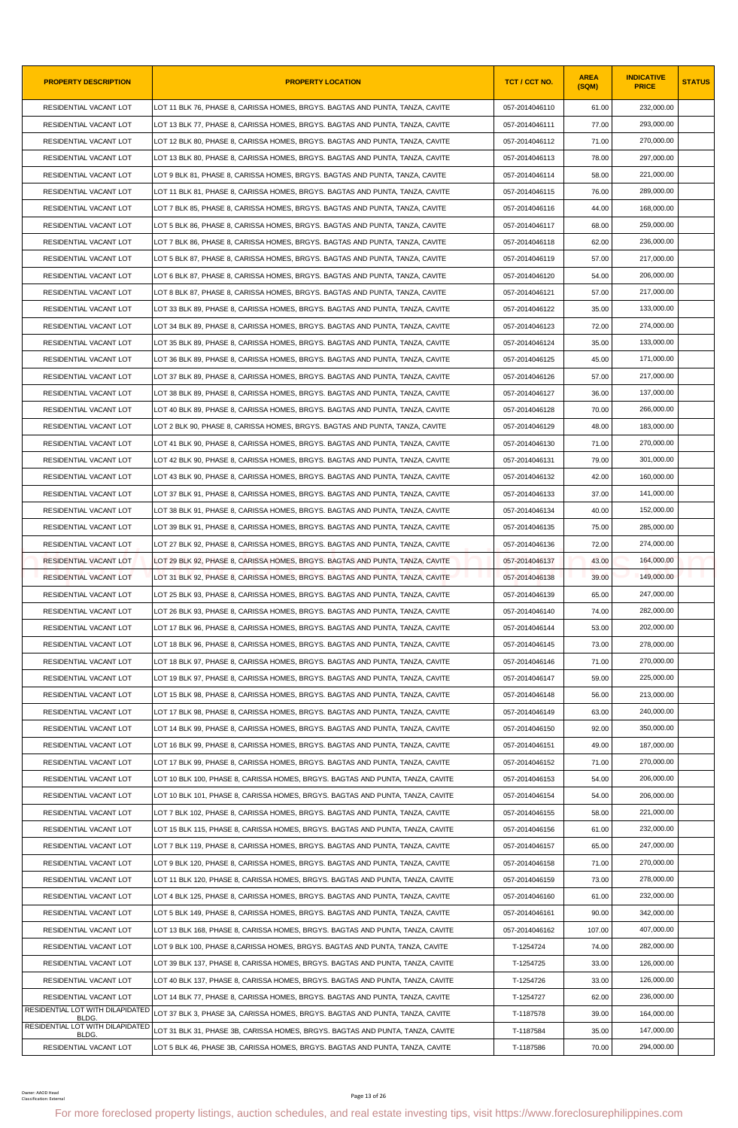| <b>PROPERTY DESCRIPTION</b>                                | <b>PROPERTY LOCATION</b>                                                                                                                                | TCT / CCT NO.  | <b>AREA</b><br>(SQM) | <b>INDICATIVE</b><br><b>PRICE</b> | <b>STATUS</b> |
|------------------------------------------------------------|---------------------------------------------------------------------------------------------------------------------------------------------------------|----------------|----------------------|-----------------------------------|---------------|
| RESIDENTIAL VACANT LOT                                     | LOT 11 BLK 76. PHASE 8. CARISSA HOMES. BRGYS. BAGTAS AND PUNTA. TANZA. CAVITE                                                                           | 057-2014046110 | 61.00                | 232,000.00                        |               |
| RESIDENTIAL VACANT LOT                                     | LOT 13 BLK 77, PHASE 8, CARISSA HOMES, BRGYS. BAGTAS AND PUNTA, TANZA, CAVITE                                                                           | 057-2014046111 | 77.00                | 293,000.00                        |               |
| RESIDENTIAL VACANT LOT                                     | LOT 12 BLK 80, PHASE 8, CARISSA HOMES, BRGYS. BAGTAS AND PUNTA, TANZA, CAVITE                                                                           | 057-2014046112 | 71.00                | 270,000.00                        |               |
| RESIDENTIAL VACANT LOT                                     | LOT 13 BLK 80, PHASE 8, CARISSA HOMES, BRGYS. BAGTAS AND PUNTA, TANZA, CAVITE                                                                           | 057-2014046113 | 78.00                | 297,000.00                        |               |
| RESIDENTIAL VACANT LOT                                     | LOT 9 BLK 81, PHASE 8, CARISSA HOMES, BRGYS. BAGTAS AND PUNTA, TANZA, CAVITE                                                                            | 057-2014046114 | 58.00                | 221,000.00                        |               |
| RESIDENTIAL VACANT LOT                                     | LOT 11 BLK 81, PHASE 8, CARISSA HOMES, BRGYS. BAGTAS AND PUNTA, TANZA, CAVITE                                                                           | 057-2014046115 | 76.00                | 289,000.00                        |               |
| RESIDENTIAL VACANT LOT                                     | LOT 7 BLK 85, PHASE 8, CARISSA HOMES, BRGYS. BAGTAS AND PUNTA, TANZA, CAVITE                                                                            | 057-2014046116 | 44.00                | 168,000.00                        |               |
| RESIDENTIAL VACANT LOT                                     | LOT 5 BLK 86, PHASE 8, CARISSA HOMES, BRGYS. BAGTAS AND PUNTA, TANZA, CAVITE                                                                            | 057-2014046117 | 68.00                | 259,000.00                        |               |
| RESIDENTIAL VACANT LOT                                     | LOT 7 BLK 86, PHASE 8, CARISSA HOMES, BRGYS. BAGTAS AND PUNTA, TANZA, CAVITE                                                                            | 057-2014046118 | 62.00                | 236,000.00                        |               |
| RESIDENTIAL VACANT LOT                                     | LOT 5 BLK 87, PHASE 8, CARISSA HOMES, BRGYS. BAGTAS AND PUNTA, TANZA, CAVITE                                                                            | 057-2014046119 | 57.00                | 217,000.00                        |               |
| RESIDENTIAL VACANT LOT                                     | LOT 6 BLK 87, PHASE 8, CARISSA HOMES, BRGYS. BAGTAS AND PUNTA, TANZA, CAVITE                                                                            | 057-2014046120 | 54.00                | 206,000.00                        |               |
| RESIDENTIAL VACANT LOT                                     | LOT 8 BLK 87, PHASE 8, CARISSA HOMES, BRGYS. BAGTAS AND PUNTA, TANZA, CAVITE                                                                            | 057-2014046121 | 57.00                | 217,000.00                        |               |
| RESIDENTIAL VACANT LOT                                     | LOT 33 BLK 89, PHASE 8, CARISSA HOMES, BRGYS. BAGTAS AND PUNTA, TANZA, CAVITE                                                                           | 057-2014046122 | 35.00                | 133.000.00                        |               |
| RESIDENTIAL VACANT LOT                                     | LOT 34 BLK 89, PHASE 8, CARISSA HOMES, BRGYS. BAGTAS AND PUNTA, TANZA, CAVITE                                                                           | 057-2014046123 | 72.00                | 274,000.00                        |               |
| RESIDENTIAL VACANT LOT                                     | LOT 35 BLK 89, PHASE 8, CARISSA HOMES, BRGYS. BAGTAS AND PUNTA, TANZA, CAVITE                                                                           | 057-2014046124 | 35.00                | 133,000.00                        |               |
| RESIDENTIAL VACANT LOT                                     | LOT 36 BLK 89, PHASE 8, CARISSA HOMES, BRGYS. BAGTAS AND PUNTA, TANZA, CAVITE                                                                           | 057-2014046125 | 45.00                | 171,000.00                        |               |
| RESIDENTIAL VACANT LOT                                     | LOT 37 BLK 89, PHASE 8, CARISSA HOMES, BRGYS, BAGTAS AND PUNTA, TANZA, CAVITE                                                                           | 057-2014046126 | 57.00                | 217,000.00                        |               |
| RESIDENTIAL VACANT LOT                                     | LOT 38 BLK 89, PHASE 8, CARISSA HOMES, BRGYS. BAGTAS AND PUNTA, TANZA, CAVITE                                                                           | 057-2014046127 | 36.00                | 137,000.00                        |               |
| RESIDENTIAL VACANT LOT                                     | LOT 40 BLK 89, PHASE 8, CARISSA HOMES, BRGYS. BAGTAS AND PUNTA, TANZA, CAVITE                                                                           | 057-2014046128 | 70.00                | 266,000.00                        |               |
| RESIDENTIAL VACANT LOT                                     | LOT 2 BLK 90, PHASE 8, CARISSA HOMES, BRGYS. BAGTAS AND PUNTA, TANZA, CAVITE                                                                            | 057-2014046129 | 48.00                | 183,000.00                        |               |
| RESIDENTIAL VACANT LOT                                     | LOT 41 BLK 90, PHASE 8, CARISSA HOMES, BRGYS. BAGTAS AND PUNTA, TANZA, CAVITE                                                                           | 057-2014046130 | 71.00                | 270,000.00                        |               |
| RESIDENTIAL VACANT LOT                                     | LOT 42 BLK 90, PHASE 8, CARISSA HOMES, BRGYS. BAGTAS AND PUNTA, TANZA, CAVITE                                                                           | 057-2014046131 | 79.00                | 301,000.00                        |               |
| RESIDENTIAL VACANT LOT                                     | LOT 43 BLK 90, PHASE 8, CARISSA HOMES, BRGYS. BAGTAS AND PUNTA, TANZA, CAVITE                                                                           | 057-2014046132 | 42.00                | 160,000.00                        |               |
| RESIDENTIAL VACANT LOT                                     | LOT 37 BLK 91, PHASE 8, CARISSA HOMES, BRGYS. BAGTAS AND PUNTA, TANZA, CAVITE                                                                           | 057-2014046133 | 37.00                | 141,000.00                        |               |
| RESIDENTIAL VACANT LOT                                     | LOT 38 BLK 91, PHASE 8, CARISSA HOMES, BRGYS. BAGTAS AND PUNTA, TANZA, CAVITE                                                                           | 057-2014046134 | 40.00                | 152,000.00                        |               |
| RESIDENTIAL VACANT LOT                                     | LOT 39 BLK 91, PHASE 8, CARISSA HOMES, BRGYS. BAGTAS AND PUNTA, TANZA, CAVITE                                                                           | 057-2014046135 | 75.00                | 285,000.00                        |               |
| RESIDENTIAL VACANT LOT                                     | LOT 27 BLK 92, PHASE 8, CARISSA HOMES, BRGYS. BAGTAS AND PUNTA, TANZA, CAVITE                                                                           | 057-2014046136 | 72.00                | 274,000.00                        |               |
| RESIDENTIAL VACANT LOT                                     | LOT 29 BLK 92, PHASE 8, CARISSA HOMES, BRGYS. BAGTAS AND PUNTA, TANZA, CAVITE                                                                           | 057-2014046137 | 43.00                | 164,000.00                        |               |
| RESIDENTIAL VACANT LOT                                     | LOT 31 BLK 92, PHASE 8, CARISSA HOMES, BRGYS. BAGTAS AND PUNTA, TANZA, CAVITE                                                                           | 057-2014046138 | 39.00                | 149,000.00                        |               |
| <b>RESIDENTIAL VACANT LOT</b>                              | LOT 25 BLK 93, PHASE 8, CARISSA HOMES, BRGYS. BAGTAS AND PUNTA, TANZA, CAVITE                                                                           | 057-2014046139 | 65.00                | 247,000.00                        |               |
| RESIDENTIAL VACANT LOT                                     | LOT 26 BLK 93, PHASE 8, CARISSA HOMES, BRGYS. BAGTAS AND PUNTA, TANZA, CAVITE                                                                           | 057-2014046140 | 74.00                | 282,000.00                        |               |
| RESIDENTIAL VACANT LOT                                     | LOT 17 BLK 96, PHASE 8, CARISSA HOMES, BRGYS. BAGTAS AND PUNTA, TANZA, CAVITE                                                                           | 057-2014046144 | 53.00                | 202,000.00                        |               |
| RESIDENTIAL VACANT LOT                                     | LOT 18 BLK 96, PHASE 8, CARISSA HOMES, BRGYS. BAGTAS AND PUNTA, TANZA, CAVITE                                                                           | 057-2014046145 | 73.00                | 278,000.00                        |               |
| RESIDENTIAL VACANT LOT                                     | LOT 18 BLK 97, PHASE 8, CARISSA HOMES, BRGYS. BAGTAS AND PUNTA, TANZA, CAVITE                                                                           | 057-2014046146 | 71.00                | 270,000.00                        |               |
| RESIDENTIAL VACANT LOT                                     | LOT 19 BLK 97, PHASE 8, CARISSA HOMES, BRGYS. BAGTAS AND PUNTA, TANZA, CAVITE                                                                           | 057-2014046147 | 59.00                | 225,000.00                        |               |
| RESIDENTIAL VACANT LOT                                     | LOT 15 BLK 98, PHASE 8, CARISSA HOMES, BRGYS. BAGTAS AND PUNTA, TANZA, CAVITE                                                                           | 057-2014046148 | 56.00                | 213,000.00                        |               |
| RESIDENTIAL VACANT LOT                                     | LOT 17 BLK 98. PHASE 8. CARISSA HOMES. BRGYS. BAGTAS AND PUNTA. TANZA. CAVITE                                                                           | 057-2014046149 | 63.00                | 240,000.00                        |               |
| RESIDENTIAL VACANT LOT                                     | LOT 14 BLK 99, PHASE 8, CARISSA HOMES, BRGYS, BAGTAS AND PUNTA, TANZA, CAVITE                                                                           | 057-2014046150 | 92.00                | 350,000.00                        |               |
| RESIDENTIAL VACANT LOT                                     | LOT 16 BLK 99, PHASE 8, CARISSA HOMES, BRGYS. BAGTAS AND PUNTA, TANZA, CAVITE                                                                           | 057-2014046151 | 49.00                | 187,000.00                        |               |
| RESIDENTIAL VACANT LOT                                     | LOT 17 BLK 99, PHASE 8, CARISSA HOMES, BRGYS. BAGTAS AND PUNTA, TANZA, CAVITE                                                                           | 057-2014046152 | 71.00                | 270,000.00                        |               |
| RESIDENTIAL VACANT LOT                                     | LOT 10 BLK 100, PHASE 8, CARISSA HOMES, BRGYS. BAGTAS AND PUNTA, TANZA, CAVITE                                                                          | 057-2014046153 | 54.00                | 206,000.00                        |               |
| RESIDENTIAL VACANT LOT                                     | LOT 10 BLK 101, PHASE 8, CARISSA HOMES, BRGYS. BAGTAS AND PUNTA, TANZA, CAVITE                                                                          | 057-2014046154 | 54.00                | 206,000.00                        |               |
| RESIDENTIAL VACANT LOT                                     | LOT 7 BLK 102, PHASE 8, CARISSA HOMES, BRGYS. BAGTAS AND PUNTA, TANZA, CAVITE                                                                           | 057-2014046155 | 58.00                | 221,000.00                        |               |
| RESIDENTIAL VACANT LOT                                     | LOT 15 BLK 115, PHASE 8, CARISSA HOMES, BRGYS. BAGTAS AND PUNTA, TANZA, CAVITE                                                                          | 057-2014046156 | 61.00                | 232,000.00                        |               |
| RESIDENTIAL VACANT LOT                                     | LOT 7 BLK 119, PHASE 8, CARISSA HOMES, BRGYS. BAGTAS AND PUNTA, TANZA, CAVITE                                                                           | 057-2014046157 | 65.00                | 247,000.00                        |               |
| RESIDENTIAL VACANT LOT                                     | LOT 9 BLK 120, PHASE 8, CARISSA HOMES, BRGYS. BAGTAS AND PUNTA, TANZA, CAVITE                                                                           | 057-2014046158 | 71.00                | 270,000.00                        |               |
| RESIDENTIAL VACANT LOT                                     | LOT 11 BLK 120, PHASE 8, CARISSA HOMES, BRGYS. BAGTAS AND PUNTA, TANZA, CAVITE                                                                          | 057-2014046159 | 73.00                | 278,000.00                        |               |
| RESIDENTIAL VACANT LOT                                     | LOT 4 BLK 125, PHASE 8, CARISSA HOMES, BRGYS. BAGTAS AND PUNTA, TANZA, CAVITE                                                                           | 057-2014046160 | 61.00                | 232,000.00                        |               |
| RESIDENTIAL VACANT LOT                                     | LOT 5 BLK 149, PHASE 8, CARISSA HOMES, BRGYS. BAGTAS AND PUNTA, TANZA, CAVITE                                                                           | 057-2014046161 | 90.00                | 342,000.00                        |               |
| RESIDENTIAL VACANT LOT                                     | LOT 13 BLK 168, PHASE 8, CARISSA HOMES, BRGYS. BAGTAS AND PUNTA, TANZA, CAVITE                                                                          | 057-2014046162 | 107.00               | 407,000.00                        |               |
| RESIDENTIAL VACANT LOT                                     | LOT 9 BLK 100, PHASE 8,CARISSA HOMES, BRGYS. BAGTAS AND PUNTA, TANZA, CAVITE                                                                            | T-1254724      | 74.00                | 282,000.00                        |               |
| RESIDENTIAL VACANT LOT                                     | LOT 39 BLK 137, PHASE 8, CARISSA HOMES, BRGYS. BAGTAS AND PUNTA, TANZA, CAVITE                                                                          | T-1254725      | 33.00                | 126,000.00                        |               |
| RESIDENTIAL VACANT LOT                                     | LOT 40 BLK 137, PHASE 8, CARISSA HOMES, BRGYS. BAGTAS AND PUNTA, TANZA, CAVITE                                                                          | T-1254726      | 33.00                | 126,000.00                        |               |
| RESIDENTIAL VACANT LOT<br>RESIDENTIAL LOT WITH DILAPIDATED | LOT 14 BLK 77, PHASE 8, CARISSA HOMES, BRGYS. BAGTAS AND PUNTA, TANZA, CAVITE                                                                           | T-1254727      | 62.00                | 236,000.00                        |               |
| <b>BLDG</b><br>RESIDENTIAL LOT WITH DILAPIDATED            | LOT 37 BLK 3, PHASE 3A, CARISSA HOMES, BRGYS. BAGTAS AND PUNTA, TANZA, CAVITE                                                                           | T-1187578      | 39.00                | 164,000.00                        |               |
| BLDG.                                                      | LOT 31 BLK 31, PHASE 3B, CARISSA HOMES, BRGYS. BAGTAS AND PUNTA, TANZA, CAVITE                                                                          | T-1187584      | 35.00                | 147.000.00                        |               |
| RESIDENTIAL VACANT LOT                                     | LOT 5 BLK 46, PHASE 3B, CARISSA HOMES, BRGYS. BAGTAS AND PUNTA, TANZA, CAVITE                                                                           | T-1187586      | 70.00                | 294,000.00                        |               |
| Owner: AAOD Head<br>Classification: External               | Page 13 of 26<br>For more foreclosed property listings, auction schedules, and real estate investing tips, visit https://www.foreclosurephilippines.com |                |                      |                                   |               |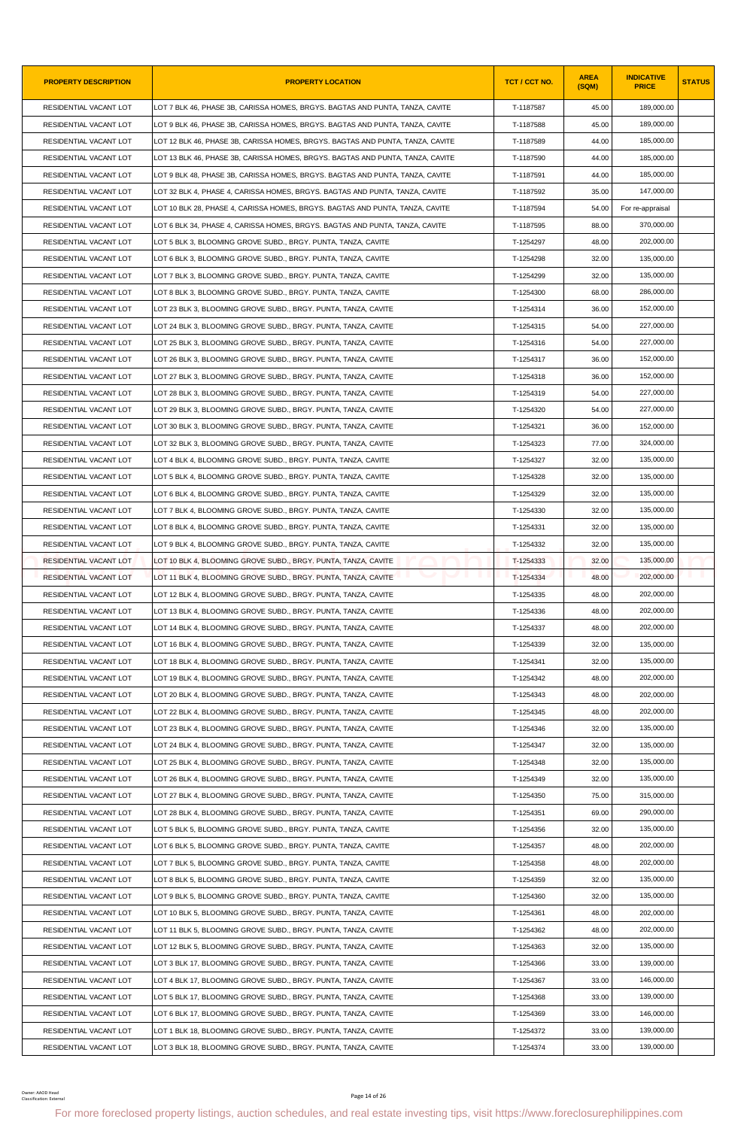| <b>PROPERTY DESCRIPTION</b>                 | <b>PROPERTY LOCATION</b>                                                                                                                                | TCT / CCT NO. | <b>AREA</b><br>(SQM) | <b>INDICATIVE</b><br><b>PRICE</b> | <b>STATUS</b> |
|---------------------------------------------|---------------------------------------------------------------------------------------------------------------------------------------------------------|---------------|----------------------|-----------------------------------|---------------|
| RESIDENTIAL VACANT LOT                      | LOT 7 BLK 46, PHASE 3B, CARISSA HOMES, BRGYS. BAGTAS AND PUNTA, TANZA, CAVITE                                                                           | T-1187587     | 45.00                | 189,000.00                        |               |
| RESIDENTIAL VACANT LOT                      | LOT 9 BLK 46, PHASE 3B, CARISSA HOMES, BRGYS. BAGTAS AND PUNTA, TANZA, CAVITE                                                                           | T-1187588     | 45.00                | 189,000.00                        |               |
| RESIDENTIAL VACANT LOT                      | LOT 12 BLK 46, PHASE 3B, CARISSA HOMES, BRGYS. BAGTAS AND PUNTA, TANZA, CAVITE                                                                          | T-1187589     | 44.00                | 185,000.00                        |               |
| RESIDENTIAL VACANT LOT                      | LOT 13 BLK 46, PHASE 3B, CARISSA HOMES, BRGYS. BAGTAS AND PUNTA, TANZA, CAVITE                                                                          | T-1187590     | 44.00                | 185,000.00                        |               |
| RESIDENTIAL VACANT LOT                      | LOT 9 BLK 48, PHASE 3B, CARISSA HOMES, BRGYS. BAGTAS AND PUNTA, TANZA, CAVITE                                                                           | T-1187591     | 44.00                | 185,000.00                        |               |
| RESIDENTIAL VACANT LOT                      | LOT 32 BLK 4, PHASE 4, CARISSA HOMES, BRGYS. BAGTAS AND PUNTA, TANZA, CAVITE                                                                            | T-1187592     | 35.00                | 147,000.00                        |               |
| RESIDENTIAL VACANT LOT                      | LOT 10 BLK 28, PHASE 4, CARISSA HOMES, BRGYS. BAGTAS AND PUNTA, TANZA, CAVITE                                                                           | T-1187594     | 54.00                | For re-appraisal                  |               |
| RESIDENTIAL VACANT LOT                      | LOT 6 BLK 34, PHASE 4, CARISSA HOMES, BRGYS. BAGTAS AND PUNTA, TANZA, CAVITE                                                                            | T-1187595     | 88.00                | 370,000.00                        |               |
| RESIDENTIAL VACANT LOT                      | LOT 5 BLK 3, BLOOMING GROVE SUBD., BRGY. PUNTA, TANZA, CAVITE                                                                                           | T-1254297     | 48.00                | 202,000.00                        |               |
| RESIDENTIAL VACANT LOT                      | LOT 6 BLK 3, BLOOMING GROVE SUBD., BRGY. PUNTA, TANZA, CAVITE                                                                                           | T-1254298     | 32.00                | 135,000.00                        |               |
| RESIDENTIAL VACANT LOT                      | LOT 7 BLK 3, BLOOMING GROVE SUBD., BRGY. PUNTA, TANZA, CAVITE                                                                                           | T-1254299     | 32.00                | 135,000.00                        |               |
| RESIDENTIAL VACANT LOT                      | LOT 8 BLK 3, BLOOMING GROVE SUBD., BRGY. PUNTA, TANZA, CAVITE                                                                                           | T-1254300     | 68.00                | 286,000.00                        |               |
| RESIDENTIAL VACANT LOT                      | LOT 23 BLK 3, BLOOMING GROVE SUBD., BRGY. PUNTA, TANZA, CAVITE                                                                                          | T-1254314     | 36.00                | 152,000.00                        |               |
| RESIDENTIAL VACANT LOT                      | LOT 24 BLK 3, BLOOMING GROVE SUBD., BRGY. PUNTA, TANZA, CAVITE                                                                                          | T-1254315     | 54.00                | 227,000.00                        |               |
| RESIDENTIAL VACANT LOT                      | LOT 25 BLK 3, BLOOMING GROVE SUBD., BRGY. PUNTA, TANZA, CAVITE                                                                                          | T-1254316     | 54.00                | 227,000.00                        |               |
| RESIDENTIAL VACANT LOT                      | LOT 26 BLK 3, BLOOMING GROVE SUBD., BRGY. PUNTA, TANZA, CAVITE                                                                                          | T-1254317     | 36.00                | 152,000.00                        |               |
| RESIDENTIAL VACANT LOT                      | LOT 27 BLK 3, BLOOMING GROVE SUBD., BRGY. PUNTA, TANZA, CAVITE                                                                                          | T-1254318     | 36.00                | 152,000.00                        |               |
| RESIDENTIAL VACANT LOT                      | LOT 28 BLK 3, BLOOMING GROVE SUBD., BRGY. PUNTA, TANZA, CAVITE                                                                                          | T-1254319     | 54.00                | 227,000.00                        |               |
| RESIDENTIAL VACANT LOT                      | LOT 29 BLK 3, BLOOMING GROVE SUBD., BRGY. PUNTA, TANZA, CAVITE                                                                                          | T-1254320     | 54.00                | 227,000.00                        |               |
| RESIDENTIAL VACANT LOT                      | LOT 30 BLK 3, BLOOMING GROVE SUBD., BRGY. PUNTA, TANZA, CAVITE                                                                                          | T-1254321     | 36.00                | 152,000.00                        |               |
| RESIDENTIAL VACANT LOT                      | LOT 32 BLK 3, BLOOMING GROVE SUBD., BRGY. PUNTA, TANZA, CAVITE                                                                                          | T-1254323     | 77.00                | 324,000.00                        |               |
| RESIDENTIAL VACANT LOT                      | LOT 4 BLK 4, BLOOMING GROVE SUBD., BRGY. PUNTA, TANZA, CAVITE                                                                                           | T-1254327     | 32.00                | 135,000.00                        |               |
| RESIDENTIAL VACANT LOT                      | LOT 5 BLK 4, BLOOMING GROVE SUBD., BRGY. PUNTA, TANZA, CAVITE                                                                                           | T-1254328     | 32.00                | 135,000.00                        |               |
| RESIDENTIAL VACANT LOT                      | LOT 6 BLK 4, BLOOMING GROVE SUBD., BRGY. PUNTA, TANZA, CAVITE                                                                                           | T-1254329     | 32.00                | 135,000.00                        |               |
| RESIDENTIAL VACANT LOT                      | LOT 7 BLK 4, BLOOMING GROVE SUBD., BRGY. PUNTA, TANZA, CAVITE                                                                                           | T-1254330     | 32.00                | 135,000.00                        |               |
| RESIDENTIAL VACANT LOT                      | LOT 8 BLK 4, BLOOMING GROVE SUBD., BRGY. PUNTA, TANZA, CAVITE                                                                                           | T-1254331     | 32.00                | 135,000.00                        |               |
| RESIDENTIAL VACANT LOT                      | LOT 9 BLK 4, BLOOMING GROVE SUBD., BRGY. PUNTA, TANZA, CAVITE                                                                                           | T-1254332     | 32.00                | 135,000.00                        |               |
| RESIDENTIAL VACANT LOT                      | LOT 10 BLK 4, BLOOMING GROVE SUBD., BRGY. PUNTA, TANZA, CAVITE                                                                                          | T-1254333     | 32.00                | 135,000.00                        |               |
| <b>RESIDENTIAL VACANT LOT</b>               | LOT 11 BLK 4, BLOOMING GROVE SUBD., BRGY. PUNTA, TANZA, CAVITE                                                                                          | T-1254334     | 48.00                | 202,000.00                        |               |
| RESIDENTIAL VACANT LOT                      | LOT 12 BLK 4, BLOOMING GROVE SUBD., BRGY. PUNTA, TANZA, CAVITE                                                                                          | T-1254335     | 48.00                | 202,000.00                        |               |
| RESIDENTIAL VACANT LOT                      | LOT 13 BLK 4, BLOOMING GROVE SUBD., BRGY. PUNTA, TANZA, CAVITE                                                                                          | T-1254336     | 48.00                | 202,000.00                        |               |
| RESIDENTIAL VACANT LOT                      | LOT 14 BLK 4, BLOOMING GROVE SUBD., BRGY. PUNTA, TANZA, CAVITE                                                                                          | T-1254337     | 48.00                | 202,000.00                        |               |
| RESIDENTIAL VACANT LOT                      | LOT 16 BLK 4, BLOOMING GROVE SUBD., BRGY. PUNTA, TANZA, CAVITE                                                                                          | T-1254339     | 32.00                | 135,000.00                        |               |
| RESIDENTIAL VACANT LOT                      | LOT 18 BLK 4, BLOOMING GROVE SUBD., BRGY. PUNTA, TANZA, CAVITE                                                                                          | T-1254341     | 32.00                | 135,000.00                        |               |
| RESIDENTIAL VACANT LOT                      | LOT 19 BLK 4, BLOOMING GROVE SUBD., BRGY. PUNTA, TANZA, CAVITE                                                                                          | T-1254342     | 48.00                | 202,000.00                        |               |
| RESIDENTIAL VACANT LOT                      | LOT 20 BLK 4, BLOOMING GROVE SUBD., BRGY. PUNTA, TANZA, CAVITE                                                                                          | T-1254343     | 48.00                | 202,000.00                        |               |
| RESIDENTIAL VACANT LOT                      | LOT 22 BLK 4, BLOOMING GROVE SUBD., BRGY. PUNTA, TANZA, CAVITE                                                                                          | T-1254345     | 48.00                | 202.000.00                        |               |
| RESIDENTIAL VACANT LOT                      | LOT 23 BLK 4, BLOOMING GROVE SUBD., BRGY. PUNTA, TANZA, CAVITE                                                                                          | T-1254346     | 32.00                | 135,000.00                        |               |
| RESIDENTIAL VACANT LOT                      | LOT 24 BLK 4, BLOOMING GROVE SUBD., BRGY. PUNTA, TANZA, CAVITE                                                                                          | T-1254347     | 32.00                | 135,000.00                        |               |
| RESIDENTIAL VACANT LOT                      | LOT 25 BLK 4, BLOOMING GROVE SUBD., BRGY. PUNTA, TANZA, CAVITE                                                                                          | T-1254348     | 32.00                | 135,000.00                        |               |
| RESIDENTIAL VACANT LOT                      |                                                                                                                                                         |               | 32.00                | 135,000.00                        |               |
|                                             | LOT 26 BLK 4, BLOOMING GROVE SUBD., BRGY. PUNTA, TANZA, CAVITE                                                                                          | T-1254349     |                      |                                   |               |
| RESIDENTIAL VACANT LOT                      | LOT 27 BLK 4, BLOOMING GROVE SUBD., BRGY. PUNTA, TANZA, CAVITE                                                                                          | T-1254350     | 75.00                | 315,000.00                        |               |
| RESIDENTIAL VACANT LOT                      | LOT 28 BLK 4, BLOOMING GROVE SUBD., BRGY. PUNTA, TANZA, CAVITE                                                                                          | T-1254351     | 69.00                | 290,000.00<br>135,000.00          |               |
| RESIDENTIAL VACANT LOT                      | LOT 5 BLK 5, BLOOMING GROVE SUBD., BRGY. PUNTA, TANZA, CAVITE                                                                                           | T-1254356     | 32.00                |                                   |               |
| RESIDENTIAL VACANT LOT                      | LOT 6 BLK 5, BLOOMING GROVE SUBD., BRGY. PUNTA, TANZA, CAVITE                                                                                           | T-1254357     | 48.00                | 202,000.00                        |               |
| RESIDENTIAL VACANT LOT                      | LOT 7 BLK 5, BLOOMING GROVE SUBD., BRGY. PUNTA, TANZA, CAVITE                                                                                           | T-1254358     | 48.00                | 202,000.00                        |               |
| RESIDENTIAL VACANT LOT                      | LOT 8 BLK 5, BLOOMING GROVE SUBD., BRGY. PUNTA, TANZA, CAVITE                                                                                           | T-1254359     | 32.00                | 135,000.00                        |               |
| RESIDENTIAL VACANT LOT                      | LOT 9 BLK 5, BLOOMING GROVE SUBD., BRGY. PUNTA, TANZA, CAVITE                                                                                           | T-1254360     | 32.00                | 135,000.00                        |               |
| RESIDENTIAL VACANT LOT                      | LOT 10 BLK 5, BLOOMING GROVE SUBD., BRGY. PUNTA, TANZA, CAVITE                                                                                          | T-1254361     | 48.00                | 202,000.00                        |               |
| RESIDENTIAL VACANT LOT                      | LOT 11 BLK 5, BLOOMING GROVE SUBD., BRGY. PUNTA, TANZA, CAVITE                                                                                          | T-1254362     | 48.00                | 202,000.00                        |               |
| RESIDENTIAL VACANT LOT                      | LOT 12 BLK 5, BLOOMING GROVE SUBD., BRGY. PUNTA, TANZA, CAVITE                                                                                          | T-1254363     | 32.00                | 135,000.00                        |               |
| RESIDENTIAL VACANT LOT                      | LOT 3 BLK 17, BLOOMING GROVE SUBD., BRGY. PUNTA, TANZA, CAVITE                                                                                          | T-1254366     | 33.00                | 139,000.00                        |               |
| RESIDENTIAL VACANT LOT                      | LOT 4 BLK 17, BLOOMING GROVE SUBD., BRGY. PUNTA, TANZA, CAVITE                                                                                          | T-1254367     | 33.00                | 146,000.00                        |               |
| RESIDENTIAL VACANT LOT                      | LOT 5 BLK 17, BLOOMING GROVE SUBD., BRGY. PUNTA, TANZA, CAVITE                                                                                          | T-1254368     | 33.00                | 139,000.00                        |               |
| RESIDENTIAL VACANT LOT                      | LOT 6 BLK 17, BLOOMING GROVE SUBD., BRGY. PUNTA, TANZA, CAVITE                                                                                          | T-1254369     | 33.00                | 146,000.00                        |               |
| RESIDENTIAL VACANT LOT                      | LOT 1 BLK 18, BLOOMING GROVE SUBD., BRGY. PUNTA, TANZA, CAVITE                                                                                          | T-1254372     | 33.00                | 139,000.00                        |               |
| RESIDENTIAL VACANT LOT                      | LOT 3 BLK 18, BLOOMING GROVE SUBD., BRGY. PUNTA, TANZA, CAVITE                                                                                          | T-1254374     | 33.00                | 139,000.00                        |               |
| Owner: AAOD Head<br>Classification: Externa | Page 14 of 26<br>For more foreclosed property listings, auction schedules, and real estate investing tips, visit https://www.foreclosurephilippines.com |               |                      |                                   |               |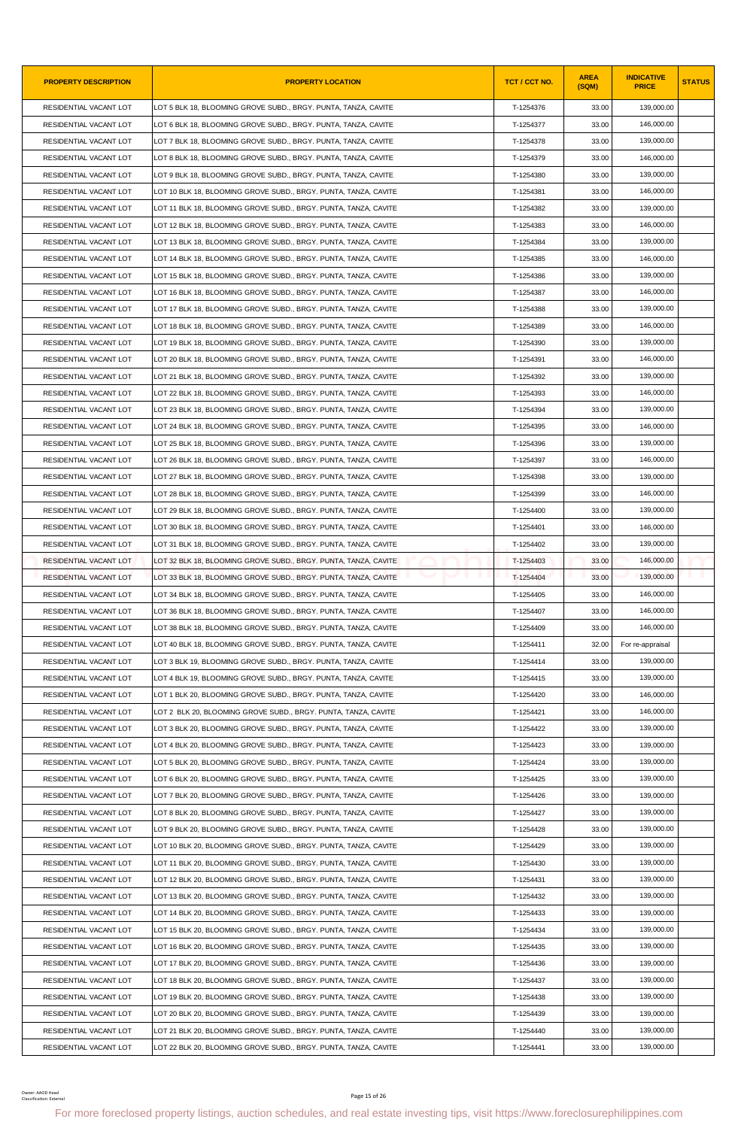| <b>PROPERTY DESCRIPTION</b>                 | <b>PROPERTY LOCATION</b>                                                                                                                                | TCT / CCT NO. | <b>AREA</b><br>(SQM) | <b>INDICATIVE</b><br><b>PRICE</b> | <b>STATUS</b> |
|---------------------------------------------|---------------------------------------------------------------------------------------------------------------------------------------------------------|---------------|----------------------|-----------------------------------|---------------|
| RESIDENTIAL VACANT LOT                      | LOT 5 BLK 18, BLOOMING GROVE SUBD., BRGY. PUNTA, TANZA, CAVITE                                                                                          | T-1254376     | 33.00                | 139,000.00                        |               |
| RESIDENTIAL VACANT LOT                      | LOT 6 BLK 18, BLOOMING GROVE SUBD., BRGY. PUNTA, TANZA, CAVITE                                                                                          | T-1254377     | 33.00                | 146.000.00                        |               |
| RESIDENTIAL VACANT LOT                      | LOT 7 BLK 18, BLOOMING GROVE SUBD., BRGY. PUNTA, TANZA, CAVITE                                                                                          | T-1254378     | 33.00                | 139,000.00                        |               |
| RESIDENTIAL VACANT LOT                      | LOT 8 BLK 18, BLOOMING GROVE SUBD., BRGY. PUNTA, TANZA, CAVITE                                                                                          | T-1254379     | 33.00                | 146,000.00                        |               |
| RESIDENTIAL VACANT LOT                      | LOT 9 BLK 18, BLOOMING GROVE SUBD., BRGY. PUNTA, TANZA, CAVITE                                                                                          | T-1254380     | 33.00                | 139,000.00                        |               |
| RESIDENTIAL VACANT LOT                      | LOT 10 BLK 18, BLOOMING GROVE SUBD., BRGY. PUNTA, TANZA, CAVITE                                                                                         | T-1254381     | 33.00                | 146,000.00                        |               |
| RESIDENTIAL VACANT LOT                      | LOT 11 BLK 18, BLOOMING GROVE SUBD., BRGY. PUNTA, TANZA, CAVITE                                                                                         | T-1254382     | 33.00                | 139,000.00                        |               |
| RESIDENTIAL VACANT LOT                      | LOT 12 BLK 18, BLOOMING GROVE SUBD., BRGY. PUNTA, TANZA, CAVITE                                                                                         | T-1254383     | 33.00                | 146,000.00                        |               |
| RESIDENTIAL VACANT LOT                      | LOT 13 BLK 18, BLOOMING GROVE SUBD., BRGY. PUNTA, TANZA, CAVITE                                                                                         | T-1254384     | 33.00                | 139,000.00                        |               |
| RESIDENTIAL VACANT LOT                      | LOT 14 BLK 18, BLOOMING GROVE SUBD., BRGY. PUNTA, TANZA, CAVITE                                                                                         | T-1254385     | 33.00                | 146,000.00                        |               |
| RESIDENTIAL VACANT LOT                      | LOT 15 BLK 18, BLOOMING GROVE SUBD., BRGY. PUNTA, TANZA, CAVITE                                                                                         | T-1254386     | 33.00                | 139,000.00                        |               |
| RESIDENTIAL VACANT LOT                      | LOT 16 BLK 18, BLOOMING GROVE SUBD., BRGY. PUNTA, TANZA, CAVITE                                                                                         | T-1254387     | 33.00                | 146,000.00                        |               |
| RESIDENTIAL VACANT LOT                      | LOT 17 BLK 18, BLOOMING GROVE SUBD., BRGY. PUNTA, TANZA, CAVITE                                                                                         | T-1254388     | 33.00                | 139,000.00                        |               |
| RESIDENTIAL VACANT LOT                      | LOT 18 BLK 18, BLOOMING GROVE SUBD., BRGY. PUNTA, TANZA, CAVITE                                                                                         | T-1254389     | 33.00                | 146,000.00                        |               |
| RESIDENTIAL VACANT LOT                      | LOT 19 BLK 18, BLOOMING GROVE SUBD., BRGY. PUNTA, TANZA, CAVITE                                                                                         | T-1254390     | 33.00                | 139,000.00                        |               |
| RESIDENTIAL VACANT LOT                      | LOT 20 BLK 18, BLOOMING GROVE SUBD., BRGY. PUNTA, TANZA, CAVITE                                                                                         | T-1254391     | 33.00                | 146,000.00                        |               |
| RESIDENTIAL VACANT LOT                      | LOT 21 BLK 18, BLOOMING GROVE SUBD., BRGY. PUNTA, TANZA, CAVITE                                                                                         | T-1254392     | 33.00                | 139,000.00                        |               |
| RESIDENTIAL VACANT LOT                      | LOT 22 BLK 18. BLOOMING GROVE SUBD BRGY. PUNTA. TANZA. CAVITE                                                                                           | T-1254393     | 33.00                | 146,000.00                        |               |
| RESIDENTIAL VACANT LOT                      | LOT 23 BLK 18, BLOOMING GROVE SUBD., BRGY. PUNTA, TANZA, CAVITE                                                                                         | T-1254394     | 33.00                | 139,000.00                        |               |
| RESIDENTIAL VACANT LOT                      | LOT 24 BLK 18, BLOOMING GROVE SUBD., BRGY. PUNTA, TANZA, CAVITE                                                                                         | T-1254395     | 33.00                | 146,000.00                        |               |
| RESIDENTIAL VACANT LOT                      | LOT 25 BLK 18, BLOOMING GROVE SUBD., BRGY. PUNTA, TANZA, CAVITE                                                                                         | T-1254396     | 33.00                | 139,000.00                        |               |
| RESIDENTIAL VACANT LOT                      | LOT 26 BLK 18, BLOOMING GROVE SUBD., BRGY. PUNTA, TANZA, CAVITE                                                                                         | T-1254397     | 33.00                | 146,000.00                        |               |
| RESIDENTIAL VACANT LOT                      | LOT 27 BLK 18, BLOOMING GROVE SUBD., BRGY. PUNTA, TANZA, CAVITE                                                                                         | T-1254398     | 33.00                | 139,000.00                        |               |
| RESIDENTIAL VACANT LOT                      | LOT 28 BLK 18, BLOOMING GROVE SUBD., BRGY. PUNTA, TANZA, CAVITE                                                                                         | T-1254399     | 33.00                | 146,000.00                        |               |
| RESIDENTIAL VACANT LOT                      | LOT 29 BLK 18, BLOOMING GROVE SUBD., BRGY. PUNTA, TANZA, CAVITE                                                                                         | T-1254400     | 33.00                | 139,000.00                        |               |
| RESIDENTIAL VACANT LOT                      | LOT 30 BLK 18, BLOOMING GROVE SUBD., BRGY. PUNTA, TANZA, CAVITE                                                                                         | T-1254401     | 33.00                | 146,000.00                        |               |
| RESIDENTIAL VACANT LOT                      | LOT 31 BLK 18, BLOOMING GROVE SUBD., BRGY. PUNTA, TANZA, CAVITE                                                                                         | T-1254402     | 33.00                | 139.000.00                        |               |
| RESIDENTIAL VACANT LOT                      | LOT 32 BLK 18, BLOOMING GROVE SUBD., BRGY. PUNTA, TANZA, CAVITE                                                                                         | T-1254403     | 33.00                | 146,000.00                        |               |
| <b>RESIDENTIAL VACANT LOT</b>               | LOT 33 BLK 18, BLOOMING GROVE SUBD., BRGY. PUNTA, TANZA, CAVITE                                                                                         | T-1254404     | 33.00                | 139,000.00                        |               |
| RESIDENTIAL VACANT LOT                      | LOT 34 BLK 18, BLOOMING GROVE SUBD., BRGY. PUNTA, TANZA, CAVITE                                                                                         | T-1254405     | 33.00                | 146.000.00                        |               |
| RESIDENTIAL VACANT LOT                      | LOT 36 BLK 18, BLOOMING GROVE SUBD., BRGY. PUNTA, TANZA, CAVITE                                                                                         | T-1254407     | 33.00                | 146,000.00                        |               |
| RESIDENTIAL VACANT LOT                      | LOT 38 BLK 18, BLOOMING GROVE SUBD., BRGY. PUNTA, TANZA, CAVITE                                                                                         | T-1254409     | 33.00                | 146,000.00                        |               |
| RESIDENTIAL VACANT LOT                      | LOT 40 BLK 18, BLOOMING GROVE SUBD., BRGY. PUNTA, TANZA, CAVITE                                                                                         | T-1254411     | 32.00                | For re-appraisal                  |               |
| RESIDENTIAL VACANT LOT                      | LOT 3 BLK 19, BLOOMING GROVE SUBD., BRGY. PUNTA, TANZA, CAVITE                                                                                          | T-1254414     | 33.00                | 139,000.00                        |               |
| RESIDENTIAL VACANT LOT                      | LOT 4 BLK 19, BLOOMING GROVE SUBD., BRGY. PUNTA, TANZA, CAVITE                                                                                          | T-1254415     | 33.00                | 139,000.00                        |               |
| RESIDENTIAL VACANT LOT                      | LOT 1 BLK 20, BLOOMING GROVE SUBD., BRGY. PUNTA, TANZA, CAVITE                                                                                          | T-1254420     | 33.00                | 146,000.00                        |               |
| RESIDENTIAL VACANT LOT                      | LOT 2 BLK 20, BLOOMING GROVE SUBD., BRGY. PUNTA, TANZA, CAVITE                                                                                          | T-1254421     | 33.00                | 146,000.00                        |               |
| RESIDENTIAL VACANT LOT                      | LOT 3 BLK 20, BLOOMING GROVE SUBD., BRGY. PUNTA, TANZA, CAVITE                                                                                          | T-1254422     | 33.00                | 139,000.00                        |               |
| RESIDENTIAL VACANT LOT                      | LOT 4 BLK 20, BLOOMING GROVE SUBD., BRGY. PUNTA, TANZA, CAVITE                                                                                          | T-1254423     | 33.00                | 139,000.00                        |               |
| RESIDENTIAL VACANT LOT                      | LOT 5 BLK 20, BLOOMING GROVE SUBD., BRGY. PUNTA, TANZA, CAVITE                                                                                          | T-1254424     | 33.00                | 139,000.00                        |               |
| RESIDENTIAL VACANT LOT                      | LOT 6 BLK 20, BLOOMING GROVE SUBD., BRGY. PUNTA, TANZA, CAVITE                                                                                          | T-1254425     | 33.00                | 139,000.00                        |               |
| RESIDENTIAL VACANT LOT                      | LOT 7 BLK 20, BLOOMING GROVE SUBD., BRGY. PUNTA, TANZA, CAVITE                                                                                          | T-1254426     | 33.00                | 139,000.00                        |               |
| RESIDENTIAL VACANT LOT                      | LOT 8 BLK 20, BLOOMING GROVE SUBD., BRGY. PUNTA, TANZA, CAVITE                                                                                          | T-1254427     | 33.00                | 139,000.00                        |               |
| RESIDENTIAL VACANT LOT                      | LOT 9 BLK 20, BLOOMING GROVE SUBD., BRGY. PUNTA, TANZA, CAVITE                                                                                          | T-1254428     | 33.00                | 139,000.00                        |               |
| RESIDENTIAL VACANT LOT                      | LOT 10 BLK 20, BLOOMING GROVE SUBD., BRGY. PUNTA, TANZA, CAVITE                                                                                         | T-1254429     | 33.00                | 139,000.00                        |               |
| RESIDENTIAL VACANT LOT                      | LOT 11 BLK 20, BLOOMING GROVE SUBD., BRGY. PUNTA, TANZA, CAVITE                                                                                         | T-1254430     | 33.00                | 139,000.00                        |               |
| RESIDENTIAL VACANT LOT                      | LOT 12 BLK 20, BLOOMING GROVE SUBD., BRGY. PUNTA, TANZA, CAVITE                                                                                         | T-1254431     | 33.00                | 139,000.00                        |               |
| RESIDENTIAL VACANT LOT                      | LOT 13 BLK 20, BLOOMING GROVE SUBD., BRGY. PUNTA, TANZA, CAVITE                                                                                         | T-1254432     | 33.00                | 139,000.00                        |               |
| RESIDENTIAL VACANT LOT                      | LOT 14 BLK 20, BLOOMING GROVE SUBD., BRGY. PUNTA, TANZA, CAVITE                                                                                         | T-1254433     | 33.00                | 139,000.00                        |               |
| RESIDENTIAL VACANT LOT                      | LOT 15 BLK 20, BLOOMING GROVE SUBD., BRGY. PUNTA, TANZA, CAVITE                                                                                         | T-1254434     | 33.00                | 139,000.00                        |               |
| RESIDENTIAL VACANT LOT                      | LOT 16 BLK 20, BLOOMING GROVE SUBD., BRGY. PUNTA, TANZA, CAVITE                                                                                         | T-1254435     | 33.00                | 139,000.00                        |               |
| RESIDENTIAL VACANT LOT                      | LOT 17 BLK 20, BLOOMING GROVE SUBD., BRGY. PUNTA, TANZA, CAVITE                                                                                         | T-1254436     | 33.00                | 139,000.00                        |               |
| RESIDENTIAL VACANT LOT                      |                                                                                                                                                         | T-1254437     | 33.00                | 139,000.00                        |               |
|                                             | LOT 18 BLK 20, BLOOMING GROVE SUBD., BRGY. PUNTA, TANZA, CAVITE                                                                                         | T-1254438     |                      |                                   |               |
| RESIDENTIAL VACANT LOT                      | LOT 19 BLK 20, BLOOMING GROVE SUBD., BRGY. PUNTA, TANZA, CAVITE                                                                                         |               | 33.00                | 139,000.00                        |               |
| RESIDENTIAL VACANT LOT                      | LOT 20 BLK 20, BLOOMING GROVE SUBD., BRGY. PUNTA, TANZA, CAVITE                                                                                         | T-1254439     | 33.00                | 139,000.00                        |               |
| RESIDENTIAL VACANT LOT                      | LOT 21 BLK 20, BLOOMING GROVE SUBD., BRGY. PUNTA, TANZA, CAVITE                                                                                         | T-1254440     | 33.00                | 139,000.00                        |               |
| RESIDENTIAL VACANT LOT                      | LOT 22 BLK 20, BLOOMING GROVE SUBD., BRGY. PUNTA, TANZA, CAVITE                                                                                         | T-1254441     | 33.00                | 139,000.00                        |               |
| Owner: AAOD Head<br>Classification: Externa | Page 15 of 26<br>For more foreclosed property listings, auction schedules, and real estate investing tips, visit https://www.foreclosurephilippines.com |               |                      |                                   |               |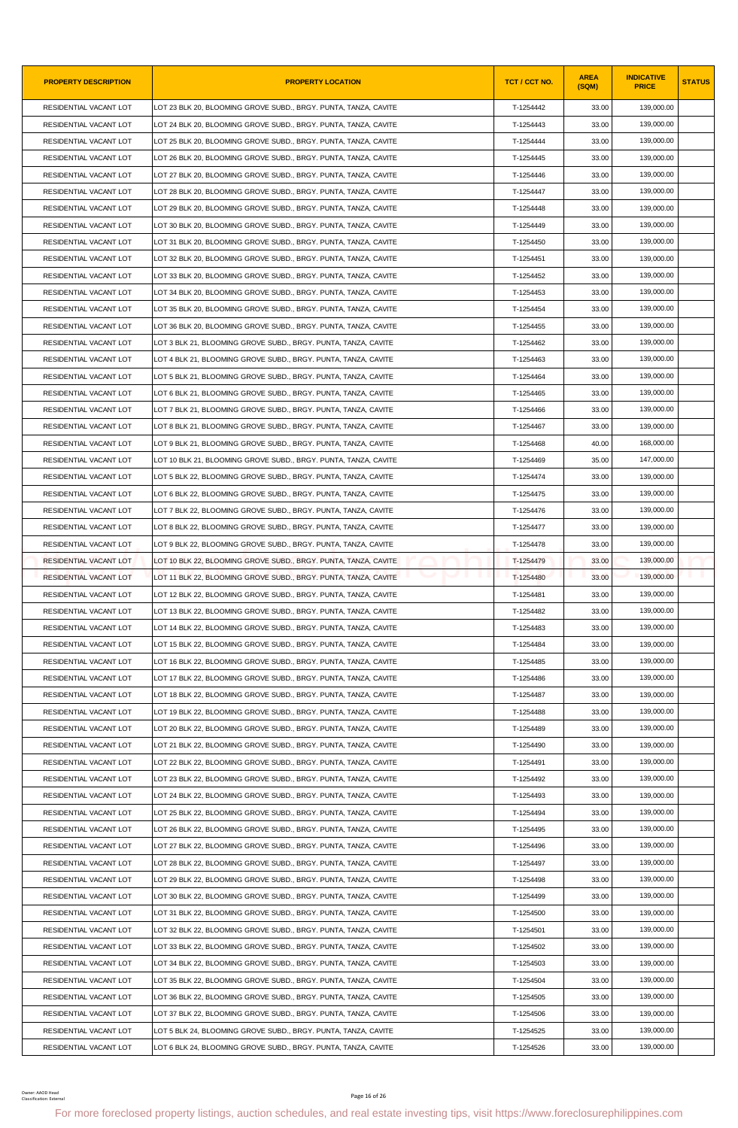| <b>PROPERTY DESCRIPTION</b>                 | <b>PROPERTY LOCATION</b>                                                                                                                                | TCT / CCT NO. | <b>AREA</b><br>(SQM) | <b>INDICATIVE</b><br><b>PRICE</b> | <b>STATUS</b> |
|---------------------------------------------|---------------------------------------------------------------------------------------------------------------------------------------------------------|---------------|----------------------|-----------------------------------|---------------|
| RESIDENTIAL VACANT LOT                      | LOT 23 BLK 20, BLOOMING GROVE SUBD., BRGY. PUNTA, TANZA, CAVITE                                                                                         | T-1254442     | 33.00                | 139,000.00                        |               |
| RESIDENTIAL VACANT LOT                      | LOT 24 BLK 20, BLOOMING GROVE SUBD., BRGY. PUNTA, TANZA, CAVITE                                                                                         | T-1254443     | 33.00                | 139,000.00                        |               |
| RESIDENTIAL VACANT LOT                      | LOT 25 BLK 20, BLOOMING GROVE SUBD., BRGY. PUNTA, TANZA, CAVITE                                                                                         | T-1254444     | 33.00                | 139,000.00                        |               |
| RESIDENTIAL VACANT LOT                      | LOT 26 BLK 20, BLOOMING GROVE SUBD., BRGY. PUNTA, TANZA, CAVITE                                                                                         | T-1254445     | 33.00                | 139,000.00                        |               |
| RESIDENTIAL VACANT LOT                      | LOT 27 BLK 20, BLOOMING GROVE SUBD., BRGY. PUNTA, TANZA, CAVITE                                                                                         | T-1254446     | 33.00                | 139,000.00                        |               |
| RESIDENTIAL VACANT LOT                      | LOT 28 BLK 20, BLOOMING GROVE SUBD., BRGY. PUNTA, TANZA, CAVITE                                                                                         | T-1254447     | 33.00                | 139,000.00                        |               |
| RESIDENTIAL VACANT LOT                      | LOT 29 BLK 20, BLOOMING GROVE SUBD., BRGY. PUNTA, TANZA, CAVITE                                                                                         | T-1254448     | 33.00                | 139,000.00                        |               |
| RESIDENTIAL VACANT LOT                      | LOT 30 BLK 20, BLOOMING GROVE SUBD., BRGY. PUNTA, TANZA, CAVITE                                                                                         | T-1254449     | 33.00                | 139,000.00                        |               |
| RESIDENTIAL VACANT LOT                      | LOT 31 BLK 20, BLOOMING GROVE SUBD., BRGY. PUNTA, TANZA, CAVITE                                                                                         | T-1254450     | 33.00                | 139,000.00                        |               |
| RESIDENTIAL VACANT LOT                      | LOT 32 BLK 20, BLOOMING GROVE SUBD., BRGY. PUNTA, TANZA, CAVITE                                                                                         | T-1254451     | 33.00                | 139,000.00                        |               |
| RESIDENTIAL VACANT LOT                      | LOT 33 BLK 20, BLOOMING GROVE SUBD., BRGY. PUNTA, TANZA, CAVITE                                                                                         | T-1254452     | 33.00                | 139,000.00                        |               |
| RESIDENTIAL VACANT LOT                      | LOT 34 BLK 20, BLOOMING GROVE SUBD., BRGY. PUNTA, TANZA, CAVITE                                                                                         | T-1254453     | 33.00                | 139,000.00                        |               |
| RESIDENTIAL VACANT LOT                      | LOT 35 BLK 20, BLOOMING GROVE SUBD., BRGY. PUNTA, TANZA, CAVITE                                                                                         | T-1254454     | 33.00                | 139,000.00                        |               |
| RESIDENTIAL VACANT LOT                      | LOT 36 BLK 20, BLOOMING GROVE SUBD., BRGY. PUNTA, TANZA, CAVITE                                                                                         | T-1254455     | 33.00                | 139,000.00                        |               |
| RESIDENTIAL VACANT LOT                      | LOT 3 BLK 21, BLOOMING GROVE SUBD., BRGY. PUNTA, TANZA, CAVITE                                                                                          | T-1254462     | 33.00                | 139,000.00                        |               |
| RESIDENTIAL VACANT LOT                      | LOT 4 BLK 21, BLOOMING GROVE SUBD., BRGY. PUNTA, TANZA, CAVITE                                                                                          | T-1254463     | 33.00                | 139,000.00                        |               |
| RESIDENTIAL VACANT LOT                      | LOT 5 BLK 21, BLOOMING GROVE SUBD., BRGY. PUNTA, TANZA, CAVITE                                                                                          | T-1254464     | 33.00                | 139,000.00                        |               |
| RESIDENTIAL VACANT LOT                      | LOT 6 BLK 21, BLOOMING GROVE SUBD., BRGY. PUNTA, TANZA, CAVITE                                                                                          | T-1254465     | 33.00                | 139,000.00                        |               |
| RESIDENTIAL VACANT LOT                      | LOT 7 BLK 21, BLOOMING GROVE SUBD., BRGY. PUNTA, TANZA, CAVITE                                                                                          | T-1254466     | 33.00                | 139,000.00                        |               |
| RESIDENTIAL VACANT LOT                      | LOT 8 BLK 21, BLOOMING GROVE SUBD., BRGY. PUNTA, TANZA, CAVITE                                                                                          | T-1254467     | 33.00                | 139,000.00                        |               |
| RESIDENTIAL VACANT LOT                      | LOT 9 BLK 21, BLOOMING GROVE SUBD., BRGY. PUNTA, TANZA, CAVITE                                                                                          | T-1254468     | 40.00                | 168,000.00                        |               |
| RESIDENTIAL VACANT LOT                      | LOT 10 BLK 21, BLOOMING GROVE SUBD., BRGY. PUNTA, TANZA, CAVITE                                                                                         | T-1254469     | 35.00                | 147,000.00                        |               |
| RESIDENTIAL VACANT LOT                      | LOT 5 BLK 22, BLOOMING GROVE SUBD., BRGY. PUNTA, TANZA, CAVITE                                                                                          | T-1254474     | 33.00                | 139,000.00                        |               |
| RESIDENTIAL VACANT LOT                      | LOT 6 BLK 22, BLOOMING GROVE SUBD., BRGY. PUNTA, TANZA, CAVITE                                                                                          | T-1254475     | 33.00                | 139,000.00                        |               |
| RESIDENTIAL VACANT LOT                      | LOT 7 BLK 22, BLOOMING GROVE SUBD., BRGY. PUNTA, TANZA, CAVITE                                                                                          | T-1254476     | 33.00                | 139,000.00                        |               |
| RESIDENTIAL VACANT LOT                      | LOT 8 BLK 22, BLOOMING GROVE SUBD., BRGY. PUNTA, TANZA, CAVITE                                                                                          | T-1254477     | 33.00                | 139,000.00                        |               |
| RESIDENTIAL VACANT LOT                      | LOT 9 BLK 22, BLOOMING GROVE SUBD., BRGY. PUNTA, TANZA, CAVITE                                                                                          | T-1254478     | 33.00                | 139,000.00                        |               |
| RESIDENTIAL VACANT LOT                      | LOT 10 BLK 22, BLOOMING GROVE SUBD., BRGY. PUNTA, TANZA, CAVITE                                                                                         | T-1254479     | 33.00                | 139,000.00                        |               |
| <b>RESIDENTIAL VACANT LOT</b>               | LOT 11 BLK 22, BLOOMING GROVE SUBD., BRGY. PUNTA, TANZA, CAVITE                                                                                         | T-1254480     | 33.00                | 139,000.00                        |               |
| RESIDENTIAL VACANT LOT                      | LOT 12 BLK 22, BLOOMING GROVE SUBD., BRGY. PUNTA, TANZA, CAVITE                                                                                         | T-1254481     | 33.00                | 139,000.00                        |               |
| RESIDENTIAL VACANT LOT                      | LOT 13 BLK 22, BLOOMING GROVE SUBD., BRGY. PUNTA, TANZA, CAVITE                                                                                         | T-1254482     | 33.00                | 139,000.00                        |               |
| RESIDENTIAL VACANT LOT                      | LOT 14 BLK 22, BLOOMING GROVE SUBD., BRGY. PUNTA, TANZA, CAVITE                                                                                         | T-1254483     | 33.00                | 139,000.00                        |               |
| RESIDENTIAL VACANT LOT                      | LOT 15 BLK 22, BLOOMING GROVE SUBD., BRGY. PUNTA, TANZA, CAVITE                                                                                         | T-1254484     | 33.00                | 139,000.00                        |               |
| RESIDENTIAL VACANT LOT                      | LOT 16 BLK 22, BLOOMING GROVE SUBD., BRGY. PUNTA, TANZA, CAVITE                                                                                         | T-1254485     | 33.00                | 139,000.00                        |               |
| RESIDENTIAL VACANT LOT                      | LOT 17 BLK 22, BLOOMING GROVE SUBD., BRGY. PUNTA, TANZA, CAVITE                                                                                         | T-1254486     | 33.00                | 139,000.00                        |               |
| RESIDENTIAL VACANT LOT                      | LOT 18 BLK 22, BLOOMING GROVE SUBD., BRGY. PUNTA, TANZA, CAVITE                                                                                         | T-1254487     | 33.00                | 139,000.00                        |               |
| RESIDENTIAL VACANT LOT                      | LOT 19 BLK 22, BLOOMING GROVE SUBD., BRGY. PUNTA, TANZA, CAVITE                                                                                         | T-1254488     | 33.00                | 139.000.00                        |               |
| RESIDENTIAL VACANT LOT                      | LOT 20 BLK 22, BLOOMING GROVE SUBD., BRGY. PUNTA, TANZA, CAVITE                                                                                         | T-1254489     | 33.00                | 139,000.00                        |               |
| RESIDENTIAL VACANT LOT                      | LOT 21 BLK 22, BLOOMING GROVE SUBD., BRGY. PUNTA, TANZA, CAVITE                                                                                         | T-1254490     | 33.00                | 139,000.00                        |               |
| RESIDENTIAL VACANT LOT                      | LOT 22 BLK 22, BLOOMING GROVE SUBD., BRGY. PUNTA, TANZA, CAVITE                                                                                         | T-1254491     | 33.00                | 139,000.00                        |               |
| RESIDENTIAL VACANT LOT                      | LOT 23 BLK 22, BLOOMING GROVE SUBD., BRGY. PUNTA, TANZA, CAVITE                                                                                         | T-1254492     | 33.00                | 139,000.00                        |               |
| RESIDENTIAL VACANT LOT                      | LOT 24 BLK 22, BLOOMING GROVE SUBD., BRGY. PUNTA, TANZA, CAVITE                                                                                         | T-1254493     | 33.00                | 139,000.00                        |               |
| RESIDENTIAL VACANT LOT                      | LOT 25 BLK 22, BLOOMING GROVE SUBD., BRGY. PUNTA, TANZA, CAVITE                                                                                         | T-1254494     | 33.00                | 139,000.00                        |               |
| RESIDENTIAL VACANT LOT                      | LOT 26 BLK 22, BLOOMING GROVE SUBD., BRGY. PUNTA, TANZA, CAVITE                                                                                         | T-1254495     | 33.00                | 139,000.00                        |               |
| RESIDENTIAL VACANT LOT                      | LOT 27 BLK 22, BLOOMING GROVE SUBD., BRGY. PUNTA, TANZA, CAVITE                                                                                         | T-1254496     | 33.00                | 139,000.00                        |               |
| RESIDENTIAL VACANT LOT                      | LOT 28 BLK 22, BLOOMING GROVE SUBD., BRGY. PUNTA, TANZA, CAVITE                                                                                         | T-1254497     | 33.00                | 139,000.00                        |               |
| RESIDENTIAL VACANT LOT                      | LOT 29 BLK 22, BLOOMING GROVE SUBD., BRGY. PUNTA, TANZA, CAVITE                                                                                         | T-1254498     | 33.00                | 139,000.00                        |               |
| RESIDENTIAL VACANT LOT                      | LOT 30 BLK 22, BLOOMING GROVE SUBD., BRGY. PUNTA, TANZA, CAVITE                                                                                         | T-1254499     | 33.00                | 139,000.00                        |               |
| RESIDENTIAL VACANT LOT                      | LOT 31 BLK 22, BLOOMING GROVE SUBD., BRGY. PUNTA, TANZA, CAVITE                                                                                         | T-1254500     | 33.00                | 139,000.00                        |               |
| RESIDENTIAL VACANT LOT                      | LOT 32 BLK 22, BLOOMING GROVE SUBD., BRGY. PUNTA, TANZA, CAVITE                                                                                         | T-1254501     | 33.00                | 139,000.00                        |               |
| RESIDENTIAL VACANT LOT                      | LOT 33 BLK 22, BLOOMING GROVE SUBD., BRGY. PUNTA, TANZA, CAVITE                                                                                         | T-1254502     | 33.00                | 139,000.00                        |               |
| RESIDENTIAL VACANT LOT                      | LOT 34 BLK 22, BLOOMING GROVE SUBD., BRGY. PUNTA, TANZA, CAVITE                                                                                         | T-1254503     | 33.00                | 139,000.00                        |               |
| RESIDENTIAL VACANT LOT                      | LOT 35 BLK 22, BLOOMING GROVE SUBD., BRGY. PUNTA, TANZA, CAVITE                                                                                         | T-1254504     | 33.00                | 139,000.00                        |               |
| RESIDENTIAL VACANT LOT                      | LOT 36 BLK 22, BLOOMING GROVE SUBD., BRGY. PUNTA, TANZA, CAVITE                                                                                         | T-1254505     | 33.00                | 139,000.00                        |               |
| RESIDENTIAL VACANT LOT                      | LOT 37 BLK 22, BLOOMING GROVE SUBD., BRGY. PUNTA, TANZA, CAVITE                                                                                         | T-1254506     | 33.00                | 139,000.00                        |               |
| RESIDENTIAL VACANT LOT                      | LOT 5 BLK 24, BLOOMING GROVE SUBD., BRGY. PUNTA, TANZA, CAVITE                                                                                          | T-1254525     | 33.00                | 139,000.00                        |               |
| RESIDENTIAL VACANT LOT                      | LOT 6 BLK 24, BLOOMING GROVE SUBD., BRGY. PUNTA, TANZA, CAVITE                                                                                          | T-1254526     | 33.00                | 139,000.00                        |               |
| Owner: AAOD Head<br>Classification: Externa | Page 16 of 26<br>For more foreclosed property listings, auction schedules, and real estate investing tips, visit https://www.foreclosurephilippines.com |               |                      |                                   |               |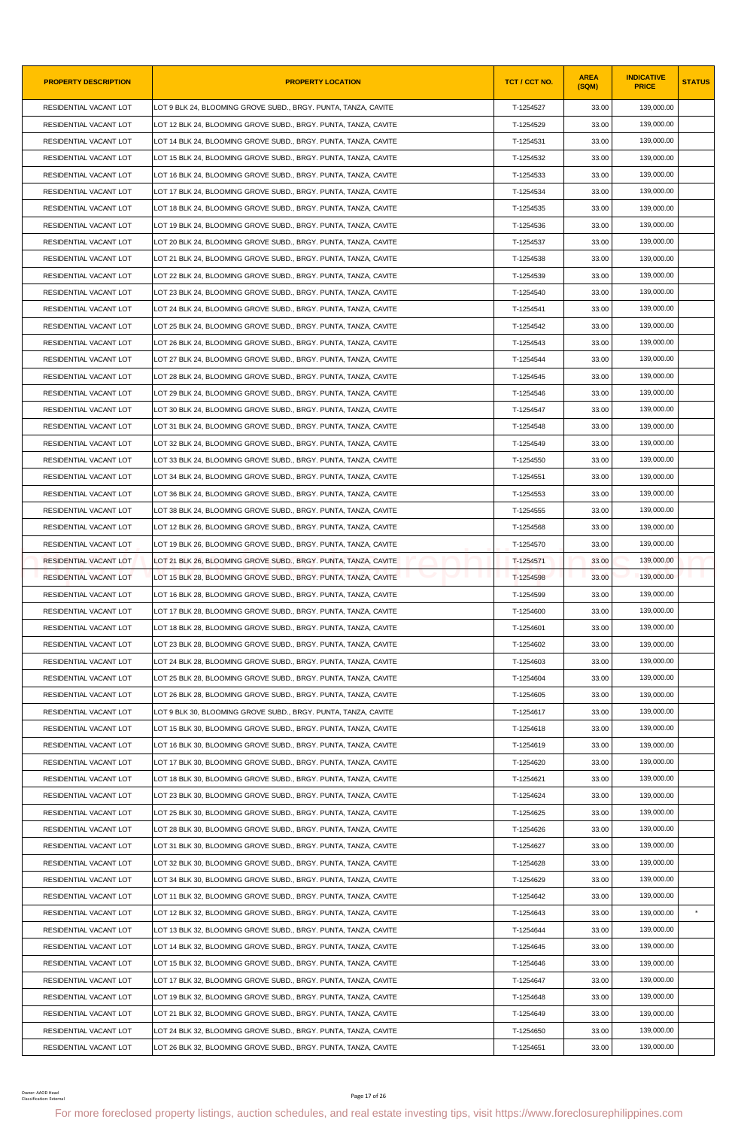| <b>PROPERTY DESCRIPTION</b>                      | <b>PROPERTY LOCATION</b>                                                                                                                                | TCT / CCT NO.          | <b>AREA</b><br>(SQM) | <b>INDICATIVE</b><br><b>PRICE</b> | <b>STATUS</b> |
|--------------------------------------------------|---------------------------------------------------------------------------------------------------------------------------------------------------------|------------------------|----------------------|-----------------------------------|---------------|
| RESIDENTIAL VACANT LOT                           | LOT 9 BLK 24, BLOOMING GROVE SUBD., BRGY. PUNTA, TANZA, CAVITE                                                                                          | T-1254527              | 33.00                | 139,000.00                        |               |
| RESIDENTIAL VACANT LOT                           | LOT 12 BLK 24, BLOOMING GROVE SUBD., BRGY. PUNTA, TANZA, CAVITE                                                                                         | T-1254529              | 33.00                | 139,000.00                        |               |
| RESIDENTIAL VACANT LOT                           | LOT 14 BLK 24, BLOOMING GROVE SUBD., BRGY. PUNTA, TANZA, CAVITE                                                                                         | T-1254531              | 33.00                | 139,000.00                        |               |
| RESIDENTIAL VACANT LOT                           | LOT 15 BLK 24, BLOOMING GROVE SUBD., BRGY. PUNTA, TANZA, CAVITE                                                                                         | T-1254532              | 33.00                | 139,000.00                        |               |
| RESIDENTIAL VACANT LOT                           | LOT 16 BLK 24, BLOOMING GROVE SUBD., BRGY. PUNTA, TANZA, CAVITE                                                                                         | T-1254533              | 33.00                | 139,000.00                        |               |
| RESIDENTIAL VACANT LOT                           | LOT 17 BLK 24, BLOOMING GROVE SUBD., BRGY. PUNTA, TANZA, CAVITE                                                                                         | T-1254534              | 33.00                | 139.000.00                        |               |
| RESIDENTIAL VACANT LOT                           | LOT 18 BLK 24, BLOOMING GROVE SUBD., BRGY. PUNTA, TANZA, CAVITE                                                                                         | T-1254535              | 33.00                | 139,000.00                        |               |
| RESIDENTIAL VACANT LOT                           | LOT 19 BLK 24, BLOOMING GROVE SUBD., BRGY. PUNTA, TANZA, CAVITE                                                                                         | T-1254536              | 33.00                | 139,000.00                        |               |
| RESIDENTIAL VACANT LOT                           | LOT 20 BLK 24, BLOOMING GROVE SUBD., BRGY. PUNTA, TANZA, CAVITE                                                                                         | T-1254537              | 33.00                | 139,000.00                        |               |
| RESIDENTIAL VACANT LOT                           | LOT 21 BLK 24, BLOOMING GROVE SUBD., BRGY. PUNTA, TANZA, CAVITE                                                                                         | T-1254538              | 33.00                | 139,000.00                        |               |
| RESIDENTIAL VACANT LOT                           | LOT 22 BLK 24, BLOOMING GROVE SUBD., BRGY. PUNTA, TANZA, CAVITE                                                                                         | T-1254539              | 33.00                | 139,000.00                        |               |
| RESIDENTIAL VACANT LOT                           | LOT 23 BLK 24, BLOOMING GROVE SUBD., BRGY. PUNTA, TANZA, CAVITE                                                                                         | T-1254540              | 33.00                | 139,000.00                        |               |
| RESIDENTIAL VACANT LOT                           | LOT 24 BLK 24, BLOOMING GROVE SUBD., BRGY. PUNTA, TANZA, CAVITE                                                                                         | T-1254541              | 33.00                | 139,000.00                        |               |
| RESIDENTIAL VACANT LOT                           | LOT 25 BLK 24, BLOOMING GROVE SUBD., BRGY. PUNTA, TANZA, CAVITE                                                                                         | T-1254542              | 33.00                | 139,000.00                        |               |
| RESIDENTIAL VACANT LOT                           | LOT 26 BLK 24, BLOOMING GROVE SUBD., BRGY. PUNTA, TANZA, CAVITE                                                                                         | T-1254543              | 33.00                | 139,000.00                        |               |
| RESIDENTIAL VACANT LOT                           | LOT 27 BLK 24, BLOOMING GROVE SUBD., BRGY. PUNTA, TANZA, CAVITE                                                                                         | T-1254544              | 33.00                | 139,000.00                        |               |
| RESIDENTIAL VACANT LOT                           | LOT 28 BLK 24, BLOOMING GROVE SUBD., BRGY. PUNTA, TANZA, CAVITE                                                                                         | T-1254545              | 33.00                | 139.000.00                        |               |
| RESIDENTIAL VACANT LOT                           | LOT 29 BLK 24, BLOOMING GROVE SUBD., BRGY. PUNTA, TANZA, CAVITE                                                                                         | T-1254546              | 33.00                | 139,000.00                        |               |
| RESIDENTIAL VACANT LOT                           | LOT 30 BLK 24, BLOOMING GROVE SUBD., BRGY. PUNTA, TANZA, CAVITE                                                                                         | T-1254547              | 33.00                | 139,000.00                        |               |
| RESIDENTIAL VACANT LOT                           | LOT 31 BLK 24, BLOOMING GROVE SUBD., BRGY. PUNTA, TANZA, CAVITE                                                                                         | T-1254548              | 33.00                | 139,000.00                        |               |
| RESIDENTIAL VACANT LOT                           | LOT 32 BLK 24, BLOOMING GROVE SUBD., BRGY. PUNTA, TANZA, CAVITE                                                                                         | T-1254549              | 33.00                | 139,000.00                        |               |
| RESIDENTIAL VACANT LOT                           | LOT 33 BLK 24, BLOOMING GROVE SUBD., BRGY. PUNTA, TANZA, CAVITE                                                                                         | T-1254550              | 33.00                | 139,000.00                        |               |
| RESIDENTIAL VACANT LOT                           | LOT 34 BLK 24, BLOOMING GROVE SUBD., BRGY. PUNTA, TANZA, CAVITE                                                                                         | T-1254551              | 33.00                | 139,000.00                        |               |
| RESIDENTIAL VACANT LOT                           | LOT 36 BLK 24, BLOOMING GROVE SUBD., BRGY. PUNTA, TANZA, CAVITE                                                                                         | T-1254553              | 33.00                | 139,000.00                        |               |
| RESIDENTIAL VACANT LOT                           | LOT 38 BLK 24, BLOOMING GROVE SUBD., BRGY. PUNTA, TANZA, CAVITE                                                                                         | T-1254555              | 33.00                | 139,000.00                        |               |
| RESIDENTIAL VACANT LOT                           | LOT 12 BLK 26, BLOOMING GROVE SUBD., BRGY. PUNTA, TANZA, CAVITE                                                                                         | T-1254568              | 33.00                | 139,000.00                        |               |
| RESIDENTIAL VACANT LOT                           | LOT 19 BLK 26, BLOOMING GROVE SUBD., BRGY. PUNTA, TANZA, CAVITE                                                                                         | T-1254570              | 33.00                | 139,000.00                        |               |
| RESIDENTIAL VACANT LOT                           | LOT 21 BLK 26, BLOOMING GROVE SUBD., BRGY. PUNTA, TANZA, CAVITE                                                                                         | T-1254571              | 33.00                | 139,000.00                        |               |
| RESIDENTIAL VACANT LOT                           | LOT 15 BLK 28, BLOOMING GROVE SUBD., BRGY. PUNTA, TANZA, CAVITE                                                                                         | T-1254598              | 33.00                | 139,000.00                        |               |
| RESIDENTIAL VACANT LOT                           | LOT 16 BLK 28, BLOOMING GROVE SUBD., BRGY. PUNTA, TANZA, CAVITE                                                                                         | T-1254599              | 33.00                | 139,000.00                        |               |
| RESIDENTIAL VACANT LOT                           | LOT 17 BLK 28, BLOOMING GROVE SUBD., BRGY. PUNTA, TANZA, CAVITE                                                                                         | T-1254600              | 33.00                | 139,000.00                        |               |
| RESIDENTIAL VACANT LOT                           | LOT 18 BLK 28, BLOOMING GROVE SUBD., BRGY. PUNTA, TANZA, CAVITE                                                                                         | T-1254601              | 33.00                | 139,000.00                        |               |
| RESIDENTIAL VACANT LOT                           | LOT 23 BLK 28, BLOOMING GROVE SUBD., BRGY. PUNTA, TANZA, CAVITE                                                                                         | T-1254602              | 33.00                | 139,000.00                        |               |
| RESIDENTIAL VACANT LOT                           | LOT 24 BLK 28, BLOOMING GROVE SUBD., BRGY. PUNTA, TANZA, CAVITE                                                                                         | T-1254603              | 33.00                | 139,000.00                        |               |
| RESIDENTIAL VACANT LOT                           | LOT 25 BLK 28, BLOOMING GROVE SUBD., BRGY. PUNTA, TANZA, CAVITE                                                                                         | T-1254604              | 33.00                | 139,000.00                        |               |
| RESIDENTIAL VACANT LOT                           | LOT 26 BLK 28, BLOOMING GROVE SUBD., BRGY. PUNTA, TANZA, CAVITE                                                                                         | T-1254605              | 33.00                | 139,000.00                        |               |
| RESIDENTIAL VACANT LOT                           | LOT 9 BLK 30, BLOOMING GROVE SUBD., BRGY. PUNTA, TANZA, CAVITE                                                                                          | T-1254617              | 33.00                | 139,000.00                        |               |
| RESIDENTIAL VACANT LOT                           | LOT 15 BLK 30. BLOOMING GROVE SUBD., BRGY, PUNTA, TANZA, CAVITE                                                                                         | T-1254618              | 33.00                | 139,000.00                        |               |
| RESIDENTIAL VACANT LOT                           | LOT 16 BLK 30, BLOOMING GROVE SUBD., BRGY. PUNTA, TANZA, CAVITE                                                                                         | T-1254619              | 33.00                | 139,000.00                        |               |
| RESIDENTIAL VACANT LOT                           | LOT 17 BLK 30, BLOOMING GROVE SUBD., BRGY. PUNTA, TANZA, CAVITE                                                                                         | T-1254620              | 33.00                | 139,000.00                        |               |
| RESIDENTIAL VACANT LOT                           | LOT 18 BLK 30, BLOOMING GROVE SUBD., BRGY. PUNTA, TANZA, CAVITE                                                                                         | T-1254621              | 33.00                | 139,000.00                        |               |
| RESIDENTIAL VACANT LOT                           | LOT 23 BLK 30, BLOOMING GROVE SUBD., BRGY. PUNTA, TANZA, CAVITE                                                                                         | T-1254624              | 33.00                | 139,000.00                        |               |
| RESIDENTIAL VACANT LOT<br>RESIDENTIAL VACANT LOT | LOT 25 BLK 30, BLOOMING GROVE SUBD., BRGY. PUNTA, TANZA, CAVITE<br>LOT 28 BLK 30, BLOOMING GROVE SUBD., BRGY. PUNTA, TANZA, CAVITE                      | T-1254625<br>T-1254626 | 33.00<br>33.00       | 139,000.00<br>139,000.00          |               |
|                                                  |                                                                                                                                                         |                        |                      | 139,000.00                        |               |
| RESIDENTIAL VACANT LOT<br>RESIDENTIAL VACANT LOT | LOT 31 BLK 30, BLOOMING GROVE SUBD., BRGY. PUNTA, TANZA, CAVITE<br>LOT 32 BLK 30, BLOOMING GROVE SUBD., BRGY. PUNTA, TANZA, CAVITE                      | T-1254627<br>T-1254628 | 33.00<br>33.00       | 139,000.00                        |               |
| RESIDENTIAL VACANT LOT                           | LOT 34 BLK 30, BLOOMING GROVE SUBD., BRGY. PUNTA, TANZA, CAVITE                                                                                         | T-1254629              | 33.00                | 139,000.00                        |               |
| RESIDENTIAL VACANT LOT                           | LOT 11 BLK 32, BLOOMING GROVE SUBD., BRGY. PUNTA, TANZA, CAVITE                                                                                         | T-1254642              | 33.00                | 139,000.00                        |               |
| RESIDENTIAL VACANT LOT                           | LOT 12 BLK 32, BLOOMING GROVE SUBD., BRGY. PUNTA, TANZA, CAVITE                                                                                         | T-1254643              | 33.00                | 139,000.00                        | $\star$       |
| RESIDENTIAL VACANT LOT                           | LOT 13 BLK 32, BLOOMING GROVE SUBD., BRGY. PUNTA, TANZA, CAVITE                                                                                         | T-1254644              | 33.00                | 139,000.00                        |               |
| RESIDENTIAL VACANT LOT                           | LOT 14 BLK 32, BLOOMING GROVE SUBD., BRGY. PUNTA, TANZA, CAVITE                                                                                         | T-1254645              | 33.00                | 139,000.00                        |               |
| RESIDENTIAL VACANT LOT                           | LOT 15 BLK 32, BLOOMING GROVE SUBD., BRGY. PUNTA, TANZA, CAVITE                                                                                         | T-1254646              | 33.00                | 139,000.00                        |               |
| RESIDENTIAL VACANT LOT                           | LOT 17 BLK 32, BLOOMING GROVE SUBD., BRGY. PUNTA, TANZA, CAVITE                                                                                         | T-1254647              | 33.00                | 139,000.00                        |               |
| RESIDENTIAL VACANT LOT                           | LOT 19 BLK 32, BLOOMING GROVE SUBD., BRGY. PUNTA, TANZA, CAVITE                                                                                         | T-1254648              | 33.00                | 139,000.00                        |               |
| RESIDENTIAL VACANT LOT                           | LOT 21 BLK 32, BLOOMING GROVE SUBD., BRGY. PUNTA, TANZA, CAVITE                                                                                         | T-1254649              | 33.00                | 139,000.00                        |               |
| RESIDENTIAL VACANT LOT                           | LOT 24 BLK 32, BLOOMING GROVE SUBD., BRGY. PUNTA, TANZA, CAVITE                                                                                         | T-1254650              | 33.00                | 139,000.00                        |               |
| RESIDENTIAL VACANT LOT                           | LOT 26 BLK 32, BLOOMING GROVE SUBD., BRGY. PUNTA, TANZA, CAVITE                                                                                         | T-1254651              | 33.00                | 139,000.00                        |               |
|                                                  |                                                                                                                                                         |                        |                      |                                   |               |
| Owner: AAOD Head<br>Classification: Externa      | Page 17 of 26<br>For more foreclosed property listings, auction schedules, and real estate investing tips, visit https://www.foreclosurephilippines.com |                        |                      |                                   |               |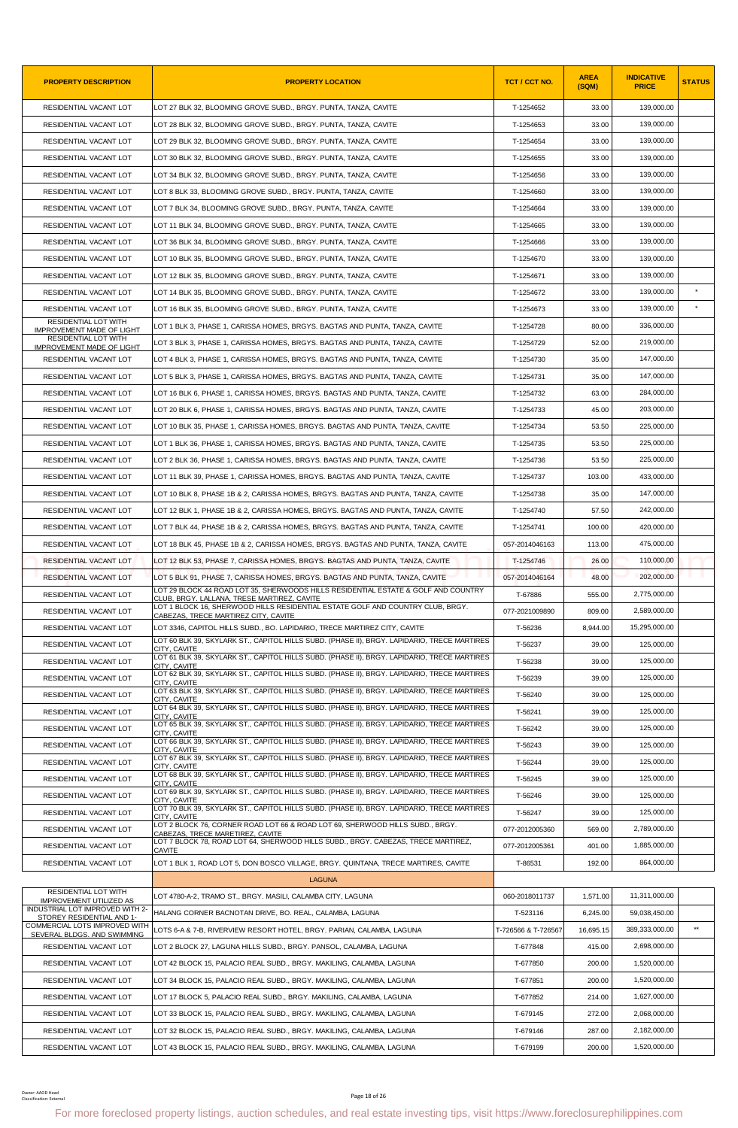| <b>PROPERTY DESCRIPTION</b>                                     | <b>PROPERTY LOCATION</b>                                                                                                                                                 | TCT / CCT NO.       | <b>AREA</b><br>(SQM) | <b>INDICATIVE</b><br><b>PRICE</b> | <b>STATUS</b> |
|-----------------------------------------------------------------|--------------------------------------------------------------------------------------------------------------------------------------------------------------------------|---------------------|----------------------|-----------------------------------|---------------|
| RESIDENTIAL VACANT LOT                                          | LOT 27 BLK 32, BLOOMING GROVE SUBD., BRGY. PUNTA, TANZA, CAVITE                                                                                                          | T-1254652           | 33.00                | 139,000.00                        |               |
| RESIDENTIAL VACANT LOT                                          | LOT 28 BLK 32, BLOOMING GROVE SUBD., BRGY. PUNTA, TANZA, CAVITE                                                                                                          | T-1254653           | 33.00                | 139,000.00                        |               |
| RESIDENTIAL VACANT LOT                                          | LOT 29 BLK 32, BLOOMING GROVE SUBD., BRGY. PUNTA, TANZA, CAVITE                                                                                                          | T-1254654           | 33.00                | 139,000.00                        |               |
| RESIDENTIAL VACANT LOT                                          | LOT 30 BLK 32, BLOOMING GROVE SUBD., BRGY. PUNTA, TANZA, CAVITE                                                                                                          | T-1254655           | 33.00                | 139,000.00                        |               |
| RESIDENTIAL VACANT LOT                                          | LOT 34 BLK 32, BLOOMING GROVE SUBD., BRGY. PUNTA, TANZA, CAVITE                                                                                                          | T-1254656           | 33.00                | 139,000.00                        |               |
| RESIDENTIAL VACANT LOT                                          | LOT 8 BLK 33, BLOOMING GROVE SUBD., BRGY. PUNTA, TANZA, CAVITE                                                                                                           | T-1254660           | 33.00                | 139,000.00                        |               |
| RESIDENTIAL VACANT LOT                                          | LOT 7 BLK 34, BLOOMING GROVE SUBD., BRGY. PUNTA, TANZA, CAVITE                                                                                                           | T-1254664           | 33.00                | 139,000.00                        |               |
| RESIDENTIAL VACANT LOT                                          | LOT 11 BLK 34, BLOOMING GROVE SUBD., BRGY. PUNTA, TANZA, CAVITE                                                                                                          | T-1254665           | 33.00                | 139,000.00                        |               |
| RESIDENTIAL VACANT LOT                                          | LOT 36 BLK 34, BLOOMING GROVE SUBD., BRGY. PUNTA, TANZA, CAVITE                                                                                                          | T-1254666           | 33.00                | 139,000.00                        |               |
| RESIDENTIAL VACANT LOT                                          | LOT 10 BLK 35, BLOOMING GROVE SUBD., BRGY. PUNTA, TANZA, CAVITE                                                                                                          | T-1254670           | 33.00                | 139,000.00                        |               |
| RESIDENTIAL VACANT LOT                                          | LOT 12 BLK 35, BLOOMING GROVE SUBD., BRGY. PUNTA, TANZA, CAVITE                                                                                                          | T-1254671           | 33.00                | 139,000.00                        |               |
| RESIDENTIAL VACANT LOT                                          | LOT 14 BLK 35, BLOOMING GROVE SUBD., BRGY. PUNTA, TANZA, CAVITE                                                                                                          | T-1254672           | 33.00                | 139,000.00                        | $\star$       |
| RESIDENTIAL VACANT LOT                                          | LOT 16 BLK 35, BLOOMING GROVE SUBD., BRGY. PUNTA, TANZA, CAVITE                                                                                                          | T-1254673           | 33.00                | 139,000.00                        |               |
| <b>RESIDENTIAL LOT WITH</b><br><b>IMPROVEMENT MADE OF LIGHT</b> | LOT 1 BLK 3. PHASE 1. CARISSA HOMES. BRGYS. BAGTAS AND PUNTA. TANZA. CAVITE                                                                                              | T-1254728           | 80.00                | 336,000.00                        |               |
| RESIDENTIAL LOT WITH                                            | LOT 3 BLK 3, PHASE 1, CARISSA HOMES, BRGYS. BAGTAS AND PUNTA, TANZA, CAVITE                                                                                              | T-1254729           | 52.00                | 219.000.00                        |               |
| <b>IMPROVEMENT MADE OF LIGHT</b><br>RESIDENTIAL VACANT LOT      | LOT 4 BLK 3, PHASE 1, CARISSA HOMES, BRGYS. BAGTAS AND PUNTA, TANZA, CAVITE                                                                                              | T-1254730           | 35.00                | 147,000.00                        |               |
| RESIDENTIAL VACANT LOT                                          | LOT 5 BLK 3, PHASE 1, CARISSA HOMES, BRGYS. BAGTAS AND PUNTA, TANZA, CAVITE                                                                                              | T-1254731           | 35.00                | 147,000.00                        |               |
| RESIDENTIAL VACANT LOT                                          | LOT 16 BLK 6, PHASE 1, CARISSA HOMES, BRGYS, BAGTAS AND PUNTA, TANZA, CAVITE                                                                                             | T-1254732           | 63.00                | 284,000.00                        |               |
| RESIDENTIAL VACANT LOT                                          | LOT 20 BLK 6, PHASE 1, CARISSA HOMES, BRGYS. BAGTAS AND PUNTA, TANZA, CAVITE                                                                                             | T-1254733           | 45.00                | 203.000.00                        |               |
| RESIDENTIAL VACANT LOT                                          | LOT 10 BLK 35, PHASE 1, CARISSA HOMES, BRGYS. BAGTAS AND PUNTA, TANZA, CAVITE                                                                                            | T-1254734           | 53.50                | 225,000.00                        |               |
| RESIDENTIAL VACANT LOT                                          | LOT 1 BLK 36, PHASE 1, CARISSA HOMES, BRGYS. BAGTAS AND PUNTA, TANZA, CAVITE                                                                                             | T-1254735           | 53.50                | 225,000.00                        |               |
| RESIDENTIAL VACANT LOT                                          | LOT 2 BLK 36, PHASE 1, CARISSA HOMES, BRGYS. BAGTAS AND PUNTA, TANZA, CAVITE                                                                                             | T-1254736           | 53.50                | 225,000.00                        |               |
| RESIDENTIAL VACANT LOT                                          | LOT 11 BLK 39, PHASE 1, CARISSA HOMES, BRGYS. BAGTAS AND PUNTA, TANZA, CAVITE                                                                                            | T-1254737           | 103.00               | 433.000.00                        |               |
| RESIDENTIAL VACANT LOT                                          | LOT 10 BLK 8, PHASE 1B & 2, CARISSA HOMES, BRGYS. BAGTAS AND PUNTA, TANZA, CAVITE                                                                                        | T-1254738           | 35.00                | 147,000.00                        |               |
| RESIDENTIAL VACANT LOT                                          | LOT 12 BLK 1, PHASE 1B & 2, CARISSA HOMES, BRGYS. BAGTAS AND PUNTA, TANZA, CAVITE                                                                                        | T-1254740           | 57.50                | 242,000.00                        |               |
| RESIDENTIAL VACANT LOT                                          | LOT 7 BLK 44, PHASE 1B & 2, CARISSA HOMES, BRGYS. BAGTAS AND PUNTA, TANZA, CAVITE                                                                                        | T-1254741           | 100.00               | 420,000.00                        |               |
| RESIDENTIAL VACANT LOT                                          | LOT 18 BLK 45, PHASE 1B & 2, CARISSA HOMES, BRGYS. BAGTAS AND PUNTA, TANZA, CAVITE                                                                                       | 057-2014046163      | 113.00               | 475,000.00                        |               |
| RESIDENTIAL VACANT LOT                                          | LOT 12 BLK 53, PHASE 7, CARISSA HOMES, BRGYS. BAGTAS AND PUNTA, TANZA, CAVITE                                                                                            | T-1254746           | 26.00                | 110,000.00                        |               |
| RESIDENTIAL VACANT LOT                                          | LOT 5 BLK 91, PHASE 7, CARISSA HOMES, BRGYS, BAGTAS AND PUNTA, TANZA, CAVITE                                                                                             | 057-2014046164      | 48.00                | 202,000.00                        |               |
| RESIDENTIAL VACANT LOT                                          | LOT 29 BLOCK 44 ROAD LOT 35, SHERWOODS HILLS RESIDENTIAL ESTATE & GOLF AND COUNTRY                                                                                       | T-67886             | 555.00               | 2,775,000.00                      |               |
| RESIDENTIAL VACANT LOT                                          | CLUB, BRGY. LALLANA, TRESE MARTIREZ, CAVITE<br>LOT 1 BLOCK 16, SHERWOOD HILLS RESIDENTIAL ESTATE GOLF AND COUNTRY CLUB, BRGY.                                            |                     | 809.00               | 2,589,000.00                      |               |
|                                                                 | CABEZAS. TRECE MARTIREZ CITY. CAVITE                                                                                                                                     | 077-2021009890      |                      |                                   |               |
| RESIDENTIAL VACANT LOT                                          | LOT 3346, CAPITOL HILLS SUBD., BO. LAPIDARIO, TRECE MARTIREZ CITY, CAVITE<br>LOT 60 BLK 39, SKYLARK ST., CAPITOL HILLS SUBD, (PHASE II), BRGY, LAPIDARIO, TRECE MARTIRES | T-56236             | 8,944.00             | 15,295,000.00<br>125,000.00       |               |
| RESIDENTIAL VACANT LOT                                          | CITY, CAVITE<br>LOT 61 BLK 39, SKYLARK ST., CAPITOL HILLS SUBD, (PHASE II), BRGY, LAPIDARIO, TRECE MARTIRES                                                              | T-56237             | 39.00                |                                   |               |
| RESIDENTIAL VACANT LOT                                          | CITY, CAVITE<br>LOT 62 BLK 39, SKYLARK ST., CAPITOL HILLS SUBD. (PHASE II), BRGY. LAPIDARIO, TRECE MARTIRES                                                              | T-56238             | 39.00                | 125,000.00                        |               |
| RESIDENTIAL VACANT LOT                                          | CITY, CAVITE<br>LOT 63 BLK 39, SKYLARK ST., CAPITOL HILLS SUBD. (PHASE II), BRGY. LAPIDARIO, TRECE MARTIRES                                                              | T-56239             | 39.00                | 125,000.00                        |               |
| RESIDENTIAL VACANT LOT                                          | CITY, CAVITE<br>LOT 64 BLK 39, SKYLARK ST., CAPITOL HILLS SUBD. (PHASE II), BRGY. LAPIDARIO, TRECE MARTIRES                                                              | T-56240             | 39.00                | 125,000.00                        |               |
| RESIDENTIAL VACANT LOT                                          | CITY. CAVITE<br>LOT 65 BLK 39, SKYLARK ST., CAPITOL HILLS SUBD. (PHASE II), BRGY. LAPIDARIO, TRECE MARTIRES                                                              | T-56241             | 39.00                | 125,000.00                        |               |
| RESIDENTIAL VACANT LOT                                          | CITY, CAVITE<br>LOT 66 BLK 39, SKYLARK ST., CAPITOL HILLS SUBD. (PHASE II), BRGY. LAPIDARIO, TRECE MARTIRES                                                              | T-56242             | 39.00                | 125,000.00                        |               |
| RESIDENTIAL VACANT LOT                                          | CITY, CAVITE<br>LOT 67 BLK 39, SKYLARK ST., CAPITOL HILLS SUBD, (PHASE II), BRGY, LAPIDARIO, TRECE MARTIRES                                                              | T-56243             | 39.00                | 125,000.00                        |               |
| RESIDENTIAL VACANT LOT                                          | CITY, CAVITE<br>LOT 68 BLK 39, SKYLARK ST., CAPITOL HILLS SUBD. (PHASE II), BRGY. LAPIDARIO, TRECE MARTIRES                                                              | T-56244             | 39.00                | 125,000.00                        |               |
| RESIDENTIAL VACANT LOT                                          | CITY, CAVITE<br>LOT 69 BLK 39, SKYLARK ST., CAPITOL HILLS SUBD. (PHASE II), BRGY. LAPIDARIO, TRECE MARTIRES                                                              | T-56245             | 39.00                | 125,000.00                        |               |
| RESIDENTIAL VACANT LOT                                          | CITY, CAVITE<br>LOT 70 BLK 39, SKYLARK ST., CAPITOL HILLS SUBD. (PHASE II), BRGY. LAPIDARIO, TRECE MARTIRES                                                              | T-56246             | 39.00                | 125,000.00                        |               |
| RESIDENTIAL VACANT LOT                                          | CITY, CAVITE<br>LOT 2 BLOCK 76, CORNER ROAD LOT 66 & ROAD LOT 69, SHERWOOD HILLS SUBD., BRGY.                                                                            | T-56247             | 39.00                | 125,000.00                        |               |
| RESIDENTIAL VACANT LOT                                          | CABEZAS, TRECE MARETIREZ, CAVITE                                                                                                                                         | 077-2012005360      | 569.00               | 2,789,000.00                      |               |
| RESIDENTIAL VACANT LOT                                          | LOT 7 BLOCK 78, ROAD LOT 64, SHERWOOD HILLS SUBD., BRGY. CABEZAS, TRECE MARTIREZ,<br>CAVITE                                                                              | 077-2012005361      | 401.00               | 1,885,000.00                      |               |
| RESIDENTIAL VACANT LOT                                          | LOT 1 BLK 1, ROAD LOT 5, DON BOSCO VILLAGE, BRGY. QUINTANA, TRECE MARTIRES, CAVITE                                                                                       | T-86531             | 192.00               | 864,000.00                        |               |
|                                                                 | <b>LAGUNA</b>                                                                                                                                                            |                     |                      |                                   |               |
| <b>RESIDENTIAL LOT WITH</b><br><b>IMPROVEMENT UTILIZED AS</b>   | LOT 4780-A-2, TRAMO ST., BRGY. MASILI, CALAMBA CITY, LAGUNA                                                                                                              | 060-2018011737      | 1,571.00             | 11,311,000.00                     |               |
| INDUSTRIAL LOT IMPROVED WITH 2-<br>STOREY RESIDENTIAL AND 1-    | HALANG CORNER BACNOTAN DRIVE, BO. REAL, CALAMBA, LAGUNA                                                                                                                  | T-523116            | 6,245.00             | 59,038,450.00                     |               |
| COMMERCIAL LOTS IMPROVED WITH<br>SEVERAL BLDGS. AND SWIMMING    | LOTS 6-A & 7-B, RIVERVIEW RESORT HOTEL, BRGY. PARIAN, CALAMBA, LAGUNA                                                                                                    | T-726566 & T-726567 | 16,695.15            | 389,333,000.00                    | $\star\star$  |
| RESIDENTIAL VACANT LOT                                          | LOT 2 BLOCK 27, LAGUNA HILLS SUBD., BRGY. PANSOL, CALAMBA, LAGUNA                                                                                                        | T-677848            | 415.00               | 2,698,000.00                      |               |
| RESIDENTIAL VACANT LOT                                          | LOT 42 BLOCK 15, PALACIO REAL SUBD., BRGY. MAKILING, CALAMBA, LAGUNA                                                                                                     | T-677850            | 200.00               | 1,520,000.00                      |               |
| RESIDENTIAL VACANT LOT                                          | LOT 34 BLOCK 15, PALACIO REAL SUBD., BRGY. MAKILING, CALAMBA, LAGUNA                                                                                                     | T-677851            | 200.00               | 1,520,000.00                      |               |
| RESIDENTIAL VACANT LOT                                          | LOT 17 BLOCK 5, PALACIO REAL SUBD., BRGY. MAKILING, CALAMBA, LAGUNA                                                                                                      | T-677852            | 214.00               | 1,627,000.00                      |               |
| RESIDENTIAL VACANT LOT                                          | LOT 33 BLOCK 15, PALACIO REAL SUBD., BRGY. MAKILING, CALAMBA, LAGUNA                                                                                                     | T-679145            | 272.00               | 2,068,000.00                      |               |
| RESIDENTIAL VACANT LOT                                          | LOT 32 BLOCK 15, PALACIO REAL SUBD., BRGY. MAKILING, CALAMBA, LAGUNA                                                                                                     | T-679146            | 287.00               | 2,182,000.00                      |               |
| RESIDENTIAL VACANT LOT                                          | LOT 43 BLOCK 15, PALACIO REAL SUBD., BRGY. MAKILING, CALAMBA, LAGUNA                                                                                                     | T-679199            | 200.00               | 1,520,000.00                      |               |
| Owner: AAOD Head<br>Classification: Externa                     | Page 18 of 26<br>For more foreclosed property listings, auction schedules, and real estate investing tips, visit https://www.foreclosurephilippines.com                  |                     |                      |                                   |               |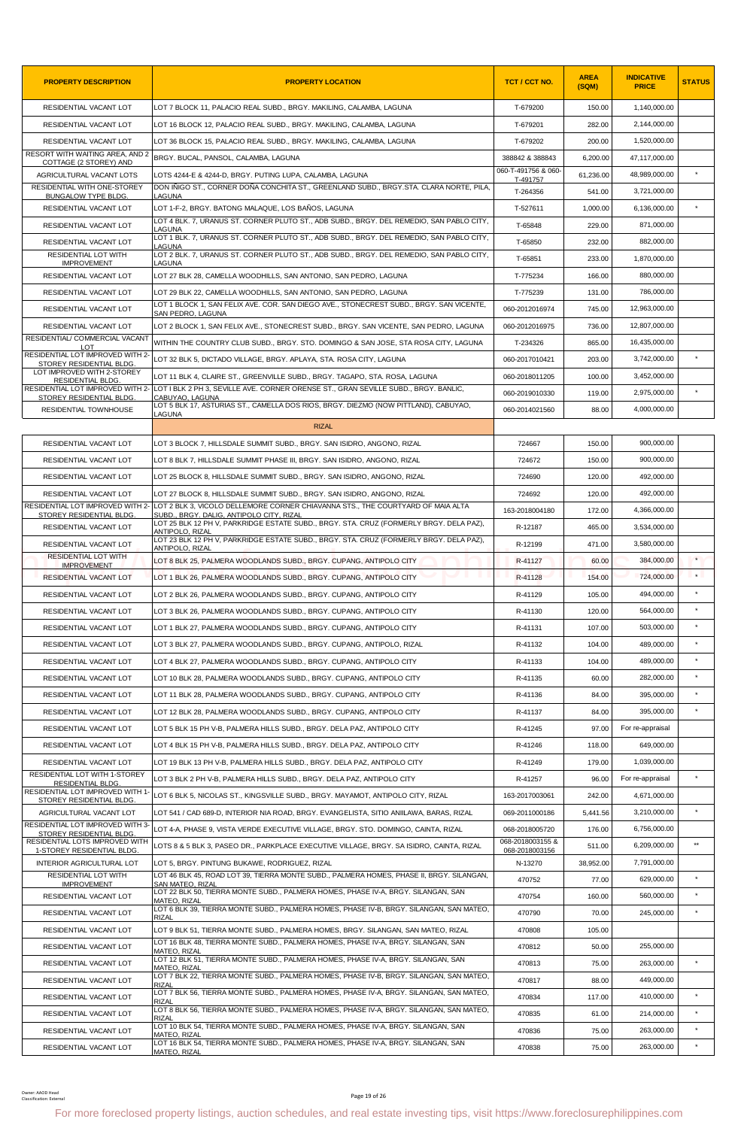| <b>PROPERTY DESCRIPTION</b>                                 | <b>PROPERTY LOCATION</b>                                                                                                                                                                    | TCT / CCT NO.                   | <b>AREA</b><br>(SQM) | <b>INDICATIVE</b><br><b>PRICE</b> | <b>STATUS</b> |
|-------------------------------------------------------------|---------------------------------------------------------------------------------------------------------------------------------------------------------------------------------------------|---------------------------------|----------------------|-----------------------------------|---------------|
| RESIDENTIAL VACANT LOT                                      | LOT 7 BLOCK 11, PALACIO REAL SUBD., BRGY. MAKILING, CALAMBA, LAGUNA                                                                                                                         | T-679200                        | 150.00               | 1,140,000.00                      |               |
| RESIDENTIAL VACANT LOT                                      | LOT 16 BLOCK 12, PALACIO REAL SUBD., BRGY. MAKILING, CALAMBA, LAGUNA                                                                                                                        | T-679201                        | 282.00               | 2,144,000.00                      |               |
| RESIDENTIAL VACANT LOT                                      | LOT 36 BLOCK 15, PALACIO REAL SUBD., BRGY. MAKILING, CALAMBA, LAGUNA                                                                                                                        | T-679202                        | 200.00               | 1.520.000.00                      |               |
| RESORT WITH WAITING AREA, AND 2<br>COTTAGE (2 STOREY) AND   | BRGY. BUCAL, PANSOL, CALAMBA, LAGUNA                                                                                                                                                        | 388842 & 388843                 | 6,200.00             | 47,117,000.00                     |               |
| AGRICULTURAL VACANT LOTS                                    | LOTS 4244-E & 4244-D, BRGY. PUTING LUPA, CALAMBA, LAGUNA                                                                                                                                    | 060-T-491756 & 060-<br>T-491757 | 61,236.00            | 48,989,000.00                     |               |
| RESIDENTIAL WITH ONE-STOREY<br><b>BUNGALOW TYPE BLDG.</b>   | DON IÑIGO ST., CORNER DOÑA CONCHITA ST., GREENLAND SUBD., BRGY.STA, CLARA NORTE, PILA.<br>LAGUNA                                                                                            | T-264356                        | 541.00               | 3,721,000.00                      |               |
| RESIDENTIAL VACANT LOT                                      | LOT 1-F-2, BRGY. BATONG MALAQUE, LOS BAÑOS, LAGUNA                                                                                                                                          | T-527611                        | 1,000.00             | 6.136.000.00                      | $\star$       |
| RESIDENTIAL VACANT LOT                                      | LOT 4 BLK. 7, URANUS ST. CORNER PLUTO ST., ADB SUBD., BRGY. DEL REMEDIO, SAN PABLO CITY,<br>LAGUNA                                                                                          | T-65848                         | 229.00               | 871,000.00                        |               |
| RESIDENTIAL VACANT LOT                                      | LOT 1 BLK. 7, URANUS ST. CORNER PLUTO ST., ADB SUBD., BRGY. DEL REMEDIO, SAN PABLO CITY,<br>LAGUNA                                                                                          | T-65850                         | 232.00               | 882,000.00                        |               |
| RESIDENTIAL LOT WITH<br><b>IMPROVEMENT</b>                  | LOT 2 BLK. 7, URANUS ST. CORNER PLUTO ST., ADB SUBD., BRGY. DEL REMEDIO, SAN PABLO CITY,<br>LAGUNA                                                                                          | T-65851                         | 233.00               | 1,870,000.00                      |               |
| RESIDENTIAL VACANT LOT                                      | LOT 27 BLK 28, CAMELLA WOODHILLS, SAN ANTONIO, SAN PEDRO, LAGUNA                                                                                                                            | T-775234                        | 166.00               | 880,000.00                        |               |
| RESIDENTIAL VACANT LOT                                      | LOT 29 BLK 22, CAMELLA WOODHILLS, SAN ANTONIO, SAN PEDRO, LAGUNA                                                                                                                            | T-775239                        | 131.00               | 786,000.00                        |               |
| RESIDENTIAL VACANT LOT                                      | LOT 1 BLOCK 1, SAN FELIX AVE. COR. SAN DIEGO AVE., STONECREST SUBD., BRGY. SAN VICENTE,<br>SAN PEDRO, LAGUNA                                                                                | 060-2012016974                  | 745.00               | 12,963,000.00                     |               |
| RESIDENTIAL VACANT LOT                                      | LOT 2 BLOCK 1, SAN FELIX AVE., STONECREST SUBD., BRGY. SAN VICENTE, SAN PEDRO, LAGUNA                                                                                                       | 060-2012016975                  | 736.00               | 12.807.000.00                     |               |
| RESIDENTIAL/ COMMERCIAL VACANT<br>LOT                       | WITHIN THE COUNTRY CLUB SUBD., BRGY. STO. DOMINGO & SAN JOSE, STA ROSA CITY, LAGUNA                                                                                                         | T-234326                        | 865.00               | 16,435,000.00                     |               |
| RESIDENTIAL LOT IMPROVED WITH 2-                            | LOT 32 BLK 5, DICTADO VILLAGE, BRGY. APLAYA, STA. ROSA CITY, LAGUNA                                                                                                                         | 060-2017010421                  | 203.00               | 3,742,000.00                      | $\star$       |
| STOREY RESIDENTIAL BLDG.<br>LOT IMPROVED WITH 2-STOREY      | LOT 11 BLK 4, CLAIRE ST., GREENVILLE SUBD., BRGY. TAGAPO, STA. ROSA, LAGUNA                                                                                                                 | 060-2018011205                  | 100.00               | 3,452,000.00                      |               |
| <b>RESIDENTIAL BLDG</b>                                     | RESIDENTIAL LOT IMPROVED WITH 2- LOT I BLK 2 PH 3, SEVILLE AVE. CORNER ORENSE ST., GRAN SEVILLE SUBD., BRGY. BANLIC,                                                                        | 060-2019010330                  | 119.00               | 2,975,000.00                      | $\star$       |
| STOREY RESIDENTIAL BLDG.<br><b>RESIDENTIAL TOWNHOUSE</b>    | CABUYAO, LAGUNA<br>LOT 5 BLK 17, ASTURIAS ST., CAMELLA DOS RIOS, BRGY. DIEZMO (NOW PITTLAND), CABUYAO,                                                                                      | 060-2014021560                  | 88.00                | 4,000,000.00                      |               |
|                                                             | LAGUNA<br><b>RIZAL</b>                                                                                                                                                                      |                                 |                      |                                   |               |
| RESIDENTIAL VACANT LOT                                      | LOT 3 BLOCK 7, HILLSDALE SUMMIT SUBD., BRGY. SAN ISIDRO, ANGONO, RIZAL                                                                                                                      | 724667                          | 150.00               | 900,000.00                        |               |
|                                                             |                                                                                                                                                                                             |                                 |                      |                                   |               |
| RESIDENTIAL VACANT LOT                                      | LOT 8 BLK 7, HILLSDALE SUMMIT PHASE III, BRGY. SAN ISIDRO, ANGONO, RIZAL                                                                                                                    | 724672                          | 150.00               | 900,000.00                        |               |
| RESIDENTIAL VACANT LOT                                      | LOT 25 BLOCK 8, HILLSDALE SUMMIT SUBD., BRGY. SAN ISIDRO, ANGONO, RIZAL                                                                                                                     | 724690                          | 120.00               | 492,000.00                        |               |
| RESIDENTIAL VACANT LOT                                      | LOT 27 BLOCK 8, HILLSDALE SUMMIT SUBD., BRGY. SAN ISIDRO, ANGONO, RIZAL<br>RESIDENTIAL LOT IMPROVED WITH 2- LOT 2 BLK 3, VICOLO DELLEMORE CORNER CHIAVANNA STS., THE COURTYARD OF MAIA ALTA | 724692                          | 120.00               | 492,000.00                        |               |
| STOREY RESIDENTIAL BLDG.                                    | SUBD., BRGY. DALIG, ANTIPOLO CITY, RIZAL<br>LOT 25 BLK 12 PH V, PARKRIDGE ESTATE SUBD., BRGY. STA. CRUZ (FORMERLY BRGY. DELA PAZ).                                                          | 163-2018004180                  | 172.00               | 4,366,000.00                      |               |
| RESIDENTIAL VACANT LOT                                      | ANTIPOLO, RIZAL<br>LOT 23 BLK 12 PH V, PARKRIDGE ESTATE SUBD., BRGY. STA. CRUZ (FORMERLY BRGY. DELA PAZ),                                                                                   | R-12187                         | 465.00               | 3,534,000.00                      |               |
| RESIDENTIAL VACANT LOT                                      | ANTIPOLO, RIZAL                                                                                                                                                                             | R-12199                         | 471.00               | 3,580,000.00                      |               |
| <b>RESIDENTIAL LOT WITH</b><br><b>IMPROVEMENT</b>           | LOT 8 BLK 25, PALMERA WOODLANDS SUBD., BRGY. CUPANG, ANTIPOLO CITY                                                                                                                          | R-41127                         | 60.00                | 384,000.00                        | $\star$       |
| <b>RESIDENTIAL VACANT LOT</b>                               | LOT 1 BLK 26, PALMERA WOODLANDS SUBD., BRGY, CUPANG, ANTIPOLO CITY                                                                                                                          | R-41128                         | 154.00               | 724,000.00                        | $\star$       |
| RESIDENTIAL VACANT LOT                                      | LOT 2 BLK 26, PALMERA WOODLANDS SUBD., BRGY. CUPANG, ANTIPOLO CITY                                                                                                                          | R-41129                         | 105.00               | 494,000.00                        |               |
| RESIDENTIAL VACANT LOT                                      | LOT 3 BLK 26, PALMERA WOODLANDS SUBD., BRGY. CUPANG, ANTIPOLO CITY                                                                                                                          | R-41130                         | 120.00               | 564.000.00                        | $\star$       |
| RESIDENTIAL VACANT LOT                                      | LOT 1 BLK 27, PALMERA WOODLANDS SUBD., BRGY. CUPANG, ANTIPOLO CITY                                                                                                                          | R-41131                         | 107.00               | 503,000.00                        | $\star$       |
| RESIDENTIAL VACANT LOT                                      | LOT 3 BLK 27, PALMERA WOODLANDS SUBD., BRGY. CUPANG, ANTIPOLO, RIZAL                                                                                                                        | R-41132                         | 104.00               | 489,000.00                        |               |
| RESIDENTIAL VACANT LOT                                      | LOT 4 BLK 27, PALMERA WOODLANDS SUBD., BRGY. CUPANG, ANTIPOLO CITY                                                                                                                          | R-41133                         | 104.00               | 489,000.00                        | $\star$       |
| RESIDENTIAL VACANT LOT                                      | LOT 10 BLK 28, PALMERA WOODLANDS SUBD., BRGY. CUPANG, ANTIPOLO CITY                                                                                                                         | R-41135                         | 60.00                | 282,000.00                        | $\star$       |
| RESIDENTIAL VACANT LOT                                      | LOT 11 BLK 28, PALMERA WOODLANDS SUBD., BRGY. CUPANG, ANTIPOLO CITY                                                                                                                         | R-41136                         | 84.00                | 395.000.00                        |               |
| RESIDENTIAL VACANT LOT                                      | LOT 12 BLK 28, PALMERA WOODLANDS SUBD., BRGY. CUPANG, ANTIPOLO CITY                                                                                                                         | R-41137                         | 84.00                | 395.000.00                        | $\star$       |
| RESIDENTIAL VACANT LOT                                      | LOT 5 BLK 15 PH V-B, PALMERA HILLS SUBD., BRGY, DELA PAZ, ANTIPOLO CITY                                                                                                                     | R-41245                         | 97.00                | For re-appraisal                  |               |
| RESIDENTIAL VACANT LOT                                      | LOT 4 BLK 15 PH V-B, PALMERA HILLS SUBD., BRGY. DELA PAZ, ANTIPOLO CITY                                                                                                                     | R-41246                         | 118.00               | 649,000.00                        |               |
| RESIDENTIAL VACANT LOT                                      | LOT 19 BLK 13 PH V-B, PALMERA HILLS SUBD., BRGY. DELA PAZ, ANTIPOLO CITY                                                                                                                    | R-41249                         | 179.00               | 1,039,000.00                      |               |
| RESIDENTIAL LOT WITH 1-STOREY                               | LOT 3 BLK 2 PH V-B, PALMERA HILLS SUBD., BRGY. DELA PAZ, ANTIPOLO CITY                                                                                                                      | R-41257                         | 96.00                | For re-appraisal                  | $\star$       |
| <b>RESIDENTIAL BLDG</b><br>RESIDENTIAL LOT IMPROVED WITH 1- | LOT 6 BLK 5, NICOLAS ST., KINGSVILLE SUBD., BRGY. MAYAMOT, ANTIPOLO CITY, RIZAL                                                                                                             | 163-2017003061                  | 242.00               | 4,671,000.00                      |               |
| STOREY RESIDENTIAL BLDG.<br>AGRICULTURAL VACANT LOT         | LOT 541 / CAD 689-D, INTERIOR NIA ROAD, BRGY. EVANGELISTA, SITIO ANIILAWA, BARAS, RIZAL                                                                                                     | 069-2011000186                  | 5,441.56             | 3,210,000.00                      | $\star$       |
| RESIDENTIAL LOT IMPROVED WITH 3-                            | LOT 4-A, PHASE 9, VISTA VERDE EXECUTIVE VILLAGE, BRGY. STO. DOMINGO, CAINTA, RIZAL                                                                                                          | 068-2018005720                  | 176.00               | 6,756,000.00                      |               |
| STOREY RESIDENTIAL BLDG<br>RESIDENTIAL LOTS IMPROVED WITH   | LOTS 8 & 5 BLK 3, PASEO DR., PARKPLACE EXECUTIVE VILLAGE, BRGY. SA ISIDRO, CAINTA, RIZAL                                                                                                    | 068-2018003155 &                | 511.00               | 6,209,000.00                      | $\star\star$  |
| 1-STOREY RESIDENTIAL BLDG<br>INTERIOR AGRICULTURAL LOT      | LOT 5, BRGY. PINTUNG BUKAWE, RODRIGUEZ, RIZAL                                                                                                                                               | 068-2018003156<br>N-13270       | 38,952.00            | 7,791,000.00                      |               |
| RESIDENTIAL LOT WITH                                        | LOT 46 BLK 45, ROAD LOT 39, TIERRA MONTE SUBD., PALMERA HOMES, PHASE II, BRGY. SILANGAN,                                                                                                    |                                 |                      | 629,000.00                        | $\star$       |
| <b>IMPROVEMENT</b>                                          | SAN MATEO. RIZAL<br>LOT 22 BLK 50, TIERRA MONTE SUBD., PALMERA HOMES, PHASE IV-A, BRGY. SILANGAN, SAN                                                                                       | 470752                          | 77.00                |                                   | $\star$       |
| RESIDENTIAL VACANT LOT                                      | MATEO, RIZAL<br>LOT 6 BLK 39, TIERRA MONTE SUBD., PALMERA HOMES, PHASE IV-B, BRGY. SILANGAN, SAN MATEO,                                                                                     | 470754                          | 160.00               | 560,000.00                        |               |
| RESIDENTIAL VACANT LOT                                      | <b>RIZAL</b>                                                                                                                                                                                | 470790                          | 70.00                | 245,000.00                        |               |
| RESIDENTIAL VACANT LOT                                      | LOT 9 BLK 51, TIERRA MONTE SUBD., PALMERA HOMES, BRGY. SILANGAN, SAN MATEO, RIZAL<br>LOT 16 BLK 48, TIERRA MONTE SUBD., PALMERA HOMES, PHASE IV-A, BRGY. SILANGAN, SAN                      | 470808                          | 105.00               |                                   |               |
| RESIDENTIAL VACANT LOT                                      | <b>MATEO, RIZAL</b><br>LOT 12 BLK 51, TIERRA MONTE SUBD., PALMERA HOMES, PHASE IV-A, BRGY. SILANGAN, SAN                                                                                    | 470812                          | 50.00                | 255,000.00                        |               |
| RESIDENTIAL VACANT LOT                                      | MATEO, RIZAI<br>LOT 7 BLK 22, TIERRA MONTE SUBD., PALMERA HOMES, PHASE IV-B, BRGY. SILANGAN, SAN MATEO,                                                                                     | 470813                          | 75.00                | 263,000.00                        | $\star$       |
| RESIDENTIAL VACANT LOT                                      | <b>RIZAL</b>                                                                                                                                                                                | 470817                          | 88.00                | 449,000.00                        |               |
| RESIDENTIAL VACANT LOT                                      | LOT 7 BLK 56, TIERRA MONTE SUBD., PALMERA HOMES, PHASE IV-A, BRGY. SILANGAN, SAN MATEO,<br><b>RIZAL</b>                                                                                     | 470834                          | 117.00               | 410,000.00                        | $\star$       |
| RESIDENTIAL VACANT LOT                                      | LOT 8 BLK 56, TIERRA MONTE SUBD., PALMERA HOMES, PHASE IV-A, BRGY. SILANGAN, SAN MATEO,<br><b>RIZAL</b>                                                                                     | 470835                          | 61.00                | 214,000.00                        | $\star$       |
| RESIDENTIAL VACANT LOT                                      | LOT 10 BLK 54, TIERRA MONTE SUBD., PALMERA HOMES, PHASE IV-A, BRGY. SILANGAN, SAN<br>MATEO, RIZAL                                                                                           | 470836                          | 75.00                | 263.000.00                        | $\star$       |
| RESIDENTIAL VACANT LOT                                      | LOT 16 BLK 54, TIERRA MONTE SUBD., PALMERA HOMES, PHASE IV-A, BRGY. SILANGAN, SAN<br>MATEO, RIZAL                                                                                           | 470838                          | 75.00                | 263,000.00                        |               |
| Owner: AAOD Head<br><b>Classification: Externa</b>          | Page 19 of 26<br>For more foreclosed property listings, auction schedules, and real estate investing tips, visit https://www.foreclosurephilippines.com                                     |                                 |                      |                                   |               |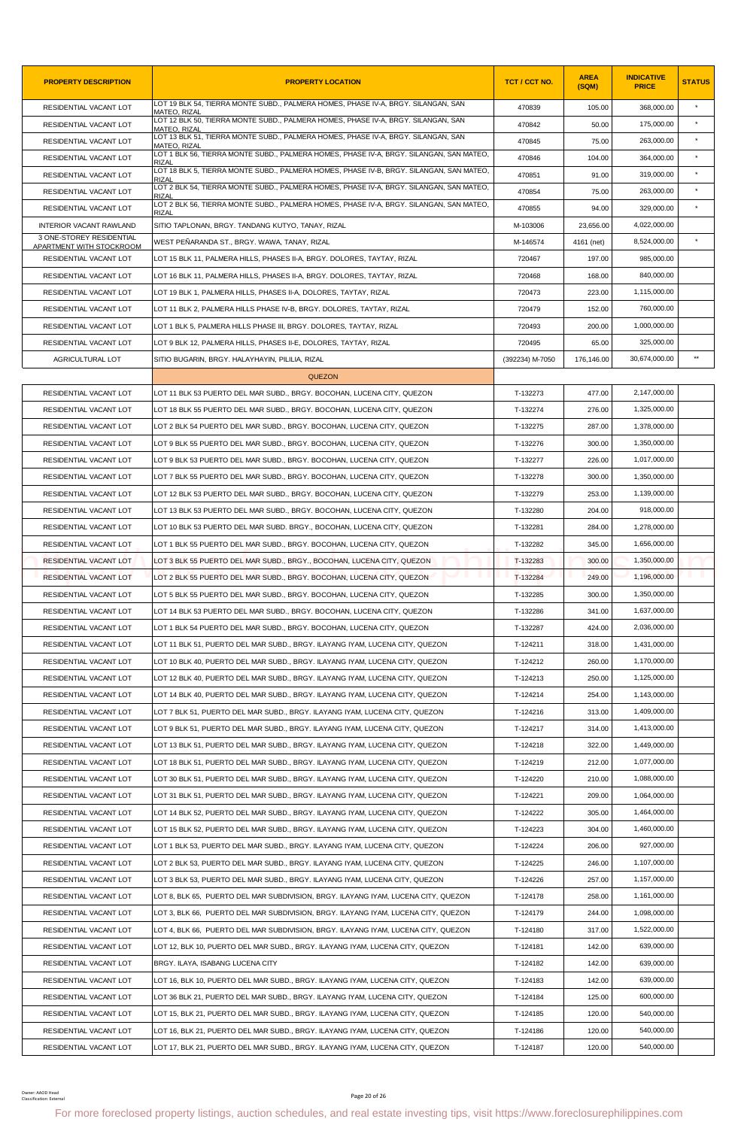| <b>PROPERTY DESCRIPTION</b>                          | <b>PROPERTY LOCATION</b>                                                                                                                                       | TCT / CCT NO.   | <b>AREA</b><br>(SQM) | <b>INDICATIVE</b><br><b>PRICE</b> | <b>STATUS</b> |
|------------------------------------------------------|----------------------------------------------------------------------------------------------------------------------------------------------------------------|-----------------|----------------------|-----------------------------------|---------------|
| RESIDENTIAL VACANT LOT                               | LOT 19 BLK 54, TIERRA MONTE SUBD., PALMERA HOMES, PHASE IV-A, BRGY, SILANGAN, SAN<br>MATEO, RIZAL                                                              | 470839          | 105.00               | 368,000.00                        | $\star$       |
| RESIDENTIAL VACANT LOT                               | LOT 12 BLK 50, TIERRA MONTE SUBD., PALMERA HOMES, PHASE IV-A, BRGY. SILANGAN, SAN<br>MATEO. RIZAL                                                              | 470842          | 50.00                | 175.000.00                        | $\star$       |
| RESIDENTIAL VACANT LOT                               | LOT 13 BLK 51, TIERRA MONTE SUBD., PALMERA HOMES, PHASE IV-A, BRGY. SILANGAN, SAN<br><b>MATEO, RIZAL</b>                                                       | 470845          | 75.00                | 263,000.00                        | $\pmb{\ast}$  |
| RESIDENTIAL VACANT LOT                               | LOT 1 BLK 56, TIERRA MONTE SUBD., PALMERA HOMES, PHASE IV-A, BRGY. SILANGAN, SAN MATEO,<br>RIZAI                                                               | 470846          | 104.00               | 364,000.00                        |               |
| RESIDENTIAL VACANT LOT                               | LOT 18 BLK 5, TIERRA MONTE SUBD., PALMERA HOMES, PHASE IV-B, BRGY. SILANGAN, SAN MATEO,<br>RIZAI                                                               | 470851          | 91.00                | 319,000.00                        | $\star$       |
| RESIDENTIAL VACANT LOT                               | LOT 2 BLK 54, TIERRA MONTE SUBD., PALMERA HOMES, PHASE IV-A, BRGY. SILANGAN, SAN MATEO,<br>RIZAL                                                               | 470854          | 75.00                | 263,000.00                        | $\star$       |
| <b>RESIDENTIAL VACANT LOT</b>                        | LOT 2 BLK 56, TIERRA MONTE SUBD., PALMERA HOMES, PHASE IV-A, BRGY. SILANGAN, SAN MATEO,<br>RIZAL                                                               | 470855          | 94.00                | 329,000.00                        |               |
| <b>INTERIOR VACANT RAWLAND</b>                       | SITIO TAPLONAN, BRGY. TANDANG KUTYO, TANAY, RIZAL                                                                                                              | M-103006        | 23,656.00            | 4,022,000.00                      |               |
| 3 ONE-STOREY RESIDENTIAL<br>APARTMENT WITH STOCKROOM | WEST PEÑARANDA ST., BRGY. WAWA, TANAY, RIZAL                                                                                                                   | M-146574        | 4161 (net)           | 8,524,000.00                      | $\star$       |
| RESIDENTIAL VACANT LOT                               | LOT 15 BLK 11, PALMERA HILLS, PHASES II-A, BRGY. DOLORES, TAYTAY, RIZAL                                                                                        | 720467          | 197.00               | 985,000.00                        |               |
| RESIDENTIAL VACANT LOT                               | LOT 16 BLK 11, PALMERA HILLS, PHASES II-A, BRGY. DOLORES, TAYTAY, RIZAL                                                                                        | 720468          | 168.00               | 840,000.00                        |               |
| RESIDENTIAL VACANT LOT                               | LOT 19 BLK 1, PALMERA HILLS, PHASES II-A, DOLORES, TAYTAY, RIZAL                                                                                               | 720473          | 223.00               | 1,115,000.00                      |               |
| RESIDENTIAL VACANT LOT                               | LOT 11 BLK 2, PALMERA HILLS PHASE IV-B, BRGY. DOLORES, TAYTAY, RIZAL                                                                                           | 720479          | 152.00               | 760.000.00                        |               |
| RESIDENTIAL VACANT LOT                               | LOT 1 BLK 5, PALMERA HILLS PHASE III, BRGY. DOLORES, TAYTAY, RIZAL                                                                                             | 720493          | 200.00               | 1,000,000.00                      |               |
| RESIDENTIAL VACANT LOT                               | LOT 9 BLK 12, PALMERA HILLS, PHASES II-E, DOLORES, TAYTAY, RIZAL                                                                                               | 720495          | 65.00                | 325,000.00                        |               |
| AGRICULTURAL LOT                                     | SITIO BUGARIN, BRGY. HALAYHAYIN, PILILIA, RIZAL                                                                                                                | (392234) M-7050 | 176,146.00           | 30,674,000.00                     | $**$          |
|                                                      | <b>QUEZON</b>                                                                                                                                                  |                 |                      |                                   |               |
| RESIDENTIAL VACANT LOT                               | LOT 11 BLK 53 PUERTO DEL MAR SUBD., BRGY. BOCOHAN, LUCENA CITY, QUEZON                                                                                         | T-132273        | 477.00               | 2,147,000.00                      |               |
| RESIDENTIAL VACANT LOT                               | LOT 18 BLK 55 PUERTO DEL MAR SUBD., BRGY. BOCOHAN, LUCENA CITY, QUEZON                                                                                         | T-132274        | 276.00               | 1,325,000.00                      |               |
| RESIDENTIAL VACANT LOT                               | LOT 2 BLK 54 PUERTO DEL MAR SUBD., BRGY. BOCOHAN, LUCENA CITY, QUEZON                                                                                          | T-132275        | 287.00               | 1,378,000.00                      |               |
| RESIDENTIAL VACANT LOT                               | LOT 9 BLK 55 PUERTO DEL MAR SUBD., BRGY. BOCOHAN, LUCENA CITY, QUEZON                                                                                          | T-132276        | 300.00               | 1,350,000.00                      |               |
| RESIDENTIAL VACANT LOT                               | LOT 9 BLK 53 PUERTO DEL MAR SUBD., BRGY. BOCOHAN, LUCENA CITY, QUEZON                                                                                          | T-132277        | 226.00               | 1,017,000.00                      |               |
| RESIDENTIAL VACANT LOT                               | LOT 7 BLK 55 PUERTO DEL MAR SUBD., BRGY. BOCOHAN, LUCENA CITY, QUEZON                                                                                          | T-132278        | 300.00               | 1,350,000.00                      |               |
| RESIDENTIAL VACANT LOT                               | LOT 12 BLK 53 PUERTO DEL MAR SUBD., BRGY. BOCOHAN, LUCENA CITY, QUEZON                                                                                         | T-132279        | 253.00               | 1,139,000.00                      |               |
| RESIDENTIAL VACANT LOT                               | LOT 13 BLK 53 PUERTO DEL MAR SUBD., BRGY. BOCOHAN, LUCENA CITY, QUEZON                                                                                         | T-132280        | 204.00               | 918,000.00                        |               |
| RESIDENTIAL VACANT LOT                               | LOT 10 BLK 53 PUERTO DEL MAR SUBD. BRGY., BOCOHAN, LUCENA CITY, QUEZON                                                                                         | T-132281        | 284.00               | 1,278,000.00                      |               |
| RESIDENTIAL VACANT LOT                               | LOT 1 BLK 55 PUERTO DEL MAR SUBD., BRGY. BOCOHAN, LUCENA CITY, QUEZON                                                                                          | T-132282        | 345.00               | 1,656,000.00                      |               |
| RESIDENTIAL VACANT LOT                               | LOT 3 BLK 55 PUERTO DEL MAR SUBD., BRGY., BOCOHAN, LUCENA CITY, QUEZON                                                                                         | T-132283        | 300.00               | 1,350,000.00                      |               |
| <b>RESIDENTIAL VACANT LOT</b>                        | LOT 2 BLK 55 PUERTO DEL MAR SUBD., BRGY. BOCOHAN, LUCENA CITY, QUEZON                                                                                          | T-132284        | 249.00               | 1,196,000.00                      |               |
| RESIDENTIAL VACANT LOT                               | LOT 5 BLK 55 PUERTO DEL MAR SUBD., BRGY. BOCOHAN, LUCENA CITY, QUEZON                                                                                          | T-132285        | 300.00               | 1,350,000.00                      |               |
| RESIDENTIAL VACANT LOT                               | LOT 14 BLK 53 PUERTO DEL MAR SUBD., BRGY. BOCOHAN, LUCENA CITY, QUEZON                                                                                         | T-132286        | 341.00               | 1,637,000.00                      |               |
| RESIDENTIAL VACANT LOT                               | LOT 1 BLK 54 PUERTO DEL MAR SUBD., BRGY. BOCOHAN, LUCENA CITY, QUEZON                                                                                          | T-132287        | 424.00               | 2,036,000.00                      |               |
| RESIDENTIAL VACANT LOT                               | LOT 11 BLK 51, PUERTO DEL MAR SUBD., BRGY. ILAYANG IYAM, LUCENA CITY, QUEZON                                                                                   | T-124211        | 318.00               | 1,431,000.00                      |               |
| RESIDENTIAL VACANT LOT                               | LOT 10 BLK 40, PUERTO DEL MAR SUBD., BRGY. ILAYANG IYAM, LUCENA CITY, QUEZON                                                                                   | T-124212        | 260.00               | 1,170,000.00                      |               |
| RESIDENTIAL VACANT LOT                               | LOT 12 BLK 40, PUERTO DEL MAR SUBD., BRGY. ILAYANG IYAM, LUCENA CITY, QUEZON                                                                                   | T-124213        | 250.00               | 1,125,000.00                      |               |
| RESIDENTIAL VACANT LOT                               | LOT 14 BLK 40, PUERTO DEL MAR SUBD., BRGY. ILAYANG IYAM, LUCENA CITY, QUEZON                                                                                   | T-124214        | 254.00               | 1,143,000.00                      |               |
| RESIDENTIAL VACANT LOT                               | LOT 7 BLK 51, PUERTO DEL MAR SUBD., BRGY. ILAYANG IYAM, LUCENA CITY, QUEZON                                                                                    | T-124216        | 313.00               | 1,409,000.00                      |               |
| RESIDENTIAL VACANT LOT                               | LOT 9 BLK 51, PUERTO DEL MAR SUBD., BRGY. ILAYANG IYAM, LUCENA CITY, QUEZON                                                                                    | T-124217        | 314.00               | 1,413,000.00                      |               |
| RESIDENTIAL VACANT LOT                               | LOT 13 BLK 51, PUERTO DEL MAR SUBD., BRGY. ILAYANG IYAM, LUCENA CITY, QUEZON                                                                                   | T-124218        | 322.00               | 1,449,000.00                      |               |
| RESIDENTIAL VACANT LOT                               | LOT 18 BLK 51, PUERTO DEL MAR SUBD., BRGY. ILAYANG IYAM, LUCENA CITY, QUEZON                                                                                   | T-124219        | 212.00               | 1,077,000.00                      |               |
| RESIDENTIAL VACANT LOT                               | LOT 30 BLK 51, PUERTO DEL MAR SUBD., BRGY. ILAYANG IYAM, LUCENA CITY, QUEZON                                                                                   | T-124220        | 210.00               | 1,088,000.00                      |               |
| RESIDENTIAL VACANT LOT                               | LOT 31 BLK 51, PUERTO DEL MAR SUBD., BRGY. ILAYANG IYAM, LUCENA CITY, QUEZON                                                                                   | T-124221        | 209.00               | 1,064,000.00                      |               |
| RESIDENTIAL VACANT LOT                               | LOT 14 BLK 52, PUERTO DEL MAR SUBD., BRGY. ILAYANG IYAM, LUCENA CITY, QUEZON                                                                                   | T-124222        | 305.00               | 1,464,000.00                      |               |
| RESIDENTIAL VACANT LOT                               | LOT 15 BLK 52, PUERTO DEL MAR SUBD., BRGY. ILAYANG IYAM, LUCENA CITY, QUEZON                                                                                   | T-124223        | 304.00               | 1,460,000.00                      |               |
| RESIDENTIAL VACANT LOT                               | LOT 1 BLK 53, PUERTO DEL MAR SUBD., BRGY. ILAYANG IYAM, LUCENA CITY, QUEZON                                                                                    | T-124224        | 206.00               | 927,000.00                        |               |
| RESIDENTIAL VACANT LOT                               | LOT 2 BLK 53, PUERTO DEL MAR SUBD., BRGY. ILAYANG IYAM, LUCENA CITY, QUEZON                                                                                    | T-124225        | 246.00               | 1,107,000.00                      |               |
| RESIDENTIAL VACANT LOT                               | LOT 3 BLK 53, PUERTO DEL MAR SUBD., BRGY. ILAYANG IYAM, LUCENA CITY, QUEZON                                                                                    | T-124226        | 257.00               | 1,157,000.00                      |               |
| RESIDENTIAL VACANT LOT                               | LOT 8, BLK 65, PUERTO DEL MAR SUBDIVISION, BRGY. ILAYANG IYAM, LUCENA CITY, QUEZON                                                                             | T-124178        | 258.00               | 1,161,000.00                      |               |
| RESIDENTIAL VACANT LOT                               | LOT 3, BLK 66, PUERTO DEL MAR SUBDIVISION, BRGY. ILAYANG IYAM, LUCENA CITY, QUEZON                                                                             | T-124179        | 244.00               | 1,098,000.00                      |               |
| RESIDENTIAL VACANT LOT                               | LOT 4, BLK 66, PUERTO DEL MAR SUBDIVISION, BRGY. ILAYANG IYAM, LUCENA CITY, QUEZON                                                                             | T-124180        | 317.00               | 1,522,000.00                      |               |
| RESIDENTIAL VACANT LOT                               | LOT 12, BLK 10, PUERTO DEL MAR SUBD., BRGY. ILAYANG IYAM, LUCENA CITY, QUEZON                                                                                  | T-124181        | 142.00               | 639,000.00                        |               |
| RESIDENTIAL VACANT LOT                               | BRGY. ILAYA, ISABANG LUCENA CITY                                                                                                                               | T-124182        | 142.00               | 639,000.00                        |               |
| RESIDENTIAL VACANT LOT                               | LOT 16, BLK 10, PUERTO DEL MAR SUBD., BRGY. ILAYANG IYAM, LUCENA CITY, QUEZON                                                                                  | T-124183        | 142.00               | 639,000.00                        |               |
| RESIDENTIAL VACANT LOT                               | LOT 36 BLK 21, PUERTO DEL MAR SUBD., BRGY. ILAYANG IYAM, LUCENA CITY, QUEZON                                                                                   | T-124184        | 125.00               | 600,000.00                        |               |
| RESIDENTIAL VACANT LOT                               |                                                                                                                                                                | T-124185        | 120.00               | 540,000.00                        |               |
| RESIDENTIAL VACANT LOT                               | LOT 15, BLK 21, PUERTO DEL MAR SUBD., BRGY. ILAYANG IYAM, LUCENA CITY, QUEZON<br>LOT 16, BLK 21, PUERTO DEL MAR SUBD., BRGY. ILAYANG IYAM, LUCENA CITY, QUEZON | T-124186        | 120.00               | 540,000.00                        |               |
|                                                      |                                                                                                                                                                |                 |                      | 540.000.00                        |               |
| RESIDENTIAL VACANT LOT                               | LOT 17, BLK 21, PUERTO DEL MAR SUBD., BRGY. ILAYANG IYAM, LUCENA CITY, QUEZON                                                                                  | T-124187        | 120.00               |                                   |               |
| Owner: AAOD Head<br>Classification: Externa          | Page 20 of 26<br>For more foreclosed property listings, auction schedules, and real estate investing tips, visit https://www.foreclosurephilippines.com        |                 |                      |                                   |               |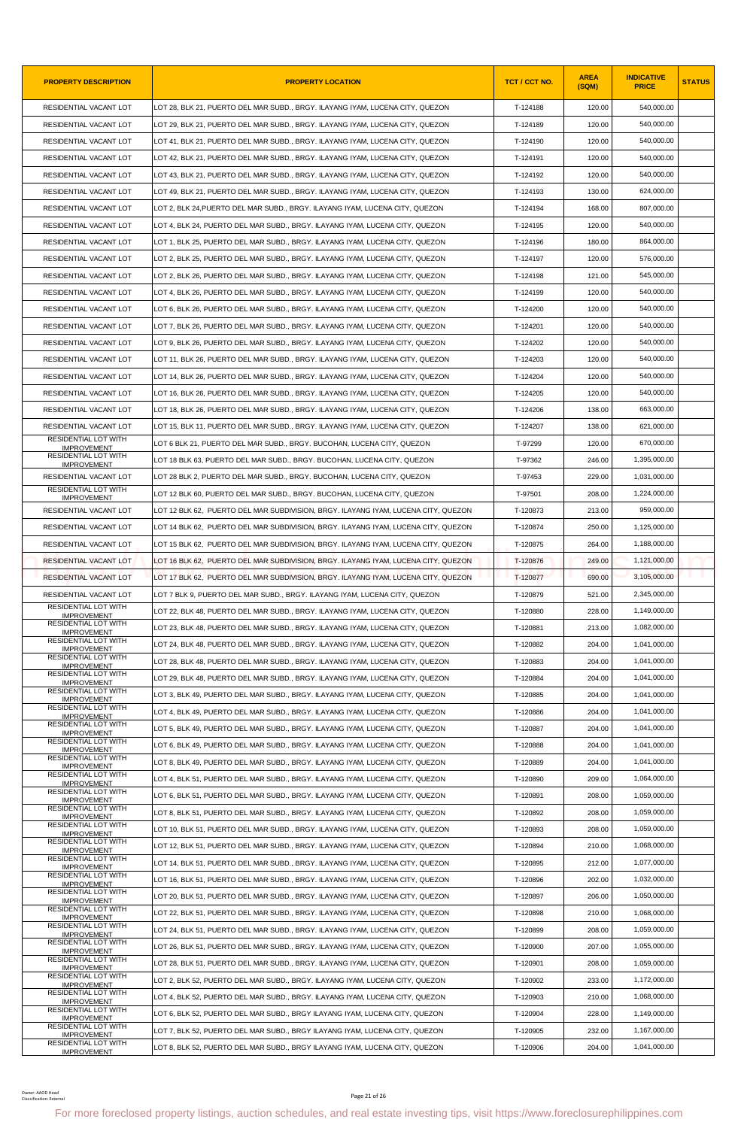| <b>PROPERTY DESCRIPTION</b>                       | <b>PROPERTY LOCATION</b>                                                                                                                                | TCT / CCT NO. | <b>AREA</b><br>(SQM) | <b>INDICATIVE</b><br><b>PRICE</b> | <b>STATUS</b> |
|---------------------------------------------------|---------------------------------------------------------------------------------------------------------------------------------------------------------|---------------|----------------------|-----------------------------------|---------------|
| RESIDENTIAL VACANT LOT                            | LOT 28, BLK 21, PUERTO DEL MAR SUBD., BRGY. ILAYANG IYAM, LUCENA CITY, QUEZON                                                                           | T-124188      | 120.00               | 540,000.00                        |               |
| RESIDENTIAL VACANT LOT                            | LOT 29, BLK 21, PUERTO DEL MAR SUBD., BRGY. ILAYANG IYAM, LUCENA CITY, QUEZON                                                                           | T-124189      | 120.00               | 540,000.00                        |               |
| RESIDENTIAL VACANT LOT                            | LOT 41, BLK 21, PUERTO DEL MAR SUBD., BRGY. ILAYANG IYAM, LUCENA CITY, QUEZON                                                                           | T-124190      | 120.00               | 540,000.00                        |               |
| RESIDENTIAL VACANT LOT                            | LOT 42, BLK 21, PUERTO DEL MAR SUBD., BRGY. ILAYANG IYAM, LUCENA CITY, QUEZON                                                                           | T-124191      | 120.00               | 540,000.00                        |               |
| RESIDENTIAL VACANT LOT                            | LOT 43, BLK 21, PUERTO DEL MAR SUBD., BRGY. ILAYANG IYAM, LUCENA CITY, QUEZON                                                                           | T-124192      | 120.00               | 540,000.00                        |               |
| RESIDENTIAL VACANT LOT                            | LOT 49, BLK 21, PUERTO DEL MAR SUBD., BRGY. ILAYANG IYAM, LUCENA CITY, QUEZON                                                                           | T-124193      | 130.00               | 624,000.00                        |               |
| RESIDENTIAL VACANT LOT                            | LOT 2. BLK 24.PUERTO DEL MAR SUBD BRGY. ILAYANG IYAM. LUCENA CITY. QUEZON                                                                               | T-124194      | 168.00               | 807.000.00                        |               |
| RESIDENTIAL VACANT LOT                            | LOT 4, BLK 24, PUERTO DEL MAR SUBD., BRGY. ILAYANG IYAM, LUCENA CITY, QUEZON                                                                            | T-124195      | 120.00               | 540,000.00                        |               |
| RESIDENTIAL VACANT LOT                            | LOT 1, BLK 25, PUERTO DEL MAR SUBD., BRGY. ILAYANG IYAM, LUCENA CITY, QUEZON                                                                            | T-124196      | 180.00               | 864,000.00                        |               |
| RESIDENTIAL VACANT LOT                            | LOT 2, BLK 25, PUERTO DEL MAR SUBD., BRGY. ILAYANG IYAM, LUCENA CITY, QUEZON                                                                            | T-124197      | 120.00               | 576,000.00                        |               |
| RESIDENTIAL VACANT LOT                            | LOT 2, BLK 26, PUERTO DEL MAR SUBD., BRGY. ILAYANG IYAM, LUCENA CITY, QUEZON                                                                            | T-124198      | 121.00               | 545,000.00                        |               |
| RESIDENTIAL VACANT LOT                            | LOT 4, BLK 26, PUERTO DEL MAR SUBD., BRGY. ILAYANG IYAM, LUCENA CITY, QUEZON                                                                            | T-124199      | 120.00               | 540,000.00                        |               |
| RESIDENTIAL VACANT LOT                            | LOT 6, BLK 26, PUERTO DEL MAR SUBD., BRGY. ILAYANG IYAM, LUCENA CITY, QUEZON                                                                            | T-124200      | 120.00               | 540,000.00                        |               |
| RESIDENTIAL VACANT LOT                            | LOT 7, BLK 26, PUERTO DEL MAR SUBD., BRGY. ILAYANG IYAM, LUCENA CITY, QUEZON                                                                            | T-124201      | 120.00               | 540,000.00                        |               |
| RESIDENTIAL VACANT LOT                            | LOT 9, BLK 26, PUERTO DEL MAR SUBD., BRGY. ILAYANG IYAM, LUCENA CITY, QUEZON                                                                            | T-124202      | 120.00               | 540.000.00                        |               |
| RESIDENTIAL VACANT LOT                            | LOT 11, BLK 26, PUERTO DEL MAR SUBD., BRGY. ILAYANG IYAM, LUCENA CITY, QUEZON                                                                           | T-124203      | 120.00               | 540,000.00                        |               |
| RESIDENTIAL VACANT LOT                            | LOT 14, BLK 26, PUERTO DEL MAR SUBD., BRGY. ILAYANG IYAM, LUCENA CITY, QUEZON                                                                           | T-124204      | 120.00               | 540,000.00                        |               |
| RESIDENTIAL VACANT LOT                            | LOT 16, BLK 26, PUERTO DEL MAR SUBD., BRGY. ILAYANG IYAM, LUCENA CITY, QUEZON                                                                           | T-124205      | 120.00               | 540.000.00                        |               |
| RESIDENTIAL VACANT LOT                            |                                                                                                                                                         | T-124206      | 138.00               | 663,000.00                        |               |
|                                                   | LOT 18, BLK 26, PUERTO DEL MAR SUBD., BRGY. ILAYANG IYAM, LUCENA CITY, QUEZON                                                                           |               |                      |                                   |               |
| RESIDENTIAL VACANT LOT<br>RESIDENTIAL LOT WITH    | LOT 15, BLK 11, PUERTO DEL MAR SUBD., BRGY. ILAYANG IYAM, LUCENA CITY, QUEZON                                                                           | T-124207      | 138.00               | 621,000.00                        |               |
| <b>IMPROVEMENT</b><br>RESIDENTIAL LOT WITH        | LOT 6 BLK 21, PUERTO DEL MAR SUBD., BRGY. BUCOHAN, LUCENA CITY, QUEZON                                                                                  | T-97299       | 120.00               | 670,000.00                        |               |
| <b>IMPROVEMENT</b>                                | LOT 18 BLK 63, PUERTO DEL MAR SUBD., BRGY. BUCOHAN, LUCENA CITY, QUEZON                                                                                 | T-97362       | 246.00               | 1,395,000.00                      |               |
| RESIDENTIAL VACANT LOT<br>RESIDENTIAL LOT WITH    | LOT 28 BLK 2, PUERTO DEL MAR SUBD., BRGY. BUCOHAN, LUCENA CITY, QUEZON                                                                                  | T-97453       | 229.00               | 1,031,000.00                      |               |
| <b>IMPROVEMENT</b>                                | LOT 12 BLK 60, PUERTO DEL MAR SUBD., BRGY. BUCOHAN, LUCENA CITY, QUEZON                                                                                 | T-97501       | 208.00               | 1,224,000.00                      |               |
| RESIDENTIAL VACANT LOT                            | LOT 12 BLK 62, PUERTO DEL MAR SUBDIVISION, BRGY. ILAYANG IYAM, LUCENA CITY, QUEZON                                                                      | T-120873      | 213.00               | 959,000.00                        |               |
| RESIDENTIAL VACANT LOT                            | LOT 14 BLK 62, PUERTO DEL MAR SUBDIVISION, BRGY. ILAYANG IYAM, LUCENA CITY, QUEZON                                                                      | T-120874      | 250.00               | 1,125,000.00                      |               |
| RESIDENTIAL VACANT LOT                            | LOT 15 BLK 62, PUERTO DEL MAR SUBDIVISION, BRGY. ILAYANG IYAM, LUCENA CITY, QUEZON                                                                      | T-120875      | 264.00               | 1,188,000.00                      |               |
| <b>RESIDENTIAL VACANT LOT</b>                     | LOT 16 BLK 62, PUERTO DEL MAR SUBDIVISION, BRGY. ILAYANG IYAM, LUCENA CITY, QUEZON                                                                      | T-120876      | 249.00               | 1,121,000.00                      |               |
| <b>RESIDENTIAL VACANT LOT</b>                     | LOT 17 BLK 62, PUERTO DEL MAR SUBDIVISION, BRGY. ILAYANG IYAM, LUCENA CITY, QUEZON                                                                      | T-120877      | 690.00               | 3,105,000.00                      |               |
| RESIDENTIAL VACANT LOT                            | LOT 7 BLK 9, PUERTO DEL MAR SUBD., BRGY. ILAYANG IYAM, LUCENA CITY, QUEZON                                                                              | T-120879      | 521.00               | 2,345,000.00                      |               |
| RESIDENTIAL LOT WITH<br><b>IMPROVEMENT</b>        | LOT 22, BLK 48, PUERTO DEL MAR SUBD., BRGY. ILAYANG IYAM, LUCENA CITY, QUEZON                                                                           | T-120880      | 228.00               | 1,149,000.00                      |               |
| <b>RESIDENTIAL LOT WITH</b><br><b>IMPROVEMENT</b> | LOT 23. BLK 48. PUERTO DEL MAR SUBD BRGY. ILAYANG IYAM. LUCENA CITY. QUEZON                                                                             | T-120881      | 213.00               | 1,082,000.00                      |               |
| <b>RESIDENTIAL LOT WITH</b><br><b>IMPROVEMENT</b> | LOT 24, BLK 48, PUERTO DEL MAR SUBD., BRGY. ILAYANG IYAM, LUCENA CITY, QUEZON                                                                           | T-120882      | 204.00               | 1,041,000.00                      |               |
| <b>RESIDENTIAL LOT WITH</b><br><b>IMPROVEMENT</b> | LOT 28, BLK 48, PUERTO DEL MAR SUBD., BRGY. ILAYANG IYAM, LUCENA CITY, QUEZON                                                                           | T-120883      | 204.00               | 1,041,000.00                      |               |
| <b>RESIDENTIAL LOT WITH</b><br><b>IMPROVEMENT</b> | LOT 29. BLK 48. PUERTO DEL MAR SUBD BRGY. ILAYANG IYAM. LUCENA CITY. QUEZON                                                                             | T-120884      | 204.00               | 1,041,000.00                      |               |
| <b>RESIDENTIAL LOT WITH</b><br><b>IMPROVEMENT</b> | LOT 3, BLK 49, PUERTO DEL MAR SUBD., BRGY. ILAYANG IYAM, LUCENA CITY, QUEZON                                                                            | T-120885      | 204.00               | 1,041,000.00                      |               |
| <b>RESIDENTIAL LOT WITH</b>                       | LOT 4, BLK 49, PUERTO DEL MAR SUBD., BRGY. ILAYANG IYAM, LUCENA CITY, QUEZON                                                                            | T-120886      | 204.00               | 1,041,000.00                      |               |
| <b>IMPROVEMENT</b><br><b>RESIDENTIAL LOT WITH</b> | LOT 5, BLK 49, PUERTO DEL MAR SUBD., BRGY. ILAYANG IYAM, LUCENA CITY, QUEZON                                                                            | T-120887      | 204.00               | 1,041,000.00                      |               |
| <b>IMPROVEMENT</b><br><b>RESIDENTIAL LOT WITH</b> | LOT 6, BLK 49, PUERTO DEL MAR SUBD., BRGY. ILAYANG IYAM, LUCENA CITY, QUEZON                                                                            | T-120888      | 204.00               | 1,041,000.00                      |               |
| <b>IMPROVEMENT</b><br><b>RESIDENTIAL LOT WITH</b> | LOT 8, BLK 49, PUERTO DEL MAR SUBD., BRGY. ILAYANG IYAM, LUCENA CITY, QUEZON                                                                            | T-120889      | 204.00               | 1,041,000.00                      |               |
| <b>IMPROVEMENT</b><br>RESIDENTIAL LOT WITH        | LOT 4, BLK 51, PUERTO DEL MAR SUBD., BRGY. ILAYANG IYAM, LUCENA CITY, QUEZON                                                                            | T-120890      | 209.00               | 1,064,000.00                      |               |
| <b>IMPROVEMENT</b><br>RESIDENTIAL LOT WITH        | LOT 6, BLK 51, PUERTO DEL MAR SUBD., BRGY. ILAYANG IYAM, LUCENA CITY, QUEZON                                                                            | T-120891      | 208.00               | 1,059,000.00                      |               |
| <b>IMPROVEMENT</b><br>RESIDENTIAL LOT WITH        | LOT 8, BLK 51, PUERTO DEL MAR SUBD., BRGY. ILAYANG IYAM, LUCENA CITY, QUEZON                                                                            | T-120892      | 208.00               | 1,059,000.00                      |               |
| <b>IMPROVEMENT</b><br>RESIDENTIAL LOT WITH        |                                                                                                                                                         |               |                      | 1,059,000.00                      |               |
| <b>IMPROVEMENT</b><br><b>RESIDENTIAL LOT WITH</b> | LOT 10, BLK 51, PUERTO DEL MAR SUBD., BRGY. ILAYANG IYAM, LUCENA CITY, QUEZON                                                                           | T-120893      | 208.00               |                                   |               |
| <b>IMPROVEMENT</b><br><b>RESIDENTIAL LOT WITH</b> | LOT 12, BLK 51, PUERTO DEL MAR SUBD., BRGY. ILAYANG IYAM, LUCENA CITY, QUEZON                                                                           | T-120894      | 210.00               | 1,068,000.00                      |               |
| <b>IMPROVEMENT</b><br>RESIDENTIAL LOT WITH        | LOT 14, BLK 51, PUERTO DEL MAR SUBD., BRGY. ILAYANG IYAM, LUCENA CITY, QUEZON                                                                           | T-120895      | 212.00               | 1,077,000.00                      |               |
| <b>IMPROVEMENT</b><br><b>RESIDENTIAL LOT WITH</b> | LOT 16, BLK 51, PUERTO DEL MAR SUBD., BRGY. ILAYANG IYAM, LUCENA CITY, QUEZON                                                                           | T-120896      | 202.00               | 1,032,000.00                      |               |
| <b>IMPROVEMENT</b><br>RESIDENTIAL LOT WITH        | LOT 20, BLK 51, PUERTO DEL MAR SUBD., BRGY. ILAYANG IYAM, LUCENA CITY, QUEZON                                                                           | T-120897      | 206.00               | 1,050,000.00                      |               |
| <b>IMPROVEMENT</b><br><b>RESIDENTIAL LOT WITH</b> | LOT 22, BLK 51, PUERTO DEL MAR SUBD., BRGY. ILAYANG IYAM, LUCENA CITY, QUEZON                                                                           | T-120898      | 210.00               | 1,068,000.00                      |               |
| <b>IMPROVEMENT</b>                                | LOT 24, BLK 51, PUERTO DEL MAR SUBD., BRGY. ILAYANG IYAM, LUCENA CITY, QUEZON                                                                           | T-120899      | 208.00               | 1,059,000.00                      |               |
| RESIDENTIAL LOT WITH<br><b>IMPROVEMENT</b>        | LOT 26, BLK 51, PUERTO DEL MAR SUBD., BRGY. ILAYANG IYAM, LUCENA CITY, QUEZON                                                                           | T-120900      | 207.00               | 1,055,000.00                      |               |
| RESIDENTIAL LOT WITH<br><b>IMPROVEMENT</b>        | LOT 28, BLK 51, PUERTO DEL MAR SUBD., BRGY. ILAYANG IYAM, LUCENA CITY, QUEZON                                                                           | T-120901      | 208.00               | 1,059,000.00                      |               |
| <b>RESIDENTIAL LOT WITH</b><br><b>IMPROVEMENT</b> | LOT 2, BLK 52, PUERTO DEL MAR SUBD., BRGY. ILAYANG IYAM, LUCENA CITY, QUEZON                                                                            | T-120902      | 233.00               | 1,172,000.00                      |               |
| <b>RESIDENTIAL LOT WITH</b><br><b>IMPROVEMENT</b> | LOT 4, BLK 52, PUERTO DEL MAR SUBD., BRGY. ILAYANG IYAM, LUCENA CITY, QUEZON                                                                            | T-120903      | 210.00               | 1,068,000.00                      |               |
| RESIDENTIAL LOT WITH<br><b>IMPROVEMENT</b>        | LOT 6, BLK 52, PUERTO DEL MAR SUBD., BRGY ILAYANG IYAM, LUCENA CITY, QUEZON                                                                             | T-120904      | 228.00               | 1,149,000.00                      |               |
| RESIDENTIAL LOT WITH<br><b>IMPROVEMENT</b>        | LOT 7. BLK 52. PUERTO DEL MAR SUBD BRGY ILAYANG IYAM. LUCENA CITY. QUEZON                                                                               | T-120905      | 232.00               | 1,167,000.00                      |               |
| <b>RESIDENTIAL LOT WITH</b><br><b>IMPROVEMENT</b> | LOT 8, BLK 52, PUERTO DEL MAR SUBD., BRGY ILAYANG IYAM, LUCENA CITY, QUEZON                                                                             | T-120906      | 204.00               | 1,041,000.00                      |               |
|                                                   |                                                                                                                                                         |               |                      |                                   |               |
| Owner: AAOD Head<br>Classification: External      | Page 21 of 26<br>For more foreclosed property listings, auction schedules, and real estate investing tips, visit https://www.foreclosurephilippines.com |               |                      |                                   |               |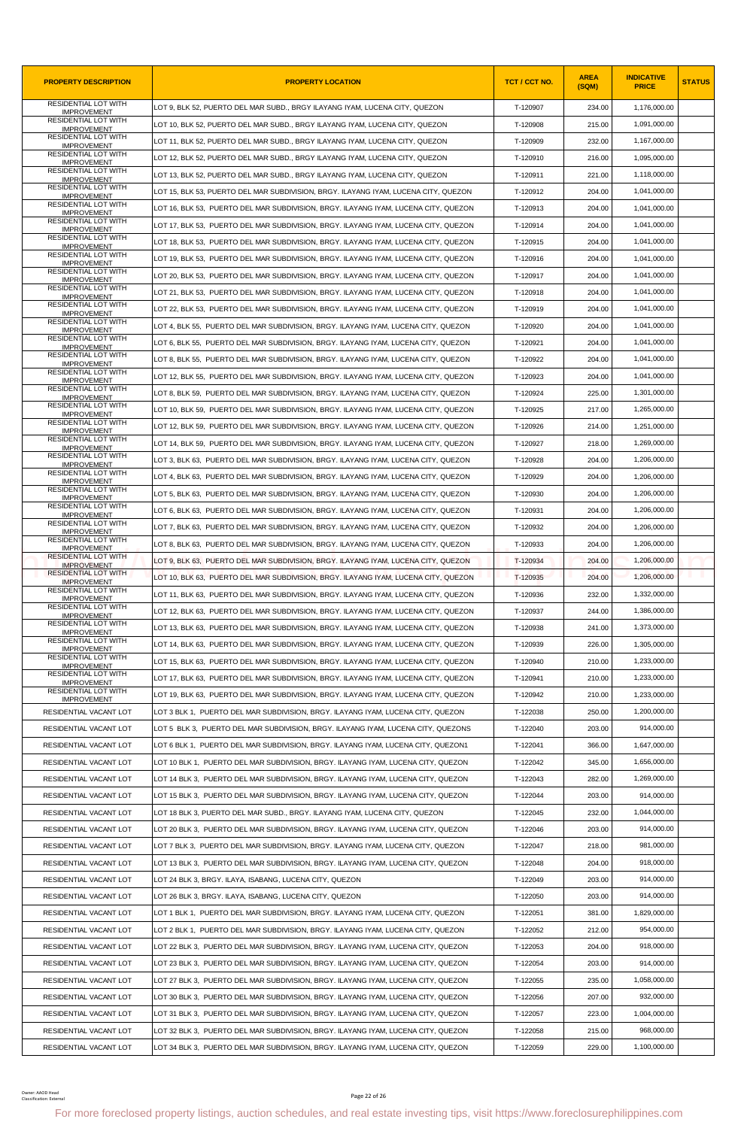| <b>PROPERTY DESCRIPTION</b>                       | <b>PROPERTY LOCATION</b>                                                                                                                                | TCT / CCT NO.        | <b>AREA</b><br>(SQM) | <b>INDICATIVE</b><br><b>PRICE</b> | <b>STATUS</b> |
|---------------------------------------------------|---------------------------------------------------------------------------------------------------------------------------------------------------------|----------------------|----------------------|-----------------------------------|---------------|
| <b>RESIDENTIAL LOT WITH</b><br><b>IMPROVEMENT</b> | LOT 9, BLK 52, PUERTO DEL MAR SUBD., BRGY ILAYANG IYAM, LUCENA CITY, QUEZON                                                                             | T-120907             | 234.00               | 1,176,000.00                      |               |
| RESIDENTIAL LOT WITH<br><b>IMPROVEMENT</b>        | LOT 10, BLK 52, PUERTO DEL MAR SUBD., BRGY ILAYANG IYAM, LUCENA CITY, QUEZON                                                                            | T-120908             | 215.00               | 1,091,000.00                      |               |
| RESIDENTIAL LOT WITH<br><b>IMPROVEMENT</b>        | LOT 11, BLK 52, PUERTO DEL MAR SUBD., BRGY ILAYANG IYAM, LUCENA CITY, QUEZON                                                                            | T-120909             | 232.00               | 1,167,000.00                      |               |
| RESIDENTIAL LOT WITH<br><b>IMPROVEMENT</b>        | LOT 12, BLK 52, PUERTO DEL MAR SUBD., BRGY ILAYANG IYAM, LUCENA CITY, QUEZON                                                                            | T-120910             | 216.00               | 1,095,000.00                      |               |
| RESIDENTIAL LOT WITH<br><b>IMPROVEMENT</b>        | LOT 13, BLK 52, PUERTO DEL MAR SUBD., BRGY ILAYANG IYAM, LUCENA CITY, QUEZON                                                                            | T-120911             | 221.00               | 1,118,000.00                      |               |
| <b>RESIDENTIAL LOT WITH</b><br><b>IMPROVEMENT</b> | LOT 15, BLK 53, PUERTO DEL MAR SUBDIVISION, BRGY. ILAYANG IYAM, LUCENA CITY, QUEZON                                                                     | T-120912             | 204.00               | 1,041,000.00                      |               |
| RESIDENTIAL LOT WITH<br><b>IMPROVEMENT</b>        | LOT 16, BLK 53, PUERTO DEL MAR SUBDIVISION, BRGY. ILAYANG IYAM, LUCENA CITY, QUEZON                                                                     | T-120913             | 204.00               | 1,041,000.00                      |               |
| <b>RESIDENTIAL LOT WITH</b><br><b>IMPROVEMENT</b> | LOT 17, BLK 53, PUERTO DEL MAR SUBDIVISION, BRGY. ILAYANG IYAM, LUCENA CITY, QUEZON                                                                     | T-120914             | 204.00               | 1,041,000.00                      |               |
| RESIDENTIAL LOT WITH<br><b>IMPROVEMENT</b>        | LOT 18, BLK 53, PUERTO DEL MAR SUBDIVISION, BRGY. ILAYANG IYAM, LUCENA CITY, QUEZON                                                                     | T-120915             | 204.00               | 1,041,000.00                      |               |
| RESIDENTIAL LOT WITH<br><b>IMPROVEMENT</b>        | LOT 19, BLK 53, PUERTO DEL MAR SUBDIVISION, BRGY. ILAYANG IYAM, LUCENA CITY, QUEZON                                                                     | T-120916             | 204.00               | 1,041,000.00                      |               |
| <b>RESIDENTIAL LOT WITH</b><br><b>IMPROVEMENT</b> | LOT 20, BLK 53, PUERTO DEL MAR SUBDIVISION, BRGY. ILAYANG IYAM, LUCENA CITY, QUEZON                                                                     | T-120917             | 204.00               | 1,041,000.00                      |               |
| RESIDENTIAL LOT WITH<br><b>IMPROVEMENT</b>        | LOT 21, BLK 53, PUERTO DEL MAR SUBDIVISION, BRGY. ILAYANG IYAM, LUCENA CITY, QUEZON                                                                     | T-120918             | 204.00               | 1,041,000.00                      |               |
| RESIDENTIAL LOT WITH<br><b>IMPROVEMENT</b>        | LOT 22, BLK 53, PUERTO DEL MAR SUBDIVISION, BRGY. ILAYANG IYAM, LUCENA CITY, QUEZON                                                                     | T-120919             | 204.00               | 1,041,000.00                      |               |
| <b>RESIDENTIAL LOT WITH</b><br><b>IMPROVEMENT</b> | LOT 4, BLK 55, PUERTO DEL MAR SUBDIVISION, BRGY. ILAYANG IYAM, LUCENA CITY, QUEZON                                                                      | T-120920             | 204.00               | 1,041,000.00                      |               |
| RESIDENTIAL LOT WITH<br><b>IMPROVEMENT</b>        | LOT 6, BLK 55, PUERTO DEL MAR SUBDIVISION, BRGY. ILAYANG IYAM, LUCENA CITY, QUEZON                                                                      | T-120921             | 204.00               | 1,041,000.00                      |               |
| RESIDENTIAL LOT WITH<br><b>IMPROVEMENT</b>        | LOT 8, BLK 55, PUERTO DEL MAR SUBDIVISION, BRGY. ILAYANG IYAM, LUCENA CITY, QUEZON                                                                      | T-120922             | 204.00               | 1,041,000.00                      |               |
| RESIDENTIAL LOT WITH<br><b>IMPROVEMENT</b>        | LOT 12, BLK 55, PUERTO DEL MAR SUBDIVISION, BRGY. ILAYANG IYAM, LUCENA CITY, QUEZON                                                                     | T-120923             | 204.00               | 1,041,000.00                      |               |
| RESIDENTIAL LOT WITH<br><b>IMPROVEMENT</b>        | LOT 8, BLK 59, PUERTO DEL MAR SUBDIVISION, BRGY. ILAYANG IYAM, LUCENA CITY, QUEZON                                                                      | T-120924             | 225.00               | 1,301,000.00                      |               |
| RESIDENTIAL LOT WITH<br><b>IMPROVEMENT</b>        | LOT 10, BLK 59,  PUERTO DEL MAR SUBDIVISION, BRGY. ILAYANG IYAM, LUCENA CITY, QUEZON                                                                    | T-120925             | 217.00               | 1,265,000.00                      |               |
| RESIDENTIAL LOT WITH<br><b>IMPROVEMENT</b>        | LOT 12, BLK 59, PUERTO DEL MAR SUBDIVISION, BRGY. ILAYANG IYAM, LUCENA CITY, QUEZON                                                                     | T-120926             | 214.00               | 1,251,000.00                      |               |
| <b>RESIDENTIAL LOT WITH</b><br><b>IMPROVEMENT</b> | LOT 14, BLK 59, PUERTO DEL MAR SUBDIVISION, BRGY. ILAYANG IYAM, LUCENA CITY, QUEZON                                                                     | T-120927             | 218.00               | 1,269,000.00                      |               |
| RESIDENTIAL LOT WITH<br><b>IMPROVEMENT</b>        | LOT 3, BLK 63, PUERTO DEL MAR SUBDIVISION, BRGY. ILAYANG IYAM, LUCENA CITY, QUEZON                                                                      | T-120928             | 204.00               | 1,206,000.00                      |               |
| <b>RESIDENTIAL LOT WITH</b><br><b>IMPROVEMENT</b> | LOT 4, BLK 63, PUERTO DEL MAR SUBDIVISION, BRGY. ILAYANG IYAM, LUCENA CITY, QUEZON                                                                      | T-120929             | 204.00               | 1,206,000.00                      |               |
| RESIDENTIAL LOT WITH                              | LOT 5, BLK 63, PUERTO DEL MAR SUBDIVISION, BRGY. ILAYANG IYAM, LUCENA CITY, QUEZON                                                                      | T-120930             | 204.00               | 1,206,000.00                      |               |
| <b>IMPROVEMENT</b><br><b>RESIDENTIAL LOT WITH</b> | LOT 6, BLK 63, PUERTO DEL MAR SUBDIVISION, BRGY. ILAYANG IYAM, LUCENA CITY, QUEZON                                                                      | T-120931             | 204.00               | 1,206,000.00                      |               |
| <b>IMPROVEMENT</b><br><b>RESIDENTIAL LOT WITH</b> | LOT 7, BLK 63, PUERTO DEL MAR SUBDIVISION, BRGY. ILAYANG IYAM, LUCENA CITY, QUEZON                                                                      | T-120932             | 204.00               | 1,206,000.00                      |               |
| <b>IMPROVEMENT</b><br><b>RESIDENTIAL LOT WITH</b> | LOT 8. BLK 63. PUERTO DEL MAR SUBDIVISION. BRGY. ILAYANG IYAM. LUCENA CITY. QUEZON                                                                      | T-120933             | 204.00               | 1,206,000.00                      |               |
| <b>IMPROVEMENT</b><br><b>RESIDENTIAL LOT WITH</b> | LOT 9, BLK 63, PUERTO DEL MAR SUBDIVISION, BRGY. ILAYANG IYAM, LUCENA CITY, QUEZON                                                                      | T-120934             | 204.00               | 1,206,000.00                      |               |
| <b>IMPROVEMENT</b><br><b>RESIDENTIAL LOT WITH</b> | LOT 10, BLK 63, PUERTO DEL MAR SUBDIVISION, BRGY. ILAYANG IYAM, LUCENA CITY, QUEZON                                                                     | T-120935             | 204.00               | 1,206,000.00                      |               |
| <b>IMPROVEMENT</b><br>RESIDENTIAL LOT WITH        | LOT 11, BLK 63,  PUERTO DEL MAR SUBDIVISION, BRGY. ILAYANG IYAM, LUCENA CITY, QUEZON                                                                    | T-120936             | 232.00               | 1,332,000.00                      |               |
| <b>IMPROVEMENT</b><br>RESIDENTIAL LOT WITH        | LOT 12, BLK 63, PUERTO DEL MAR SUBDIVISION, BRGY. ILAYANG IYAM, LUCENA CITY, QUEZON                                                                     | T-120937             | 244.00               | 1,386,000.00                      |               |
| <b>IMPROVEMENT</b><br><b>RESIDENTIAL LOT WITH</b> | LOT 13, BLK 63, PUERTO DEL MAR SUBDIVISION, BRGY. ILAYANG IYAM, LUCENA CITY, QUEZON                                                                     | T-120938             | 241.00               | 1,373,000.00                      |               |
| <b>IMPROVEMENT</b><br><b>RESIDENTIAL LOT WITH</b> | LOT 14. BLK 63. PUERTO DEL MAR SUBDIVISION. BRGY. ILAYANG IYAM. LUCENA CITY. QUEZON                                                                     | T-120939             | 226.00               | 1,305,000.00                      |               |
| <b>IMPROVEMENT</b><br><b>RESIDENTIAL LOT WITH</b> | LOT 15, BLK 63, PUERTO DEL MAR SUBDIVISION, BRGY. ILAYANG IYAM, LUCENA CITY, QUEZON                                                                     | T-120940             | 210.00               | 1,233,000.00                      |               |
| <b>IMPROVEMENT</b><br>RESIDENTIAL LOT WITH        | LOT 17, BLK 63, PUERTO DEL MAR SUBDIVISION, BRGY. ILAYANG IYAM, LUCENA CITY, QUEZON                                                                     | T-120941             | 210.00               | 1,233,000.00                      |               |
| <b>IMPROVEMENT</b><br><b>RESIDENTIAL LOT WITH</b> | LOT 19, BLK 63, PUERTO DEL MAR SUBDIVISION, BRGY. ILAYANG IYAM, LUCENA CITY, QUEZON                                                                     | T-120942             | 210.00               | 1,233,000.00                      |               |
| <b>IMPROVEMENT</b><br>RESIDENTIAL VACANT LOT      | LOT 3 BLK 1, PUERTO DEL MAR SUBDIVISION, BRGY. ILAYANG IYAM, LUCENA CITY, QUEZON                                                                        | T-122038             | 250.00               | 1,200,000.00                      |               |
| RESIDENTIAL VACANT LOT                            | LOT 5 BLK 3, PUERTO DEL MAR SUBDIVISION, BRGY. ILAYANG IYAM, LUCENA CITY, QUEZONS                                                                       | T-122040             | 203.00               | 914,000.00                        |               |
| RESIDENTIAL VACANT LOT                            | LOT 6 BLK 1, PUERTO DEL MAR SUBDIVISION, BRGY. ILAYANG IYAM, LUCENA CITY, QUEZON1                                                                       | T-122041             | 366.00               | 1,647,000.00                      |               |
| RESIDENTIAL VACANT LOT                            | LOT 10 BLK 1, PUERTO DEL MAR SUBDIVISION, BRGY. ILAYANG IYAM, LUCENA CITY, QUEZON                                                                       | T-122042             | 345.00               | 1,656,000.00                      |               |
| RESIDENTIAL VACANT LOT                            | LOT 14 BLK 3, PUERTO DEL MAR SUBDIVISION, BRGY. ILAYANG IYAM, LUCENA CITY, QUEZON                                                                       | T-122043             | 282.00               | 1,269,000.00                      |               |
|                                                   |                                                                                                                                                         |                      |                      | 914,000.00                        |               |
| RESIDENTIAL VACANT LOT<br>RESIDENTIAL VACANT LOT  | LOT 15 BLK 3, PUERTO DEL MAR SUBDIVISION, BRGY. ILAYANG IYAM, LUCENA CITY, QUEZON                                                                       | T-122044<br>T-122045 | 203.00<br>232.00     | 1,044,000.00                      |               |
|                                                   | LOT 18 BLK 3, PUERTO DEL MAR SUBD., BRGY. ILAYANG IYAM, LUCENA CITY, QUEZON                                                                             |                      |                      | 914,000.00                        |               |
| RESIDENTIAL VACANT LOT                            | LOT 20 BLK 3, PUERTO DEL MAR SUBDIVISION, BRGY. ILAYANG IYAM, LUCENA CITY, QUEZON                                                                       | T-122046             | 203.00               |                                   |               |
| RESIDENTIAL VACANT LOT                            | LOT 7 BLK 3, PUERTO DEL MAR SUBDIVISION, BRGY. ILAYANG IYAM, LUCENA CITY, QUEZON                                                                        | T-122047             | 218.00               | 981,000.00                        |               |
| RESIDENTIAL VACANT LOT                            | LOT 13 BLK 3, PUERTO DEL MAR SUBDIVISION, BRGY. ILAYANG IYAM, LUCENA CITY, QUEZON                                                                       | T-122048             | 204.00               | 918,000.00                        |               |
| RESIDENTIAL VACANT LOT                            | LOT 24 BLK 3, BRGY. ILAYA, ISABANG, LUCENA CITY, QUEZON                                                                                                 | T-122049             | 203.00               | 914,000.00                        |               |
| RESIDENTIAL VACANT LOT                            | LOT 26 BLK 3, BRGY. ILAYA, ISABANG, LUCENA CITY, QUEZON                                                                                                 | T-122050             | 203.00               | 914,000.00                        |               |
| RESIDENTIAL VACANT LOT                            | LOT 1 BLK 1, PUERTO DEL MAR SUBDIVISION, BRGY. ILAYANG IYAM, LUCENA CITY, QUEZON                                                                        | T-122051             | 381.00               | 1,829,000.00                      |               |
| RESIDENTIAL VACANT LOT                            | LOT 2 BLK 1, PUERTO DEL MAR SUBDIVISION, BRGY. ILAYANG IYAM, LUCENA CITY, QUEZON                                                                        | T-122052             | 212.00               | 954,000.00                        |               |
| RESIDENTIAL VACANT LOT                            | LOT 22 BLK 3,  PUERTO DEL MAR SUBDIVISION, BRGY. ILAYANG IYAM, LUCENA CITY, QUEZON                                                                      | T-122053             | 204.00               | 918,000.00                        |               |
| RESIDENTIAL VACANT LOT                            | LOT 23 BLK 3, PUERTO DEL MAR SUBDIVISION, BRGY. ILAYANG IYAM, LUCENA CITY, QUEZON                                                                       | T-122054             | 203.00               | 914,000.00                        |               |
| RESIDENTIAL VACANT LOT                            | LOT 27 BLK 3, PUERTO DEL MAR SUBDIVISION, BRGY. ILAYANG IYAM, LUCENA CITY, QUEZON                                                                       | T-122055             | 235.00               | 1,058,000.00                      |               |
| RESIDENTIAL VACANT LOT                            | LOT 30 BLK 3, PUERTO DEL MAR SUBDIVISION, BRGY. ILAYANG IYAM, LUCENA CITY, QUEZON                                                                       | T-122056             | 207.00               | 932,000.00                        |               |
| RESIDENTIAL VACANT LOT                            | LOT 31 BLK 3, PUERTO DEL MAR SUBDIVISION, BRGY. ILAYANG IYAM, LUCENA CITY, QUEZON                                                                       | T-122057             | 223.00               | 1,004,000.00                      |               |
| RESIDENTIAL VACANT LOT                            | LOT 32 BLK 3, PUERTO DEL MAR SUBDIVISION, BRGY. ILAYANG IYAM, LUCENA CITY, QUEZON                                                                       | T-122058             | 215.00               | 968.000.00                        |               |
| RESIDENTIAL VACANT LOT                            | LOT 34 BLK 3,  PUERTO DEL MAR SUBDIVISION, BRGY. ILAYANG IYAM, LUCENA CITY, QUEZON                                                                      | T-122059             | 229.00               | 1,100,000.00                      |               |
| Owner: AAOD Head<br>Classification: External      | Page 22 of 26<br>For more foreclosed property listings, auction schedules, and real estate investing tips, visit https://www.foreclosurephilippines.com |                      |                      |                                   |               |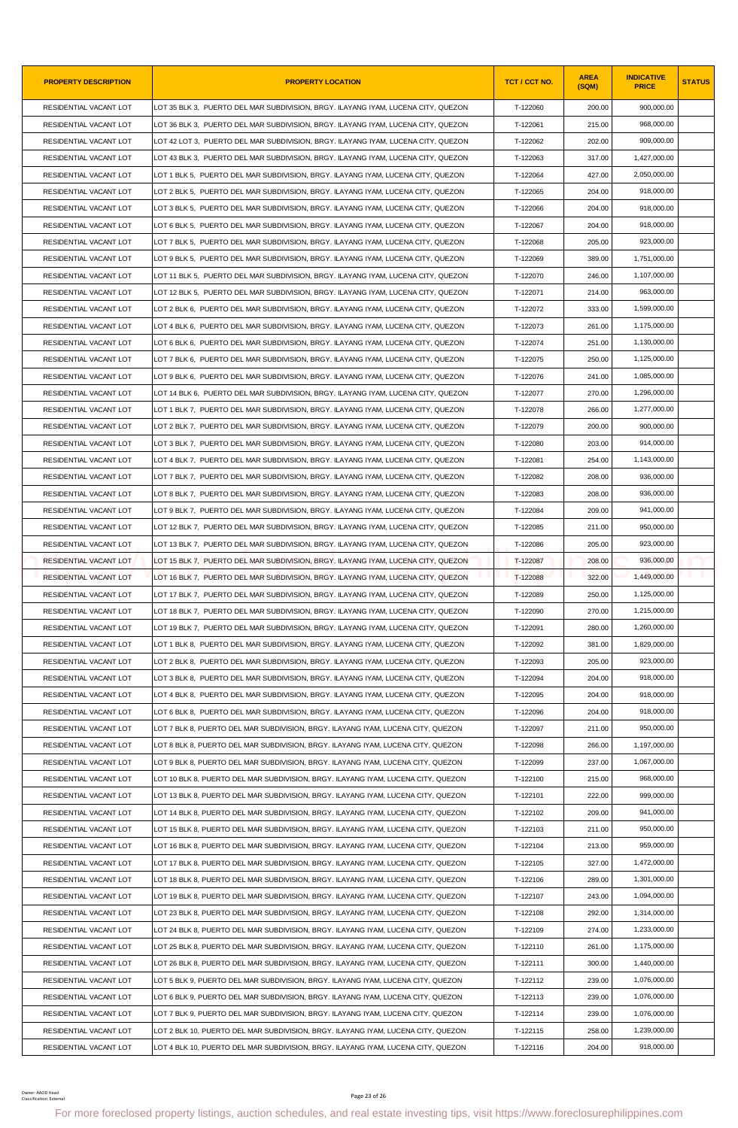| <b>PROPERTY DESCRIPTION</b>                 | <b>PROPERTY LOCATION</b>                                                                                                                                | TCT / CCT NO. | <b>AREA</b><br>(SQM) | <b>INDICATIVE</b><br><b>PRICE</b> | <b>STATUS</b> |
|---------------------------------------------|---------------------------------------------------------------------------------------------------------------------------------------------------------|---------------|----------------------|-----------------------------------|---------------|
| RESIDENTIAL VACANT LOT                      | LOT 35 BLK 3,  PUERTO DEL MAR SUBDIVISION, BRGY. ILAYANG IYAM, LUCENA CITY, QUEZON                                                                      | T-122060      | 200.00               | 900,000.00                        |               |
| RESIDENTIAL VACANT LOT                      | LOT 36 BLK 3. PUERTO DEL MAR SUBDIVISION, BRGY, ILAYANG IYAM, LUCENA CITY, QUEZON                                                                       | T-122061      | 215.00               | 968,000.00                        |               |
| RESIDENTIAL VACANT LOT                      | LOT 42 LOT 3, PUERTO DEL MAR SUBDIVISION, BRGY. ILAYANG IYAM, LUCENA CITY, QUEZON                                                                       | T-122062      | 202.00               | 909,000.00                        |               |
| RESIDENTIAL VACANT LOT                      | LOT 43 BLK 3, PUERTO DEL MAR SUBDIVISION, BRGY. ILAYANG IYAM, LUCENA CITY, QUEZON                                                                       | T-122063      | 317.00               | 1,427,000.00                      |               |
| RESIDENTIAL VACANT LOT                      | LOT 1 BLK 5, PUERTO DEL MAR SUBDIVISION, BRGY. ILAYANG IYAM, LUCENA CITY, QUEZON                                                                        | T-122064      | 427.00               | 2,050,000.00                      |               |
| RESIDENTIAL VACANT LOT                      | LOT 2 BLK 5, PUERTO DEL MAR SUBDIVISION, BRGY. ILAYANG IYAM, LUCENA CITY, QUEZON                                                                        | T-122065      | 204.00               | 918.000.00                        |               |
| RESIDENTIAL VACANT LOT                      | LOT 3 BLK 5, PUERTO DEL MAR SUBDIVISION, BRGY. ILAYANG IYAM, LUCENA CITY, QUEZON                                                                        | T-122066      | 204.00               | 918,000.00                        |               |
| RESIDENTIAL VACANT LOT                      | LOT 6 BLK 5, PUERTO DEL MAR SUBDIVISION, BRGY. ILAYANG IYAM, LUCENA CITY, QUEZON                                                                        | T-122067      | 204.00               | 918,000.00                        |               |
| RESIDENTIAL VACANT LOT                      | LOT 7 BLK 5, PUERTO DEL MAR SUBDIVISION, BRGY. ILAYANG IYAM, LUCENA CITY, QUEZON                                                                        | T-122068      | 205.00               | 923,000.00                        |               |
| RESIDENTIAL VACANT LOT                      | LOT 9 BLK 5, PUERTO DEL MAR SUBDIVISION, BRGY. ILAYANG IYAM, LUCENA CITY, QUEZON                                                                        | T-122069      | 389.00               | 1,751,000.00                      |               |
| RESIDENTIAL VACANT LOT                      | LOT 11 BLK 5,  PUERTO DEL MAR SUBDIVISION, BRGY. ILAYANG IYAM, LUCENA CITY, QUEZON                                                                      | T-122070      | 246.00               | 1,107,000.00                      |               |
| RESIDENTIAL VACANT LOT                      | LOT 12 BLK 5, PUERTO DEL MAR SUBDIVISION, BRGY. ILAYANG IYAM, LUCENA CITY, QUEZON                                                                       | T-122071      | 214.00               | 963,000.00                        |               |
| RESIDENTIAL VACANT LOT                      | LOT 2 BLK 6, PUERTO DEL MAR SUBDIVISION, BRGY. ILAYANG IYAM, LUCENA CITY, QUEZON                                                                        | T-122072      | 333.00               | 1,599,000.00                      |               |
| RESIDENTIAL VACANT LOT                      | LOT 4 BLK 6, PUERTO DEL MAR SUBDIVISION, BRGY. ILAYANG IYAM, LUCENA CITY, QUEZON                                                                        | T-122073      | 261.00               | 1.175.000.00                      |               |
| RESIDENTIAL VACANT LOT                      | LOT 6 BLK 6, PUERTO DEL MAR SUBDIVISION, BRGY. ILAYANG IYAM, LUCENA CITY, QUEZON                                                                        | T-122074      | 251.00               | 1,130,000.00                      |               |
| RESIDENTIAL VACANT LOT                      | LOT 7 BLK 6, PUERTO DEL MAR SUBDIVISION, BRGY. ILAYANG IYAM, LUCENA CITY, QUEZON                                                                        | T-122075      | 250.00               | 1,125,000.00                      |               |
| RESIDENTIAL VACANT LOT                      | LOT 9 BLK 6, PUERTO DEL MAR SUBDIVISION, BRGY. ILAYANG IYAM, LUCENA CITY, QUEZON                                                                        | T-122076      | 241.00               | 1.085.000.00                      |               |
| RESIDENTIAL VACANT LOT                      | LOT 14 BLK 6, PUERTO DEL MAR SUBDIVISION, BRGY. ILAYANG IYAM, LUCENA CITY, QUEZON                                                                       | T-122077      | 270.00               | 1,296,000.00                      |               |
| RESIDENTIAL VACANT LOT                      | LOT 1 BLK 7, PUERTO DEL MAR SUBDIVISION, BRGY. ILAYANG IYAM, LUCENA CITY, QUEZON                                                                        | T-122078      | 266.00               | 1,277,000.00                      |               |
| RESIDENTIAL VACANT LOT                      | LOT 2 BLK 7, PUERTO DEL MAR SUBDIVISION, BRGY. ILAYANG IYAM, LUCENA CITY, QUEZON                                                                        | T-122079      | 200.00               | 900,000.00                        |               |
| RESIDENTIAL VACANT LOT                      | LOT 3 BLK 7, PUERTO DEL MAR SUBDIVISION, BRGY. ILAYANG IYAM, LUCENA CITY, QUEZON                                                                        | T-122080      | 203.00               | 914,000.00                        |               |
| RESIDENTIAL VACANT LOT                      | LOT 4 BLK 7, PUERTO DEL MAR SUBDIVISION, BRGY. ILAYANG IYAM, LUCENA CITY, QUEZON                                                                        | T-122081      | 254.00               | 1,143,000.00                      |               |
| RESIDENTIAL VACANT LOT                      | LOT 7 BLK 7,  PUERTO DEL MAR SUBDIVISION, BRGY. ILAYANG IYAM, LUCENA CITY, QUEZON                                                                       | T-122082      | 208.00               | 936,000.00                        |               |
| RESIDENTIAL VACANT LOT                      | LOT 8 BLK 7, PUERTO DEL MAR SUBDIVISION, BRGY. ILAYANG IYAM, LUCENA CITY, QUEZON                                                                        | T-122083      | 208.00               | 936,000.00                        |               |
| RESIDENTIAL VACANT LOT                      | LOT 9 BLK 7, PUERTO DEL MAR SUBDIVISION, BRGY. ILAYANG IYAM, LUCENA CITY, QUEZON                                                                        | T-122084      | 209.00               | 941,000.00                        |               |
| RESIDENTIAL VACANT LOT                      | LOT 12 BLK 7,  PUERTO DEL MAR SUBDIVISION, BRGY. ILAYANG IYAM, LUCENA CITY, QUEZON                                                                      | T-122085      | 211.00               | 950,000.00                        |               |
| RESIDENTIAL VACANT LOT                      | LOT 13 BLK 7. PUERTO DEL MAR SUBDIVISION, BRGY, ILAYANG IYAM, LUCENA CITY, QUEZON                                                                       | T-122086      | 205.00               | 923,000.00                        |               |
| RESIDENTIAL VACANT LOT                      | LOT 15 BLK 7, PUERTO DEL MAR SUBDIVISION, BRGY. ILAYANG IYAM, LUCENA CITY, QUEZON                                                                       | T-122087      | 208.00               | 936,000.00                        |               |
| RESIDENTIAL VACANT LOT                      | LOT 16 BLK 7, PUERTO DEL MAR SUBDIVISION, BRGY. ILAYANG IYAM, LUCENA CITY, QUEZON                                                                       | T-122088      | 322.00               | 1,449,000.00                      |               |
| RESIDENTIAL VACANT LOT                      | LOT 17 BLK 7, PUERTO DEL MAR SUBDIVISION, BRGY. ILAYANG IYAM, LUCENA CITY, QUEZON                                                                       | T-122089      | 250.00               | 1,125,000.00                      |               |
| RESIDENTIAL VACANT LOT                      | LOT 18 BLK 7, PUERTO DEL MAR SUBDIVISION, BRGY. ILAYANG IYAM, LUCENA CITY, QUEZON                                                                       | T-122090      | 270.00               | 1,215,000.00                      |               |
| RESIDENTIAL VACANT LOT                      | LOT 19 BLK 7, PUERTO DEL MAR SUBDIVISION, BRGY. ILAYANG IYAM, LUCENA CITY, QUEZON                                                                       | T-122091      | 280.00               | 1.260.000.00                      |               |
| RESIDENTIAL VACANT LOT                      | LOT 1 BLK 8,  PUERTO DEL MAR SUBDIVISION, BRGY. ILAYANG IYAM, LUCENA CITY, QUEZON                                                                       | T-122092      | 381.00               | 1,829,000.00                      |               |
| RESIDENTIAL VACANT LOT                      | LOT 2 BLK 8, PUERTO DEL MAR SUBDIVISION, BRGY. ILAYANG IYAM, LUCENA CITY, QUEZON                                                                        | T-122093      | 205.00               | 923,000.00                        |               |
| RESIDENTIAL VACANT LOT                      | LOT 3 BLK 8, PUERTO DEL MAR SUBDIVISION, BRGY. ILAYANG IYAM, LUCENA CITY, QUEZON                                                                        | T-122094      | 204.00               | 918,000.00                        |               |
| RESIDENTIAL VACANT LOT                      | LOT 4 BLK 8, PUERTO DEL MAR SUBDIVISION, BRGY. ILAYANG IYAM, LUCENA CITY, QUEZON                                                                        | T-122095      | 204.00               | 918,000.00                        |               |
| RESIDENTIAL VACANT LOT                      | LOT 6 BLK 8, PUERTO DEL MAR SUBDIVISION, BRGY. ILAYANG IYAM, LUCENA CITY, QUEZON                                                                        | T-122096      | 204.00               | 918,000.00                        |               |
| RESIDENTIAL VACANT LOT                      | LOT 7 BLK 8, PUERTO DEL MAR SUBDIVISION, BRGY. ILAYANG IYAM, LUCENA CITY, QUEZON                                                                        | T-122097      | 211.00               | 950,000.00                        |               |
| RESIDENTIAL VACANT LOT                      | LOT 8 BLK 8, PUERTO DEL MAR SUBDIVISION, BRGY. ILAYANG IYAM, LUCENA CITY, QUEZON                                                                        | T-122098      | 266.00               | 1,197,000.00                      |               |
| RESIDENTIAL VACANT LOT                      | LOT 9 BLK 8, PUERTO DEL MAR SUBDIVISION, BRGY. ILAYANG IYAM, LUCENA CITY, QUEZON                                                                        | T-122099      | 237.00               | 1,067,000.00                      |               |
| RESIDENTIAL VACANT LOT                      | LOT 10 BLK 8, PUERTO DEL MAR SUBDIVISION, BRGY. ILAYANG IYAM, LUCENA CITY, QUEZON                                                                       | T-122100      | 215.00               | 968,000.00                        |               |
| RESIDENTIAL VACANT LOT                      | LOT 13 BLK 8, PUERTO DEL MAR SUBDIVISION, BRGY. ILAYANG IYAM, LUCENA CITY, QUEZON                                                                       | T-122101      | 222.00               | 999,000.00                        |               |
| RESIDENTIAL VACANT LOT                      | LOT 14 BLK 8, PUERTO DEL MAR SUBDIVISION, BRGY. ILAYANG IYAM, LUCENA CITY, QUEZON                                                                       | T-122102      | 209.00               | 941,000.00                        |               |
| RESIDENTIAL VACANT LOT                      | LOT 15 BLK 8, PUERTO DEL MAR SUBDIVISION, BRGY. ILAYANG IYAM, LUCENA CITY, QUEZON                                                                       | T-122103      | 211.00               | 950,000.00                        |               |
| RESIDENTIAL VACANT LOT                      | LOT 16 BLK 8, PUERTO DEL MAR SUBDIVISION, BRGY. ILAYANG IYAM, LUCENA CITY, QUEZON                                                                       | T-122104      | 213.00               | 959,000.00                        |               |
| RESIDENTIAL VACANT LOT                      | LOT 17 BLK 8, PUERTO DEL MAR SUBDIVISION, BRGY. ILAYANG IYAM, LUCENA CITY, QUEZON                                                                       | T-122105      | 327.00               | 1,472,000.00                      |               |
| RESIDENTIAL VACANT LOT                      | LOT 18 BLK 8, PUERTO DEL MAR SUBDIVISION, BRGY. ILAYANG IYAM, LUCENA CITY, QUEZON                                                                       | T-122106      | 289.00               | 1,301,000.00                      |               |
| RESIDENTIAL VACANT LOT                      | LOT 19 BLK 8, PUERTO DEL MAR SUBDIVISION, BRGY. ILAYANG IYAM, LUCENA CITY, QUEZON                                                                       | T-122107      | 243.00               | 1,094,000.00                      |               |
| RESIDENTIAL VACANT LOT                      | LOT 23 BLK 8, PUERTO DEL MAR SUBDIVISION, BRGY. ILAYANG IYAM, LUCENA CITY, QUEZON                                                                       | T-122108      | 292.00               | 1,314,000.00                      |               |
| RESIDENTIAL VACANT LOT                      | LOT 24 BLK 8, PUERTO DEL MAR SUBDIVISION, BRGY. ILAYANG IYAM, LUCENA CITY, QUEZON                                                                       | T-122109      | 274.00               | 1,233,000.00                      |               |
| RESIDENTIAL VACANT LOT                      | LOT 25 BLK 8, PUERTO DEL MAR SUBDIVISION, BRGY. ILAYANG IYAM, LUCENA CITY, QUEZON                                                                       | T-122110      | 261.00               | 1,175,000.00                      |               |
| RESIDENTIAL VACANT LOT                      | LOT 26 BLK 8, PUERTO DEL MAR SUBDIVISION, BRGY. ILAYANG IYAM, LUCENA CITY, QUEZON                                                                       | T-122111      | 300.00               | 1,440,000.00                      |               |
| RESIDENTIAL VACANT LOT                      | LOT 5 BLK 9, PUERTO DEL MAR SUBDIVISION, BRGY. ILAYANG IYAM, LUCENA CITY, QUEZON                                                                        | T-122112      | 239.00               | 1,076,000.00                      |               |
| RESIDENTIAL VACANT LOT                      | LOT 6 BLK 9, PUERTO DEL MAR SUBDIVISION, BRGY. ILAYANG IYAM, LUCENA CITY, QUEZON                                                                        | T-122113      | 239.00               | 1,076,000.00                      |               |
| RESIDENTIAL VACANT LOT                      | LOT 7 BLK 9, PUERTO DEL MAR SUBDIVISION, BRGY. ILAYANG IYAM, LUCENA CITY, QUEZON                                                                        | T-122114      | 239.00               | 1,076,000.00                      |               |
| RESIDENTIAL VACANT LOT                      | LOT 2 BLK 10, PUERTO DEL MAR SUBDIVISION, BRGY. ILAYANG IYAM, LUCENA CITY, QUEZON                                                                       | T-122115      | 258.00               | 1,239,000.00                      |               |
| RESIDENTIAL VACANT LOT                      | LOT 4 BLK 10, PUERTO DEL MAR SUBDIVISION, BRGY. ILAYANG IYAM, LUCENA CITY, QUEZON                                                                       | T-122116      | 204.00               | 918,000.00                        |               |
| Owner: AAOD Head<br>Classification: Externa | Page 23 of 26<br>For more foreclosed property listings, auction schedules, and real estate investing tips, visit https://www.foreclosurephilippines.com |               |                      |                                   |               |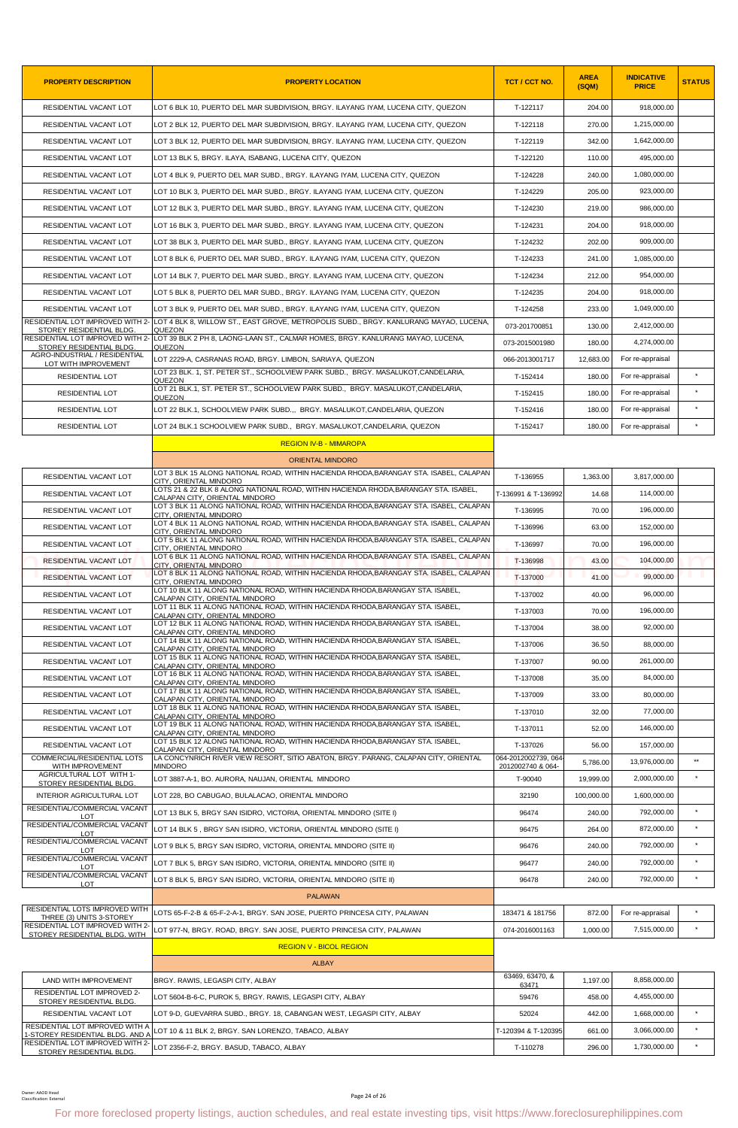| <b>PROPERTY DESCRIPTION</b>                                         | <b>PROPERTY LOCATION</b>                                                                                                               | TCT / CCT NO.            | <b>AREA</b><br>(SQM) | <b>INDICATIVE</b><br><b>PRICE</b> | <b>STATUS</b> |
|---------------------------------------------------------------------|----------------------------------------------------------------------------------------------------------------------------------------|--------------------------|----------------------|-----------------------------------|---------------|
| RESIDENTIAL VACANT LOT                                              | LOT 6 BLK 10. PUERTO DEL MAR SUBDIVISION. BRGY. ILAYANG IYAM. LUCENA CITY. QUEZON                                                      | T-122117                 | 204.00               | 918,000.00                        |               |
| RESIDENTIAL VACANT LOT                                              | LOT 2 BLK 12, PUERTO DEL MAR SUBDIVISION, BRGY. ILAYANG IYAM, LUCENA CITY, QUEZON                                                      | T-122118                 | 270.00               | 1,215,000.00                      |               |
| RESIDENTIAL VACANT LOT                                              | LOT 3 BLK 12, PUERTO DEL MAR SUBDIVISION, BRGY. ILAYANG IYAM, LUCENA CITY, QUEZON                                                      | T-122119                 | 342.00               | 1,642,000.00                      |               |
| RESIDENTIAL VACANT LOT                                              | LOT 13 BLK 5, BRGY. ILAYA, ISABANG, LUCENA CITY, QUEZON                                                                                | T-122120                 | 110.00               | 495,000.00                        |               |
| RESIDENTIAL VACANT LOT                                              | LOT 4 BLK 9, PUERTO DEL MAR SUBD., BRGY. ILAYANG IYAM, LUCENA CITY, QUEZON                                                             | T-124228                 | 240.00               | 1,080,000.00                      |               |
| RESIDENTIAL VACANT LOT                                              | LOT 10 BLK 3, PUERTO DEL MAR SUBD., BRGY. ILAYANG IYAM, LUCENA CITY, QUEZON                                                            | T-124229                 | 205.00               | 923,000.00                        |               |
| RESIDENTIAL VACANT LOT                                              | LOT 12 BLK 3, PUERTO DEL MAR SUBD., BRGY. ILAYANG IYAM, LUCENA CITY, QUEZON                                                            | T-124230                 | 219.00               | 986.000.00                        |               |
| RESIDENTIAL VACANT LOT                                              | LOT 16 BLK 3, PUERTO DEL MAR SUBD., BRGY. ILAYANG IYAM, LUCENA CITY, QUEZON                                                            | T-124231                 | 204.00               | 918,000.00                        |               |
| RESIDENTIAL VACANT LOT                                              | LOT 38 BLK 3, PUERTO DEL MAR SUBD., BRGY. ILAYANG IYAM, LUCENA CITY, QUEZON                                                            | T-124232                 | 202.00               | 909,000.00                        |               |
| RESIDENTIAL VACANT LOT                                              | LOT 8 BLK 6, PUERTO DEL MAR SUBD., BRGY. ILAYANG IYAM, LUCENA CITY, QUEZON                                                             | T-124233                 | 241.00               | 1,085,000.00                      |               |
| RESIDENTIAL VACANT LOT                                              | LOT 14 BLK 7, PUERTO DEL MAR SUBD., BRGY. ILAYANG IYAM, LUCENA CITY, QUEZON                                                            | T-124234                 | 212.00               | 954,000.00                        |               |
| RESIDENTIAL VACANT LOT                                              | LOT 5 BLK 8, PUERTO DEL MAR SUBD., BRGY. ILAYANG IYAM, LUCENA CITY, QUEZON                                                             | T-124235                 | 204.00               | 918,000.00                        |               |
| RESIDENTIAL VACANT LOT                                              | LOT 3 BLK 9, PUERTO DEL MAR SUBD., BRGY. ILAYANG IYAM, LUCENA CITY, QUEZON                                                             | T-124258                 | 233.00               | 1,049,000.00                      |               |
|                                                                     | RESIDENTIAL LOT IMPROVED WITH 2- LOT 4 BLK 8, WILLOW ST., EAST GROVE, METROPOLIS SUBD., BRGY. KANLURANG MAYAO, LUCENA,                 | 073-201700851            | 130.00               | 2,412,000.00                      |               |
| STOREY RESIDENTIAL BLDG                                             | QUEZON<br>RESIDENTIAL LOT IMPROVED WITH 2- LOT 39 BLK 2 PH 8, LAONG-LAAN ST., CALMAR HOMES, BRGY. KANLURANG MAYAO, LUCENA,             | 073-2015001980           | 180.00               | 4,274,000.00                      |               |
| STOREY RESIDENTIAL BLDG.<br>AGRO-INDUSTRIAL / RESIDENTIAL           | QUEZON<br>LOT 2229-A, CASRANAS ROAD, BRGY. LIMBON, SARIAYA, QUEZON                                                                     | 066-2013001717           | 12,683.00            | For re-appraisal                  |               |
| LOT WITH IMPROVEMENT<br>RESIDENTIAL LOT                             | LOT 23 BLK. 1, ST. PETER ST., SCHOOLVIEW PARK SUBD., BRGY. MASALUKOT,CANDELARIA,                                                       | T-152414                 | 180.00               | For re-appraisal                  |               |
|                                                                     | QUEZON<br>LOT 21 BLK.1, ST. PETER ST., SCHOOLVIEW PARK SUBD., BRGY. MASALUKOT,CANDELARIA,                                              | T-152415                 |                      |                                   | $\star$       |
| RESIDENTIAL LOT                                                     | QUEZON                                                                                                                                 |                          | 180.00               | For re-appraisal                  | $\star$       |
| RESIDENTIAL LOT                                                     | LOT 22 BLK.1, SCHOOLVIEW PARK SUBD BRGY, MASALUKOT.CANDELARIA, QUEZON                                                                  | T-152416                 | 180.00               | For re-appraisal                  |               |
| <b>RESIDENTIAL LOT</b>                                              | LOT 24 BLK.1 SCHOOLVIEW PARK SUBD., BRGY. MASALUKOT,CANDELARIA, QUEZON                                                                 | T-152417                 | 180.00               | For re-appraisal                  |               |
|                                                                     | <b>REGION IV-B - MIMAROPA</b>                                                                                                          |                          |                      |                                   |               |
|                                                                     | <b>ORIENTAL MINDORO</b><br>LOT 3 BLK 15 ALONG NATIONAL ROAD, WITHIN HACIENDA RHODA, BARANGAY STA. ISABEL, CALAPAN                      |                          |                      |                                   |               |
| RESIDENTIAL VACANT LOT                                              | CITY, ORIENTAL MINDORO<br>LOTS 21 & 22 BLK 8 ALONG NATIONAL ROAD, WITHIN HACIENDA RHODA, BARANGAY STA. ISABEL,                         | T-136955                 | 1,363.00             | 3,817,000.00                      |               |
| RESIDENTIAL VACANT LOT                                              | CALAPAN CITY, ORIENTAL MINDORO                                                                                                         | T-136991 & T-136992      | 14.68                | 114,000.00                        |               |
| RESIDENTIAL VACANT LOT                                              | LOT 3 BLK 11 ALONG NATIONAL ROAD, WITHIN HACIENDA RHODA, BARANGAY STA. ISABEL, CALAPAN<br>CITY, ORIENTAL MINDORO                       | T-136995                 | 70.00                | 196,000.00                        |               |
| RESIDENTIAL VACANT LOT                                              | LOT 4 BLK 11 ALONG NATIONAL ROAD, WITHIN HACIENDA RHODA, BARANGAY STA. ISABEL, CALAPAN<br>CITY. ORIENTAL MINDORO                       | T-136996                 | 63.00                | 152,000.00                        |               |
| RESIDENTIAL VACANT LOT                                              | LOT 5 BLK 11 ALONG NATIONAL ROAD, WITHIN HACIENDA RHODA, BARANGAY STA. ISABEL, CALAPAN<br>CITY, ORIENTAL MINDORO                       | T-136997                 | 70.00                | 196,000.00                        |               |
| RESIDENTIAL VACANT LOT                                              | LOT 6 BLK 11 ALONG NATIONAL ROAD, WITHIN HACIENDA RHODA,BARANGAY STA. ISABEL, CALAPAN<br>CITY, ORIENTAL MINDORO                        | T-136998                 | 43.00                | 104,000.00                        |               |
| RESIDENTIAL VACANT LOT                                              | LOT 8 BLK 11 ALONG NATIONAL ROAD, WITHIN HACIENDA RHODA, BARANGAY STA. ISABEL, CALAPAN<br>CITY, ORIENTAL MINDORO                       | T-137000                 | 41.00                | 99,000.00                         |               |
| RESIDENTIAL VACANT LOT                                              | LOT 10 BLK 11 ALONG NATIONAL ROAD, WITHIN HACIENDA RHODA.BARANGAY STA, ISABEL,<br>CALAPAN CITY, ORIENTAL MINDORO                       | T-137002                 | 40.00                | 96,000.00                         |               |
| RESIDENTIAL VACANT LOT                                              | LOT 11 BLK 11 ALONG NATIONAL ROAD, WITHIN HACIENDA RHODA,BARANGAY STA. ISABEL,<br>CALAPAN CITY, ORIENTAL MINDORO                       | T-137003                 | 70.00                | 196.000.00                        |               |
| RESIDENTIAL VACANT LOT                                              | LOT 12 BLK 11 ALONG NATIONAL ROAD, WITHIN HACIENDA RHODA, BARANGAY STA. ISABEL,<br>CALAPAN CITY, ORIENTAL MINDORO                      | T-137004                 | 38.00                | 92,000.00                         |               |
| RESIDENTIAL VACANT LOT                                              | LOT 14 BLK 11 ALONG NATIONAL ROAD, WITHIN HACIENDA RHODA, BARANGAY STA. ISABEL,<br>CALAPAN CITY, ORIENTAL MINDORO                      | T-137006                 | 36.50                | 88,000.00                         |               |
| RESIDENTIAL VACANT LOT                                              | LOT 15 BLK 11 ALONG NATIONAL ROAD, WITHIN HACIENDA RHODA, BARANGAY STA. ISABEL,<br>CALAPAN CITY, ORIENTAL MINDORO                      | T-137007                 | 90.00                | 261,000.00                        |               |
| RESIDENTIAL VACANT LOT                                              | LOT 16 BLK 11 ALONG NATIONAL ROAD, WITHIN HACIENDA RHODA, BARANGAY STA. ISABEL,                                                        | T-137008                 | 35.00                | 84.000.00                         |               |
| RESIDENTIAL VACANT LOT                                              | CALAPAN CITY, ORIENTAL MINDORO<br>LOT 17 BLK 11 ALONG NATIONAL ROAD, WITHIN HACIENDA RHODA, BARANGAY STA. ISABEL,                      | T-137009                 | 33.00                | 80,000.00                         |               |
| RESIDENTIAL VACANT LOT                                              | CALAPAN CITY, ORIENTAL MINDORO<br>LOT 18 BLK 11 ALONG NATIONAL ROAD, WITHIN HACIENDA RHODA, BARANGAY STA. ISABEL,                      | T-137010                 | 32.00                | 77,000.00                         |               |
| RESIDENTIAL VACANT LOT                                              | CALAPAN CITY, ORIENTAL MINDORO<br>LOT 19 BLK 11 ALONG NATIONAL ROAD, WITHIN HACIENDA RHODA.BARANGAY STA, ISABEL,                       | T-137011                 | 52.00                | 146,000.00                        |               |
| RESIDENTIAL VACANT LOT                                              | CALAPAN CITY, ORIENTAL MINDORO<br>LOT 15 BLK 12 ALONG NATIONAL ROAD, WITHIN HACIENDA RHODA BARANGAY STA, ISABEL,                       | T-137026                 | 56.00                | 157,000.00                        |               |
| COMMERCIAL/RESIDENTIAL LOTS                                         | CALAPAN CITY, ORIENTAL MINDORO<br>LA CONCYNRICH RIVER VIEW RESORT, SITIO ABATON, BRGY. PARANG, CALAPAN CITY, ORIENTAL                  | 064-2012002739, 064      |                      | 13,976,000.00                     | $\star\star$  |
| WITH IMPROVEMENT<br>AGRICULTURAL LOT WITH 1-                        | <b>MINDORO</b>                                                                                                                         | 2012002740 & 064-        | 5,786.00             |                                   | $\star$       |
| STOREY RESIDENTIAL BLDG.                                            | LOT 3887-A-1, BO. AURORA, NAUJAN, ORIENTAL MINDORO                                                                                     | T-90040                  | 19,999.00            | 2,000,000.00                      |               |
| INTERIOR AGRICULTURAL LOT<br>RESIDENTIAL/COMMERCIAL VACANT          | LOT 228, BO CABUGAO, BULALACAO, ORIENTAL MINDORO                                                                                       | 32190                    | 100,000.00           | 1,600,000.00                      |               |
| LOT<br>RESIDENTIAL/COMMERCIAL VACANT                                | LOT 13 BLK 5, BRGY SAN ISIDRO, VICTORIA, ORIENTAL MINDORO (SITE I)                                                                     | 96474                    | 240.00               | 792,000.00                        | $\star$       |
| LOT<br>RESIDENTIAL/COMMERCIAL VACANT                                | LOT 14 BLK 5 , BRGY SAN ISIDRO, VICTORIA, ORIENTAL MINDORO (SITE I)                                                                    | 96475                    | 264.00               | 872,000.00                        | $\star$       |
| <b>LOT</b>                                                          | LOT 9 BLK 5, BRGY SAN ISIDRO, VICTORIA, ORIENTAL MINDORO (SITE II)                                                                     | 96476                    | 240.00               | 792,000.00                        |               |
| RESIDENTIAL/COMMERCIAL VACANT<br>LOT                                | LOT 7 BLK 5, BRGY SAN ISIDRO, VICTORIA, ORIENTAL MINDORO (SITE II)                                                                     | 96477                    | 240.00               | 792,000.00                        | $\star$       |
| RESIDENTIAL/COMMERCIAL VACANT<br><b>LOT</b>                         | LOT 8 BLK 5, BRGY SAN ISIDRO, VICTORIA, ORIENTAL MINDORO (SITE II)                                                                     | 96478                    | 240.00               | 792,000.00                        | $\star$       |
|                                                                     | <b>PALAWAN</b>                                                                                                                         |                          |                      |                                   |               |
| RESIDENTIAL LOTS IMPROVED WITH<br>THREE (3) UNITS 3-STOREY          | LOTS 65-F-2-B & 65-F-2-A-1, BRGY. SAN JOSE, PUERTO PRINCESA CITY, PALAWAN                                                              | 183471 & 181756          | 872.00               | For re-appraisal                  | $\star$       |
| RESIDENTIAL LOT IMPROVED WITH 2-<br>STOREY RESIDENTIAL BLDG. WITH   | LOT 977-N, BRGY. ROAD, BRGY. SAN JOSE, PUERTO PRINCESA CITY, PALAWAN                                                                   | 074-2016001163           | 1,000.00             | 7,515,000.00                      | $\star$       |
|                                                                     | <b>REGION V - BICOL REGION</b>                                                                                                         |                          |                      |                                   |               |
|                                                                     | <b>ALBAY</b>                                                                                                                           |                          |                      |                                   |               |
| LAND WITH IMPROVEMENT                                               | BRGY. RAWIS, LEGASPI CITY, ALBAY                                                                                                       | 63469, 63470, &<br>63471 | 1,197.00             | 8,858,000.00                      |               |
| RESIDENTIAL LOT IMPROVED 2-<br>STOREY RESIDENTIAL BLDG.             | LOT 5604-B-6-C, PUROK 5, BRGY. RAWIS, LEGASPI CITY, ALBAY                                                                              | 59476                    | 458.00               | 4,455,000.00                      |               |
| RESIDENTIAL VACANT LOT                                              | LOT 9-D, GUEVARRA SUBD., BRGY. 18, CABANGAN WEST, LEGASPI CITY, ALBAY                                                                  | 52024                    | 442.00               | 1,668,000.00                      | $\pmb{\ast}$  |
| RESIDENTIAL LOT IMPROVED WITH A<br>1-STOREY RESIDENTIAL BLDG. AND A | LOT 10 & 11 BLK 2, BRGY. SAN LORENZO, TABACO, ALBAY                                                                                    | T-120394 & T-120395      | 661.00               | 3.066.000.00                      | $\star$       |
| RESIDENTIAL LOT IMPROVED WITH 2-                                    | LOT 2356-F-2, BRGY. BASUD, TABACO, ALBAY                                                                                               | T-110278                 | 296.00               | 1,730,000.00                      |               |
| STOREY RESIDENTIAL BLDG.                                            |                                                                                                                                        |                          |                      |                                   |               |
|                                                                     |                                                                                                                                        |                          |                      |                                   |               |
| Owner: AAOD Head<br>Classification: External                        | Page 24 of 26                                                                                                                          |                          |                      |                                   |               |
|                                                                     | For more foreclosed property listings, auction schedules, and real estate investing tips, visit https://www.foreclosurephilippines.com |                          |                      |                                   |               |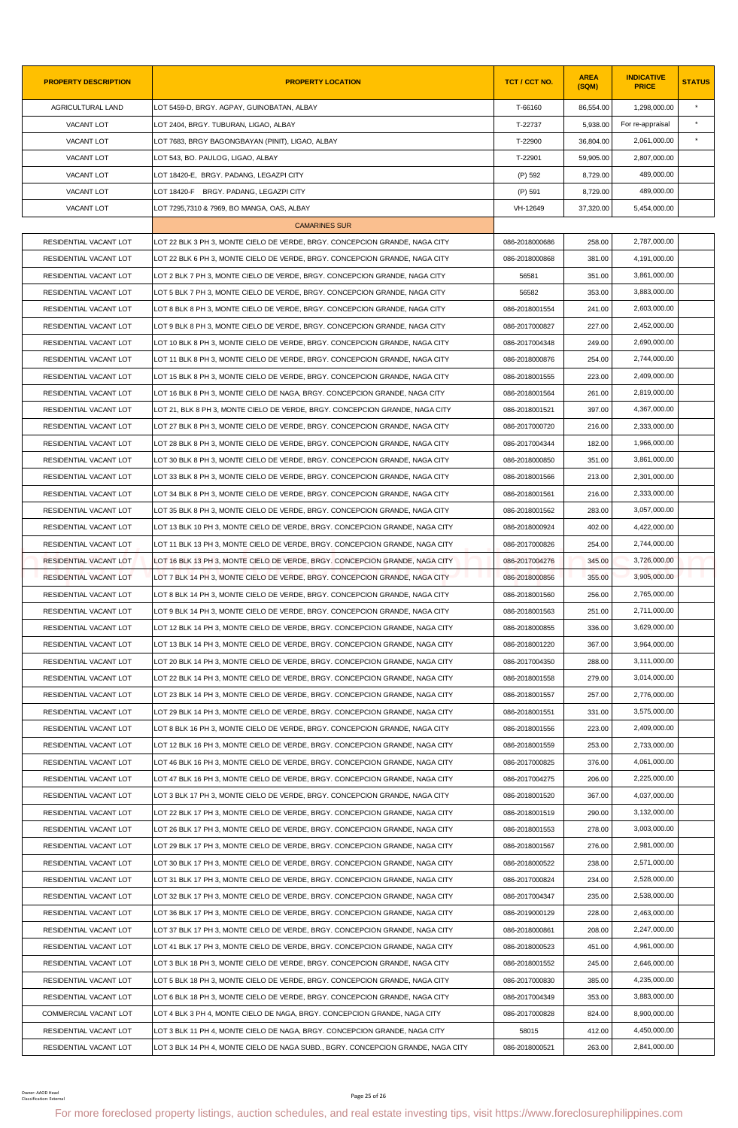| <b>PROPERTY DESCRIPTION</b>                 | <b>PROPERTY LOCATION</b>                                                                                                                                | TCT / CCT NO.  | <b>AREA</b><br>(SQM) | <b>INDICATIVE</b><br><b>PRICE</b> | <b>STATUS</b> |
|---------------------------------------------|---------------------------------------------------------------------------------------------------------------------------------------------------------|----------------|----------------------|-----------------------------------|---------------|
| AGRICULTURAL LAND                           | LOT 5459-D, BRGY. AGPAY, GUINOBATAN, ALBAY                                                                                                              | T-66160        | 86,554.00            | 1,298,000.00                      | $\star$       |
| VACANT LOT                                  | LOT 2404, BRGY. TUBURAN, LIGAO, ALBAY                                                                                                                   | T-22737        | 5,938.00             | For re-appraisal                  |               |
| VACANT LOT                                  | LOT 7683, BRGY BAGONGBAYAN (PINIT), LIGAO, ALBAY                                                                                                        | T-22900        | 36,804.00            | 2,061,000.00                      | $\pmb{\ast}$  |
| VACANT LOT                                  | LOT 543, BO. PAULOG, LIGAO, ALBAY                                                                                                                       | T-22901        | 59,905.00            | 2,807,000.00                      |               |
| VACANT LOT                                  | LOT 18420-E, BRGY. PADANG, LEGAZPI CITY                                                                                                                 | (P) 592        | 8,729.00             | 489,000.00                        |               |
| VACANT LOT                                  | LOT 18420-F BRGY. PADANG, LEGAZPI CITY                                                                                                                  | (P) 591        | 8,729.00             | 489,000.00                        |               |
| <b>VACANT LOT</b>                           | LOT 7295,7310 & 7969, BO MANGA, OAS, ALBAY                                                                                                              | VH-12649       | 37,320.00            | 5,454,000.00                      |               |
|                                             | <b>CAMARINES SUR</b>                                                                                                                                    |                |                      |                                   |               |
| RESIDENTIAL VACANT LOT                      | LOT 22 BLK 3 PH 3, MONTE CIELO DE VERDE, BRGY. CONCEPCION GRANDE, NAGA CITY                                                                             | 086-2018000686 | 258.00               | 2,787,000.00                      |               |
| RESIDENTIAL VACANT LOT                      | LOT 22 BLK 6 PH 3, MONTE CIELO DE VERDE, BRGY. CONCEPCION GRANDE, NAGA CITY                                                                             | 086-2018000868 | 381.00               | 4,191,000.00                      |               |
| RESIDENTIAL VACANT LOT                      | LOT 2 BLK 7 PH 3, MONTE CIELO DE VERDE, BRGY. CONCEPCION GRANDE, NAGA CITY                                                                              | 56581          | 351.00               | 3,861,000.00                      |               |
| RESIDENTIAL VACANT LOT                      | LOT 5 BLK 7 PH 3, MONTE CIELO DE VERDE, BRGY. CONCEPCION GRANDE, NAGA CITY                                                                              | 56582          | 353.00               | 3,883,000.00                      |               |
| RESIDENTIAL VACANT LOT                      | LOT 8 BLK 8 PH 3, MONTE CIELO DE VERDE, BRGY. CONCEPCION GRANDE, NAGA CITY                                                                              | 086-2018001554 | 241.00               | 2,603,000.00                      |               |
| RESIDENTIAL VACANT LOT                      | LOT 9 BLK 8 PH 3. MONTE CIELO DE VERDE. BRGY. CONCEPCION GRANDE. NAGA CITY                                                                              | 086-2017000827 | 227.00               | 2,452,000.00                      |               |
| RESIDENTIAL VACANT LOT                      | LOT 10 BLK 8 PH 3, MONTE CIELO DE VERDE, BRGY. CONCEPCION GRANDE, NAGA CITY                                                                             | 086-2017004348 | 249.00               | 2,690,000.00                      |               |
| RESIDENTIAL VACANT LOT                      | LOT 11 BLK 8 PH 3, MONTE CIELO DE VERDE, BRGY. CONCEPCION GRANDE, NAGA CITY                                                                             | 086-2018000876 | 254.00               | 2,744,000.00                      |               |
| RESIDENTIAL VACANT LOT                      | LOT 15 BLK 8 PH 3, MONTE CIELO DE VERDE, BRGY. CONCEPCION GRANDE, NAGA CITY                                                                             | 086-2018001555 | 223.00               | 2,409,000.00                      |               |
| RESIDENTIAL VACANT LOT                      | LOT 16 BLK 8 PH 3, MONTE CIELO DE NAGA, BRGY. CONCEPCION GRANDE, NAGA CITY                                                                              | 086-2018001564 | 261.00               | 2,819,000.00                      |               |
| RESIDENTIAL VACANT LOT                      | LOT 21, BLK 8 PH 3, MONTE CIELO DE VERDE, BRGY. CONCEPCION GRANDE, NAGA CITY                                                                            | 086-2018001521 | 397.00               | 4,367,000.00                      |               |
| RESIDENTIAL VACANT LOT                      | LOT 27 BLK 8 PH 3, MONTE CIELO DE VERDE, BRGY. CONCEPCION GRANDE, NAGA CITY                                                                             | 086-2017000720 | 216.00               | 2,333,000.00                      |               |
| RESIDENTIAL VACANT LOT                      | LOT 28 BLK 8 PH 3, MONTE CIELO DE VERDE, BRGY. CONCEPCION GRANDE, NAGA CITY                                                                             | 086-2017004344 | 182.00               | 1,966,000.00                      |               |
| RESIDENTIAL VACANT LOT                      | LOT 30 BLK 8 PH 3, MONTE CIELO DE VERDE, BRGY. CONCEPCION GRANDE, NAGA CITY                                                                             | 086-2018000850 | 351.00               | 3,861,000.00                      |               |
| RESIDENTIAL VACANT LOT                      | LOT 33 BLK 8 PH 3, MONTE CIELO DE VERDE, BRGY. CONCEPCION GRANDE, NAGA CITY                                                                             | 086-2018001566 | 213.00               | 2,301,000.00                      |               |
| RESIDENTIAL VACANT LOT                      | LOT 34 BLK 8 PH 3, MONTE CIELO DE VERDE, BRGY. CONCEPCION GRANDE, NAGA CITY                                                                             | 086-2018001561 | 216.00               | 2,333,000.00                      |               |
| RESIDENTIAL VACANT LOT                      | LOT 35 BLK 8 PH 3, MONTE CIELO DE VERDE, BRGY. CONCEPCION GRANDE, NAGA CITY                                                                             | 086-2018001562 | 283.00               | 3,057,000.00                      |               |
| RESIDENTIAL VACANT LOT                      | LOT 13 BLK 10 PH 3, MONTE CIELO DE VERDE, BRGY. CONCEPCION GRANDE, NAGA CITY                                                                            | 086-2018000924 | 402.00               | 4,422,000.00                      |               |
| RESIDENTIAL VACANT LOT                      | LOT 11 BLK 13 PH 3, MONTE CIELO DE VERDE, BRGY. CONCEPCION GRANDE, NAGA CITY                                                                            | 086-2017000826 | 254.00               | 2,744,000.00                      |               |
| RESIDENTIAL VACANT LOT                      | LOT 16 BLK 13 PH 3. MONTE CIELO DE VERDE. BRGY. CONCEPCION GRANDE. NAGA CITY                                                                            | 086-2017004276 | 345.00               | 3,726,000.00                      |               |
| <b>RESIDENTIAL VACANT LOT</b>               | LOT 7 BLK 14 PH 3. MONTE CIELO DE VERDE. BRGY. CONCEPCION GRANDE. NAGA CITY                                                                             | 086-2018000856 | 355.00               | 3,905,000.00                      |               |
| RESIDENTIAL VACANT LOT                      | LOT 8 BLK 14 PH 3, MONTE CIELO DE VERDE, BRGY. CONCEPCION GRANDE, NAGA CITY                                                                             | 086-2018001560 | 256.00               | 2,765,000.00                      |               |
| RESIDENTIAL VACANT LOT                      | LOT 9 BLK 14 PH 3, MONTE CIELO DE VERDE, BRGY. CONCEPCION GRANDE, NAGA CITY                                                                             | 086-2018001563 | 251.00               | 2,711,000.00                      |               |
| RESIDENTIAL VACANT LOT                      | LOT 12 BLK 14 PH 3, MONTE CIELO DE VERDE, BRGY. CONCEPCION GRANDE, NAGA CITY                                                                            | 086-2018000855 | 336.00               | 3,629,000.00                      |               |
| RESIDENTIAL VACANT LOT                      | LOT 13 BLK 14 PH 3. MONTE CIELO DE VERDE. BRGY. CONCEPCION GRANDE. NAGA CITY                                                                            | 086-2018001220 | 367.00               | 3,964,000.00                      |               |
| RESIDENTIAL VACANT LOT                      | LOT 20 BLK 14 PH 3, MONTE CIELO DE VERDE, BRGY. CONCEPCION GRANDE, NAGA CITY                                                                            | 086-2017004350 | 288.00               | 3,111,000.00                      |               |
| RESIDENTIAL VACANT LOT                      | LOT 22 BLK 14 PH 3, MONTE CIELO DE VERDE, BRGY. CONCEPCION GRANDE, NAGA CITY                                                                            | 086-2018001558 | 279.00               | 3,014,000.00                      |               |
| RESIDENTIAL VACANT LOT                      | LOT 23 BLK 14 PH 3, MONTE CIELO DE VERDE, BRGY. CONCEPCION GRANDE, NAGA CITY                                                                            | 086-2018001557 | 257.00               | 2,776,000.00                      |               |
| RESIDENTIAL VACANT LOT                      | LOT 29 BLK 14 PH 3, MONTE CIELO DE VERDE, BRGY. CONCEPCION GRANDE, NAGA CITY                                                                            | 086-2018001551 | 331.00               | 3.575.000.00                      |               |
| RESIDENTIAL VACANT LOT                      | LOT 8 BLK 16 PH 3, MONTE CIELO DE VERDE, BRGY. CONCEPCION GRANDE, NAGA CITY                                                                             | 086-2018001556 | 223.00               | 2,409,000.00                      |               |
| RESIDENTIAL VACANT LOT                      | LOT 12 BLK 16 PH 3, MONTE CIELO DE VERDE, BRGY. CONCEPCION GRANDE, NAGA CITY                                                                            | 086-2018001559 | 253.00               | 2,733,000.00                      |               |
| RESIDENTIAL VACANT LOT                      | LOT 46 BLK 16 PH 3, MONTE CIELO DE VERDE, BRGY. CONCEPCION GRANDE, NAGA CITY                                                                            | 086-2017000825 | 376.00               | 4,061,000.00                      |               |
| RESIDENTIAL VACANT LOT                      | LOT 47 BLK 16 PH 3, MONTE CIELO DE VERDE, BRGY. CONCEPCION GRANDE, NAGA CITY                                                                            | 086-2017004275 | 206.00               | 2,225,000.00                      |               |
| RESIDENTIAL VACANT LOT                      | LOT 3 BLK 17 PH 3, MONTE CIELO DE VERDE, BRGY. CONCEPCION GRANDE, NAGA CITY                                                                             | 086-2018001520 | 367.00               | 4,037,000.00                      |               |
| RESIDENTIAL VACANT LOT                      | LOT 22 BLK 17 PH 3, MONTE CIELO DE VERDE, BRGY. CONCEPCION GRANDE, NAGA CITY                                                                            | 086-2018001519 | 290.00               | 3,132,000.00                      |               |
| RESIDENTIAL VACANT LOT                      | LOT 26 BLK 17 PH 3, MONTE CIELO DE VERDE, BRGY. CONCEPCION GRANDE, NAGA CITY                                                                            | 086-2018001553 | 278.00               | 3,003,000.00                      |               |
| RESIDENTIAL VACANT LOT                      | LOT 29 BLK 17 PH 3, MONTE CIELO DE VERDE, BRGY. CONCEPCION GRANDE, NAGA CITY                                                                            | 086-2018001567 | 276.00               | 2,981,000.00                      |               |
| RESIDENTIAL VACANT LOT                      | LOT 30 BLK 17 PH 3, MONTE CIELO DE VERDE, BRGY. CONCEPCION GRANDE, NAGA CITY                                                                            | 086-2018000522 | 238.00               | 2,571,000.00                      |               |
| RESIDENTIAL VACANT LOT                      | LOT 31 BLK 17 PH 3, MONTE CIELO DE VERDE, BRGY. CONCEPCION GRANDE, NAGA CITY                                                                            | 086-2017000824 | 234.00               | 2,528,000.00                      |               |
| RESIDENTIAL VACANT LOT                      | LOT 32 BLK 17 PH 3, MONTE CIELO DE VERDE, BRGY. CONCEPCION GRANDE, NAGA CITY                                                                            | 086-2017004347 | 235.00               | 2,538,000.00                      |               |
| RESIDENTIAL VACANT LOT                      | LOT 36 BLK 17 PH 3, MONTE CIELO DE VERDE, BRGY. CONCEPCION GRANDE, NAGA CITY                                                                            | 086-2019000129 | 228.00               | 2,463,000.00                      |               |
| RESIDENTIAL VACANT LOT                      | LOT 37 BLK 17 PH 3, MONTE CIELO DE VERDE, BRGY. CONCEPCION GRANDE, NAGA CITY                                                                            | 086-2018000861 | 208.00               | 2,247,000.00                      |               |
| RESIDENTIAL VACANT LOT                      | LOT 41 BLK 17 PH 3, MONTE CIELO DE VERDE, BRGY. CONCEPCION GRANDE, NAGA CITY                                                                            | 086-2018000523 | 451.00               | 4,961,000.00                      |               |
| RESIDENTIAL VACANT LOT                      | LOT 3 BLK 18 PH 3, MONTE CIELO DE VERDE, BRGY. CONCEPCION GRANDE, NAGA CITY                                                                             | 086-2018001552 | 245.00               | 2,646,000.00                      |               |
| RESIDENTIAL VACANT LOT                      | LOT 5 BLK 18 PH 3, MONTE CIELO DE VERDE, BRGY. CONCEPCION GRANDE, NAGA CITY                                                                             | 086-2017000830 | 385.00               | 4,235,000.00                      |               |
| RESIDENTIAL VACANT LOT                      | LOT 6 BLK 18 PH 3, MONTE CIELO DE VERDE, BRGY. CONCEPCION GRANDE, NAGA CITY                                                                             | 086-2017004349 | 353.00               | 3,883,000.00                      |               |
|                                             |                                                                                                                                                         |                |                      | 8,900,000.00                      |               |
| COMMERCIAL VACANT LOT                       | LOT 4 BLK 3 PH 4, MONTE CIELO DE NAGA, BRGY. CONCEPCION GRANDE, NAGA CITY                                                                               | 086-2017000828 | 824.00               | 4,450,000.00                      |               |
| RESIDENTIAL VACANT LOT                      | LOT 3 BLK 11 PH 4, MONTE CIELO DE NAGA, BRGY. CONCEPCION GRANDE, NAGA CITY                                                                              | 58015          | 412.00               |                                   |               |
| RESIDENTIAL VACANT LOT                      | LOT 3 BLK 14 PH 4, MONTE CIELO DE NAGA SUBD., BGRY. CONCEPCION GRANDE, NAGA CITY                                                                        | 086-2018000521 | 263.00               | 2,841,000.00                      |               |
| Owner: AAOD Head<br>Classification: Externa | Page 25 of 26<br>For more foreclosed property listings, auction schedules, and real estate investing tips, visit https://www.foreclosurephilippines.com |                |                      |                                   |               |